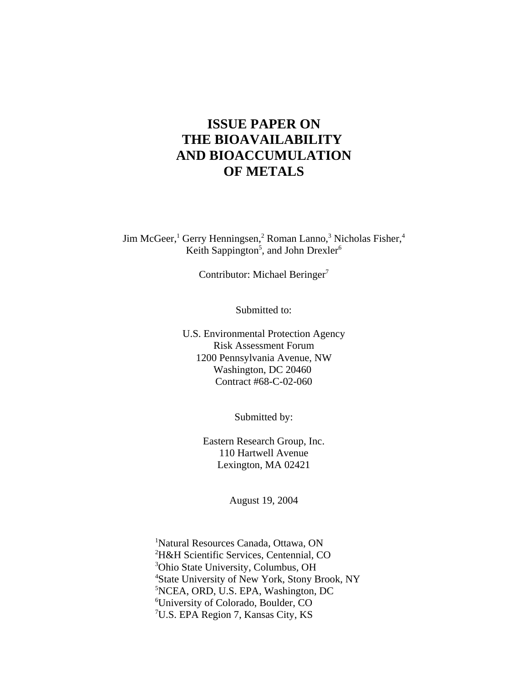# **ISSUE PAPER ON THE BIOAVAILABILITY AND BIOACCUMULATION OF METALS**

Jim McGeer,<sup>1</sup> Gerry Henningsen,<sup>2</sup> Roman Lanno,<sup>3</sup> Nicholas Fisher,<sup>4</sup> Keith Sappington<sup>5</sup>, and John Drexler<sup>6</sup>

Contributor: Michael Beringer<sup>7</sup>

Submitted to:

U.S. Environmental Protection Agency Risk Assessment Forum 1200 Pennsylvania Avenue, NW Washington, DC 20460 Contract #68-C-02-060

Submitted by:

Eastern Research Group, Inc. 110 Hartwell Avenue Lexington, MA 02421

August 19, 2004

 Natural Resources Canada, Ottawa, ON H&H Scientific Services, Centennial, CO Ohio State University, Columbus, OH State University of New York, Stony Brook, NY NCEA, ORD, U.S. EPA, Washington, DC University of Colorado, Boulder, CO U.S. EPA Region 7, Kansas City, KS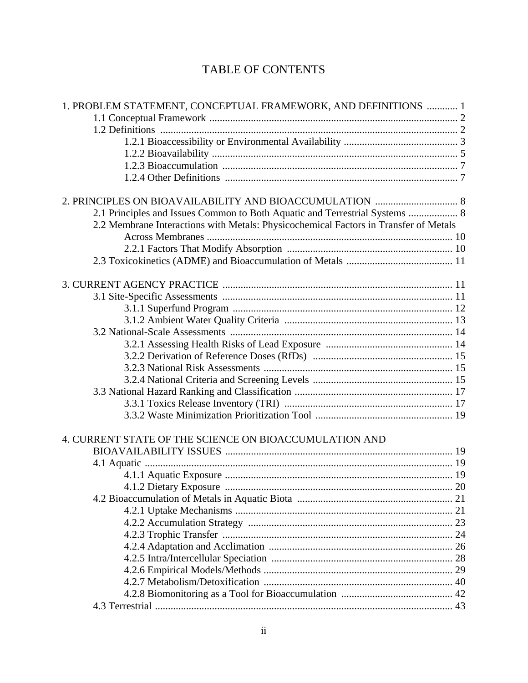# TABLE OF CONTENTS

| 1. PROBLEM STATEMENT, CONCEPTUAL FRAMEWORK, AND DEFINITIONS  1                       |  |
|--------------------------------------------------------------------------------------|--|
|                                                                                      |  |
|                                                                                      |  |
|                                                                                      |  |
|                                                                                      |  |
|                                                                                      |  |
|                                                                                      |  |
|                                                                                      |  |
| 2.1 Principles and Issues Common to Both Aquatic and Terrestrial Systems  8          |  |
| 2.2 Membrane Interactions with Metals: Physicochemical Factors in Transfer of Metals |  |
|                                                                                      |  |
|                                                                                      |  |
|                                                                                      |  |
|                                                                                      |  |
|                                                                                      |  |
|                                                                                      |  |
|                                                                                      |  |
|                                                                                      |  |
|                                                                                      |  |
|                                                                                      |  |
|                                                                                      |  |
|                                                                                      |  |
|                                                                                      |  |
|                                                                                      |  |
|                                                                                      |  |
| 4. CURRENT STATE OF THE SCIENCE ON BIOACCUMULATION AND                               |  |
|                                                                                      |  |
|                                                                                      |  |
|                                                                                      |  |
|                                                                                      |  |
|                                                                                      |  |
|                                                                                      |  |
|                                                                                      |  |
|                                                                                      |  |
|                                                                                      |  |
|                                                                                      |  |
|                                                                                      |  |
|                                                                                      |  |
|                                                                                      |  |
|                                                                                      |  |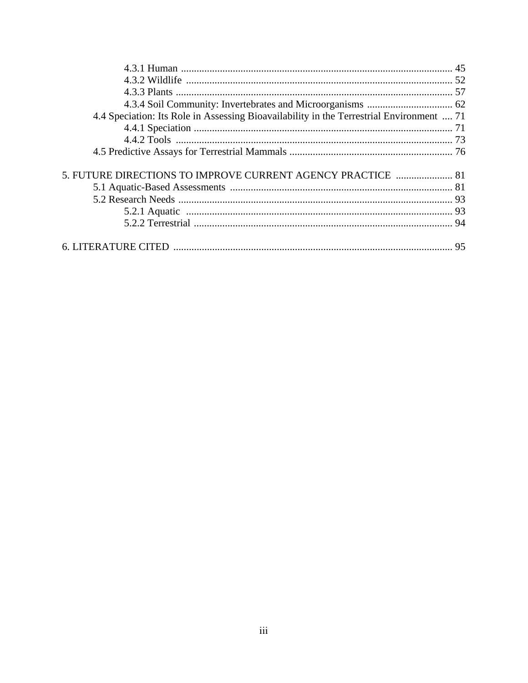| 4.4 Speciation: Its Role in Assessing Bioavailability in the Terrestrial Environment  71 |  |
|------------------------------------------------------------------------------------------|--|
|                                                                                          |  |
|                                                                                          |  |
|                                                                                          |  |
| 5. FUTURE DIRECTIONS TO IMPROVE CURRENT AGENCY PRACTICE  81                              |  |
|                                                                                          |  |
|                                                                                          |  |
|                                                                                          |  |
|                                                                                          |  |
|                                                                                          |  |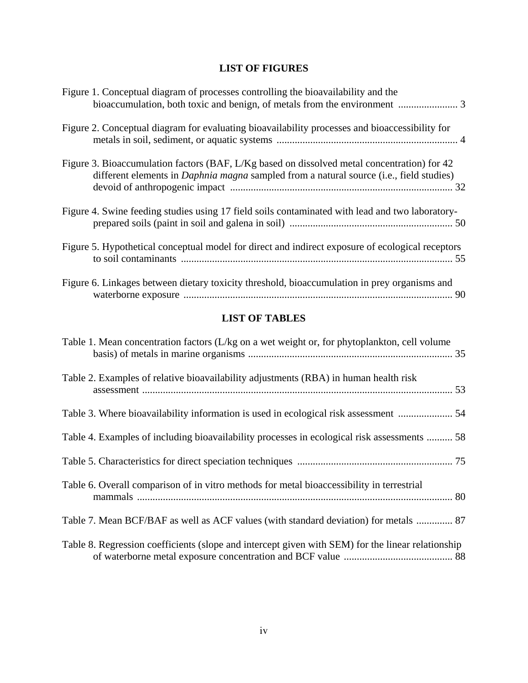## **LIST OF FIGURES**

| Figure 1. Conceptual diagram of processes controlling the bioavailability and the                                                                                                             |  |
|-----------------------------------------------------------------------------------------------------------------------------------------------------------------------------------------------|--|
| Figure 2. Conceptual diagram for evaluating bioavailability processes and bioaccessibility for                                                                                                |  |
| Figure 3. Bioaccumulation factors (BAF, L/Kg based on dissolved metal concentration) for 42<br>different elements in <i>Daphnia magna</i> sampled from a natural source (i.e., field studies) |  |
| Figure 4. Swine feeding studies using 17 field soils contaminated with lead and two laboratory-                                                                                               |  |
| Figure 5. Hypothetical conceptual model for direct and indirect exposure of ecological receptors                                                                                              |  |
| Figure 6. Linkages between dietary toxicity threshold, bioaccumulation in prey organisms and                                                                                                  |  |

## **LIST OF TABLES**

| Table 1. Mean concentration factors (L/kg on a wet weight or, for phytoplankton, cell volume      |  |
|---------------------------------------------------------------------------------------------------|--|
| Table 2. Examples of relative bioavailability adjustments (RBA) in human health risk              |  |
|                                                                                                   |  |
| Table 4. Examples of including bioavailability processes in ecological risk assessments  58       |  |
|                                                                                                   |  |
| Table 6. Overall comparison of in vitro methods for metal bioaccessibility in terrestrial         |  |
| Table 7. Mean BCF/BAF as well as ACF values (with standard deviation) for metals  87              |  |
| Table 8. Regression coefficients (slope and intercept given with SEM) for the linear relationship |  |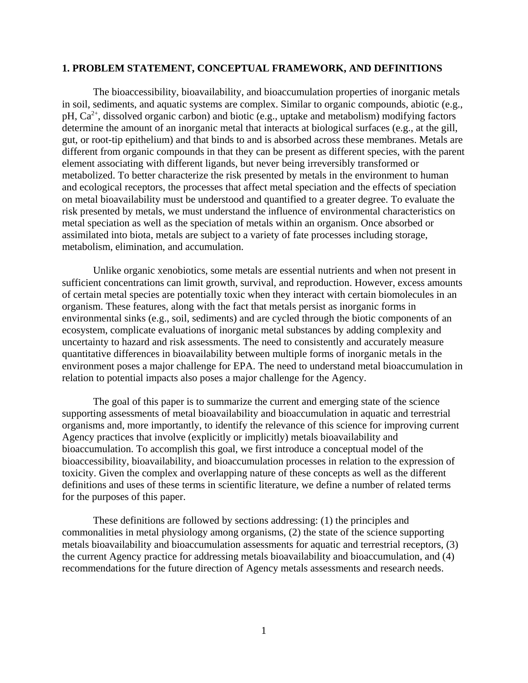## **1. PROBLEM STATEMENT, CONCEPTUAL FRAMEWORK, AND DEFINITIONS**

The bioaccessibility, bioavailability, and bioaccumulation properties of inorganic metals in soil, sediments, and aquatic systems are complex. Similar to organic compounds, abiotic (e.g., pH,  $Ca<sup>2+</sup>$ , dissolved organic carbon) and biotic (e.g., uptake and metabolism) modifying factors determine the amount of an inorganic metal that interacts at biological surfaces (e.g., at the gill, gut, or root-tip epithelium) and that binds to and is absorbed across these membranes. Metals are different from organic compounds in that they can be present as different species, with the parent element associating with different ligands, but never being irreversibly transformed or metabolized. To better characterize the risk presented by metals in the environment to human and ecological receptors, the processes that affect metal speciation and the effects of speciation on metal bioavailability must be understood and quantified to a greater degree. To evaluate the risk presented by metals, we must understand the influence of environmental characteristics on metal speciation as well as the speciation of metals within an organism. Once absorbed or assimilated into biota, metals are subject to a variety of fate processes including storage, metabolism, elimination, and accumulation.

Unlike organic xenobiotics, some metals are essential nutrients and when not present in sufficient concentrations can limit growth, survival, and reproduction. However, excess amounts of certain metal species are potentially toxic when they interact with certain biomolecules in an organism. These features, along with the fact that metals persist as inorganic forms in environmental sinks (e.g., soil, sediments) and are cycled through the biotic components of an ecosystem, complicate evaluations of inorganic metal substances by adding complexity and uncertainty to hazard and risk assessments. The need to consistently and accurately measure quantitative differences in bioavailability between multiple forms of inorganic metals in the environment poses a major challenge for EPA. The need to understand metal bioaccumulation in relation to potential impacts also poses a major challenge for the Agency.

The goal of this paper is to summarize the current and emerging state of the science supporting assessments of metal bioavailability and bioaccumulation in aquatic and terrestrial organisms and, more importantly, to identify the relevance of this science for improving current Agency practices that involve (explicitly or implicitly) metals bioavailability and bioaccumulation. To accomplish this goal, we first introduce a conceptual model of the bioaccessibility, bioavailability, and bioaccumulation processes in relation to the expression of toxicity. Given the complex and overlapping nature of these concepts as well as the different definitions and uses of these terms in scientific literature, we define a number of related terms for the purposes of this paper.

These definitions are followed by sections addressing: (1) the principles and commonalities in metal physiology among organisms, (2) the state of the science supporting metals bioavailability and bioaccumulation assessments for aquatic and terrestrial receptors, (3) the current Agency practice for addressing metals bioavailability and bioaccumulation, and (4) recommendations for the future direction of Agency metals assessments and research needs.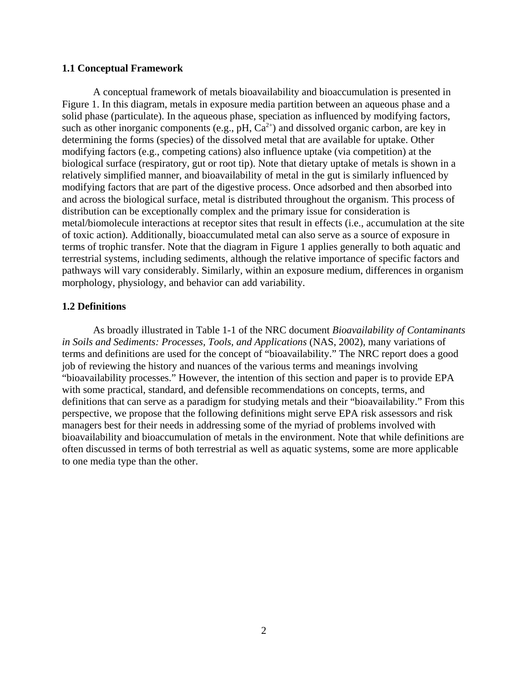## **1.1 Conceptual Framework**

A conceptual framework of metals bioavailability and bioaccumulation is presented in Figure 1. In this diagram, metals in exposure media partition between an aqueous phase and a solid phase (particulate). In the aqueous phase, speciation as influenced by modifying factors, such as other inorganic components (e.g.,  $pH$ ,  $Ca^{2+}$ ) and dissolved organic carbon, are key in determining the forms (species) of the dissolved metal that are available for uptake. Other modifying factors (e.g., competing cations) also influence uptake (via competition) at the biological surface (respiratory, gut or root tip). Note that dietary uptake of metals is shown in a relatively simplified manner, and bioavailability of metal in the gut is similarly influenced by modifying factors that are part of the digestive process. Once adsorbed and then absorbed into and across the biological surface, metal is distributed throughout the organism. This process of distribution can be exceptionally complex and the primary issue for consideration is metal/biomolecule interactions at receptor sites that result in effects (i.e., accumulation at the site of toxic action). Additionally, bioaccumulated metal can also serve as a source of exposure in terms of trophic transfer. Note that the diagram in Figure 1 applies generally to both aquatic and terrestrial systems, including sediments, although the relative importance of specific factors and pathways will vary considerably. Similarly, within an exposure medium, differences in organism morphology, physiology, and behavior can add variability.

## **1.2 Definitions**

As broadly illustrated in Table 1-1 of the NRC document *Bioavailability of Contaminants in Soils and Sediments: Processes, Tools, and Applications* (NAS, 2002), many variations of terms and definitions are used for the concept of "bioavailability." The NRC report does a good job of reviewing the history and nuances of the various terms and meanings involving "bioavailability processes." However, the intention of this section and paper is to provide EPA with some practical, standard, and defensible recommendations on concepts, terms, and definitions that can serve as a paradigm for studying metals and their "bioavailability." From this perspective, we propose that the following definitions might serve EPA risk assessors and risk managers best for their needs in addressing some of the myriad of problems involved with bioavailability and bioaccumulation of metals in the environment. Note that while definitions are often discussed in terms of both terrestrial as well as aquatic systems, some are more applicable to one media type than the other.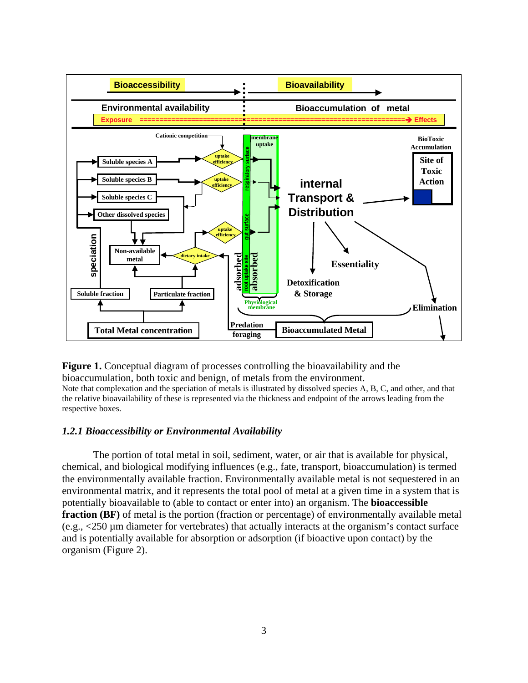

**Figure 1.** Conceptual diagram of processes controlling the bioavailability and the bioaccumulation, both toxic and benign, of metals from the environment. Note that complexation and the speciation of metals is illustrated by dissolved species A, B, C, and other, and that the relative bioavailability of these is represented via the thickness and endpoint of the arrows leading from the respective boxes.

## *1.2.1 Bioaccessibility or Environmental Availability*

The portion of total metal in soil, sediment, water, or air that is available for physical, chemical, and biological modifying influences (e.g., fate, transport, bioaccumulation) is termed the environmentally available fraction. Environmentally available metal is not sequestered in an environmental matrix, and it represents the total pool of metal at a given time in a system that is potentially bioavailable to (able to contact or enter into) an organism. The **bioaccessible fraction (BF)** of metal is the portion (fraction or percentage) of environmentally available metal (e.g., <250 µm diameter for vertebrates) that actually interacts at the organism's contact surface and is potentially available for absorption or adsorption (if bioactive upon contact) by the organism (Figure 2).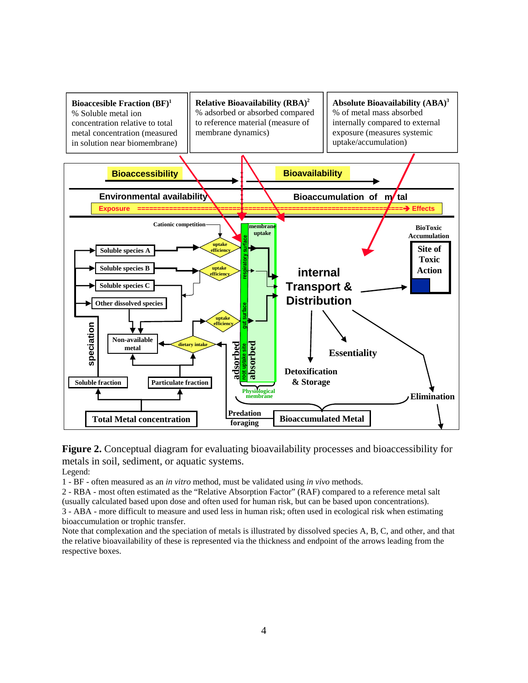

**Figure 2.** Conceptual diagram for evaluating bioavailability processes and bioaccessibility for metals in soil, sediment, or aquatic systems. Legend:

1 - BF - often measured as an *in vitro* method, must be validated using *in vivo* methods.

2 - RBA - most often estimated as the "Relative Absorption Factor" (RAF) compared to a reference metal salt (usually calculated based upon dose and often used for human risk, but can be based upon concentrations). 3 - ABA - more difficult to measure and used less in human risk; often used in ecological risk when estimating bioaccumulation or trophic transfer.

Note that complexation and the speciation of metals is illustrated by dissolved species A, B, C, and other, and that the relative bioavailability of these is represented via the thickness and endpoint of the arrows leading from the respective boxes.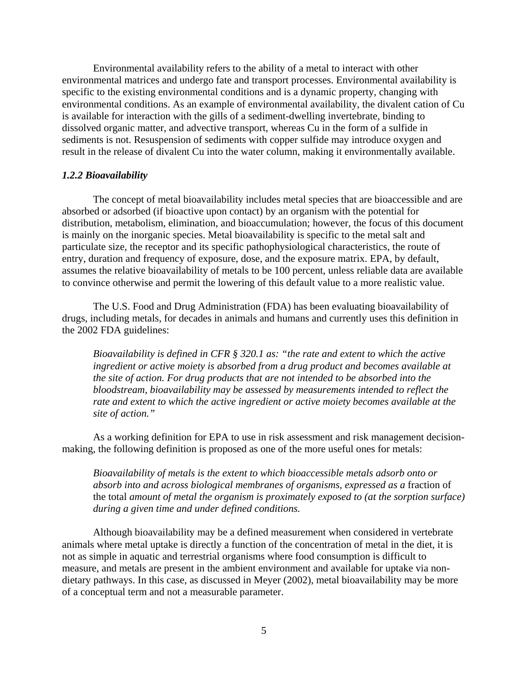Environmental availability refers to the ability of a metal to interact with other environmental matrices and undergo fate and transport processes. Environmental availability is specific to the existing environmental conditions and is a dynamic property, changing with environmental conditions. As an example of environmental availability, the divalent cation of Cu is available for interaction with the gills of a sediment-dwelling invertebrate, binding to dissolved organic matter, and advective transport, whereas Cu in the form of a sulfide in sediments is not. Resuspension of sediments with copper sulfide may introduce oxygen and result in the release of divalent Cu into the water column, making it environmentally available.

## *1.2.2 Bioavailability*

The concept of metal bioavailability includes metal species that are bioaccessible and are absorbed or adsorbed (if bioactive upon contact) by an organism with the potential for distribution, metabolism, elimination, and bioaccumulation; however, the focus of this document is mainly on the inorganic species. Metal bioavailability is specific to the metal salt and particulate size, the receptor and its specific pathophysiological characteristics, the route of entry, duration and frequency of exposure, dose, and the exposure matrix. EPA, by default, assumes the relative bioavailability of metals to be 100 percent, unless reliable data are available to convince otherwise and permit the lowering of this default value to a more realistic value.

The U.S. Food and Drug Administration (FDA) has been evaluating bioavailability of drugs, including metals, for decades in animals and humans and currently uses this definition in the 2002 FDA guidelines:

*Bioavailability is defined in CFR § 320.1 as: "the rate and extent to which the active ingredient or active moiety is absorbed from a drug product and becomes available at the site of action. For drug products that are not intended to be absorbed into the bloodstream, bioavailability may be assessed by measurements intended to reflect the rate and extent to which the active ingredient or active moiety becomes available at the site of action."* 

As a working definition for EPA to use in risk assessment and risk management decisionmaking, the following definition is proposed as one of the more useful ones for metals:

*Bioavailability of metals is the extent to which bioaccessible metals adsorb onto or absorb into and across biological membranes of organisms, expressed as a* fraction of the total *amount of metal the organism is proximately exposed to (at the sorption surface) during a given time and under defined conditions.* 

Although bioavailability may be a defined measurement when considered in vertebrate animals where metal uptake is directly a function of the concentration of metal in the diet, it is not as simple in aquatic and terrestrial organisms where food consumption is difficult to measure, and metals are present in the ambient environment and available for uptake via nondietary pathways. In this case, as discussed in Meyer (2002), metal bioavailability may be more of a conceptual term and not a measurable parameter.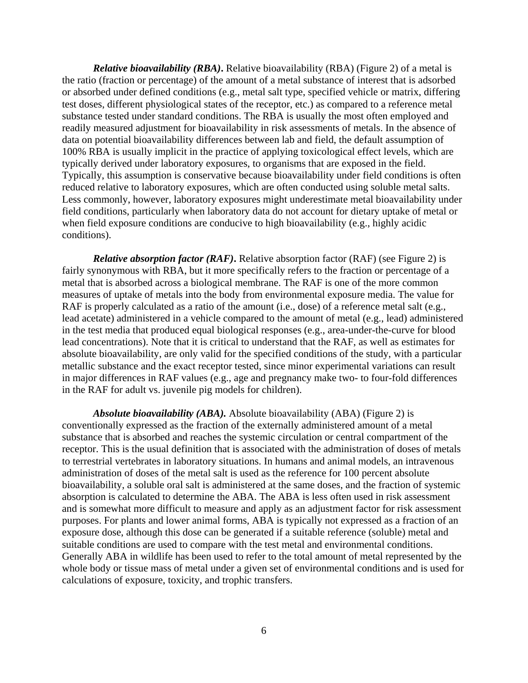*Relative bioavailability (RBA)***.** Relative bioavailability (RBA) (Figure 2) of a metal is the ratio (fraction or percentage) of the amount of a metal substance of interest that is adsorbed or absorbed under defined conditions (e.g., metal salt type, specified vehicle or matrix, differing test doses, different physiological states of the receptor, etc.) as compared to a reference metal substance tested under standard conditions. The RBA is usually the most often employed and readily measured adjustment for bioavailability in risk assessments of metals. In the absence of data on potential bioavailability differences between lab and field, the default assumption of 100% RBA is usually implicit in the practice of applying toxicological effect levels, which are typically derived under laboratory exposures, to organisms that are exposed in the field. Typically, this assumption is conservative because bioavailability under field conditions is often reduced relative to laboratory exposures, which are often conducted using soluble metal salts. Less commonly, however, laboratory exposures might underestimate metal bioavailability under field conditions, particularly when laboratory data do not account for dietary uptake of metal or when field exposure conditions are conducive to high bioavailability (e.g., highly acidic conditions).

*Relative absorption factor (RAF)***.** Relative absorption factor (RAF) (see Figure 2) is fairly synonymous with RBA, but it more specifically refers to the fraction or percentage of a metal that is absorbed across a biological membrane. The RAF is one of the more common measures of uptake of metals into the body from environmental exposure media. The value for RAF is properly calculated as a ratio of the amount (i.e., dose) of a reference metal salt (e.g., lead acetate) administered in a vehicle compared to the amount of metal (e.g., lead) administered in the test media that produced equal biological responses (e.g., area-under-the-curve for blood lead concentrations). Note that it is critical to understand that the RAF, as well as estimates for absolute bioavailability, are only valid for the specified conditions of the study, with a particular metallic substance and the exact receptor tested, since minor experimental variations can result in major differences in RAF values (e.g., age and pregnancy make two- to four-fold differences in the RAF for adult vs. juvenile pig models for children).

*Absolute bioavailability (ABA).* Absolute bioavailability (ABA) (Figure 2) is conventionally expressed as the fraction of the externally administered amount of a metal substance that is absorbed and reaches the systemic circulation or central compartment of the receptor. This is the usual definition that is associated with the administration of doses of metals to terrestrial vertebrates in laboratory situations. In humans and animal models, an intravenous administration of doses of the metal salt is used as the reference for 100 percent absolute bioavailability, a soluble oral salt is administered at the same doses, and the fraction of systemic absorption is calculated to determine the ABA. The ABA is less often used in risk assessment and is somewhat more difficult to measure and apply as an adjustment factor for risk assessment purposes. For plants and lower animal forms, ABA is typically not expressed as a fraction of an exposure dose, although this dose can be generated if a suitable reference (soluble) metal and suitable conditions are used to compare with the test metal and environmental conditions. Generally ABA in wildlife has been used to refer to the total amount of metal represented by the whole body or tissue mass of metal under a given set of environmental conditions and is used for calculations of exposure, toxicity, and trophic transfers.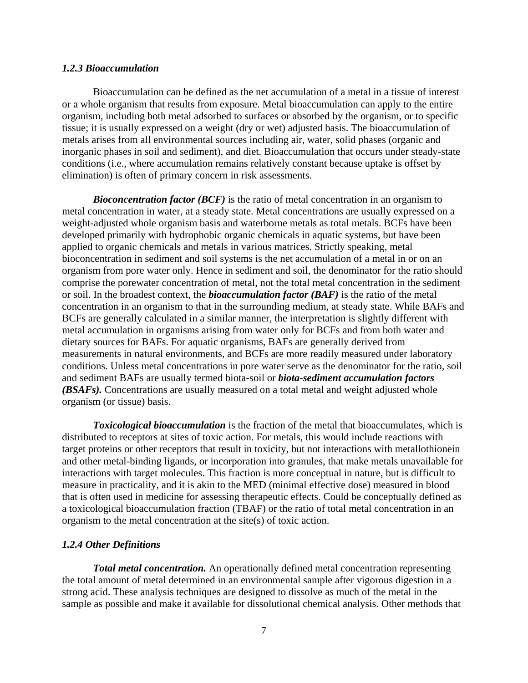## *1.2.3 Bioaccumulation*

Bioaccumulation can be defined as the net accumulation of a metal in a tissue of interest or a whole organism that results from exposure. Metal bioaccumulation can apply to the entire organism, including both metal adsorbed to surfaces or absorbed by the organism, or to specific tissue; it is usually expressed on a weight (dry or wet) adjusted basis. The bioaccumulation of metals arises from all environmental sources including air, water, solid phases (organic and inorganic phases in soil and sediment), and diet. Bioaccumulation that occurs under steady-state conditions (i.e., where accumulation remains relatively constant because uptake is offset by elimination) is often of primary concern in risk assessments.

*Bioconcentration factor (BCF)* is the ratio of metal concentration in an organism to metal concentration in water, at a steady state. Metal concentrations are usually expressed on a weight-adjusted whole organism basis and waterborne metals as total metals. BCFs have been developed primarily with hydrophobic organic chemicals in aquatic systems, but have been applied to organic chemicals and metals in various matrices. Strictly speaking, metal bioconcentration in sediment and soil systems is the net accumulation of a metal in or on an organism from pore water only. Hence in sediment and soil, the denominator for the ratio should comprise the porewater concentration of metal, not the total metal concentration in the sediment or soil. In the broadest context, the *bioaccumulation factor (BAF)* is the ratio of the metal concentration in an organism to that in the surrounding medium, at steady state. While BAFs and BCFs are generally calculated in a similar manner, the interpretation is slightly different with metal accumulation in organisms arising from water only for BCFs and from both water and dietary sources for BAFs. For aquatic organisms, BAFs are generally derived from measurements in natural environments, and BCFs are more readily measured under laboratory conditions. Unless metal concentrations in pore water serve as the denominator for the ratio, soil and sediment BAFs are usually termed biota-soil or *biota-sediment accumulation factors (BSAFs).* Concentrations are usually measured on a total metal and weight adjusted whole organism (or tissue) basis.

*Toxicological bioaccumulation* is the fraction of the metal that bioaccumulates, which is distributed to receptors at sites of toxic action. For metals, this would include reactions with target proteins or other receptors that result in toxicity, but not interactions with metallothionein and other metal-binding ligands, or incorporation into granules, that make metals unavailable for interactions with target molecules. This fraction is more conceptual in nature, but is difficult to measure in practicality, and it is akin to the MED (minimal effective dose) measured in blood that is often used in medicine for assessing therapeutic effects. Could be conceptually defined as a toxicological bioaccumulation fraction (TBAF) or the ratio of total metal concentration in an organism to the metal concentration at the site(s) of toxic action.

#### *1.2.4 Other Definitions*

*Total metal concentration.* An operationally defined metal concentration representing the total amount of metal determined in an environmental sample after vigorous digestion in a strong acid. These analysis techniques are designed to dissolve as much of the metal in the sample as possible and make it available for dissolutional chemical analysis. Other methods that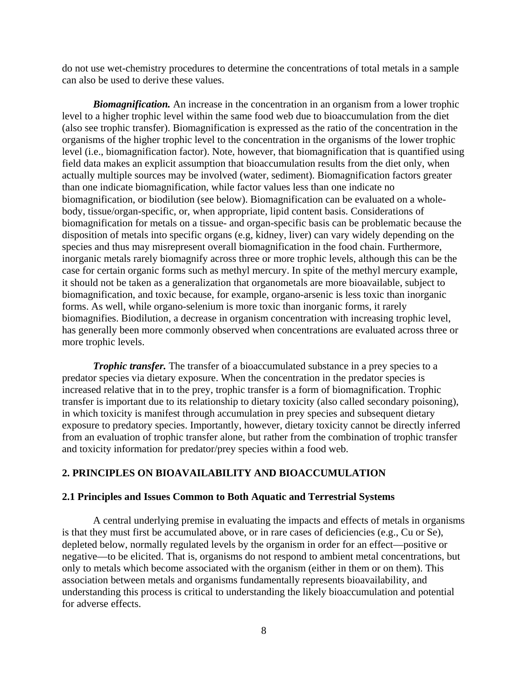do not use wet-chemistry procedures to determine the concentrations of total metals in a sample can also be used to derive these values.

*Biomagnification.* An increase in the concentration in an organism from a lower trophic level to a higher trophic level within the same food web due to bioaccumulation from the diet (also see trophic transfer). Biomagnification is expressed as the ratio of the concentration in the organisms of the higher trophic level to the concentration in the organisms of the lower trophic level (i.e., biomagnification factor). Note, however, that biomagnification that is quantified using field data makes an explicit assumption that bioaccumulation results from the diet only, when actually multiple sources may be involved (water, sediment). Biomagnification factors greater than one indicate biomagnification, while factor values less than one indicate no biomagnification, or biodilution (see below). Biomagnification can be evaluated on a wholebody, tissue/organ-specific, or, when appropriate, lipid content basis. Considerations of biomagnification for metals on a tissue- and organ-specific basis can be problematic because the disposition of metals into specific organs (e.g, kidney, liver) can vary widely depending on the species and thus may misrepresent overall biomagnification in the food chain. Furthermore, inorganic metals rarely biomagnify across three or more trophic levels, although this can be the case for certain organic forms such as methyl mercury. In spite of the methyl mercury example, it should not be taken as a generalization that organometals are more bioavailable, subject to biomagnification, and toxic because, for example, organo-arsenic is less toxic than inorganic forms. As well, while organo-selenium is more toxic than inorganic forms, it rarely biomagnifies. Biodilution, a decrease in organism concentration with increasing trophic level, has generally been more commonly observed when concentrations are evaluated across three or more trophic levels.

*Trophic transfer.* The transfer of a bioaccumulated substance in a prey species to a predator species via dietary exposure. When the concentration in the predator species is increased relative that in to the prey, trophic transfer is a form of biomagnification. Trophic transfer is important due to its relationship to dietary toxicity (also called secondary poisoning), in which toxicity is manifest through accumulation in prey species and subsequent dietary exposure to predatory species. Importantly, however, dietary toxicity cannot be directly inferred from an evaluation of trophic transfer alone, but rather from the combination of trophic transfer and toxicity information for predator/prey species within a food web.

## **2. PRINCIPLES ON BIOAVAILABILITY AND BIOACCUMULATION**

## **2.1 Principles and Issues Common to Both Aquatic and Terrestrial Systems**

A central underlying premise in evaluating the impacts and effects of metals in organisms is that they must first be accumulated above, or in rare cases of deficiencies (e.g., Cu or Se), depleted below, normally regulated levels by the organism in order for an effect—positive or negative—to be elicited. That is, organisms do not respond to ambient metal concentrations, but only to metals which become associated with the organism (either in them or on them). This association between metals and organisms fundamentally represents bioavailability, and understanding this process is critical to understanding the likely bioaccumulation and potential for adverse effects.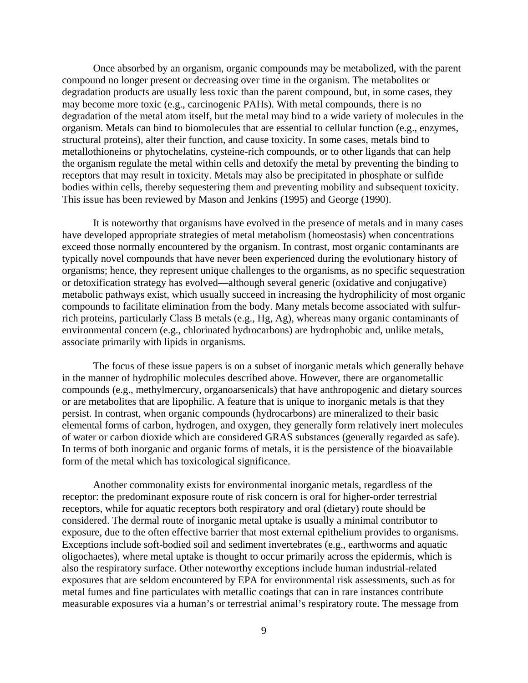Once absorbed by an organism, organic compounds may be metabolized, with the parent compound no longer present or decreasing over time in the organism. The metabolites or degradation products are usually less toxic than the parent compound, but, in some cases, they may become more toxic (e.g., carcinogenic PAHs). With metal compounds, there is no degradation of the metal atom itself, but the metal may bind to a wide variety of molecules in the organism. Metals can bind to biomolecules that are essential to cellular function (e.g., enzymes, structural proteins), alter their function, and cause toxicity. In some cases, metals bind to metallothioneins or phytochelatins, cysteine-rich compounds, or to other ligands that can help the organism regulate the metal within cells and detoxify the metal by preventing the binding to receptors that may result in toxicity. Metals may also be precipitated in phosphate or sulfide bodies within cells, thereby sequestering them and preventing mobility and subsequent toxicity. This issue has been reviewed by Mason and Jenkins (1995) and George (1990).

It is noteworthy that organisms have evolved in the presence of metals and in many cases have developed appropriate strategies of metal metabolism (homeostasis) when concentrations exceed those normally encountered by the organism. In contrast, most organic contaminants are typically novel compounds that have never been experienced during the evolutionary history of organisms; hence, they represent unique challenges to the organisms, as no specific sequestration or detoxification strategy has evolved—although several generic (oxidative and conjugative) metabolic pathways exist, which usually succeed in increasing the hydrophilicity of most organic compounds to facilitate elimination from the body. Many metals become associated with sulfurrich proteins, particularly Class B metals (e.g., Hg, Ag), whereas many organic contaminants of environmental concern (e.g., chlorinated hydrocarbons) are hydrophobic and, unlike metals, associate primarily with lipids in organisms.

The focus of these issue papers is on a subset of inorganic metals which generally behave in the manner of hydrophilic molecules described above. However, there are organometallic compounds (e.g., methylmercury, organoarsenicals) that have anthropogenic and dietary sources or are metabolites that are lipophilic. A feature that is unique to inorganic metals is that they persist. In contrast, when organic compounds (hydrocarbons) are mineralized to their basic elemental forms of carbon, hydrogen, and oxygen, they generally form relatively inert molecules of water or carbon dioxide which are considered GRAS substances (generally regarded as safe). In terms of both inorganic and organic forms of metals, it is the persistence of the bioavailable form of the metal which has toxicological significance.

Another commonality exists for environmental inorganic metals, regardless of the receptor: the predominant exposure route of risk concern is oral for higher-order terrestrial receptors, while for aquatic receptors both respiratory and oral (dietary) route should be considered. The dermal route of inorganic metal uptake is usually a minimal contributor to exposure, due to the often effective barrier that most external epithelium provides to organisms. Exceptions include soft-bodied soil and sediment invertebrates (e.g., earthworms and aquatic oligochaetes), where metal uptake is thought to occur primarily across the epidermis, which is also the respiratory surface. Other noteworthy exceptions include human industrial-related exposures that are seldom encountered by EPA for environmental risk assessments, such as for metal fumes and fine particulates with metallic coatings that can in rare instances contribute measurable exposures via a human's or terrestrial animal's respiratory route. The message from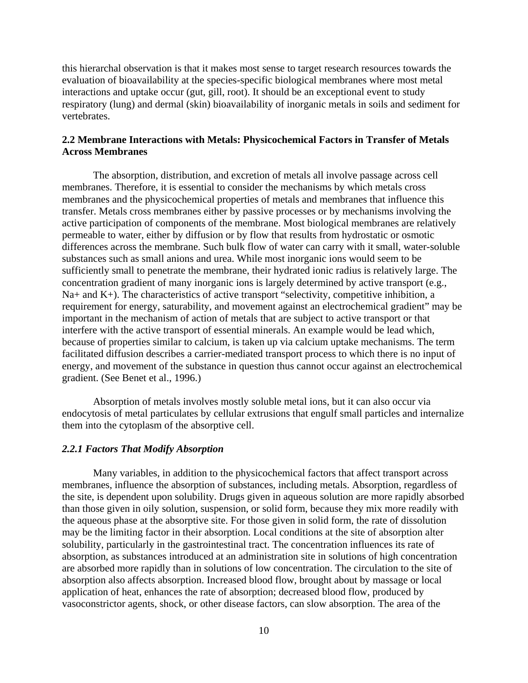this hierarchal observation is that it makes most sense to target research resources towards the evaluation of bioavailability at the species-specific biological membranes where most metal interactions and uptake occur (gut, gill, root). It should be an exceptional event to study respiratory (lung) and dermal (skin) bioavailability of inorganic metals in soils and sediment for vertebrates.

## **2.2 Membrane Interactions with Metals: Physicochemical Factors in Transfer of Metals Across Membranes**

The absorption, distribution, and excretion of metals all involve passage across cell membranes. Therefore, it is essential to consider the mechanisms by which metals cross membranes and the physicochemical properties of metals and membranes that influence this transfer. Metals cross membranes either by passive processes or by mechanisms involving the active participation of components of the membrane. Most biological membranes are relatively permeable to water, either by diffusion or by flow that results from hydrostatic or osmotic differences across the membrane. Such bulk flow of water can carry with it small, water-soluble substances such as small anions and urea. While most inorganic ions would seem to be sufficiently small to penetrate the membrane, their hydrated ionic radius is relatively large. The concentration gradient of many inorganic ions is largely determined by active transport (e.g.,  $Na+$  and  $K+$ ). The characteristics of active transport "selectivity, competitive inhibition, a requirement for energy, saturability, and movement against an electrochemical gradient" may be important in the mechanism of action of metals that are subject to active transport or that interfere with the active transport of essential minerals. An example would be lead which, because of properties similar to calcium, is taken up via calcium uptake mechanisms. The term facilitated diffusion describes a carrier-mediated transport process to which there is no input of energy, and movement of the substance in question thus cannot occur against an electrochemical gradient. (See Benet et al., 1996.)

Absorption of metals involves mostly soluble metal ions, but it can also occur via endocytosis of metal particulates by cellular extrusions that engulf small particles and internalize them into the cytoplasm of the absorptive cell.

#### *2.2.1 Factors That Modify Absorption*

Many variables, in addition to the physicochemical factors that affect transport across membranes, influence the absorption of substances, including metals. Absorption, regardless of the site, is dependent upon solubility. Drugs given in aqueous solution are more rapidly absorbed than those given in oily solution, suspension, or solid form, because they mix more readily with the aqueous phase at the absorptive site. For those given in solid form, the rate of dissolution may be the limiting factor in their absorption. Local conditions at the site of absorption alter solubility, particularly in the gastrointestinal tract. The concentration influences its rate of absorption, as substances introduced at an administration site in solutions of high concentration are absorbed more rapidly than in solutions of low concentration. The circulation to the site of absorption also affects absorption. Increased blood flow, brought about by massage or local application of heat, enhances the rate of absorption; decreased blood flow, produced by vasoconstrictor agents, shock, or other disease factors, can slow absorption. The area of the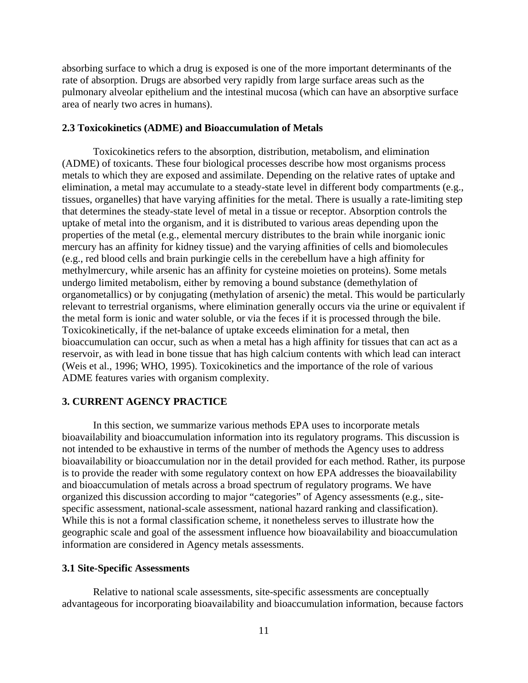absorbing surface to which a drug is exposed is one of the more important determinants of the rate of absorption. Drugs are absorbed very rapidly from large surface areas such as the pulmonary alveolar epithelium and the intestinal mucosa (which can have an absorptive surface area of nearly two acres in humans).

## **2.3 Toxicokinetics (ADME) and Bioaccumulation of Metals**

Toxicokinetics refers to the absorption, distribution, metabolism, and elimination (ADME) of toxicants. These four biological processes describe how most organisms process metals to which they are exposed and assimilate. Depending on the relative rates of uptake and elimination, a metal may accumulate to a steady-state level in different body compartments (e.g., tissues, organelles) that have varying affinities for the metal. There is usually a rate-limiting step that determines the steady-state level of metal in a tissue or receptor. Absorption controls the uptake of metal into the organism, and it is distributed to various areas depending upon the properties of the metal (e.g., elemental mercury distributes to the brain while inorganic ionic mercury has an affinity for kidney tissue) and the varying affinities of cells and biomolecules (e.g., red blood cells and brain purkingie cells in the cerebellum have a high affinity for methylmercury, while arsenic has an affinity for cysteine moieties on proteins). Some metals undergo limited metabolism, either by removing a bound substance (demethylation of organometallics) or by conjugating (methylation of arsenic) the metal. This would be particularly relevant to terrestrial organisms, where elimination generally occurs via the urine or equivalent if the metal form is ionic and water soluble, or via the feces if it is processed through the bile. Toxicokinetically, if the net-balance of uptake exceeds elimination for a metal, then bioaccumulation can occur, such as when a metal has a high affinity for tissues that can act as a reservoir, as with lead in bone tissue that has high calcium contents with which lead can interact (Weis et al., 1996; WHO, 1995). Toxicokinetics and the importance of the role of various ADME features varies with organism complexity.

## **3. CURRENT AGENCY PRACTICE**

In this section, we summarize various methods EPA uses to incorporate metals bioavailability and bioaccumulation information into its regulatory programs. This discussion is not intended to be exhaustive in terms of the number of methods the Agency uses to address bioavailability or bioaccumulation nor in the detail provided for each method. Rather, its purpose is to provide the reader with some regulatory context on how EPA addresses the bioavailability and bioaccumulation of metals across a broad spectrum of regulatory programs. We have organized this discussion according to major "categories" of Agency assessments (e.g., sitespecific assessment, national-scale assessment, national hazard ranking and classification). While this is not a formal classification scheme, it nonetheless serves to illustrate how the geographic scale and goal of the assessment influence how bioavailability and bioaccumulation information are considered in Agency metals assessments.

## **3.1 Site-Specific Assessments**

Relative to national scale assessments, site-specific assessments are conceptually advantageous for incorporating bioavailability and bioaccumulation information, because factors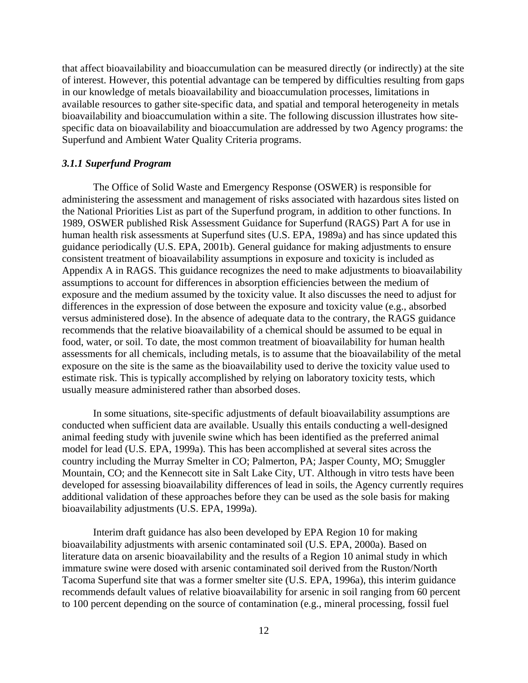that affect bioavailability and bioaccumulation can be measured directly (or indirectly) at the site of interest. However, this potential advantage can be tempered by difficulties resulting from gaps in our knowledge of metals bioavailability and bioaccumulation processes, limitations in available resources to gather site-specific data, and spatial and temporal heterogeneity in metals bioavailability and bioaccumulation within a site. The following discussion illustrates how sitespecific data on bioavailability and bioaccumulation are addressed by two Agency programs: the Superfund and Ambient Water Quality Criteria programs.

## *3.1.1 Superfund Program*

The Office of Solid Waste and Emergency Response (OSWER) is responsible for administering the assessment and management of risks associated with hazardous sites listed on the National Priorities List as part of the Superfund program, in addition to other functions. In 1989, OSWER published Risk Assessment Guidance for Superfund (RAGS) Part A for use in human health risk assessments at Superfund sites (U.S. EPA, 1989a) and has since updated this guidance periodically (U.S. EPA, 2001b). General guidance for making adjustments to ensure consistent treatment of bioavailability assumptions in exposure and toxicity is included as Appendix A in RAGS. This guidance recognizes the need to make adjustments to bioavailability assumptions to account for differences in absorption efficiencies between the medium of exposure and the medium assumed by the toxicity value. It also discusses the need to adjust for differences in the expression of dose between the exposure and toxicity value (e.g., absorbed versus administered dose). In the absence of adequate data to the contrary, the RAGS guidance recommends that the relative bioavailability of a chemical should be assumed to be equal in food, water, or soil. To date, the most common treatment of bioavailability for human health assessments for all chemicals, including metals, is to assume that the bioavailability of the metal exposure on the site is the same as the bioavailability used to derive the toxicity value used to estimate risk. This is typically accomplished by relying on laboratory toxicity tests, which usually measure administered rather than absorbed doses.

In some situations, site-specific adjustments of default bioavailability assumptions are conducted when sufficient data are available. Usually this entails conducting a well-designed animal feeding study with juvenile swine which has been identified as the preferred animal model for lead (U.S. EPA, 1999a). This has been accomplished at several sites across the country including the Murray Smelter in CO; Palmerton, PA; Jasper County, MO; Smuggler Mountain, CO; and the Kennecott site in Salt Lake City, UT. Although in vitro tests have been developed for assessing bioavailability differences of lead in soils, the Agency currently requires additional validation of these approaches before they can be used as the sole basis for making bioavailability adjustments (U.S. EPA, 1999a).

Interim draft guidance has also been developed by EPA Region 10 for making bioavailability adjustments with arsenic contaminated soil (U.S. EPA, 2000a). Based on literature data on arsenic bioavailability and the results of a Region 10 animal study in which immature swine were dosed with arsenic contaminated soil derived from the Ruston/North Tacoma Superfund site that was a former smelter site (U.S. EPA, 1996a), this interim guidance recommends default values of relative bioavailability for arsenic in soil ranging from 60 percent to 100 percent depending on the source of contamination (e.g., mineral processing, fossil fuel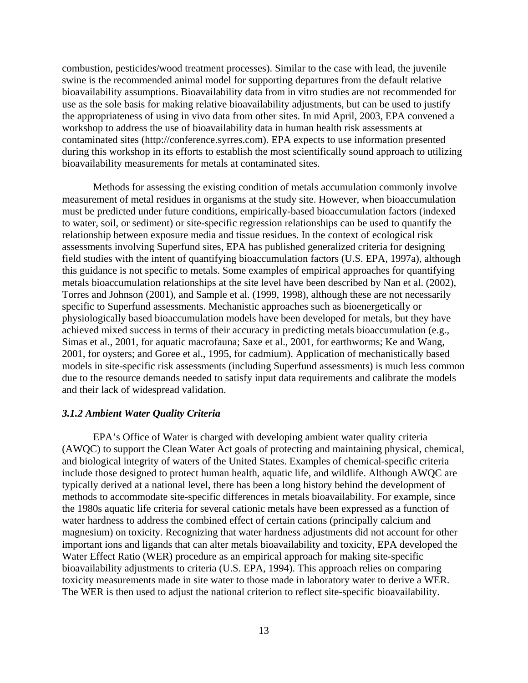combustion, pesticides/wood treatment processes). Similar to the case with lead, the juvenile swine is the recommended animal model for supporting departures from the default relative bioavailability assumptions. Bioavailability data from in vitro studies are not recommended for use as the sole basis for making relative bioavailability adjustments, but can be used to justify the appropriateness of using in vivo data from other sites. In mid April, 2003, EPA convened a workshop to address the use of bioavailability data in human health risk assessments at contaminated sites (http://conference.syrres.com). EPA expects to use information presented during this workshop in its efforts to establish the most scientifically sound approach to utilizing bioavailability measurements for metals at contaminated sites.

Methods for assessing the existing condition of metals accumulation commonly involve measurement of metal residues in organisms at the study site. However, when bioaccumulation must be predicted under future conditions, empirically-based bioaccumulation factors (indexed to water, soil, or sediment) or site-specific regression relationships can be used to quantify the relationship between exposure media and tissue residues. In the context of ecological risk assessments involving Superfund sites, EPA has published generalized criteria for designing field studies with the intent of quantifying bioaccumulation factors (U.S. EPA, 1997a), although this guidance is not specific to metals. Some examples of empirical approaches for quantifying metals bioaccumulation relationships at the site level have been described by Nan et al. (2002), Torres and Johnson (2001), and Sample et al. (1999, 1998), although these are not necessarily specific to Superfund assessments. Mechanistic approaches such as bioenergetically or physiologically based bioaccumulation models have been developed for metals, but they have achieved mixed success in terms of their accuracy in predicting metals bioaccumulation (e.g., Simas et al., 2001, for aquatic macrofauna; Saxe et al., 2001, for earthworms; Ke and Wang, 2001, for oysters; and Goree et al., 1995, for cadmium). Application of mechanistically based models in site-specific risk assessments (including Superfund assessments) is much less common due to the resource demands needed to satisfy input data requirements and calibrate the models and their lack of widespread validation.

## *3.1.2 Ambient Water Quality Criteria*

EPA's Office of Water is charged with developing ambient water quality criteria (AWQC) to support the Clean Water Act goals of protecting and maintaining physical, chemical, and biological integrity of waters of the United States. Examples of chemical-specific criteria include those designed to protect human health, aquatic life, and wildlife. Although AWQC are typically derived at a national level, there has been a long history behind the development of methods to accommodate site-specific differences in metals bioavailability. For example, since the 1980s aquatic life criteria for several cationic metals have been expressed as a function of water hardness to address the combined effect of certain cations (principally calcium and magnesium) on toxicity. Recognizing that water hardness adjustments did not account for other important ions and ligands that can alter metals bioavailability and toxicity, EPA developed the Water Effect Ratio (WER) procedure as an empirical approach for making site-specific bioavailability adjustments to criteria (U.S. EPA, 1994). This approach relies on comparing toxicity measurements made in site water to those made in laboratory water to derive a WER. The WER is then used to adjust the national criterion to reflect site-specific bioavailability.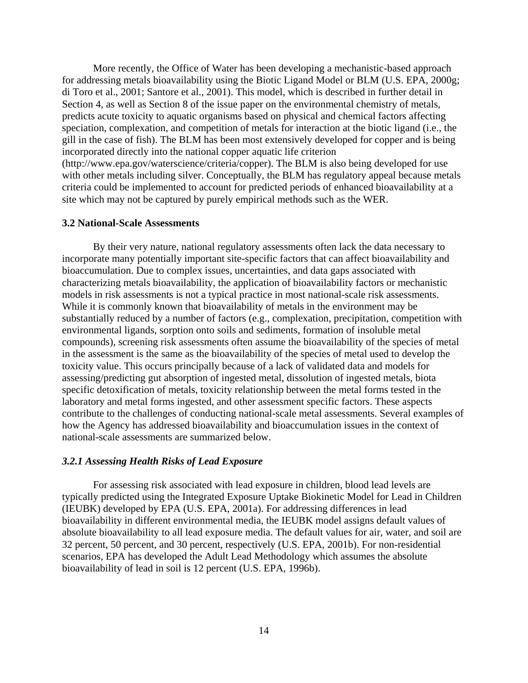More recently, the Office of Water has been developing a mechanistic-based approach for addressing metals bioavailability using the Biotic Ligand Model or BLM (U.S. EPA, 2000g; di Toro et al., 2001; Santore et al., 2001). This model, which is described in further detail in Section 4, as well as Section 8 of the issue paper on the environmental chemistry of metals, predicts acute toxicity to aquatic organisms based on physical and chemical factors affecting speciation, complexation, and competition of metals for interaction at the biotic ligand (i.e., the gill in the case of fish). The BLM has been most extensively developed for copper and is being incorporated directly into the national copper aquatic life criterion (http://www.epa.gov/waterscience/criteria/copper). The BLM is also being developed for use with other metals including silver. Conceptually, the BLM has regulatory appeal because metals criteria could be implemented to account for predicted periods of enhanced bioavailability at a site which may not be captured by purely empirical methods such as the WER.

## **3.2 National-Scale Assessments**

By their very nature, national regulatory assessments often lack the data necessary to incorporate many potentially important site-specific factors that can affect bioavailability and bioaccumulation. Due to complex issues, uncertainties, and data gaps associated with characterizing metals bioavailability, the application of bioavailability factors or mechanistic models in risk assessments is not a typical practice in most national-scale risk assessments. While it is commonly known that bioavailability of metals in the environment may be substantially reduced by a number of factors (e.g., complexation, precipitation, competition with environmental ligands, sorption onto soils and sediments, formation of insoluble metal compounds), screening risk assessments often assume the bioavailability of the species of metal in the assessment is the same as the bioavailability of the species of metal used to develop the toxicity value. This occurs principally because of a lack of validated data and models for assessing/predicting gut absorption of ingested metal, dissolution of ingested metals, biota specific detoxification of metals, toxicity relationship between the metal forms tested in the laboratory and metal forms ingested, and other assessment specific factors. These aspects contribute to the challenges of conducting national-scale metal assessments. Several examples of how the Agency has addressed bioavailability and bioaccumulation issues in the context of national-scale assessments are summarized below.

#### *3.2.1 Assessing Health Risks of Lead Exposure*

For assessing risk associated with lead exposure in children, blood lead levels are typically predicted using the Integrated Exposure Uptake Biokinetic Model for Lead in Children (IEUBK) developed by EPA (U.S. EPA, 2001a). For addressing differences in lead bioavailability in different environmental media, the IEUBK model assigns default values of absolute bioavailability to all lead exposure media. The default values for air, water, and soil are 32 percent, 50 percent, and 30 percent, respectively (U.S. EPA, 2001b). For non-residential scenarios, EPA has developed the Adult Lead Methodology which assumes the absolute bioavailability of lead in soil is 12 percent (U.S. EPA, 1996b).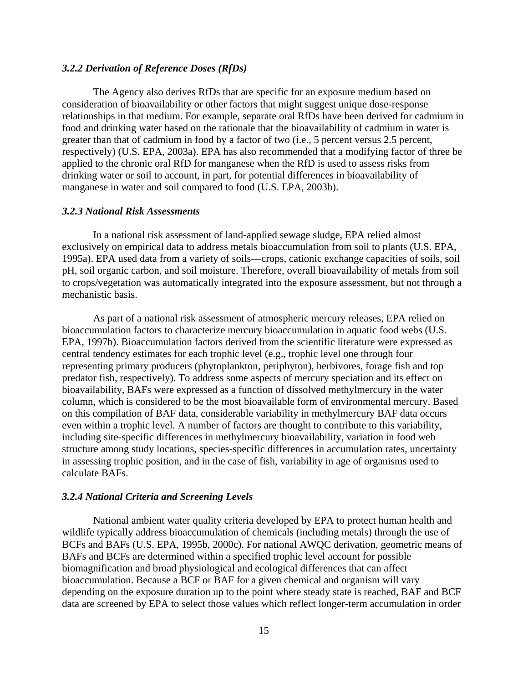## *3.2.2 Derivation of Reference Doses (RfDs)*

The Agency also derives RfDs that are specific for an exposure medium based on consideration of bioavailability or other factors that might suggest unique dose-response relationships in that medium. For example, separate oral RfDs have been derived for cadmium in food and drinking water based on the rationale that the bioavailability of cadmium in water is greater than that of cadmium in food by a factor of two (i.e., 5 percent versus 2.5 percent, respectively) (U.S. EPA, 2003a). EPA has also recommended that a modifying factor of three be applied to the chronic oral RfD for manganese when the RfD is used to assess risks from drinking water or soil to account, in part, for potential differences in bioavailability of manganese in water and soil compared to food (U.S. EPA, 2003b).

## *3.2.3 National Risk Assessments*

In a national risk assessment of land-applied sewage sludge, EPA relied almost exclusively on empirical data to address metals bioaccumulation from soil to plants (U.S. EPA, 1995a). EPA used data from a variety of soils—crops, cationic exchange capacities of soils, soil pH, soil organic carbon, and soil moisture. Therefore, overall bioavailability of metals from soil to crops/vegetation was automatically integrated into the exposure assessment, but not through a mechanistic basis.

As part of a national risk assessment of atmospheric mercury releases, EPA relied on bioaccumulation factors to characterize mercury bioaccumulation in aquatic food webs (U.S. EPA, 1997b). Bioaccumulation factors derived from the scientific literature were expressed as central tendency estimates for each trophic level (e.g., trophic level one through four representing primary producers (phytoplankton, periphyton), herbivores, forage fish and top predator fish, respectively). To address some aspects of mercury speciation and its effect on bioavailability, BAFs were expressed as a function of dissolved methylmercury in the water column, which is considered to be the most bioavailable form of environmental mercury. Based on this compilation of BAF data, considerable variability in methylmercury BAF data occurs even within a trophic level. A number of factors are thought to contribute to this variability, including site-specific differences in methylmercury bioavailability, variation in food web structure among study locations, species-specific differences in accumulation rates, uncertainty in assessing trophic position, and in the case of fish, variability in age of organisms used to calculate BAFs.

#### *3.2.4 National Criteria and Screening Levels*

National ambient water quality criteria developed by EPA to protect human health and wildlife typically address bioaccumulation of chemicals (including metals) through the use of BCFs and BAFs (U.S. EPA, 1995b, 2000c). For national AWQC derivation, geometric means of BAFs and BCFs are determined within a specified trophic level account for possible biomagnification and broad physiological and ecological differences that can affect bioaccumulation. Because a BCF or BAF for a given chemical and organism will vary depending on the exposure duration up to the point where steady state is reached, BAF and BCF data are screened by EPA to select those values which reflect longer-term accumulation in order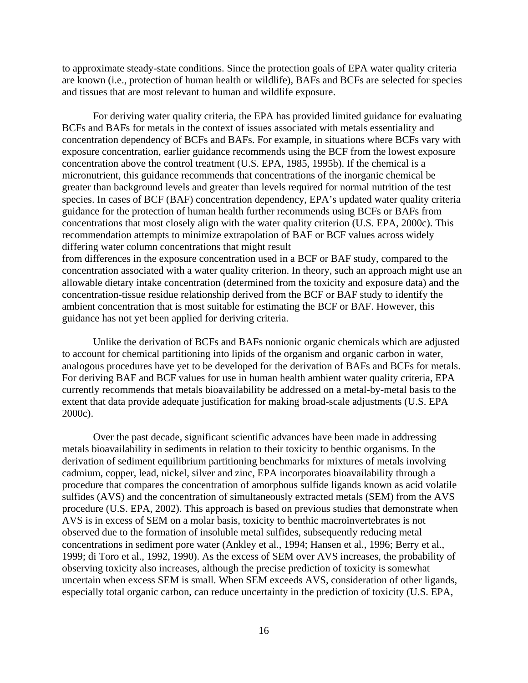to approximate steady-state conditions. Since the protection goals of EPA water quality criteria are known (i.e., protection of human health or wildlife), BAFs and BCFs are selected for species and tissues that are most relevant to human and wildlife exposure.

For deriving water quality criteria, the EPA has provided limited guidance for evaluating BCFs and BAFs for metals in the context of issues associated with metals essentiality and concentration dependency of BCFs and BAFs. For example, in situations where BCFs vary with exposure concentration, earlier guidance recommends using the BCF from the lowest exposure concentration above the control treatment (U.S. EPA, 1985, 1995b). If the chemical is a micronutrient, this guidance recommends that concentrations of the inorganic chemical be greater than background levels and greater than levels required for normal nutrition of the test species. In cases of BCF (BAF) concentration dependency, EPA's updated water quality criteria guidance for the protection of human health further recommends using BCFs or BAFs from concentrations that most closely align with the water quality criterion (U.S. EPA, 2000c). This recommendation attempts to minimize extrapolation of BAF or BCF values across widely differing water column concentrations that might result from differences in the exposure concentration used in a BCF or BAF study, compared to the concentration associated with a water quality criterion. In theory, such an approach might use an

allowable dietary intake concentration (determined from the toxicity and exposure data) and the concentration-tissue residue relationship derived from the BCF or BAF study to identify the ambient concentration that is most suitable for estimating the BCF or BAF. However, this guidance has not yet been applied for deriving criteria.

Unlike the derivation of BCFs and BAFs nonionic organic chemicals which are adjusted to account for chemical partitioning into lipids of the organism and organic carbon in water, analogous procedures have yet to be developed for the derivation of BAFs and BCFs for metals. For deriving BAF and BCF values for use in human health ambient water quality criteria, EPA currently recommends that metals bioavailability be addressed on a metal-by-metal basis to the extent that data provide adequate justification for making broad-scale adjustments (U.S. EPA 2000c).

Over the past decade, significant scientific advances have been made in addressing metals bioavailability in sediments in relation to their toxicity to benthic organisms. In the derivation of sediment equilibrium partitioning benchmarks for mixtures of metals involving cadmium, copper, lead, nickel, silver and zinc, EPA incorporates bioavailability through a procedure that compares the concentration of amorphous sulfide ligands known as acid volatile sulfides (AVS) and the concentration of simultaneously extracted metals (SEM) from the AVS procedure (U.S. EPA, 2002). This approach is based on previous studies that demonstrate when AVS is in excess of SEM on a molar basis, toxicity to benthic macroinvertebrates is not observed due to the formation of insoluble metal sulfides, subsequently reducing metal concentrations in sediment pore water (Ankley et al., 1994; Hansen et al., 1996; Berry et al., 1999; di Toro et al., 1992, 1990). As the excess of SEM over AVS increases, the probability of observing toxicity also increases, although the precise prediction of toxicity is somewhat uncertain when excess SEM is small. When SEM exceeds AVS, consideration of other ligands, especially total organic carbon, can reduce uncertainty in the prediction of toxicity (U.S. EPA,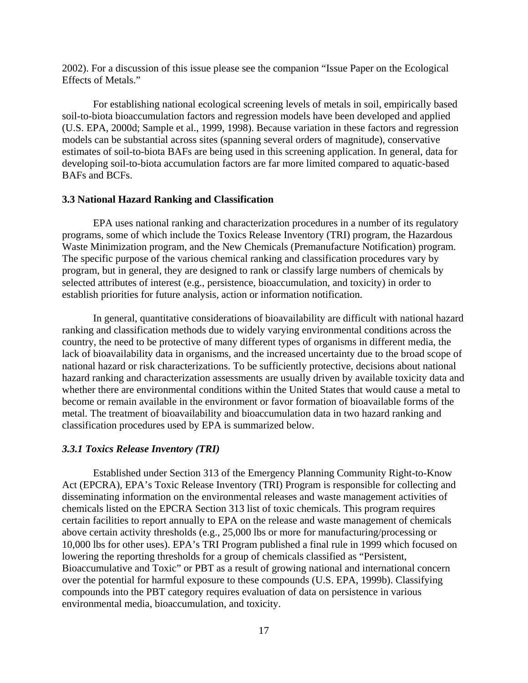2002). For a discussion of this issue please see the companion "Issue Paper on the Ecological Effects of Metals."

For establishing national ecological screening levels of metals in soil, empirically based soil-to-biota bioaccumulation factors and regression models have been developed and applied (U.S. EPA, 2000d; Sample et al., 1999, 1998). Because variation in these factors and regression models can be substantial across sites (spanning several orders of magnitude), conservative estimates of soil-to-biota BAFs are being used in this screening application. In general, data for developing soil-to-biota accumulation factors are far more limited compared to aquatic-based BAFs and BCFs.

## **3.3 National Hazard Ranking and Classification**

EPA uses national ranking and characterization procedures in a number of its regulatory programs, some of which include the Toxics Release Inventory (TRI) program, the Hazardous Waste Minimization program, and the New Chemicals (Premanufacture Notification) program. The specific purpose of the various chemical ranking and classification procedures vary by program, but in general, they are designed to rank or classify large numbers of chemicals by selected attributes of interest (e.g., persistence, bioaccumulation, and toxicity) in order to establish priorities for future analysis, action or information notification.

In general, quantitative considerations of bioavailability are difficult with national hazard ranking and classification methods due to widely varying environmental conditions across the country, the need to be protective of many different types of organisms in different media, the lack of bioavailability data in organisms, and the increased uncertainty due to the broad scope of national hazard or risk characterizations. To be sufficiently protective, decisions about national hazard ranking and characterization assessments are usually driven by available toxicity data and whether there are environmental conditions within the United States that would cause a metal to become or remain available in the environment or favor formation of bioavailable forms of the metal. The treatment of bioavailability and bioaccumulation data in two hazard ranking and classification procedures used by EPA is summarized below.

#### *3.3.1 Toxics Release Inventory (TRI)*

Established under Section 313 of the Emergency Planning Community Right-to-Know Act (EPCRA), EPA's Toxic Release Inventory (TRI) Program is responsible for collecting and disseminating information on the environmental releases and waste management activities of chemicals listed on the EPCRA Section 313 list of toxic chemicals. This program requires certain facilities to report annually to EPA on the release and waste management of chemicals above certain activity thresholds (e.g., 25,000 lbs or more for manufacturing/processing or 10,000 lbs for other uses). EPA's TRI Program published a final rule in 1999 which focused on lowering the reporting thresholds for a group of chemicals classified as "Persistent, Bioaccumulative and Toxic" or PBT as a result of growing national and international concern over the potential for harmful exposure to these compounds (U.S. EPA, 1999b). Classifying compounds into the PBT category requires evaluation of data on persistence in various environmental media, bioaccumulation, and toxicity.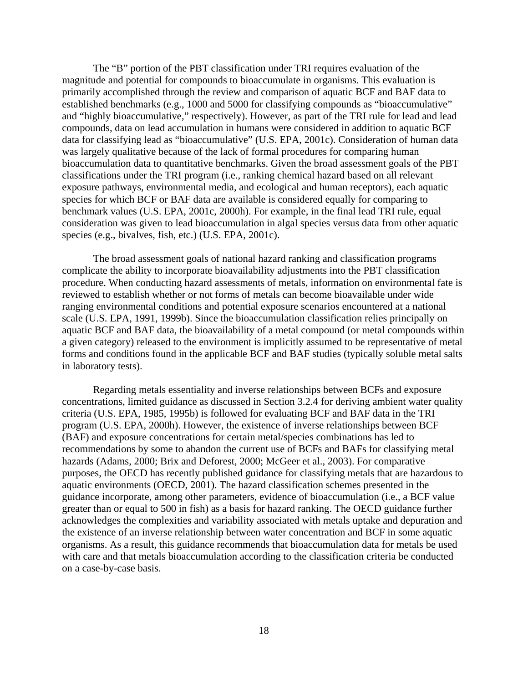The "B" portion of the PBT classification under TRI requires evaluation of the magnitude and potential for compounds to bioaccumulate in organisms. This evaluation is primarily accomplished through the review and comparison of aquatic BCF and BAF data to established benchmarks (e.g., 1000 and 5000 for classifying compounds as "bioaccumulative" and "highly bioaccumulative," respectively). However, as part of the TRI rule for lead and lead compounds, data on lead accumulation in humans were considered in addition to aquatic BCF data for classifying lead as "bioaccumulative" (U.S. EPA, 2001c). Consideration of human data was largely qualitative because of the lack of formal procedures for comparing human bioaccumulation data to quantitative benchmarks. Given the broad assessment goals of the PBT classifications under the TRI program (i.e., ranking chemical hazard based on all relevant exposure pathways, environmental media, and ecological and human receptors), each aquatic species for which BCF or BAF data are available is considered equally for comparing to benchmark values (U.S. EPA, 2001c, 2000h). For example, in the final lead TRI rule, equal consideration was given to lead bioaccumulation in algal species versus data from other aquatic species (e.g., bivalves, fish, etc.) (U.S. EPA, 2001c).

The broad assessment goals of national hazard ranking and classification programs complicate the ability to incorporate bioavailability adjustments into the PBT classification procedure. When conducting hazard assessments of metals, information on environmental fate is reviewed to establish whether or not forms of metals can become bioavailable under wide ranging environmental conditions and potential exposure scenarios encountered at a national scale (U.S. EPA, 1991, 1999b). Since the bioaccumulation classification relies principally on aquatic BCF and BAF data, the bioavailability of a metal compound (or metal compounds within a given category) released to the environment is implicitly assumed to be representative of metal forms and conditions found in the applicable BCF and BAF studies (typically soluble metal salts in laboratory tests).

Regarding metals essentiality and inverse relationships between BCFs and exposure concentrations, limited guidance as discussed in Section 3.2.4 for deriving ambient water quality criteria (U.S. EPA, 1985, 1995b) is followed for evaluating BCF and BAF data in the TRI program (U.S. EPA, 2000h). However, the existence of inverse relationships between BCF (BAF) and exposure concentrations for certain metal/species combinations has led to recommendations by some to abandon the current use of BCFs and BAFs for classifying metal hazards (Adams, 2000; Brix and Deforest, 2000; McGeer et al., 2003). For comparative purposes, the OECD has recently published guidance for classifying metals that are hazardous to aquatic environments (OECD, 2001). The hazard classification schemes presented in the guidance incorporate, among other parameters, evidence of bioaccumulation (i.e., a BCF value greater than or equal to 500 in fish) as a basis for hazard ranking. The OECD guidance further acknowledges the complexities and variability associated with metals uptake and depuration and the existence of an inverse relationship between water concentration and BCF in some aquatic organisms. As a result, this guidance recommends that bioaccumulation data for metals be used with care and that metals bioaccumulation according to the classification criteria be conducted on a case-by-case basis.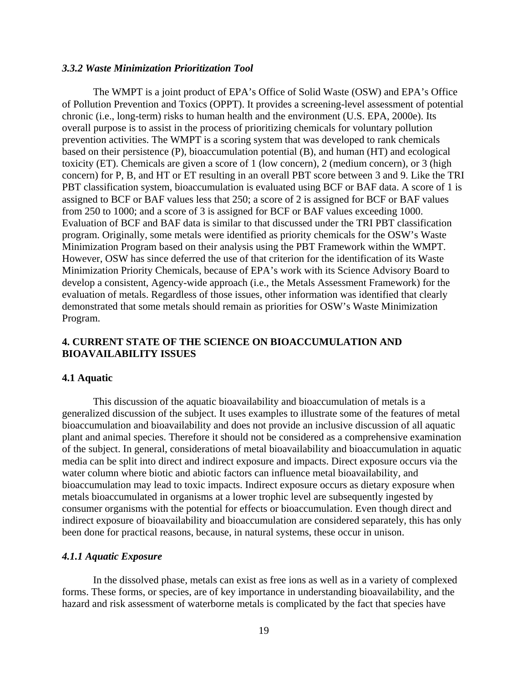## *3.3.2 Waste Minimization Prioritization Tool*

The WMPT is a joint product of EPA's Office of Solid Waste (OSW) and EPA's Office of Pollution Prevention and Toxics (OPPT). It provides a screening-level assessment of potential chronic (i.e., long-term) risks to human health and the environment (U.S. EPA, 2000e). Its overall purpose is to assist in the process of prioritizing chemicals for voluntary pollution prevention activities. The WMPT is a scoring system that was developed to rank chemicals based on their persistence (P), bioaccumulation potential (B), and human (HT) and ecological toxicity (ET). Chemicals are given a score of 1 (low concern), 2 (medium concern), or 3 (high concern) for P, B, and HT or ET resulting in an overall PBT score between 3 and 9. Like the TRI PBT classification system, bioaccumulation is evaluated using BCF or BAF data. A score of 1 is assigned to BCF or BAF values less that 250; a score of 2 is assigned for BCF or BAF values from 250 to 1000; and a score of 3 is assigned for BCF or BAF values exceeding 1000. Evaluation of BCF and BAF data is similar to that discussed under the TRI PBT classification program. Originally, some metals were identified as priority chemicals for the OSW's Waste Minimization Program based on their analysis using the PBT Framework within the WMPT. However, OSW has since deferred the use of that criterion for the identification of its Waste Minimization Priority Chemicals, because of EPA's work with its Science Advisory Board to develop a consistent, Agency-wide approach (i.e., the Metals Assessment Framework) for the evaluation of metals. Regardless of those issues, other information was identified that clearly demonstrated that some metals should remain as priorities for OSW's Waste Minimization Program.

## **4. CURRENT STATE OF THE SCIENCE ON BIOACCUMULATION AND BIOAVAILABILITY ISSUES**

#### **4.1 Aquatic**

This discussion of the aquatic bioavailability and bioaccumulation of metals is a generalized discussion of the subject. It uses examples to illustrate some of the features of metal bioaccumulation and bioavailability and does not provide an inclusive discussion of all aquatic plant and animal species. Therefore it should not be considered as a comprehensive examination of the subject. In general, considerations of metal bioavailability and bioaccumulation in aquatic media can be split into direct and indirect exposure and impacts. Direct exposure occurs via the water column where biotic and abiotic factors can influence metal bioavailability, and bioaccumulation may lead to toxic impacts. Indirect exposure occurs as dietary exposure when metals bioaccumulated in organisms at a lower trophic level are subsequently ingested by consumer organisms with the potential for effects or bioaccumulation. Even though direct and indirect exposure of bioavailability and bioaccumulation are considered separately, this has only been done for practical reasons, because, in natural systems, these occur in unison.

## *4.1.1 Aquatic Exposure*

In the dissolved phase, metals can exist as free ions as well as in a variety of complexed forms. These forms, or species, are of key importance in understanding bioavailability, and the hazard and risk assessment of waterborne metals is complicated by the fact that species have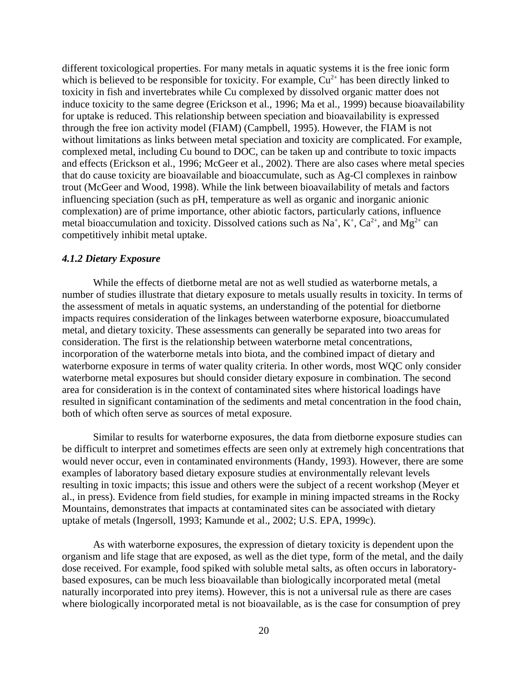different toxicological properties. For many metals in aquatic systems it is the free ionic form which is believed to be responsible for toxicity. For example,  $Cu^{2+}$  has been directly linked to toxicity in fish and invertebrates while Cu complexed by dissolved organic matter does not induce toxicity to the same degree (Erickson et al., 1996; Ma et al., 1999) because bioavailability for uptake is reduced. This relationship between speciation and bioavailability is expressed through the free ion activity model (FIAM) (Campbell, 1995). However, the FIAM is not without limitations as links between metal speciation and toxicity are complicated. For example, complexed metal, including Cu bound to DOC, can be taken up and contribute to toxic impacts and effects (Erickson et al., 1996; McGeer et al., 2002). There are also cases where metal species that do cause toxicity are bioavailable and bioaccumulate, such as Ag-Cl complexes in rainbow trout (McGeer and Wood, 1998). While the link between bioavailability of metals and factors influencing speciation (such as pH, temperature as well as organic and inorganic anionic complexation) are of prime importance, other abiotic factors, particularly cations, influence metal bioaccumulation and toxicity. Dissolved cations such as  $Na^+$ ,  $K^+$ ,  $Ca^{2+}$ , and  $Mg^{2+}$  can competitively inhibit metal uptake.

## *4.1.2 Dietary Exposure*

While the effects of dietborne metal are not as well studied as waterborne metals, a number of studies illustrate that dietary exposure to metals usually results in toxicity. In terms of the assessment of metals in aquatic systems, an understanding of the potential for dietborne impacts requires consideration of the linkages between waterborne exposure, bioaccumulated metal, and dietary toxicity. These assessments can generally be separated into two areas for consideration. The first is the relationship between waterborne metal concentrations, incorporation of the waterborne metals into biota, and the combined impact of dietary and waterborne exposure in terms of water quality criteria. In other words, most WQC only consider waterborne metal exposures but should consider dietary exposure in combination. The second area for consideration is in the context of contaminated sites where historical loadings have resulted in significant contamination of the sediments and metal concentration in the food chain, both of which often serve as sources of metal exposure.

Similar to results for waterborne exposures, the data from dietborne exposure studies can be difficult to interpret and sometimes effects are seen only at extremely high concentrations that would never occur, even in contaminated environments (Handy, 1993). However, there are some examples of laboratory based dietary exposure studies at environmentally relevant levels resulting in toxic impacts; this issue and others were the subject of a recent workshop (Meyer et al., in press). Evidence from field studies, for example in mining impacted streams in the Rocky Mountains, demonstrates that impacts at contaminated sites can be associated with dietary uptake of metals (Ingersoll, 1993; Kamunde et al., 2002; U.S. EPA, 1999c).

As with waterborne exposures, the expression of dietary toxicity is dependent upon the organism and life stage that are exposed, as well as the diet type, form of the metal, and the daily dose received. For example, food spiked with soluble metal salts, as often occurs in laboratorybased exposures, can be much less bioavailable than biologically incorporated metal (metal naturally incorporated into prey items). However, this is not a universal rule as there are cases where biologically incorporated metal is not bioavailable, as is the case for consumption of prey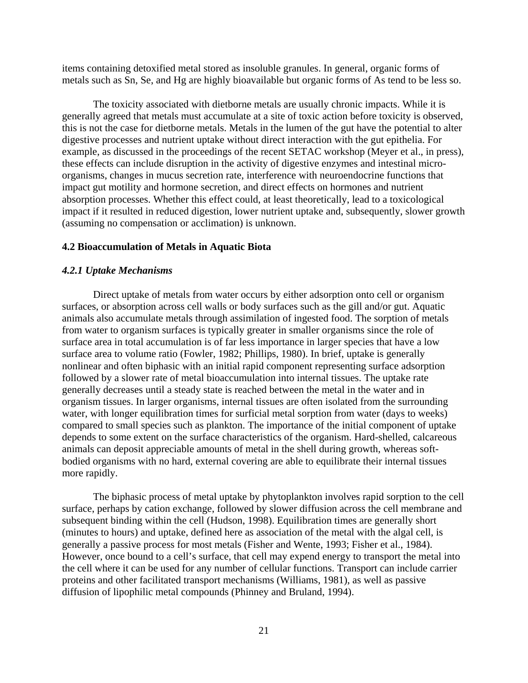items containing detoxified metal stored as insoluble granules. In general, organic forms of metals such as Sn, Se, and Hg are highly bioavailable but organic forms of As tend to be less so.

The toxicity associated with dietborne metals are usually chronic impacts. While it is generally agreed that metals must accumulate at a site of toxic action before toxicity is observed, this is not the case for dietborne metals. Metals in the lumen of the gut have the potential to alter digestive processes and nutrient uptake without direct interaction with the gut epithelia. For example, as discussed in the proceedings of the recent SETAC workshop (Meyer et al., in press), these effects can include disruption in the activity of digestive enzymes and intestinal microorganisms, changes in mucus secretion rate, interference with neuroendocrine functions that impact gut motility and hormone secretion, and direct effects on hormones and nutrient absorption processes. Whether this effect could, at least theoretically, lead to a toxicological impact if it resulted in reduced digestion, lower nutrient uptake and, subsequently, slower growth (assuming no compensation or acclimation) is unknown.

#### **4.2 Bioaccumulation of Metals in Aquatic Biota**

## *4.2.1 Uptake Mechanisms*

Direct uptake of metals from water occurs by either adsorption onto cell or organism surfaces, or absorption across cell walls or body surfaces such as the gill and/or gut. Aquatic animals also accumulate metals through assimilation of ingested food. The sorption of metals from water to organism surfaces is typically greater in smaller organisms since the role of surface area in total accumulation is of far less importance in larger species that have a low surface area to volume ratio (Fowler, 1982; Phillips, 1980). In brief, uptake is generally nonlinear and often biphasic with an initial rapid component representing surface adsorption followed by a slower rate of metal bioaccumulation into internal tissues. The uptake rate generally decreases until a steady state is reached between the metal in the water and in organism tissues. In larger organisms, internal tissues are often isolated from the surrounding water, with longer equilibration times for surficial metal sorption from water (days to weeks) compared to small species such as plankton. The importance of the initial component of uptake depends to some extent on the surface characteristics of the organism. Hard-shelled, calcareous animals can deposit appreciable amounts of metal in the shell during growth, whereas softbodied organisms with no hard, external covering are able to equilibrate their internal tissues more rapidly.

The biphasic process of metal uptake by phytoplankton involves rapid sorption to the cell surface, perhaps by cation exchange, followed by slower diffusion across the cell membrane and subsequent binding within the cell (Hudson, 1998). Equilibration times are generally short (minutes to hours) and uptake, defined here as association of the metal with the algal cell, is generally a passive process for most metals (Fisher and Wente, 1993; Fisher et al., 1984). However, once bound to a cell's surface, that cell may expend energy to transport the metal into the cell where it can be used for any number of cellular functions. Transport can include carrier proteins and other facilitated transport mechanisms (Williams, 1981), as well as passive diffusion of lipophilic metal compounds (Phinney and Bruland, 1994).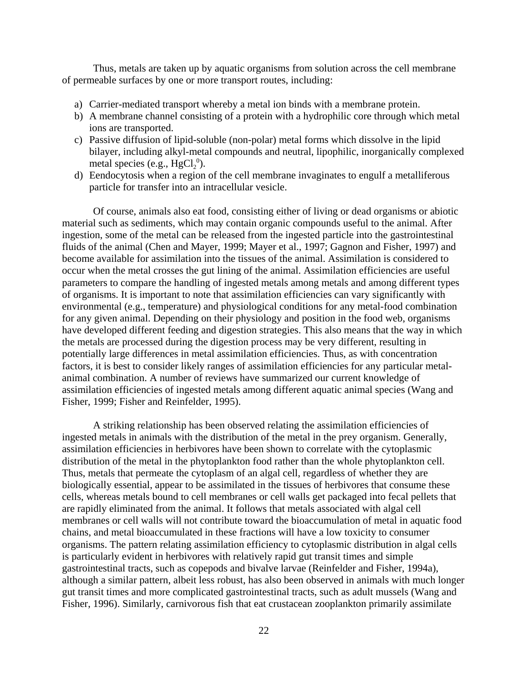Thus, metals are taken up by aquatic organisms from solution across the cell membrane of permeable surfaces by one or more transport routes, including:

- a) Carrier-mediated transport whereby a metal ion binds with a membrane protein.
- b) A membrane channel consisting of a protein with a hydrophilic core through which metal ions are transported.
- c) Passive diffusion of lipid-soluble (non-polar) metal forms which dissolve in the lipid bilayer, including alkyl-metal compounds and neutral, lipophilic, inorganically complexed metal species (e.g.,  $HgCl<sub>2</sub><sup>0</sup>$ ).
- d) Eendocytosis when a region of the cell membrane invaginates to engulf a metalliferous particle for transfer into an intracellular vesicle.

Of course, animals also eat food, consisting either of living or dead organisms or abiotic material such as sediments, which may contain organic compounds useful to the animal. After ingestion, some of the metal can be released from the ingested particle into the gastrointestinal fluids of the animal (Chen and Mayer, 1999; Mayer et al., 1997; Gagnon and Fisher, 1997) and become available for assimilation into the tissues of the animal. Assimilation is considered to occur when the metal crosses the gut lining of the animal. Assimilation efficiencies are useful parameters to compare the handling of ingested metals among metals and among different types of organisms. It is important to note that assimilation efficiencies can vary significantly with environmental (e.g., temperature) and physiological conditions for any metal-food combination for any given animal. Depending on their physiology and position in the food web, organisms have developed different feeding and digestion strategies. This also means that the way in which the metals are processed during the digestion process may be very different, resulting in potentially large differences in metal assimilation efficiencies. Thus, as with concentration factors, it is best to consider likely ranges of assimilation efficiencies for any particular metalanimal combination. A number of reviews have summarized our current knowledge of assimilation efficiencies of ingested metals among different aquatic animal species (Wang and Fisher, 1999; Fisher and Reinfelder, 1995).

A striking relationship has been observed relating the assimilation efficiencies of ingested metals in animals with the distribution of the metal in the prey organism. Generally, assimilation efficiencies in herbivores have been shown to correlate with the cytoplasmic distribution of the metal in the phytoplankton food rather than the whole phytoplankton cell. Thus, metals that permeate the cytoplasm of an algal cell, regardless of whether they are biologically essential, appear to be assimilated in the tissues of herbivores that consume these cells, whereas metals bound to cell membranes or cell walls get packaged into fecal pellets that are rapidly eliminated from the animal. It follows that metals associated with algal cell membranes or cell walls will not contribute toward the bioaccumulation of metal in aquatic food chains, and metal bioaccumulated in these fractions will have a low toxicity to consumer organisms. The pattern relating assimilation efficiency to cytoplasmic distribution in algal cells is particularly evident in herbivores with relatively rapid gut transit times and simple gastrointestinal tracts, such as copepods and bivalve larvae (Reinfelder and Fisher, 1994a), although a similar pattern, albeit less robust, has also been observed in animals with much longer gut transit times and more complicated gastrointestinal tracts, such as adult mussels (Wang and Fisher, 1996). Similarly, carnivorous fish that eat crustacean zooplankton primarily assimilate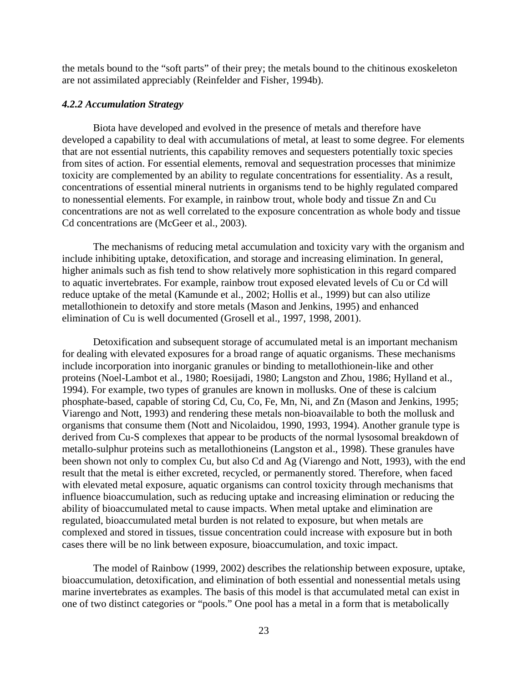the metals bound to the "soft parts" of their prey; the metals bound to the chitinous exoskeleton are not assimilated appreciably (Reinfelder and Fisher, 1994b).

## *4.2.2 Accumulation Strategy*

Biota have developed and evolved in the presence of metals and therefore have developed a capability to deal with accumulations of metal, at least to some degree. For elements that are not essential nutrients, this capability removes and sequesters potentially toxic species from sites of action. For essential elements, removal and sequestration processes that minimize toxicity are complemented by an ability to regulate concentrations for essentiality. As a result, concentrations of essential mineral nutrients in organisms tend to be highly regulated compared to nonessential elements. For example, in rainbow trout, whole body and tissue Zn and Cu concentrations are not as well correlated to the exposure concentration as whole body and tissue Cd concentrations are (McGeer et al., 2003).

The mechanisms of reducing metal accumulation and toxicity vary with the organism and include inhibiting uptake, detoxification, and storage and increasing elimination. In general, higher animals such as fish tend to show relatively more sophistication in this regard compared to aquatic invertebrates. For example, rainbow trout exposed elevated levels of Cu or Cd will reduce uptake of the metal (Kamunde et al., 2002; Hollis et al., 1999) but can also utilize metallothionein to detoxify and store metals (Mason and Jenkins, 1995) and enhanced elimination of Cu is well documented (Grosell et al., 1997, 1998, 2001).

Detoxification and subsequent storage of accumulated metal is an important mechanism for dealing with elevated exposures for a broad range of aquatic organisms. These mechanisms include incorporation into inorganic granules or binding to metallothionein-like and other proteins (Noel-Lambot et al., 1980; Roesijadi, 1980; Langston and Zhou, 1986; Hylland et al., 1994). For example, two types of granules are known in mollusks. One of these is calcium phosphate-based, capable of storing Cd, Cu, Co, Fe, Mn, Ni, and Zn (Mason and Jenkins, 1995; Viarengo and Nott, 1993) and rendering these metals non-bioavailable to both the mollusk and organisms that consume them (Nott and Nicolaidou, 1990, 1993, 1994). Another granule type is derived from Cu-S complexes that appear to be products of the normal lysosomal breakdown of metallo-sulphur proteins such as metallothioneins (Langston et al., 1998). These granules have been shown not only to complex Cu, but also Cd and Ag (Viarengo and Nott, 1993), with the end result that the metal is either excreted, recycled, or permanently stored. Therefore, when faced with elevated metal exposure, aquatic organisms can control toxicity through mechanisms that influence bioaccumulation, such as reducing uptake and increasing elimination or reducing the ability of bioaccumulated metal to cause impacts. When metal uptake and elimination are regulated, bioaccumulated metal burden is not related to exposure, but when metals are complexed and stored in tissues, tissue concentration could increase with exposure but in both cases there will be no link between exposure, bioaccumulation, and toxic impact.

The model of Rainbow (1999, 2002) describes the relationship between exposure, uptake, bioaccumulation, detoxification, and elimination of both essential and nonessential metals using marine invertebrates as examples. The basis of this model is that accumulated metal can exist in one of two distinct categories or "pools." One pool has a metal in a form that is metabolically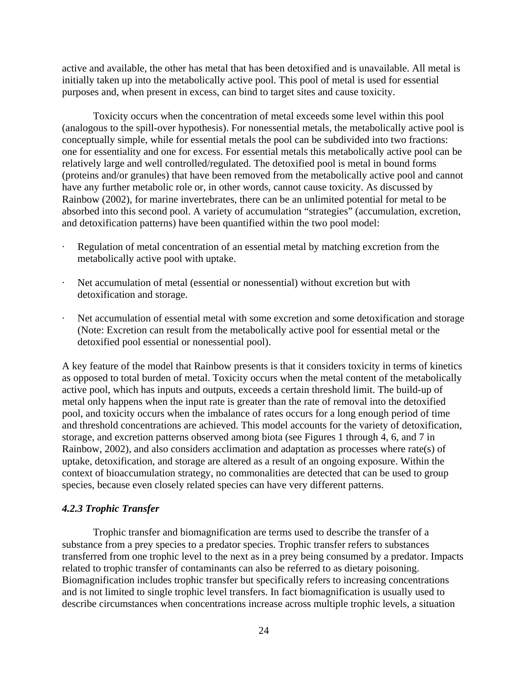active and available, the other has metal that has been detoxified and is unavailable. All metal is initially taken up into the metabolically active pool. This pool of metal is used for essential purposes and, when present in excess, can bind to target sites and cause toxicity.

Toxicity occurs when the concentration of metal exceeds some level within this pool (analogous to the spill-over hypothesis). For nonessential metals, the metabolically active pool is conceptually simple, while for essential metals the pool can be subdivided into two fractions: one for essentiality and one for excess. For essential metals this metabolically active pool can be relatively large and well controlled/regulated. The detoxified pool is metal in bound forms (proteins and/or granules) that have been removed from the metabolically active pool and cannot have any further metabolic role or, in other words, cannot cause toxicity. As discussed by Rainbow (2002), for marine invertebrates, there can be an unlimited potential for metal to be absorbed into this second pool. A variety of accumulation "strategies" (accumulation, excretion, and detoxification patterns) have been quantified within the two pool model:

- Regulation of metal concentration of an essential metal by matching excretion from the metabolically active pool with uptake.
- Net accumulation of metal (essential or nonessential) without excretion but with detoxification and storage.
- Net accumulation of essential metal with some excretion and some detoxification and storage (Note: Excretion can result from the metabolically active pool for essential metal or the detoxified pool essential or nonessential pool).

A key feature of the model that Rainbow presents is that it considers toxicity in terms of kinetics as opposed to total burden of metal. Toxicity occurs when the metal content of the metabolically active pool, which has inputs and outputs, exceeds a certain threshold limit. The build-up of metal only happens when the input rate is greater than the rate of removal into the detoxified pool, and toxicity occurs when the imbalance of rates occurs for a long enough period of time and threshold concentrations are achieved. This model accounts for the variety of detoxification, storage, and excretion patterns observed among biota (see Figures 1 through 4, 6, and 7 in Rainbow, 2002), and also considers acclimation and adaptation as processes where rate(s) of uptake, detoxification, and storage are altered as a result of an ongoing exposure. Within the context of bioaccumulation strategy, no commonalities are detected that can be used to group species, because even closely related species can have very different patterns.

## *4.2.3 Trophic Transfer*

Trophic transfer and biomagnification are terms used to describe the transfer of a substance from a prey species to a predator species. Trophic transfer refers to substances transferred from one trophic level to the next as in a prey being consumed by a predator. Impacts related to trophic transfer of contaminants can also be referred to as dietary poisoning. Biomagnification includes trophic transfer but specifically refers to increasing concentrations and is not limited to single trophic level transfers. In fact biomagnification is usually used to describe circumstances when concentrations increase across multiple trophic levels, a situation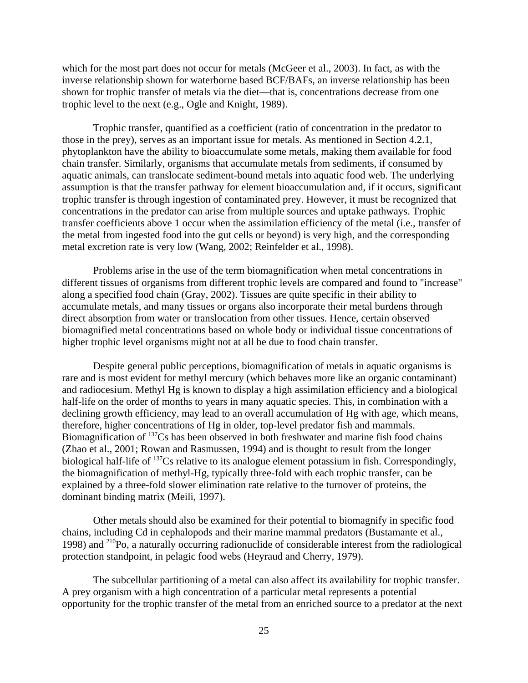which for the most part does not occur for metals (McGeer et al., 2003). In fact, as with the inverse relationship shown for waterborne based BCF/BAFs, an inverse relationship has been shown for trophic transfer of metals via the diet—that is, concentrations decrease from one trophic level to the next (e.g., Ogle and Knight, 1989).

Trophic transfer, quantified as a coefficient (ratio of concentration in the predator to those in the prey), serves as an important issue for metals. As mentioned in Section 4.2.1, phytoplankton have the ability to bioaccumulate some metals, making them available for food chain transfer. Similarly, organisms that accumulate metals from sediments, if consumed by aquatic animals, can translocate sediment-bound metals into aquatic food web. The underlying assumption is that the transfer pathway for element bioaccumulation and, if it occurs, significant trophic transfer is through ingestion of contaminated prey. However, it must be recognized that concentrations in the predator can arise from multiple sources and uptake pathways. Trophic transfer coefficients above 1 occur when the assimilation efficiency of the metal (i.e., transfer of the metal from ingested food into the gut cells or beyond) is very high, and the corresponding metal excretion rate is very low (Wang, 2002; Reinfelder et al., 1998).

Problems arise in the use of the term biomagnification when metal concentrations in different tissues of organisms from different trophic levels are compared and found to "increase" along a specified food chain (Gray, 2002). Tissues are quite specific in their ability to accumulate metals, and many tissues or organs also incorporate their metal burdens through direct absorption from water or translocation from other tissues. Hence, certain observed biomagnified metal concentrations based on whole body or individual tissue concentrations of higher trophic level organisms might not at all be due to food chain transfer.

Despite general public perceptions, biomagnification of metals in aquatic organisms is rare and is most evident for methyl mercury (which behaves more like an organic contaminant) and radiocesium. Methyl Hg is known to display a high assimilation efficiency and a biological half-life on the order of months to years in many aquatic species. This, in combination with a declining growth efficiency, may lead to an overall accumulation of Hg with age, which means, therefore, higher concentrations of Hg in older, top-level predator fish and mammals. Biomagnification of <sup>137</sup>Cs has been observed in both freshwater and marine fish food chains (Zhao et al., 2001; Rowan and Rasmussen, 1994) and is thought to result from the longer biological half-life of <sup>137</sup>Cs relative to its analogue element potassium in fish. Correspondingly, the biomagnification of methyl-Hg, typically three-fold with each trophic transfer, can be explained by a three-fold slower elimination rate relative to the turnover of proteins, the dominant binding matrix (Meili, 1997).

Other metals should also be examined for their potential to biomagnify in specific food chains, including Cd in cephalopods and their marine mammal predators (Bustamante et al., 1998) and 210Po, a naturally occurring radionuclide of considerable interest from the radiological protection standpoint, in pelagic food webs (Heyraud and Cherry, 1979).

The subcellular partitioning of a metal can also affect its availability for trophic transfer. A prey organism with a high concentration of a particular metal represents a potential opportunity for the trophic transfer of the metal from an enriched source to a predator at the next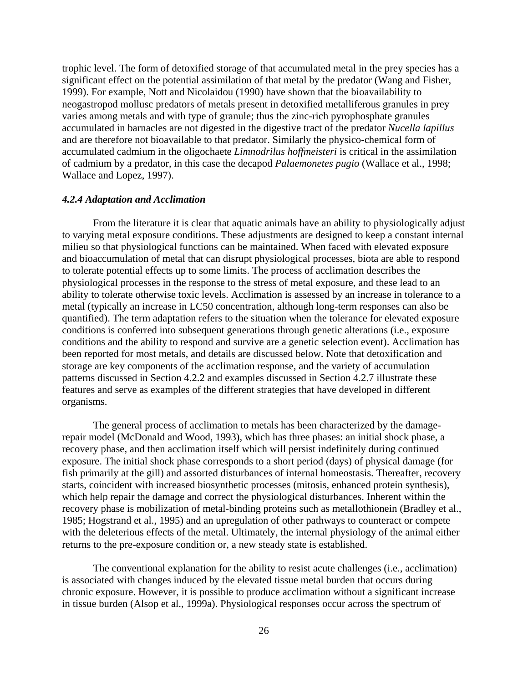trophic level. The form of detoxified storage of that accumulated metal in the prey species has a significant effect on the potential assimilation of that metal by the predator (Wang and Fisher, 1999). For example, Nott and Nicolaidou (1990) have shown that the bioavailability to neogastropod mollusc predators of metals present in detoxified metalliferous granules in prey varies among metals and with type of granule; thus the zinc-rich pyrophosphate granules accumulated in barnacles are not digested in the digestive tract of the predator *Nucella lapillus*  and are therefore not bioavailable to that predator. Similarly the physico-chemical form of accumulated cadmium in the oligochaete *Limnodrilus hoffmeisteri* is critical in the assimilation of cadmium by a predator, in this case the decapod *Palaemonetes pugio* (Wallace et al., 1998; Wallace and Lopez, 1997).

#### *4.2.4 Adaptation and Acclimation*

From the literature it is clear that aquatic animals have an ability to physiologically adjust to varying metal exposure conditions. These adjustments are designed to keep a constant internal milieu so that physiological functions can be maintained. When faced with elevated exposure and bioaccumulation of metal that can disrupt physiological processes, biota are able to respond to tolerate potential effects up to some limits. The process of acclimation describes the physiological processes in the response to the stress of metal exposure, and these lead to an ability to tolerate otherwise toxic levels. Acclimation is assessed by an increase in tolerance to a metal (typically an increase in LC50 concentration, although long-term responses can also be quantified). The term adaptation refers to the situation when the tolerance for elevated exposure conditions is conferred into subsequent generations through genetic alterations (i.e., exposure conditions and the ability to respond and survive are a genetic selection event). Acclimation has been reported for most metals, and details are discussed below. Note that detoxification and storage are key components of the acclimation response, and the variety of accumulation patterns discussed in Section 4.2.2 and examples discussed in Section 4.2.7 illustrate these features and serve as examples of the different strategies that have developed in different organisms.

The general process of acclimation to metals has been characterized by the damagerepair model (McDonald and Wood, 1993), which has three phases: an initial shock phase, a recovery phase, and then acclimation itself which will persist indefinitely during continued exposure. The initial shock phase corresponds to a short period (days) of physical damage (for fish primarily at the gill) and assorted disturbances of internal homeostasis. Thereafter, recovery starts, coincident with increased biosynthetic processes (mitosis, enhanced protein synthesis), which help repair the damage and correct the physiological disturbances. Inherent within the recovery phase is mobilization of metal-binding proteins such as metallothionein (Bradley et al., 1985; Hogstrand et al., 1995) and an upregulation of other pathways to counteract or compete with the deleterious effects of the metal. Ultimately, the internal physiology of the animal either returns to the pre-exposure condition or, a new steady state is established.

The conventional explanation for the ability to resist acute challenges (i.e., acclimation) is associated with changes induced by the elevated tissue metal burden that occurs during chronic exposure. However, it is possible to produce acclimation without a significant increase in tissue burden (Alsop et al., 1999a). Physiological responses occur across the spectrum of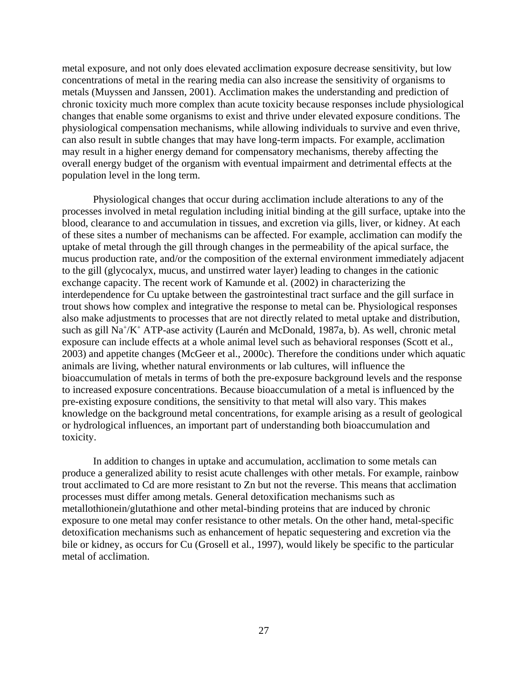metal exposure, and not only does elevated acclimation exposure decrease sensitivity, but low concentrations of metal in the rearing media can also increase the sensitivity of organisms to metals (Muyssen and Janssen, 2001). Acclimation makes the understanding and prediction of chronic toxicity much more complex than acute toxicity because responses include physiological changes that enable some organisms to exist and thrive under elevated exposure conditions. The physiological compensation mechanisms, while allowing individuals to survive and even thrive, can also result in subtle changes that may have long-term impacts. For example, acclimation may result in a higher energy demand for compensatory mechanisms, thereby affecting the overall energy budget of the organism with eventual impairment and detrimental effects at the population level in the long term.

Physiological changes that occur during acclimation include alterations to any of the processes involved in metal regulation including initial binding at the gill surface, uptake into the blood, clearance to and accumulation in tissues, and excretion via gills, liver, or kidney. At each of these sites a number of mechanisms can be affected. For example, acclimation can modify the uptake of metal through the gill through changes in the permeability of the apical surface, the mucus production rate, and/or the composition of the external environment immediately adjacent to the gill (glycocalyx, mucus, and unstirred water layer) leading to changes in the cationic exchange capacity. The recent work of Kamunde et al. (2002) in characterizing the interdependence for Cu uptake between the gastrointestinal tract surface and the gill surface in trout shows how complex and integrative the response to metal can be. Physiological responses also make adjustments to processes that are not directly related to metal uptake and distribution, such as gill Na<sup>+</sup>/K<sup>+</sup> ATP-ase activity (Laurén and McDonald, 1987a, b). As well, chronic metal exposure can include effects at a whole animal level such as behavioral responses (Scott et al., 2003) and appetite changes (McGeer et al., 2000c). Therefore the conditions under which aquatic animals are living, whether natural environments or lab cultures, will influence the bioaccumulation of metals in terms of both the pre-exposure background levels and the response to increased exposure concentrations. Because bioaccumulation of a metal is influenced by the pre-existing exposure conditions, the sensitivity to that metal will also vary. This makes knowledge on the background metal concentrations, for example arising as a result of geological or hydrological influences, an important part of understanding both bioaccumulation and toxicity.

In addition to changes in uptake and accumulation, acclimation to some metals can produce a generalized ability to resist acute challenges with other metals. For example, rainbow trout acclimated to Cd are more resistant to Zn but not the reverse. This means that acclimation processes must differ among metals. General detoxification mechanisms such as metallothionein/glutathione and other metal-binding proteins that are induced by chronic exposure to one metal may confer resistance to other metals. On the other hand, metal-specific detoxification mechanisms such as enhancement of hepatic sequestering and excretion via the bile or kidney, as occurs for Cu (Grosell et al., 1997), would likely be specific to the particular metal of acclimation.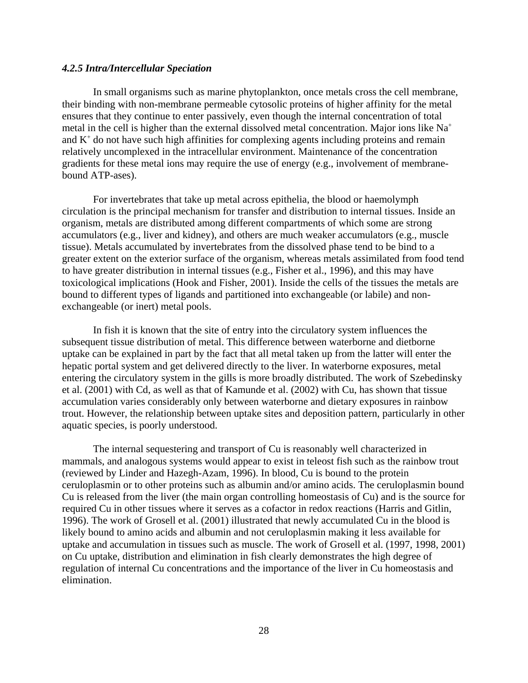## *4.2.5 Intra/Intercellular Speciation*

In small organisms such as marine phytoplankton, once metals cross the cell membrane, their binding with non-membrane permeable cytosolic proteins of higher affinity for the metal ensures that they continue to enter passively, even though the internal concentration of total metal in the cell is higher than the external dissolved metal concentration. Major ions like Na+ and  $K<sup>+</sup>$  do not have such high affinities for complexing agents including proteins and remain relatively uncomplexed in the intracellular environment. Maintenance of the concentration gradients for these metal ions may require the use of energy (e.g., involvement of membranebound ATP-ases).

For invertebrates that take up metal across epithelia, the blood or haemolymph circulation is the principal mechanism for transfer and distribution to internal tissues. Inside an organism, metals are distributed among different compartments of which some are strong accumulators (e.g., liver and kidney), and others are much weaker accumulators (e.g., muscle tissue). Metals accumulated by invertebrates from the dissolved phase tend to be bind to a greater extent on the exterior surface of the organism, whereas metals assimilated from food tend to have greater distribution in internal tissues (e.g., Fisher et al., 1996), and this may have toxicological implications (Hook and Fisher, 2001). Inside the cells of the tissues the metals are bound to different types of ligands and partitioned into exchangeable (or labile) and nonexchangeable (or inert) metal pools.

In fish it is known that the site of entry into the circulatory system influences the subsequent tissue distribution of metal. This difference between waterborne and dietborne uptake can be explained in part by the fact that all metal taken up from the latter will enter the hepatic portal system and get delivered directly to the liver. In waterborne exposures, metal entering the circulatory system in the gills is more broadly distributed. The work of Szebedinsky et al. (2001) with Cd, as well as that of Kamunde et al. (2002) with Cu, has shown that tissue accumulation varies considerably only between waterborne and dietary exposures in rainbow trout. However, the relationship between uptake sites and deposition pattern, particularly in other aquatic species, is poorly understood.

The internal sequestering and transport of Cu is reasonably well characterized in mammals, and analogous systems would appear to exist in teleost fish such as the rainbow trout (reviewed by Linder and Hazegh-Azam, 1996). In blood, Cu is bound to the protein ceruloplasmin or to other proteins such as albumin and/or amino acids. The ceruloplasmin bound Cu is released from the liver (the main organ controlling homeostasis of Cu) and is the source for required Cu in other tissues where it serves as a cofactor in redox reactions (Harris and Gitlin, 1996). The work of Grosell et al. (2001) illustrated that newly accumulated Cu in the blood is likely bound to amino acids and albumin and not ceruloplasmin making it less available for uptake and accumulation in tissues such as muscle. The work of Grosell et al. (1997, 1998, 2001) on Cu uptake, distribution and elimination in fish clearly demonstrates the high degree of regulation of internal Cu concentrations and the importance of the liver in Cu homeostasis and elimination.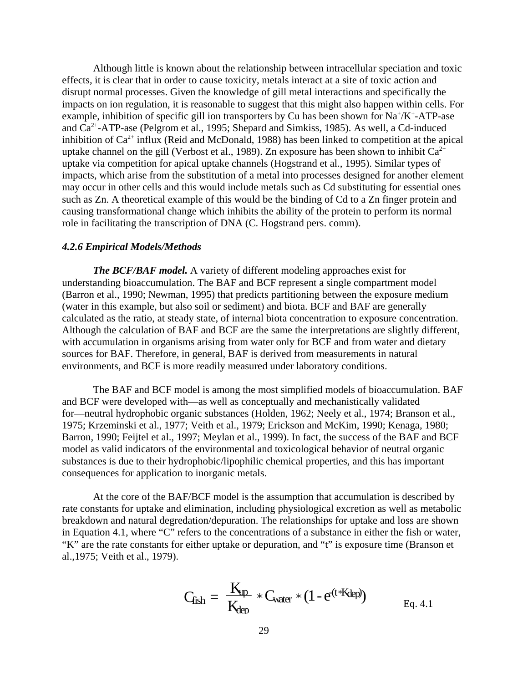Although little is known about the relationship between intracellular speciation and toxic effects, it is clear that in order to cause toxicity, metals interact at a site of toxic action and disrupt normal processes. Given the knowledge of gill metal interactions and specifically the impacts on ion regulation, it is reasonable to suggest that this might also happen within cells. For example, inhibition of specific gill ion transporters by Cu has been shown for  $Na^+/K^+$ -ATP-ase and Ca2+-ATP-ase (Pelgrom et al., 1995; Shepard and Simkiss, 1985). As well, a Cd-induced inhibition of  $Ca^{2+}$  influx (Reid and McDonald, 1988) has been linked to competition at the apical uptake channel on the gill (Verbost et al., 1989). Zn exposure has been shown to inhibit  $Ca^{2+}$ uptake via competition for apical uptake channels (Hogstrand et al., 1995). Similar types of impacts, which arise from the substitution of a metal into processes designed for another element may occur in other cells and this would include metals such as Cd substituting for essential ones such as Zn. A theoretical example of this would be the binding of Cd to a Zn finger protein and causing transformational change which inhibits the ability of the protein to perform its normal role in facilitating the transcription of DNA (C. Hogstrand pers. comm).

## *4.2.6 Empirical Models/Methods*

*The BCF/BAF model.* A variety of different modeling approaches exist for understanding bioaccumulation. The BAF and BCF represent a single compartment model (Barron et al., 1990; Newman, 1995) that predicts partitioning between the exposure medium (water in this example, but also soil or sediment) and biota. BCF and BAF are generally calculated as the ratio, at steady state, of internal biota concentration to exposure concentration. Although the calculation of BAF and BCF are the same the interpretations are slightly different, with accumulation in organisms arising from water only for BCF and from water and dietary sources for BAF. Therefore, in general, BAF is derived from measurements in natural environments, and BCF is more readily measured under laboratory conditions.

The BAF and BCF model is among the most simplified models of bioaccumulation. BAF and BCF were developed with—as well as conceptually and mechanistically validated for—neutral hydrophobic organic substances (Holden, 1962; Neely et al., 1974; Branson et al., 1975; Krzeminski et al., 1977; Veith et al., 1979; Erickson and McKim, 1990; Kenaga, 1980; Barron, 1990; Feijtel et al., 1997; Meylan et al., 1999). In fact, the success of the BAF and BCF model as valid indicators of the environmental and toxicological behavior of neutral organic substances is due to their hydrophobic/lipophilic chemical properties, and this has important consequences for application to inorganic metals.

At the core of the BAF/BCF model is the assumption that accumulation is described by rate constants for uptake and elimination, including physiological excretion as well as metabolic breakdown and natural degredation/depuration. The relationships for uptake and loss are shown in Equation 4.1, where "C" refers to the concentrations of a substance in either the fish or water, "K" are the rate constants for either uptake or depuration, and "t" is exposure time (Branson et al.,1975; Veith et al., 1979).

$$
C_{fish} = \frac{K_{tp}}{K_{dep}} * C_{water} * (1 - e^{(t*Kdep)})
$$
 Eq. 4.1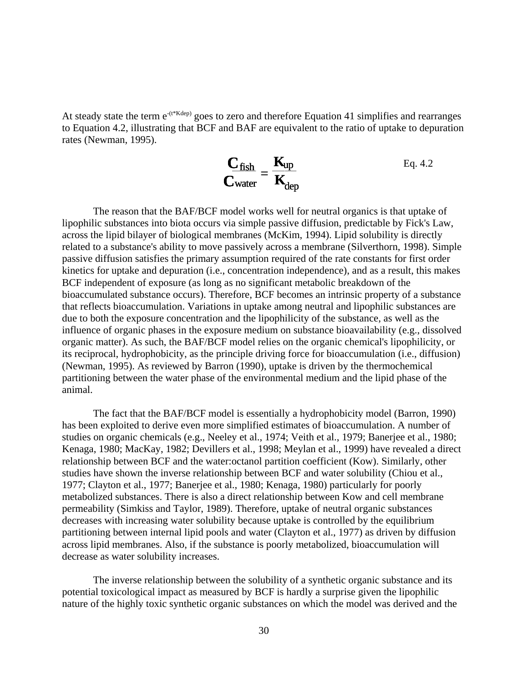At steady state the term  $e^{-(t * Kdep)}$  goes to zero and therefore Equation 41 simplifies and rearranges to Equation 4.2, illustrating that BCF and BAF are equivalent to the ratio of uptake to depuration rates (Newman, 1995).

$$
\frac{\mathbf{C}_{fish}}{\mathbf{C}_{water}} = \frac{\mathbf{K}_{up}}{\mathbf{K}_{dep}}
$$
 Eq. 4.2

The reason that the BAF/BCF model works well for neutral organics is that uptake of lipophilic substances into biota occurs via simple passive diffusion, predictable by Fick's Law, across the lipid bilayer of biological membranes (McKim, 1994). Lipid solubility is directly related to a substance's ability to move passively across a membrane (Silverthorn, 1998). Simple passive diffusion satisfies the primary assumption required of the rate constants for first order kinetics for uptake and depuration (i.e., concentration independence), and as a result, this makes BCF independent of exposure (as long as no significant metabolic breakdown of the bioaccumulated substance occurs). Therefore, BCF becomes an intrinsic property of a substance that reflects bioaccumulation. Variations in uptake among neutral and lipophilic substances are due to both the exposure concentration and the lipophilicity of the substance, as well as the influence of organic phases in the exposure medium on substance bioavailability (e.g., dissolved organic matter). As such, the BAF/BCF model relies on the organic chemical's lipophilicity, or its reciprocal, hydrophobicity, as the principle driving force for bioaccumulation (i.e., diffusion) (Newman, 1995). As reviewed by Barron (1990), uptake is driven by the thermochemical partitioning between the water phase of the environmental medium and the lipid phase of the animal.

The fact that the BAF/BCF model is essentially a hydrophobicity model (Barron, 1990) has been exploited to derive even more simplified estimates of bioaccumulation. A number of studies on organic chemicals (e.g., Neeley et al., 1974; Veith et al., 1979; Banerjee et al., 1980; Kenaga, 1980; MacKay, 1982; Devillers et al., 1998; Meylan et al., 1999) have revealed a direct relationship between BCF and the water:octanol partition coefficient (Kow). Similarly, other studies have shown the inverse relationship between BCF and water solubility (Chiou et al., 1977; Clayton et al., 1977; Banerjee et al., 1980; Kenaga, 1980) particularly for poorly metabolized substances. There is also a direct relationship between Kow and cell membrane permeability (Simkiss and Taylor, 1989). Therefore, uptake of neutral organic substances decreases with increasing water solubility because uptake is controlled by the equilibrium partitioning between internal lipid pools and water (Clayton et al., 1977) as driven by diffusion across lipid membranes. Also, if the substance is poorly metabolized, bioaccumulation will decrease as water solubility increases.

The inverse relationship between the solubility of a synthetic organic substance and its potential toxicological impact as measured by BCF is hardly a surprise given the lipophilic nature of the highly toxic synthetic organic substances on which the model was derived and the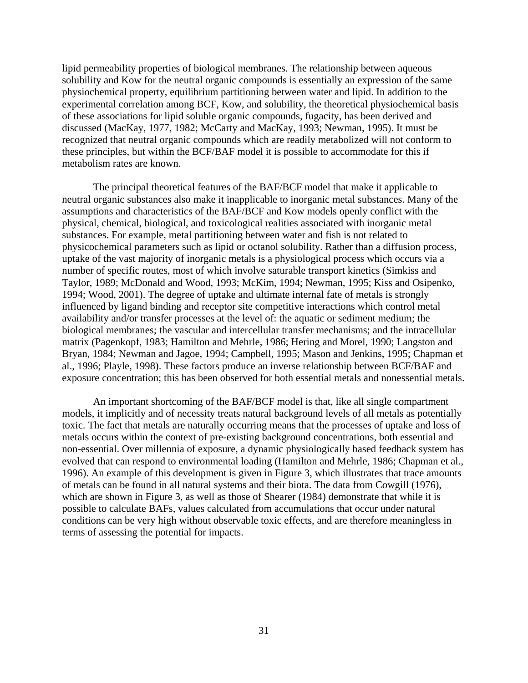lipid permeability properties of biological membranes. The relationship between aqueous solubility and Kow for the neutral organic compounds is essentially an expression of the same physiochemical property, equilibrium partitioning between water and lipid. In addition to the experimental correlation among BCF, Kow, and solubility, the theoretical physiochemical basis of these associations for lipid soluble organic compounds, fugacity, has been derived and discussed (MacKay, 1977, 1982; McCarty and MacKay, 1993; Newman, 1995). It must be recognized that neutral organic compounds which are readily metabolized will not conform to these principles, but within the BCF/BAF model it is possible to accommodate for this if metabolism rates are known.

The principal theoretical features of the BAF/BCF model that make it applicable to neutral organic substances also make it inapplicable to inorganic metal substances. Many of the assumptions and characteristics of the BAF/BCF and Kow models openly conflict with the physical, chemical, biological, and toxicological realities associated with inorganic metal substances. For example, metal partitioning between water and fish is not related to physicochemical parameters such as lipid or octanol solubility. Rather than a diffusion process, uptake of the vast majority of inorganic metals is a physiological process which occurs via a number of specific routes, most of which involve saturable transport kinetics (Simkiss and Taylor, 1989; McDonald and Wood, 1993; McKim, 1994; Newman, 1995; Kiss and Osipenko, 1994; Wood, 2001). The degree of uptake and ultimate internal fate of metals is strongly influenced by ligand binding and receptor site competitive interactions which control metal availability and/or transfer processes at the level of: the aquatic or sediment medium; the biological membranes; the vascular and intercellular transfer mechanisms; and the intracellular matrix (Pagenkopf, 1983; Hamilton and Mehrle, 1986; Hering and Morel, 1990; Langston and Bryan, 1984; Newman and Jagoe, 1994; Campbell, 1995; Mason and Jenkins, 1995; Chapman et al., 1996; Playle, 1998). These factors produce an inverse relationship between BCF/BAF and exposure concentration; this has been observed for both essential metals and nonessential metals.

An important shortcoming of the BAF/BCF model is that, like all single compartment models, it implicitly and of necessity treats natural background levels of all metals as potentially toxic. The fact that metals are naturally occurring means that the processes of uptake and loss of metals occurs within the context of pre-existing background concentrations, both essential and non-essential. Over millennia of exposure, a dynamic physiologically based feedback system has evolved that can respond to environmental loading (Hamilton and Mehrle, 1986; Chapman et al., 1996). An example of this development is given in Figure 3, which illustrates that trace amounts of metals can be found in all natural systems and their biota. The data from Cowgill (1976), which are shown in Figure 3, as well as those of Shearer (1984) demonstrate that while it is possible to calculate BAFs, values calculated from accumulations that occur under natural conditions can be very high without observable toxic effects, and are therefore meaningless in terms of assessing the potential for impacts.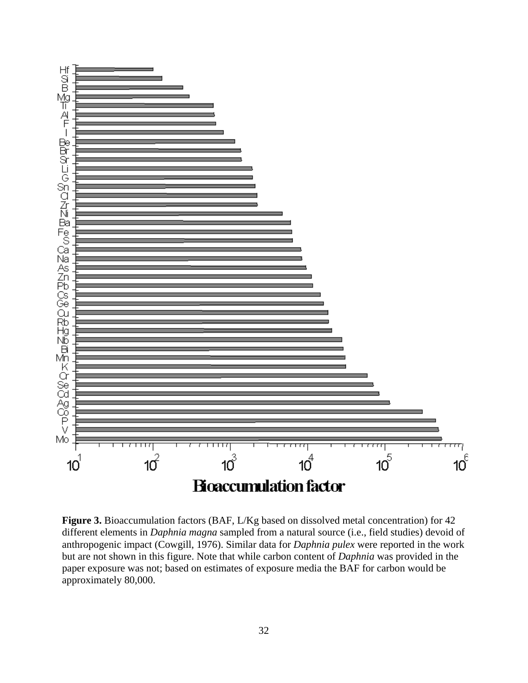

**Figure 3.** Bioaccumulation factors (BAF, L/Kg based on dissolved metal concentration) for 42 different elements in *Daphnia magna* sampled from a natural source (i.e., field studies) devoid of anthropogenic impact (Cowgill, 1976). Similar data for *Daphnia pulex* were reported in the work but are not shown in this figure. Note that while carbon content of *Daphnia* was provided in the paper exposure was not; based on estimates of exposure media the BAF for carbon would be approximately 80,000.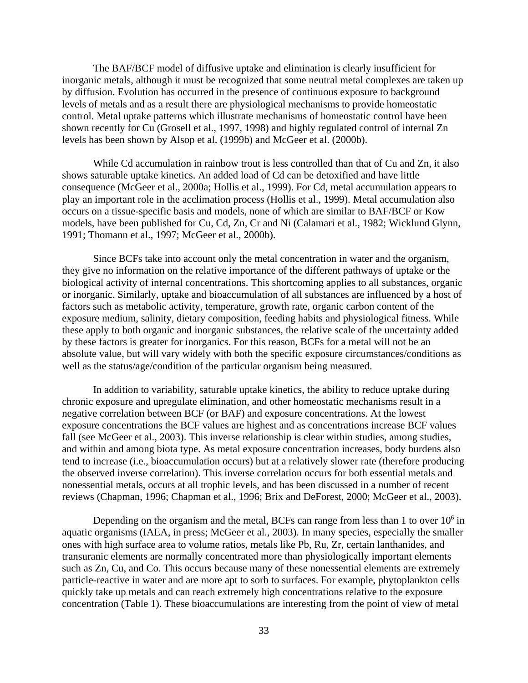The BAF/BCF model of diffusive uptake and elimination is clearly insufficient for inorganic metals, although it must be recognized that some neutral metal complexes are taken up by diffusion. Evolution has occurred in the presence of continuous exposure to background levels of metals and as a result there are physiological mechanisms to provide homeostatic control. Metal uptake patterns which illustrate mechanisms of homeostatic control have been shown recently for Cu (Grosell et al., 1997, 1998) and highly regulated control of internal Zn levels has been shown by Alsop et al. (1999b) and McGeer et al. (2000b).

While Cd accumulation in rainbow trout is less controlled than that of Cu and Zn, it also shows saturable uptake kinetics. An added load of Cd can be detoxified and have little consequence (McGeer et al., 2000a; Hollis et al., 1999). For Cd, metal accumulation appears to play an important role in the acclimation process (Hollis et al., 1999). Metal accumulation also occurs on a tissue-specific basis and models, none of which are similar to BAF/BCF or Kow models, have been published for Cu, Cd, Zn, Cr and Ni (Calamari et al., 1982; Wicklund Glynn, 1991; Thomann et al., 1997; McGeer et al., 2000b).

Since BCFs take into account only the metal concentration in water and the organism, they give no information on the relative importance of the different pathways of uptake or the biological activity of internal concentrations. This shortcoming applies to all substances, organic or inorganic. Similarly, uptake and bioaccumulation of all substances are influenced by a host of factors such as metabolic activity, temperature, growth rate, organic carbon content of the exposure medium, salinity, dietary composition, feeding habits and physiological fitness. While these apply to both organic and inorganic substances, the relative scale of the uncertainty added by these factors is greater for inorganics. For this reason, BCFs for a metal will not be an absolute value, but will vary widely with both the specific exposure circumstances/conditions as well as the status/age/condition of the particular organism being measured.

In addition to variability, saturable uptake kinetics, the ability to reduce uptake during chronic exposure and upregulate elimination, and other homeostatic mechanisms result in a negative correlation between BCF (or BAF) and exposure concentrations. At the lowest exposure concentrations the BCF values are highest and as concentrations increase BCF values fall (see McGeer et al., 2003). This inverse relationship is clear within studies, among studies, and within and among biota type. As metal exposure concentration increases, body burdens also tend to increase (i.e., bioaccumulation occurs) but at a relatively slower rate (therefore producing the observed inverse correlation). This inverse correlation occurs for both essential metals and nonessential metals, occurs at all trophic levels, and has been discussed in a number of recent reviews (Chapman, 1996; Chapman et al., 1996; Brix and DeForest, 2000; McGeer et al., 2003).

Depending on the organism and the metal, BCFs can range from less than 1 to over  $10<sup>6</sup>$  in aquatic organisms (IAEA, in press; McGeer et al., 2003). In many species, especially the smaller ones with high surface area to volume ratios, metals like Pb, Ru, Zr, certain lanthanides, and transuranic elements are normally concentrated more than physiologically important elements such as Zn, Cu, and Co. This occurs because many of these nonessential elements are extremely particle-reactive in water and are more apt to sorb to surfaces. For example, phytoplankton cells quickly take up metals and can reach extremely high concentrations relative to the exposure concentration (Table 1). These bioaccumulations are interesting from the point of view of metal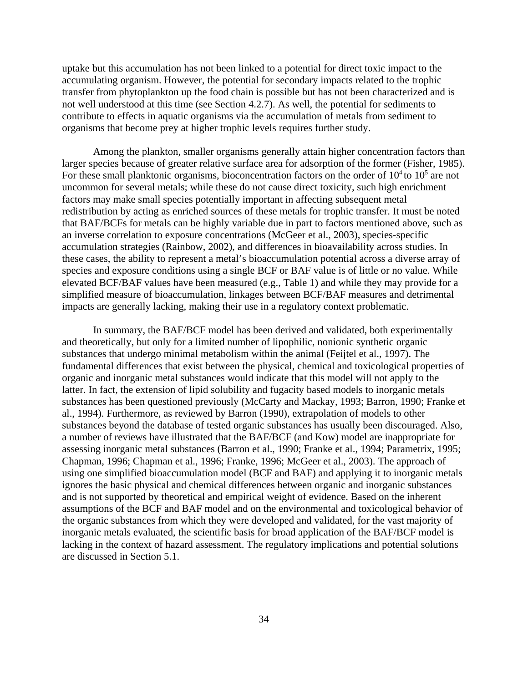uptake but this accumulation has not been linked to a potential for direct toxic impact to the accumulating organism. However, the potential for secondary impacts related to the trophic transfer from phytoplankton up the food chain is possible but has not been characterized and is not well understood at this time (see Section 4.2.7). As well, the potential for sediments to contribute to effects in aquatic organisms via the accumulation of metals from sediment to organisms that become prey at higher trophic levels requires further study.

Among the plankton, smaller organisms generally attain higher concentration factors than larger species because of greater relative surface area for adsorption of the former (Fisher, 1985). For these small planktonic organisms, bioconcentration factors on the order of  $10<sup>4</sup>$  to  $10<sup>5</sup>$  are not uncommon for several metals; while these do not cause direct toxicity, such high enrichment factors may make small species potentially important in affecting subsequent metal redistribution by acting as enriched sources of these metals for trophic transfer. It must be noted that BAF/BCFs for metals can be highly variable due in part to factors mentioned above, such as an inverse correlation to exposure concentrations (McGeer et al., 2003), species-specific accumulation strategies (Rainbow, 2002), and differences in bioavailability across studies. In these cases, the ability to represent a metal's bioaccumulation potential across a diverse array of species and exposure conditions using a single BCF or BAF value is of little or no value. While elevated BCF/BAF values have been measured (e.g., Table 1) and while they may provide for a simplified measure of bioaccumulation, linkages between BCF/BAF measures and detrimental impacts are generally lacking, making their use in a regulatory context problematic.

In summary, the BAF/BCF model has been derived and validated, both experimentally and theoretically, but only for a limited number of lipophilic, nonionic synthetic organic substances that undergo minimal metabolism within the animal (Feijtel et al., 1997). The fundamental differences that exist between the physical, chemical and toxicological properties of organic and inorganic metal substances would indicate that this model will not apply to the latter. In fact, the extension of lipid solubility and fugacity based models to inorganic metals substances has been questioned previously (McCarty and Mackay, 1993; Barron, 1990; Franke et al., 1994). Furthermore, as reviewed by Barron (1990), extrapolation of models to other substances beyond the database of tested organic substances has usually been discouraged. Also, a number of reviews have illustrated that the BAF/BCF (and Kow) model are inappropriate for assessing inorganic metal substances (Barron et al., 1990; Franke et al., 1994; Parametrix, 1995; Chapman, 1996; Chapman et al., 1996; Franke, 1996; McGeer et al., 2003). The approach of using one simplified bioaccumulation model (BCF and BAF) and applying it to inorganic metals ignores the basic physical and chemical differences between organic and inorganic substances and is not supported by theoretical and empirical weight of evidence. Based on the inherent assumptions of the BCF and BAF model and on the environmental and toxicological behavior of the organic substances from which they were developed and validated, for the vast majority of inorganic metals evaluated, the scientific basis for broad application of the BAF/BCF model is lacking in the context of hazard assessment. The regulatory implications and potential solutions are discussed in Section 5.1.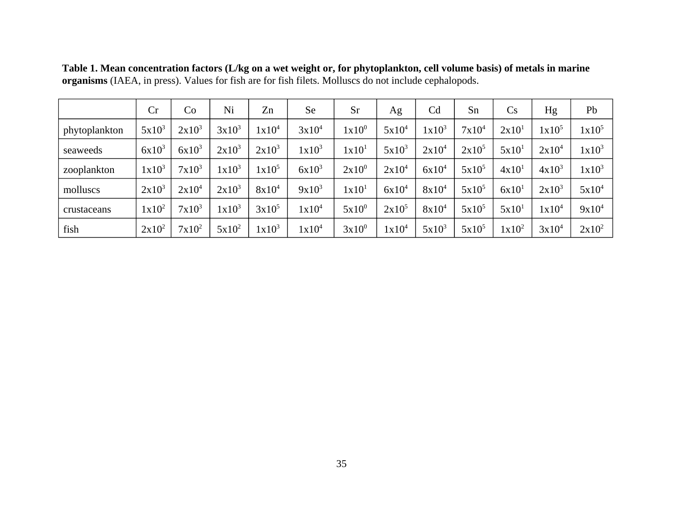|               | Cr       | Co       | Ni       | Zn       | Se                | Sr                | Ag                | Cd       | Sn       | Cs                | Hg                | Pb       |
|---------------|----------|----------|----------|----------|-------------------|-------------------|-------------------|----------|----------|-------------------|-------------------|----------|
| phytoplankton | $5x10^3$ | $2x10^3$ | $3x10^3$ | $1x10^4$ | $3x10^4$          | $1x10^0$          | $5x10^4$          | $1x10^3$ | $7x10^4$ | 2x10 <sup>1</sup> | 1x10 <sup>5</sup> | $1x10^5$ |
| seaweeds      | $6x10^3$ | $6x10^3$ | $2x10^3$ | $2x10^3$ | $1x10^3$          | 1x10 <sup>1</sup> | $5x10^3$          | $2x10^4$ | $2x10^5$ | 5x10 <sup>1</sup> | $2x10^4$          | $1x10^3$ |
| zooplankton   | $1x10^3$ | $7x10^3$ | $1x10^3$ | $1x10^5$ | $6x10^3$          | $2x10^0$          | $2x10^4$          | $6x10^4$ | $5x10^5$ | 4x10 <sup>1</sup> | $4x10^3$          | $1x10^3$ |
| molluscs      | $2x10^3$ | $2x10^4$ | $2x10^3$ | $8x10^4$ | $9x10^3$          | 1x10 <sup>1</sup> | $6x10^4$          | $8x10^4$ | $5x10^5$ | 6x10 <sup>1</sup> | $2x10^3$          | $5x10^4$ |
| crustaceans   | $1x10^2$ | $7x10^3$ | $1x10^3$ | $3x10^5$ | $1x10^4$          | $5x10^0$          | $2x10^5$          | $8x10^4$ | $5x10^5$ | 5x10 <sup>1</sup> | $1x10^4$          | $9x10^4$ |
| fish          | $2x10^2$ | $7x10^2$ | $5x10^2$ | $1x10^3$ | 1x10 <sup>4</sup> | $3x10^0$          | 1x10 <sup>4</sup> | $5x10^3$ | $5x10^5$ | $1x10^2$          | $3x10^4$          | $2x10^2$ |

**Table 1. Mean concentration factors (L/kg on a wet weight or, for phytoplankton, cell volume basis) of metals in marine organisms** (IAEA, in press). Values for fish are for fish filets. Molluscs do not include cephalopods.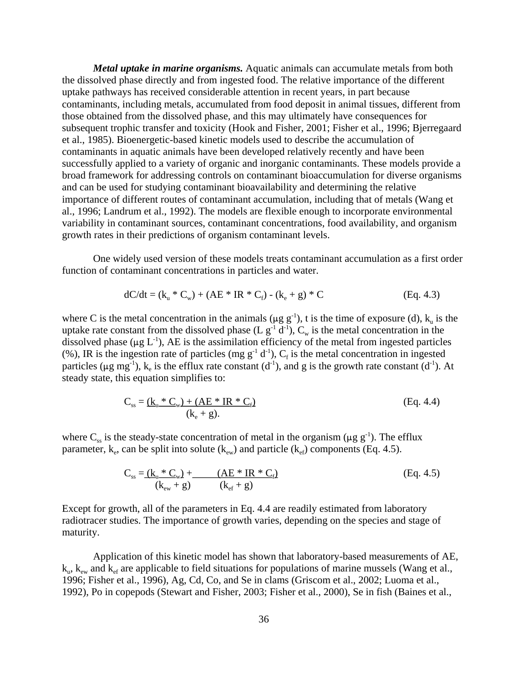*Metal uptake in marine organisms.* Aquatic animals can accumulate metals from both the dissolved phase directly and from ingested food. The relative importance of the different uptake pathways has received considerable attention in recent years, in part because contaminants, including metals, accumulated from food deposit in animal tissues, different from those obtained from the dissolved phase, and this may ultimately have consequences for subsequent trophic transfer and toxicity (Hook and Fisher, 2001; Fisher et al., 1996; Bjerregaard et al., 1985). Bioenergetic-based kinetic models used to describe the accumulation of contaminants in aquatic animals have been developed relatively recently and have been successfully applied to a variety of organic and inorganic contaminants. These models provide a broad framework for addressing controls on contaminant bioaccumulation for diverse organisms and can be used for studying contaminant bioavailability and determining the relative importance of different routes of contaminant accumulation, including that of metals (Wang et al., 1996; Landrum et al., 1992). The models are flexible enough to incorporate environmental variability in contaminant sources, contaminant concentrations, food availability, and organism growth rates in their predictions of organism contaminant levels.

One widely used version of these models treats contaminant accumulation as a first order function of contaminant concentrations in particles and water.

$$
dC/dt = (k_u * C_w) + (AE * IR * C_f) - (k_e + g) * C
$$
 (Eq. 4.3)

where C is the metal concentration in the animals ( $\mu$ g g<sup>-1</sup>), t is the time of exposure (d), k<sub>u</sub> is the uptake rate constant from the dissolved phase (L  $g^{-1}$  d<sup>-1</sup>),  $C_w$  is the metal concentration in the dissolved phase ( $\mu$ g L<sup>-1</sup>), AE is the assimilation efficiency of the metal from ingested particles (%), IR is the ingestion rate of particles (mg  $g^{-1} d^{-1}$ ),  $C_f$  is the metal concentration in ingested particles ( $\mu$ g mg<sup>-1</sup>), k<sub>e</sub> is the efflux rate constant (d<sup>-1</sup>), and g is the growth rate constant (d<sup>-1</sup>). At steady state, this equation simplifies to:

$$
C_{ss} = \underline{(k_u * C_w) + (AE * IR * C_f)}
$$
\n
$$
(k_e + g).
$$
\n(Eq. 4.4)

where  $C_{ss}$  is the steady-state concentration of metal in the organism ( $\mu$ g g<sup>-1</sup>). The efflux parameter,  $k_e$ , can be split into solute ( $k_{ew}$ ) and particle ( $k_{ef}$ ) components (Eq. 4.5).

$$
C_{ss} = \underline{(k_u * C_w)} + \underline{(AE * IR * C_f)} \tag{Eq. 4.5}
$$
\n
$$
(k_{ew} + g) \qquad (k_{ef} + g)
$$

Except for growth, all of the parameters in Eq. 4.4 are readily estimated from laboratory radiotracer studies. The importance of growth varies, depending on the species and stage of maturity.

Application of this kinetic model has shown that laboratory-based measurements of AE,  $k_{u}$ ,  $k_{ew}$  and  $k_{ef}$  are applicable to field situations for populations of marine mussels (Wang et al., 1996; Fisher et al., 1996), Ag, Cd, Co, and Se in clams (Griscom et al., 2002; Luoma et al., 1992), Po in copepods (Stewart and Fisher, 2003; Fisher et al., 2000), Se in fish (Baines et al.,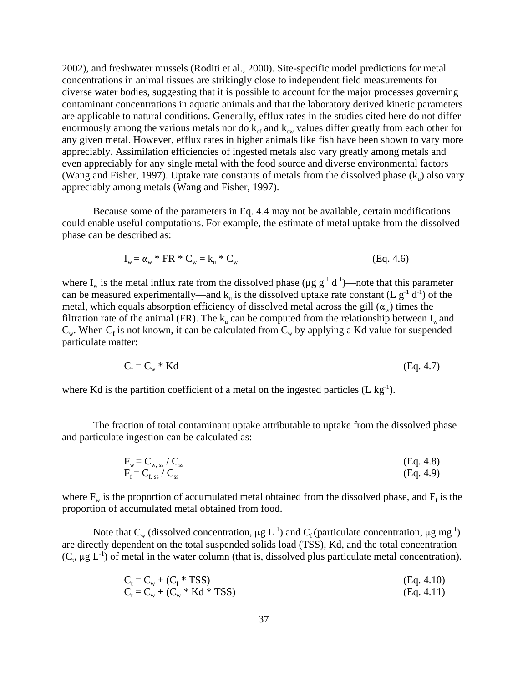2002), and freshwater mussels (Roditi et al., 2000). Site-specific model predictions for metal concentrations in animal tissues are strikingly close to independent field measurements for diverse water bodies, suggesting that it is possible to account for the major processes governing contaminant concentrations in aquatic animals and that the laboratory derived kinetic parameters are applicable to natural conditions. Generally, efflux rates in the studies cited here do not differ enormously among the various metals nor do  $k_{\text{eff}}$  and  $k_{\text{ew}}$  values differ greatly from each other for any given metal. However, efflux rates in higher animals like fish have been shown to vary more appreciably. Assimilation efficiencies of ingested metals also vary greatly among metals and even appreciably for any single metal with the food source and diverse environmental factors (Wang and Fisher, 1997). Uptake rate constants of metals from the dissolved phase  $(k_n)$  also vary appreciably among metals (Wang and Fisher, 1997).

Because some of the parameters in Eq. 4.4 may not be available, certain modifications could enable useful computations. For example, the estimate of metal uptake from the dissolved phase can be described as:

$$
I_w = \alpha_w * FR * C_w = k_u * C_w \tag{Eq. 4.6}
$$

where  $I_w$  is the metal influx rate from the dissolved phase ( $\mu$ g g<sup>-1</sup> d<sup>-1</sup>)—note that this parameter can be measured experimentally—and  $k_n$  is the dissolved uptake rate constant (L  $g^{-1}$  d<sup>-1</sup>) of the metal, which equals absorption efficiency of dissolved metal across the gill  $(\alpha_w)$  times the filtration rate of the animal (FR). The  $k_{\text{u}}$  can be computed from the relationship between  $I_{\text{w}}$  and  $C_w$ . When  $C_f$  is not known, it can be calculated from  $C_w$  by applying a Kd value for suspended particulate matter:

$$
C_f = C_w * Kd \tag{Eq. 4.7}
$$

where Kd is the partition coefficient of a metal on the ingested particles  $(L \log^{-1})$ .

The fraction of total contaminant uptake attributable to uptake from the dissolved phase and particulate ingestion can be calculated as:

$$
F_w = C_{w,ss} / C_{ss}
$$
\n
$$
F_f = C_{f,ss} / C_{ss}
$$
\n(Eq. 4.8)\n  
\n(Eq. 4.9)

where  $F_w$  is the proportion of accumulated metal obtained from the dissolved phase, and  $F_f$  is the proportion of accumulated metal obtained from food.

Note that  $C_w$  (dissolved concentration,  $\mu g L^{-1}$ ) and  $C_f$  (particulate concentration,  $\mu g$  mg<sup>-1</sup>) are directly dependent on the total suspended solids load (TSS), Kd, and the total concentration  $(C_t, \mu g L^{-1})$  of metal in the water column (that is, dissolved plus particulate metal concentration).

$$
C_{t} = C_{w} + (C_{f} * TSS)
$$
\n
$$
C_{t} = C_{w} + (C_{w} * Kd * TSS)
$$
\n(Eq. 4.10)\n  
\n(Eq. 4.11)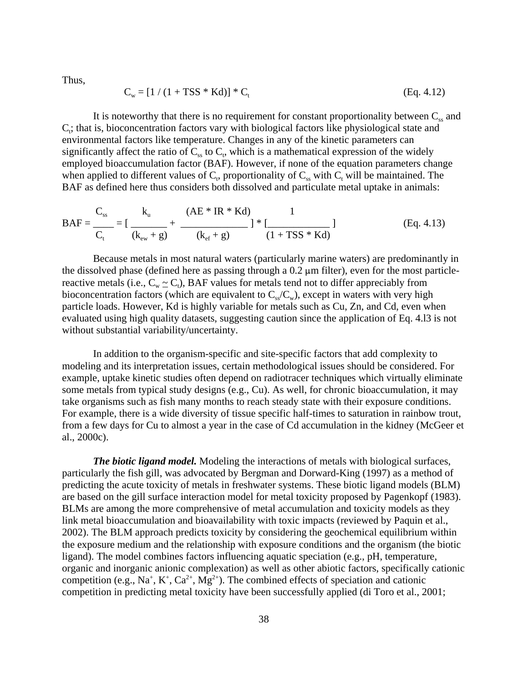Thus,

$$
C_w = [1 / (1 + TSS * Kd)] * C_t
$$
 (Eq. 4.12)

It is noteworthy that there is no requirement for constant proportionality between  $C_{ss}$  and  $C_t$ ; that is, bioconcentration factors vary with biological factors like physiological state and environmental factors like temperature. Changes in any of the kinetic parameters can significantly affect the ratio of  $C_{ss}$  to  $C_t$ , which is a mathematical expression of the widely employed bioaccumulation factor (BAF). However, if none of the equation parameters change when applied to different values of  $C_t$ , proportionality of  $C_{ss}$  with  $C_t$  will be maintained. The BAF as defined here thus considers both dissolved and particulate metal uptake in animals:

$$
BAF = \frac{C_{ss}}{C_t} = \left[\frac{k_u}{(k_{ew} + g)} + \frac{(AE * IR * Kd)}{(k_{ef} + g)}\right] * \left[\frac{1}{(1 + TSS * Kd)}\right]
$$
(Eq. 4.13)

Because metals in most natural waters (particularly marine waters) are predominantly in the dissolved phase (defined here as passing through a  $0.2 \mu m$  filter), even for the most particlereactive metals (i.e.,  $C_w \sim C_t$ ), BAF values for metals tend not to differ appreciably from bioconcentration factors (which are equivalent to  $C_{\rm ss}/C_{\rm w}$ ), except in waters with very high particle loads. However, Kd is highly variable for metals such as Cu, Zn, and Cd, even when evaluated using high quality datasets, suggesting caution since the application of Eq. 4.l3 is not without substantial variability/uncertainty.

In addition to the organism-specific and site-specific factors that add complexity to modeling and its interpretation issues, certain methodological issues should be considered. For example, uptake kinetic studies often depend on radiotracer techniques which virtually eliminate some metals from typical study designs (e.g., Cu). As well, for chronic bioaccumulation, it may take organisms such as fish many months to reach steady state with their exposure conditions. For example, there is a wide diversity of tissue specific half-times to saturation in rainbow trout, from a few days for Cu to almost a year in the case of Cd accumulation in the kidney (McGeer et al., 2000c).

*The biotic ligand model.* Modeling the interactions of metals with biological surfaces, particularly the fish gill, was advocated by Bergman and Dorward-King (1997) as a method of predicting the acute toxicity of metals in freshwater systems. These biotic ligand models (BLM) are based on the gill surface interaction model for metal toxicity proposed by Pagenkopf (1983). BLMs are among the more comprehensive of metal accumulation and toxicity models as they link metal bioaccumulation and bioavailability with toxic impacts (reviewed by Paquin et al., 2002). The BLM approach predicts toxicity by considering the geochemical equilibrium within the exposure medium and the relationship with exposure conditions and the organism (the biotic ligand). The model combines factors influencing aquatic speciation (e.g., pH, temperature, organic and inorganic anionic complexation) as well as other abiotic factors, specifically cationic competition (e.g., Na<sup>+</sup>, K<sup>+</sup>, Ca<sup>2+</sup>, Mg<sup>2+</sup>). The combined effects of speciation and cationic competition in predicting metal toxicity have been successfully applied (di Toro et al., 2001;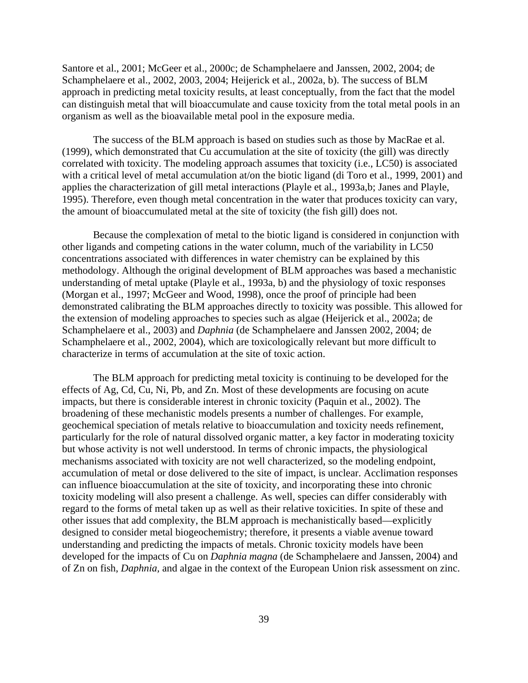Santore et al., 2001; McGeer et al., 2000c; de Schamphelaere and Janssen, 2002, 2004; de Schamphelaere et al., 2002, 2003, 2004; Heijerick et al., 2002a, b). The success of BLM approach in predicting metal toxicity results, at least conceptually, from the fact that the model can distinguish metal that will bioaccumulate and cause toxicity from the total metal pools in an organism as well as the bioavailable metal pool in the exposure media.

The success of the BLM approach is based on studies such as those by MacRae et al. (1999), which demonstrated that Cu accumulation at the site of toxicity (the gill) was directly correlated with toxicity. The modeling approach assumes that toxicity (i.e., LC50) is associated with a critical level of metal accumulation at/on the biotic ligand (di Toro et al., 1999, 2001) and applies the characterization of gill metal interactions (Playle et al., 1993a,b; Janes and Playle, 1995). Therefore, even though metal concentration in the water that produces toxicity can vary, the amount of bioaccumulated metal at the site of toxicity (the fish gill) does not.

Because the complexation of metal to the biotic ligand is considered in conjunction with other ligands and competing cations in the water column, much of the variability in LC50 concentrations associated with differences in water chemistry can be explained by this methodology. Although the original development of BLM approaches was based a mechanistic understanding of metal uptake (Playle et al., 1993a, b) and the physiology of toxic responses (Morgan et al., 1997; McGeer and Wood, 1998), once the proof of principle had been demonstrated calibrating the BLM approaches directly to toxicity was possible. This allowed for the extension of modeling approaches to species such as algae (Heijerick et al., 2002a; de Schamphelaere et al., 2003) and *Daphnia* (de Schamphelaere and Janssen 2002, 2004; de Schamphelaere et al., 2002, 2004), which are toxicologically relevant but more difficult to characterize in terms of accumulation at the site of toxic action.

The BLM approach for predicting metal toxicity is continuing to be developed for the effects of Ag, Cd, Cu, Ni, Pb, and Zn. Most of these developments are focusing on acute impacts, but there is considerable interest in chronic toxicity (Paquin et al., 2002). The broadening of these mechanistic models presents a number of challenges. For example, geochemical speciation of metals relative to bioaccumulation and toxicity needs refinement, particularly for the role of natural dissolved organic matter, a key factor in moderating toxicity but whose activity is not well understood. In terms of chronic impacts, the physiological mechanisms associated with toxicity are not well characterized, so the modeling endpoint, accumulation of metal or dose delivered to the site of impact, is unclear. Acclimation responses can influence bioaccumulation at the site of toxicity, and incorporating these into chronic toxicity modeling will also present a challenge. As well, species can differ considerably with regard to the forms of metal taken up as well as their relative toxicities. In spite of these and other issues that add complexity, the BLM approach is mechanistically based—explicitly designed to consider metal biogeochemistry; therefore, it presents a viable avenue toward understanding and predicting the impacts of metals. Chronic toxicity models have been developed for the impacts of Cu on *Daphnia magna* (de Schamphelaere and Janssen, 2004) and of Zn on fish, *Daphnia,* and algae in the context of the European Union risk assessment on zinc.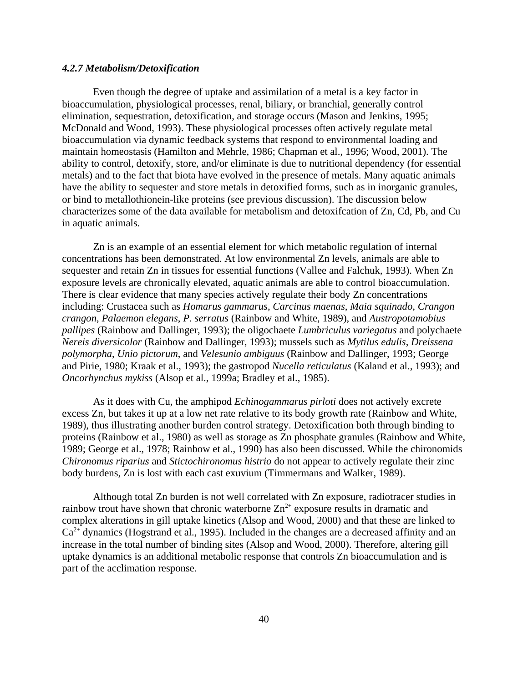## *4.2.7 Metabolism/Detoxification*

Even though the degree of uptake and assimilation of a metal is a key factor in bioaccumulation, physiological processes, renal, biliary, or branchial, generally control elimination, sequestration, detoxification, and storage occurs (Mason and Jenkins, 1995; McDonald and Wood, 1993). These physiological processes often actively regulate metal bioaccumulation via dynamic feedback systems that respond to environmental loading and maintain homeostasis (Hamilton and Mehrle, 1986; Chapman et al., 1996; Wood, 2001). The ability to control, detoxify, store, and/or eliminate is due to nutritional dependency (for essential metals) and to the fact that biota have evolved in the presence of metals. Many aquatic animals have the ability to sequester and store metals in detoxified forms, such as in inorganic granules, or bind to metallothionein-like proteins (see previous discussion). The discussion below characterizes some of the data available for metabolism and detoxifcation of Zn, Cd, Pb, and Cu in aquatic animals.

Zn is an example of an essential element for which metabolic regulation of internal concentrations has been demonstrated. At low environmental Zn levels, animals are able to sequester and retain Zn in tissues for essential functions (Vallee and Falchuk, 1993). When Zn exposure levels are chronically elevated, aquatic animals are able to control bioaccumulation. There is clear evidence that many species actively regulate their body Zn concentrations including: Crustacea such as *Homarus gammarus*, *Carcinus maenas*, *Maia squinado*, *Crangon crangon*, *Palaemon elegans*, *P. serratus* (Rainbow and White, 1989), and *Austropotamobius pallipes* (Rainbow and Dallinger, 1993); the oligochaete *Lumbriculus variegatus* and polychaete *Nereis diversicolor* (Rainbow and Dallinger, 1993); mussels such as *Mytilus edulis*, *Dreissena polymorpha*, *Unio pictorum*, and *Velesunio ambiguus* (Rainbow and Dallinger, 1993; George and Pirie, 1980; Kraak et al., 1993); the gastropod *Nucella reticulatus* (Kaland et al., 1993); and *Oncorhynchus mykiss* (Alsop et al., 1999a; Bradley et al., 1985).

As it does with Cu, the amphipod *Echinogammarus pirloti* does not actively excrete excess Zn, but takes it up at a low net rate relative to its body growth rate (Rainbow and White, 1989), thus illustrating another burden control strategy. Detoxification both through binding to proteins (Rainbow et al., 1980) as well as storage as Zn phosphate granules (Rainbow and White, 1989; George et al., 1978; Rainbow et al., 1990) has also been discussed. While the chironomids *Chironomus riparius* and *Stictochironomus histrio* do not appear to actively regulate their zinc body burdens, Zn is lost with each cast exuvium (Timmermans and Walker, 1989).

Although total Zn burden is not well correlated with Zn exposure, radiotracer studies in rainbow trout have shown that chronic waterborne  $\text{Zn}^{2+}$  exposure results in dramatic and complex alterations in gill uptake kinetics (Alsop and Wood, 2000) and that these are linked to  $Ca<sup>2+</sup>$  dynamics (Hogstrand et al., 1995). Included in the changes are a decreased affinity and an increase in the total number of binding sites (Alsop and Wood, 2000). Therefore, altering gill uptake dynamics is an additional metabolic response that controls Zn bioaccumulation and is part of the acclimation response.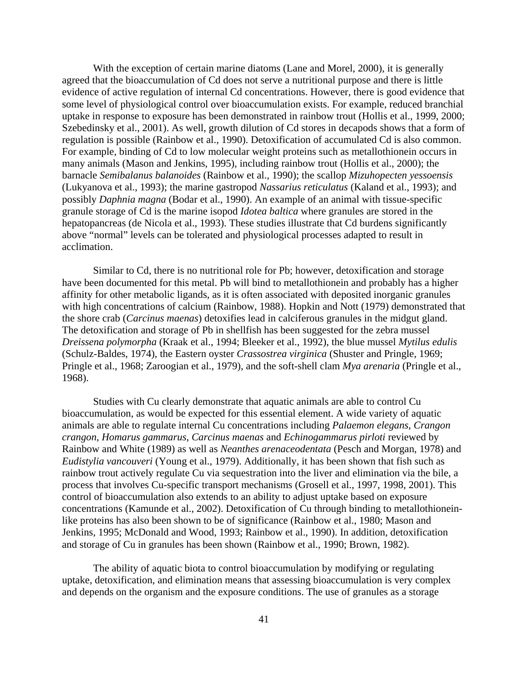With the exception of certain marine diatoms (Lane and Morel, 2000), it is generally agreed that the bioaccumulation of Cd does not serve a nutritional purpose and there is little evidence of active regulation of internal Cd concentrations. However, there is good evidence that some level of physiological control over bioaccumulation exists. For example, reduced branchial uptake in response to exposure has been demonstrated in rainbow trout (Hollis et al., 1999, 2000; Szebedinsky et al., 2001). As well, growth dilution of Cd stores in decapods shows that a form of regulation is possible (Rainbow et al., 1990). Detoxification of accumulated Cd is also common. For example, binding of Cd to low molecular weight proteins such as metallothionein occurs in many animals (Mason and Jenkins, 1995), including rainbow trout (Hollis et al., 2000); the barnacle *Semibalanus balanoides* (Rainbow et al., 1990); the scallop *Mizuhopecten yessoensis*  (Lukyanova et al., 1993); the marine gastropod *Nassarius reticulatus* (Kaland et al., 1993); and possibly *Daphnia magna* (Bodar et al., 1990). An example of an animal with tissue-specific granule storage of Cd is the marine isopod *Idotea baltica* where granules are stored in the hepatopancreas (de Nicola et al., 1993). These studies illustrate that Cd burdens significantly above "normal" levels can be tolerated and physiological processes adapted to result in acclimation.

Similar to Cd, there is no nutritional role for Pb; however, detoxification and storage have been documented for this metal. Pb will bind to metallothionein and probably has a higher affinity for other metabolic ligands, as it is often associated with deposited inorganic granules with high concentrations of calcium (Rainbow, 1988). Hopkin and Nott (1979) demonstrated that the shore crab (*Carcinus maenas*) detoxifies lead in calciferous granules in the midgut gland. The detoxification and storage of Pb in shellfish has been suggested for the zebra mussel *Dreissena polymorpha* (Kraak et al., 1994; Bleeker et al., 1992), the blue mussel *Mytilus edulis*  (Schulz-Baldes, 1974), the Eastern oyster *Crassostrea virginica* (Shuster and Pringle, 1969; Pringle et al., 1968; Zaroogian et al., 1979), and the soft-shell clam *Mya arenaria* (Pringle et al., 1968).

Studies with Cu clearly demonstrate that aquatic animals are able to control Cu bioaccumulation, as would be expected for this essential element. A wide variety of aquatic animals are able to regulate internal Cu concentrations including *Palaemon elegans*, *Crangon crangon*, *Homarus gammarus*, *Carcinus maenas* and *Echinogammarus pirloti* reviewed by Rainbow and White (1989) as well as *Neanthes arenaceodentata* (Pesch and Morgan, 1978) and *Eudistylia vancouveri* (Young et al., 1979). Additionally, it has been shown that fish such as rainbow trout actively regulate Cu via sequestration into the liver and elimination via the bile, a process that involves Cu-specific transport mechanisms (Grosell et al., 1997, 1998, 2001). This control of bioaccumulation also extends to an ability to adjust uptake based on exposure concentrations (Kamunde et al., 2002). Detoxification of Cu through binding to metallothioneinlike proteins has also been shown to be of significance (Rainbow et al., 1980; Mason and Jenkins, 1995; McDonald and Wood, 1993; Rainbow et al., 1990). In addition, detoxification and storage of Cu in granules has been shown (Rainbow et al., 1990; Brown, 1982).

The ability of aquatic biota to control bioaccumulation by modifying or regulating uptake, detoxification, and elimination means that assessing bioaccumulation is very complex and depends on the organism and the exposure conditions. The use of granules as a storage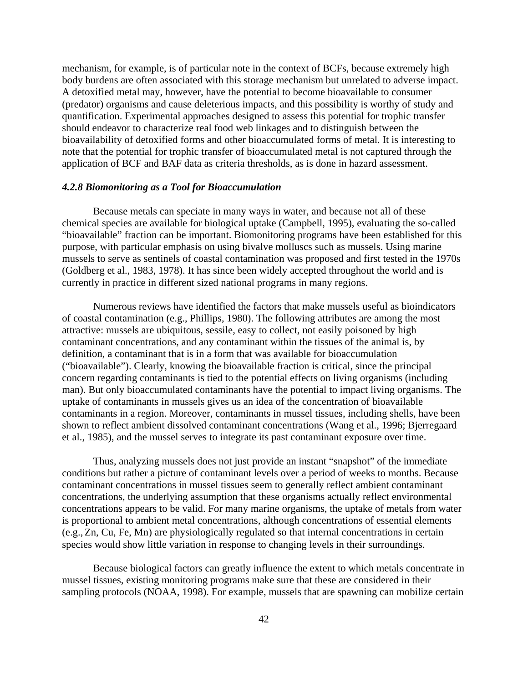mechanism, for example, is of particular note in the context of BCFs, because extremely high body burdens are often associated with this storage mechanism but unrelated to adverse impact. A detoxified metal may, however, have the potential to become bioavailable to consumer (predator) organisms and cause deleterious impacts, and this possibility is worthy of study and quantification. Experimental approaches designed to assess this potential for trophic transfer should endeavor to characterize real food web linkages and to distinguish between the bioavailability of detoxified forms and other bioaccumulated forms of metal. It is interesting to note that the potential for trophic transfer of bioaccumulated metal is not captured through the application of BCF and BAF data as criteria thresholds, as is done in hazard assessment.

## *4.2.8 Biomonitoring as a Tool for Bioaccumulation*

Because metals can speciate in many ways in water, and because not all of these chemical species are available for biological uptake (Campbell, 1995), evaluating the so-called "bioavailable" fraction can be important. Biomonitoring programs have been established for this purpose, with particular emphasis on using bivalve molluscs such as mussels. Using marine mussels to serve as sentinels of coastal contamination was proposed and first tested in the 1970s (Goldberg et al., 1983, 1978). It has since been widely accepted throughout the world and is currently in practice in different sized national programs in many regions.

Numerous reviews have identified the factors that make mussels useful as bioindicators of coastal contamination (e.g., Phillips, 1980). The following attributes are among the most attractive: mussels are ubiquitous, sessile, easy to collect, not easily poisoned by high contaminant concentrations, and any contaminant within the tissues of the animal is, by definition, a contaminant that is in a form that was available for bioaccumulation ("bioavailable"). Clearly, knowing the bioavailable fraction is critical, since the principal concern regarding contaminants is tied to the potential effects on living organisms (including man). But only bioaccumulated contaminants have the potential to impact living organisms. The uptake of contaminants in mussels gives us an idea of the concentration of bioavailable contaminants in a region. Moreover, contaminants in mussel tissues, including shells, have been shown to reflect ambient dissolved contaminant concentrations (Wang et al., 1996; Bjerregaard et al., 1985), and the mussel serves to integrate its past contaminant exposure over time.

Thus, analyzing mussels does not just provide an instant "snapshot" of the immediate conditions but rather a picture of contaminant levels over a period of weeks to months. Because contaminant concentrations in mussel tissues seem to generally reflect ambient contaminant concentrations, the underlying assumption that these organisms actually reflect environmental concentrations appears to be valid. For many marine organisms, the uptake of metals from water is proportional to ambient metal concentrations, although concentrations of essential elements (e.g., Zn, Cu, Fe, Mn) are physiologically regulated so that internal concentrations in certain species would show little variation in response to changing levels in their surroundings.

Because biological factors can greatly influence the extent to which metals concentrate in mussel tissues, existing monitoring programs make sure that these are considered in their sampling protocols (NOAA, 1998). For example, mussels that are spawning can mobilize certain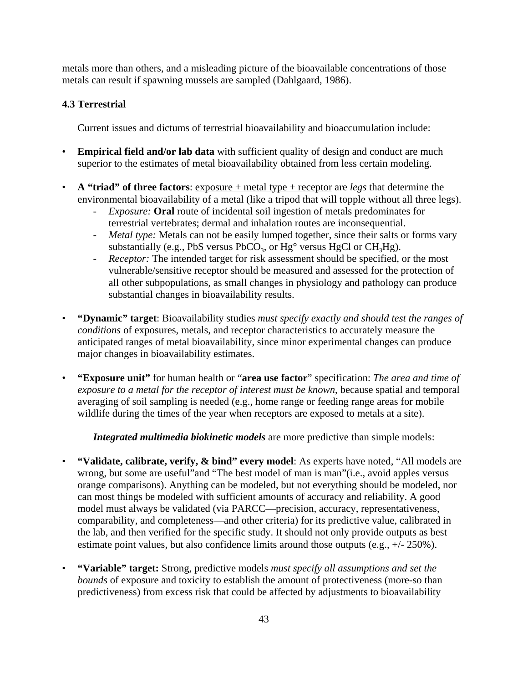metals more than others, and a misleading picture of the bioavailable concentrations of those metals can result if spawning mussels are sampled (Dahlgaard, 1986).

# **4.3 Terrestrial**

Current issues and dictums of terrestrial bioavailability and bioaccumulation include:

- **Empirical field and/or lab data** with sufficient quality of design and conduct are much superior to the estimates of metal bioavailability obtained from less certain modeling.
- **A "triad" of three factors**: exposure + metal type + receptor are *legs* that determine the environmental bioavailability of a metal (like a tripod that will topple without all three legs).
	- *Exposure:* **Oral** route of incidental soil ingestion of metals predominates for terrestrial vertebrates; dermal and inhalation routes are inconsequential.
	- *Metal type:* Metals can not be easily lumped together, since their salts or forms vary substantially (e.g., PbS versus PbCO<sub>3</sub>, or  $Hg^{\circ}$  versus HgCl or CH<sub>3</sub>Hg).
	- *Receptor:* The intended target for risk assessment should be specified, or the most vulnerable/sensitive receptor should be measured and assessed for the protection of all other subpopulations, as small changes in physiology and pathology can produce substantial changes in bioavailability results.
- **"Dynamic" target**: Bioavailability studies *must specify exactly and should test the ranges of conditions* of exposures, metals, and receptor characteristics to accurately measure the anticipated ranges of metal bioavailability, since minor experimental changes can produce major changes in bioavailability estimates.
- **"Exposure unit"** for human health or "**area use factor**" specification: *The area and time of exposure to a metal for the receptor of interest must be known*, because spatial and temporal averaging of soil sampling is needed (e.g., home range or feeding range areas for mobile wildlife during the times of the year when receptors are exposed to metals at a site).

*Integrated multimedia biokinetic models* are more predictive than simple models:

- **"Validate, calibrate, verify, & bind" every model**: As experts have noted, "All models are wrong, but some are useful"and "The best model of man is man"(i.e., avoid apples versus orange comparisons). Anything can be modeled, but not everything should be modeled, nor can most things be modeled with sufficient amounts of accuracy and reliability. A good model must always be validated (via PARCC—precision, accuracy, representativeness, comparability, and completeness—and other criteria) for its predictive value, calibrated in the lab, and then verified for the specific study. It should not only provide outputs as best estimate point values, but also confidence limits around those outputs (e.g.,  $+/- 250\%$ ).
- **"Variable" target:** Strong, predictive models *must specify all assumptions and set the bounds* of exposure and toxicity to establish the amount of protectiveness (more-so than predictiveness) from excess risk that could be affected by adjustments to bioavailability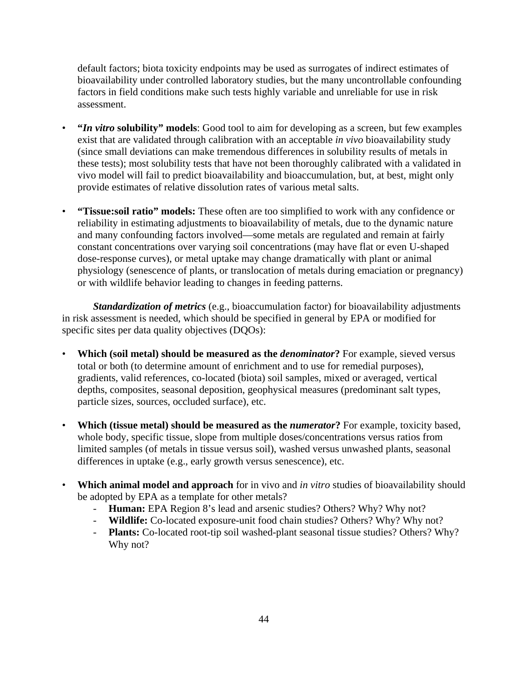default factors; biota toxicity endpoints may be used as surrogates of indirect estimates of bioavailability under controlled laboratory studies, but the many uncontrollable confounding factors in field conditions make such tests highly variable and unreliable for use in risk assessment.

- **"***In vitro* **solubility" models**: Good tool to aim for developing as a screen, but few examples exist that are validated through calibration with an acceptable *in vivo* bioavailability study (since small deviations can make tremendous differences in solubility results of metals in these tests); most solubility tests that have not been thoroughly calibrated with a validated in vivo model will fail to predict bioavailability and bioaccumulation, but, at best, might only provide estimates of relative dissolution rates of various metal salts.
- **"Tissue:soil ratio" models:** These often are too simplified to work with any confidence or reliability in estimating adjustments to bioavailability of metals, due to the dynamic nature and many confounding factors involved—some metals are regulated and remain at fairly constant concentrations over varying soil concentrations (may have flat or even U-shaped dose-response curves), or metal uptake may change dramatically with plant or animal physiology (senescence of plants, or translocation of metals during emaciation or pregnancy) or with wildlife behavior leading to changes in feeding patterns.

*Standardization of metrics* (e.g., bioaccumulation factor) for bioavailability adjustments in risk assessment is needed, which should be specified in general by EPA or modified for specific sites per data quality objectives (DQOs):

- **Which (soil metal) should be measured as the** *denominator***?** For example, sieved versus total or both (to determine amount of enrichment and to use for remedial purposes), gradients, valid references, co-located (biota) soil samples, mixed or averaged, vertical depths, composites, seasonal deposition, geophysical measures (predominant salt types, particle sizes, sources, occluded surface), etc.
- **Which (tissue metal) should be measured as the** *numerator***?** For example, toxicity based, whole body, specific tissue, slope from multiple doses/concentrations versus ratios from limited samples (of metals in tissue versus soil), washed versus unwashed plants, seasonal differences in uptake (e.g., early growth versus senescence), etc.
- **Which animal model and approach** for in vivo and *in vitro* studies of bioavailability should be adopted by EPA as a template for other metals?
	- **Human:** EPA Region 8's lead and arsenic studies? Others? Why? Why not?
	- **Wildlife:** Co-located exposure-unit food chain studies? Others? Why? Why not?
	- **Plants:** Co-located root-tip soil washed-plant seasonal tissue studies? Others? Why? Why not?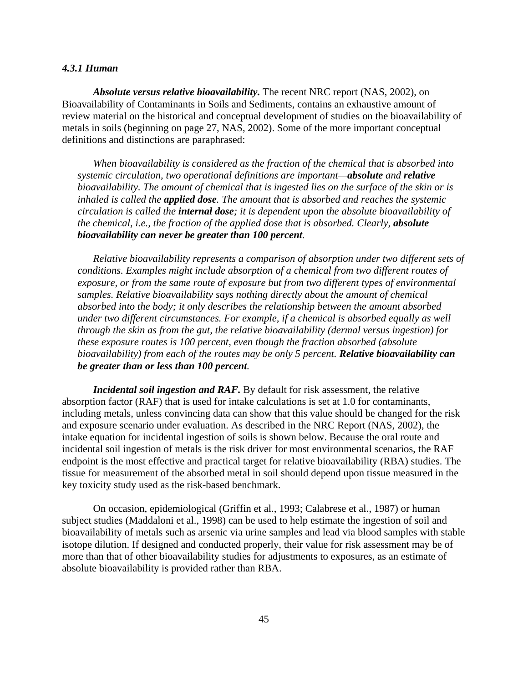## *4.3.1 Human*

*Absolute versus relative bioavailability.* The recent NRC report (NAS, 2002), on Bioavailability of Contaminants in Soils and Sediments, contains an exhaustive amount of review material on the historical and conceptual development of studies on the bioavailability of metals in soils (beginning on page 27, NAS, 2002). Some of the more important conceptual definitions and distinctions are paraphrased:

*When bioavailability is considered as the fraction of the chemical that is absorbed into systemic circulation, two operational definitions are important—absolute and relative bioavailability. The amount of chemical that is ingested lies on the surface of the skin or is inhaled is called the applied dose. The amount that is absorbed and reaches the systemic circulation is called the internal dose; it is dependent upon the absolute bioavailability of the chemical, i.e., the fraction of the applied dose that is absorbed. Clearly, absolute bioavailability can never be greater than 100 percent.* 

*Relative bioavailability represents a comparison of absorption under two different sets of conditions. Examples might include absorption of a chemical from two different routes of exposure, or from the same route of exposure but from two different types of environmental samples. Relative bioavailability says nothing directly about the amount of chemical absorbed into the body; it only describes the relationship between the amount absorbed under two different circumstances. For example, if a chemical is absorbed equally as well through the skin as from the gut, the relative bioavailability (dermal versus ingestion) for these exposure routes is 100 percent, even though the fraction absorbed (absolute bioavailability) from each of the routes may be only 5 percent. Relative bioavailability can be greater than or less than 100 percent.* 

*Incidental soil ingestion and RAF.* By default for risk assessment, the relative absorption factor (RAF) that is used for intake calculations is set at 1.0 for contaminants, including metals, unless convincing data can show that this value should be changed for the risk and exposure scenario under evaluation. As described in the NRC Report (NAS, 2002), the intake equation for incidental ingestion of soils is shown below. Because the oral route and incidental soil ingestion of metals is the risk driver for most environmental scenarios, the RAF endpoint is the most effective and practical target for relative bioavailability (RBA) studies. The tissue for measurement of the absorbed metal in soil should depend upon tissue measured in the key toxicity study used as the risk-based benchmark.

On occasion, epidemiological (Griffin et al., 1993; Calabrese et al., 1987) or human subject studies (Maddaloni et al., 1998) can be used to help estimate the ingestion of soil and bioavailability of metals such as arsenic via urine samples and lead via blood samples with stable isotope dilution. If designed and conducted properly, their value for risk assessment may be of more than that of other bioavailability studies for adjustments to exposures, as an estimate of absolute bioavailability is provided rather than RBA.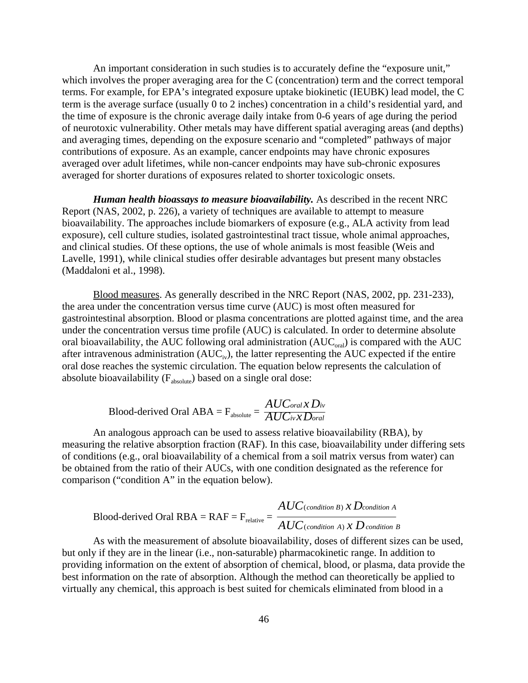An important consideration in such studies is to accurately define the "exposure unit," which involves the proper averaging area for the C (concentration) term and the correct temporal terms. For example, for EPA's integrated exposure uptake biokinetic (IEUBK) lead model, the C term is the average surface (usually 0 to 2 inches) concentration in a child's residential yard, and the time of exposure is the chronic average daily intake from 0-6 years of age during the period of neurotoxic vulnerability. Other metals may have different spatial averaging areas (and depths) and averaging times, depending on the exposure scenario and "completed" pathways of major contributions of exposure. As an example, cancer endpoints may have chronic exposures averaged over adult lifetimes, while non-cancer endpoints may have sub-chronic exposures averaged for shorter durations of exposures related to shorter toxicologic onsets.

*Human health bioassays to measure bioavailability.* As described in the recent NRC Report (NAS, 2002, p. 226), a variety of techniques are available to attempt to measure bioavailability. The approaches include biomarkers of exposure (e.g., ALA activity from lead exposure), cell culture studies, isolated gastrointestinal tract tissue, whole animal approaches, and clinical studies. Of these options, the use of whole animals is most feasible (Weis and Lavelle, 1991), while clinical studies offer desirable advantages but present many obstacles (Maddaloni et al., 1998).

Blood measures. As generally described in the NRC Report (NAS, 2002, pp. 231-233), the area under the concentration versus time curve (AUC) is most often measured for gastrointestinal absorption. Blood or plasma concentrations are plotted against time, and the area under the concentration versus time profile (AUC) is calculated. In order to determine absolute oral bioavailability, the AUC following oral administration  $(AUC_{\text{oral}})$  is compared with the AUC after intravenous administration  $(AUC_{iv})$ , the latter representing the AUC expected if the entire oral dose reaches the systemic circulation. The equation below represents the calculation of absolute bioavailability (F<sub>absolute</sub>) based on a single oral dose:

$$
Blood-derived Oral ABA = F_{absolute} = \frac{AUC_{oral} \times D_{iv}}{AUC_{iv} \times D_{oral}}
$$

An analogous approach can be used to assess relative bioavailability (RBA), by measuring the relative absorption fraction (RAF). In this case, bioavailability under differing sets of conditions (e.g., oral bioavailability of a chemical from a soil matrix versus from water) can be obtained from the ratio of their AUCs, with one condition designated as the reference for comparison ("condition A" in the equation below).

Blood-derived Oral RBA = RAF = F<sub>relative</sub> = 
$$
\frac{AUC_{(condition B)} \times D_{condition A}}{AUC_{(condition A)} \times D_{condition B}}
$$

As with the measurement of absolute bioavailability, doses of different sizes can be used, but only if they are in the linear (i.e., non-saturable) pharmacokinetic range. In addition to providing information on the extent of absorption of chemical, blood, or plasma, data provide the best information on the rate of absorption. Although the method can theoretically be applied to virtually any chemical, this approach is best suited for chemicals eliminated from blood in a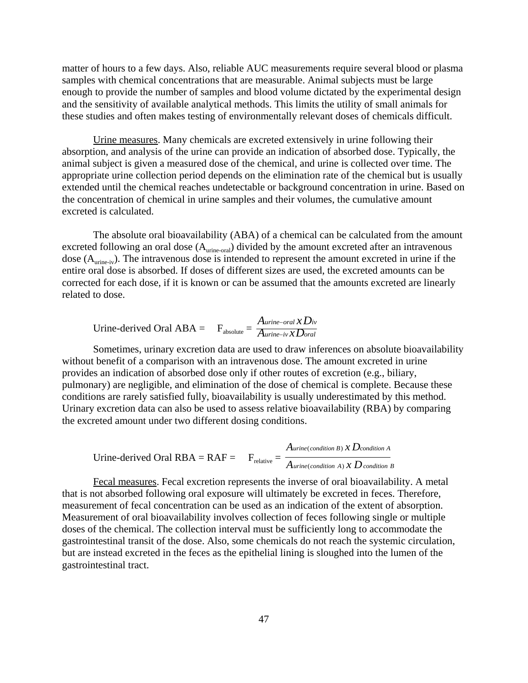matter of hours to a few days. Also, reliable AUC measurements require several blood or plasma samples with chemical concentrations that are measurable. Animal subjects must be large enough to provide the number of samples and blood volume dictated by the experimental design and the sensitivity of available analytical methods. This limits the utility of small animals for these studies and often makes testing of environmentally relevant doses of chemicals difficult.

Urine measures. Many chemicals are excreted extensively in urine following their absorption, and analysis of the urine can provide an indication of absorbed dose. Typically, the animal subject is given a measured dose of the chemical, and urine is collected over time. The appropriate urine collection period depends on the elimination rate of the chemical but is usually extended until the chemical reaches undetectable or background concentration in urine. Based on the concentration of chemical in urine samples and their volumes, the cumulative amount excreted is calculated.

dose  $(A_{\text{urine-iv}})$ . The intravenous dose is intended to represent the amount excreted in urine if the The absolute oral bioavailability (ABA) of a chemical can be calculated from the amount excreted following an oral dose  $(A<sub>urine-oral</sub>)$  divided by the amount excreted after an intravenous entire oral dose is absorbed. If doses of different sizes are used, the excreted amounts can be corrected for each dose, if it is known or can be assumed that the amounts excreted are linearly related to dose.

$$
Urine-derived Oral ABA = Fabsolute = \frac{A_{urine-oral} \times D_{iv}}{A_{urine-iv} \times D_{oral}}
$$

Sometimes, urinary excretion data are used to draw inferences on absolute bioavailability without benefit of a comparison with an intravenous dose. The amount excreted in urine provides an indication of absorbed dose only if other routes of excretion (e.g., biliary, pulmonary) are negligible, and elimination of the dose of chemical is complete. Because these conditions are rarely satisfied fully, bioavailability is usually underestimated by this method. Urinary excretion data can also be used to assess relative bioavailability (RBA) by comparing the excreted amount under two different dosing conditions.

Urine-derived Oral RBA = RAF =

\n
$$
F_{relative} = \frac{A_{urine(condition B) \, X \, D_{condition A}}}{A_{urine(condition A) \, X \, D \, condition B}}
$$

Fecal measures. Fecal excretion represents the inverse of oral bioavailability. A metal that is not absorbed following oral exposure will ultimately be excreted in feces. Therefore, measurement of fecal concentration can be used as an indication of the extent of absorption. Measurement of oral bioavailability involves collection of feces following single or multiple doses of the chemical. The collection interval must be sufficiently long to accommodate the gastrointestinal transit of the dose. Also, some chemicals do not reach the systemic circulation, but are instead excreted in the feces as the epithelial lining is sloughed into the lumen of the gastrointestinal tract.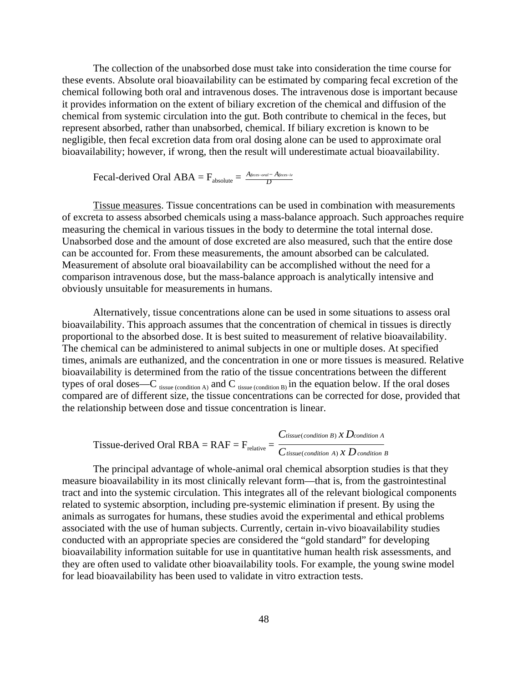The collection of the unabsorbed dose must take into consideration the time course for these events. Absolute oral bioavailability can be estimated by comparing fecal excretion of the chemical following both oral and intravenous doses. The intravenous dose is important because it provides information on the extent of biliary excretion of the chemical and diffusion of the chemical from systemic circulation into the gut. Both contribute to chemical in the feces, but represent absorbed, rather than unabsorbed, chemical. If biliary excretion is known to be negligible, then fecal excretion data from oral dosing alone can be used to approximate oral bioavailability; however, if wrong, then the result will underestimate actual bioavailability.

$$
Fecal-derived Oral ABA = F_{absolute} = \frac{A_{feces - in}}{D}
$$

Tissue measures. Tissue concentrations can be used in combination with measurements of excreta to assess absorbed chemicals using a mass-balance approach. Such approaches require measuring the chemical in various tissues in the body to determine the total internal dose. Unabsorbed dose and the amount of dose excreted are also measured, such that the entire dose can be accounted for. From these measurements, the amount absorbed can be calculated. Measurement of absolute oral bioavailability can be accomplished without the need for a comparison intravenous dose, but the mass-balance approach is analytically intensive and obviously unsuitable for measurements in humans.

Alternatively, tissue concentrations alone can be used in some situations to assess oral bioavailability. This approach assumes that the concentration of chemical in tissues is directly proportional to the absorbed dose. It is best suited to measurement of relative bioavailability. The chemical can be administered to animal subjects in one or multiple doses. At specified times, animals are euthanized, and the concentration in one or more tissues is measured. Relative bioavailability is determined from the ratio of the tissue concentrations between the different types of oral doses—C  $_{\text{tissue (condition A)}}$  and C  $_{\text{tissue (condition B)}}$  in the equation below. If the oral doses compared are of different size, the tissue concentrations can be corrected for dose, provided that the relationship between dose and tissue concentration is linear.

Tissue-derived Oral RBA = RAF = 
$$
F_{relative} = \frac{C_{tissue(condition B) X Dcondition A}}{C_{tissue(condition A) X D condition B}}
$$

The principal advantage of whole-animal oral chemical absorption studies is that they measure bioavailability in its most clinically relevant form—that is, from the gastrointestinal tract and into the systemic circulation. This integrates all of the relevant biological components related to systemic absorption, including pre-systemic elimination if present. By using the animals as surrogates for humans, these studies avoid the experimental and ethical problems associated with the use of human subjects. Currently, certain in-vivo bioavailability studies conducted with an appropriate species are considered the "gold standard" for developing bioavailability information suitable for use in quantitative human health risk assessments, and they are often used to validate other bioavailability tools. For example, the young swine model for lead bioavailability has been used to validate in vitro extraction tests.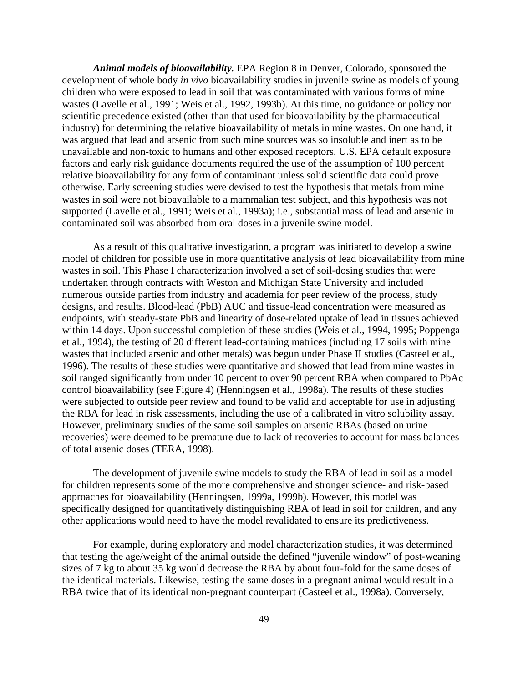*Animal models of bioavailability.* EPA Region 8 in Denver, Colorado, sponsored the development of whole body *in vivo* bioavailability studies in juvenile swine as models of young children who were exposed to lead in soil that was contaminated with various forms of mine wastes (Lavelle et al., 1991; Weis et al., 1992, 1993b). At this time, no guidance or policy nor scientific precedence existed (other than that used for bioavailability by the pharmaceutical industry) for determining the relative bioavailability of metals in mine wastes. On one hand, it was argued that lead and arsenic from such mine sources was so insoluble and inert as to be unavailable and non-toxic to humans and other exposed receptors. U.S. EPA default exposure factors and early risk guidance documents required the use of the assumption of 100 percent relative bioavailability for any form of contaminant unless solid scientific data could prove otherwise. Early screening studies were devised to test the hypothesis that metals from mine wastes in soil were not bioavailable to a mammalian test subject, and this hypothesis was not supported (Lavelle et al., 1991; Weis et al., 1993a); i.e., substantial mass of lead and arsenic in contaminated soil was absorbed from oral doses in a juvenile swine model.

As a result of this qualitative investigation, a program was initiated to develop a swine model of children for possible use in more quantitative analysis of lead bioavailability from mine wastes in soil. This Phase I characterization involved a set of soil-dosing studies that were undertaken through contracts with Weston and Michigan State University and included numerous outside parties from industry and academia for peer review of the process, study designs, and results. Blood-lead (PbB) AUC and tissue-lead concentration were measured as endpoints, with steady-state PbB and linearity of dose-related uptake of lead in tissues achieved within 14 days. Upon successful completion of these studies (Weis et al., 1994, 1995; Poppenga et al., 1994), the testing of 20 different lead-containing matrices (including 17 soils with mine wastes that included arsenic and other metals) was begun under Phase II studies (Casteel et al., 1996). The results of these studies were quantitative and showed that lead from mine wastes in soil ranged significantly from under 10 percent to over 90 percent RBA when compared to PbAc control bioavailability (see Figure 4) (Henningsen et al., 1998a). The results of these studies were subjected to outside peer review and found to be valid and acceptable for use in adjusting the RBA for lead in risk assessments, including the use of a calibrated in vitro solubility assay. However, preliminary studies of the same soil samples on arsenic RBAs (based on urine recoveries) were deemed to be premature due to lack of recoveries to account for mass balances of total arsenic doses (TERA, 1998).

The development of juvenile swine models to study the RBA of lead in soil as a model for children represents some of the more comprehensive and stronger science- and risk-based approaches for bioavailability (Henningsen, 1999a, 1999b). However, this model was specifically designed for quantitatively distinguishing RBA of lead in soil for children, and any other applications would need to have the model revalidated to ensure its predictiveness.

For example, during exploratory and model characterization studies, it was determined that testing the age/weight of the animal outside the defined "juvenile window" of post-weaning sizes of 7 kg to about 35 kg would decrease the RBA by about four-fold for the same doses of the identical materials. Likewise, testing the same doses in a pregnant animal would result in a RBA twice that of its identical non-pregnant counterpart (Casteel et al., 1998a). Conversely,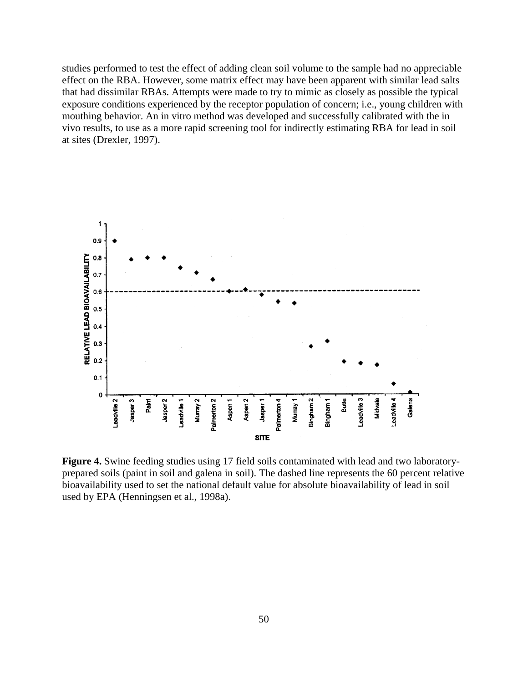studies performed to test the effect of adding clean soil volume to the sample had no appreciable effect on the RBA. However, some matrix effect may have been apparent with similar lead salts that had dissimilar RBAs. Attempts were made to try to mimic as closely as possible the typical exposure conditions experienced by the receptor population of concern; i.e., young children with mouthing behavior. An in vitro method was developed and successfully calibrated with the in vivo results, to use as a more rapid screening tool for indirectly estimating RBA for lead in soil at sites (Drexler, 1997).



**Figure 4.** Swine feeding studies using 17 field soils contaminated with lead and two laboratoryprepared soils (paint in soil and galena in soil). The dashed line represents the 60 percent relative bioavailability used to set the national default value for absolute bioavailability of lead in soil used by EPA (Henningsen et al., 1998a).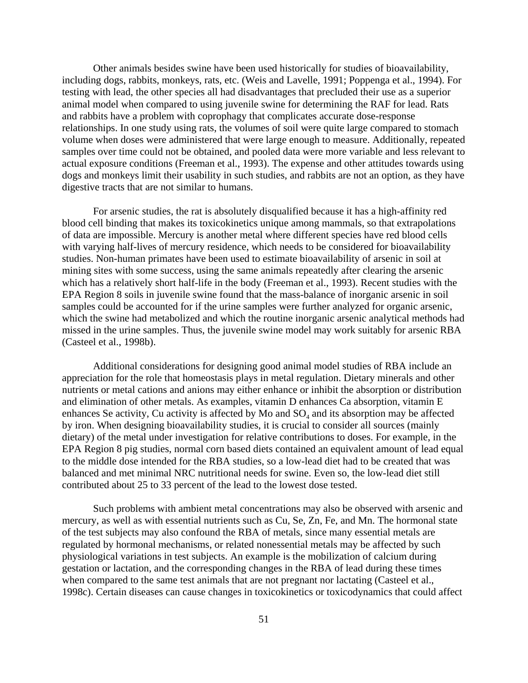Other animals besides swine have been used historically for studies of bioavailability, including dogs, rabbits, monkeys, rats, etc. (Weis and Lavelle, 1991; Poppenga et al., 1994). For testing with lead, the other species all had disadvantages that precluded their use as a superior animal model when compared to using juvenile swine for determining the RAF for lead. Rats and rabbits have a problem with coprophagy that complicates accurate dose-response relationships. In one study using rats, the volumes of soil were quite large compared to stomach volume when doses were administered that were large enough to measure. Additionally, repeated samples over time could not be obtained, and pooled data were more variable and less relevant to actual exposure conditions (Freeman et al., 1993). The expense and other attitudes towards using dogs and monkeys limit their usability in such studies, and rabbits are not an option, as they have digestive tracts that are not similar to humans.

For arsenic studies, the rat is absolutely disqualified because it has a high-affinity red blood cell binding that makes its toxicokinetics unique among mammals, so that extrapolations of data are impossible. Mercury is another metal where different species have red blood cells with varying half-lives of mercury residence, which needs to be considered for bioavailability studies. Non-human primates have been used to estimate bioavailability of arsenic in soil at mining sites with some success, using the same animals repeatedly after clearing the arsenic which has a relatively short half-life in the body (Freeman et al., 1993). Recent studies with the EPA Region 8 soils in juvenile swine found that the mass-balance of inorganic arsenic in soil samples could be accounted for if the urine samples were further analyzed for organic arsenic, which the swine had metabolized and which the routine inorganic arsenic analytical methods had missed in the urine samples. Thus, the juvenile swine model may work suitably for arsenic RBA (Casteel et al., 1998b).

Additional considerations for designing good animal model studies of RBA include an appreciation for the role that homeostasis plays in metal regulation. Dietary minerals and other nutrients or metal cations and anions may either enhance or inhibit the absorption or distribution and elimination of other metals. As examples, vitamin D enhances Ca absorption, vitamin E enhances Se activity, Cu activity is affected by Mo and  $SO<sub>4</sub>$  and its absorption may be affected by iron. When designing bioavailability studies, it is crucial to consider all sources (mainly dietary) of the metal under investigation for relative contributions to doses. For example, in the EPA Region 8 pig studies, normal corn based diets contained an equivalent amount of lead equal to the middle dose intended for the RBA studies, so a low-lead diet had to be created that was balanced and met minimal NRC nutritional needs for swine. Even so, the low-lead diet still contributed about 25 to 33 percent of the lead to the lowest dose tested.

Such problems with ambient metal concentrations may also be observed with arsenic and mercury, as well as with essential nutrients such as Cu, Se, Zn, Fe, and Mn. The hormonal state of the test subjects may also confound the RBA of metals, since many essential metals are regulated by hormonal mechanisms, or related nonessential metals may be affected by such physiological variations in test subjects. An example is the mobilization of calcium during gestation or lactation, and the corresponding changes in the RBA of lead during these times when compared to the same test animals that are not pregnant nor lactating (Casteel et al., 1998c). Certain diseases can cause changes in toxicokinetics or toxicodynamics that could affect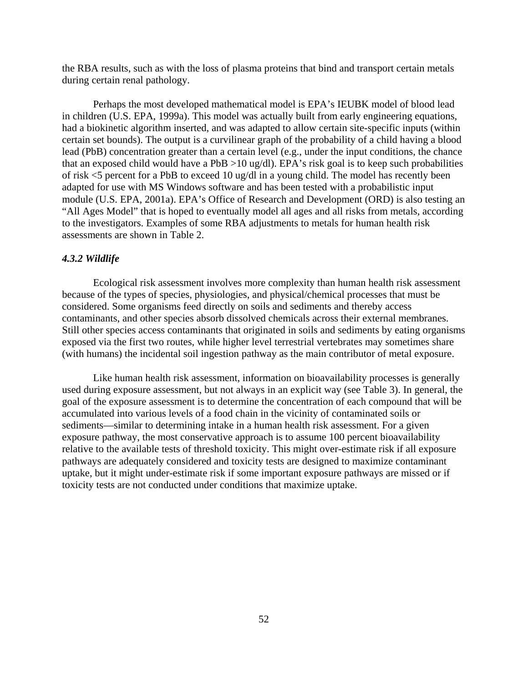the RBA results, such as with the loss of plasma proteins that bind and transport certain metals during certain renal pathology.

Perhaps the most developed mathematical model is EPA's IEUBK model of blood lead in children (U.S. EPA, 1999a). This model was actually built from early engineering equations, had a biokinetic algorithm inserted, and was adapted to allow certain site-specific inputs (within certain set bounds). The output is a curvilinear graph of the probability of a child having a blood lead (PbB) concentration greater than a certain level (e.g., under the input conditions, the chance that an exposed child would have a PbB >10 ug/dl). EPA's risk goal is to keep such probabilities of risk <5 percent for a PbB to exceed 10 ug/dl in a young child. The model has recently been adapted for use with MS Windows software and has been tested with a probabilistic input module (U.S. EPA, 2001a). EPA's Office of Research and Development (ORD) is also testing an "All Ages Model" that is hoped to eventually model all ages and all risks from metals, according to the investigators. Examples of some RBA adjustments to metals for human health risk assessments are shown in Table 2.

## *4.3.2 Wildlife*

Ecological risk assessment involves more complexity than human health risk assessment because of the types of species, physiologies, and physical/chemical processes that must be considered. Some organisms feed directly on soils and sediments and thereby access contaminants, and other species absorb dissolved chemicals across their external membranes. Still other species access contaminants that originated in soils and sediments by eating organisms exposed via the first two routes, while higher level terrestrial vertebrates may sometimes share (with humans) the incidental soil ingestion pathway as the main contributor of metal exposure.

Like human health risk assessment, information on bioavailability processes is generally used during exposure assessment, but not always in an explicit way (see Table 3). In general, the goal of the exposure assessment is to determine the concentration of each compound that will be accumulated into various levels of a food chain in the vicinity of contaminated soils or sediments—similar to determining intake in a human health risk assessment. For a given exposure pathway, the most conservative approach is to assume 100 percent bioavailability relative to the available tests of threshold toxicity. This might over-estimate risk if all exposure pathways are adequately considered and toxicity tests are designed to maximize contaminant uptake, but it might under-estimate risk if some important exposure pathways are missed or if toxicity tests are not conducted under conditions that maximize uptake.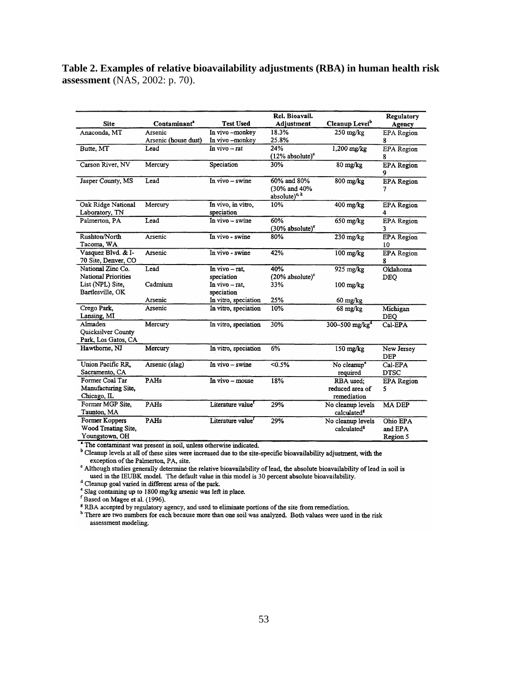**Table 2. Examples of relative bioavailability adjustments (RBA) in human health risk assessment** (NAS, 2002: p. 70).

|                            |                          |                               | Rel. Bioavail.              |                                  | Regulatory        |
|----------------------------|--------------------------|-------------------------------|-----------------------------|----------------------------------|-------------------|
| <b>Site</b>                | Contaminant <sup>a</sup> | <b>Test Used</b>              | Adjustment                  | Cleanup Level <sup>b</sup>       | Agency            |
| Anaconda, MT               | Arsenic                  | In vivo -monkey               | 18.3%                       | $250$ mg/kg                      | <b>EPA</b> Region |
|                            | Arsenic (house dust)     | In vivo -monkey               | 25.8%                       |                                  | 8                 |
| Butte, MT                  | Lead                     | In $vivo - rat$               | 24%                         | 1,200 mg/kg                      | <b>EPA</b> Region |
|                            |                          |                               | $(12\%$ absolute) $\degree$ |                                  | 8                 |
| Carson River, NV           | Mercury                  | Speciation                    | 30%                         | $80$ mg/ $kg$                    | <b>EPA</b> Region |
|                            |                          |                               |                             |                                  | 9                 |
| Jasper County, MS          | Lead                     | In vivo - swine               | 60% and 80%                 | $800$ mg/ $\overline{\text{kg}}$ | <b>EPA</b> Region |
|                            |                          |                               | (30% and 40%                |                                  | 7                 |
|                            |                          |                               | absolute) <sup>c, h</sup>   |                                  |                   |
| Oak Ridge National         | Mercury                  | In vivo, in vitro,            | 10%                         | $400$ mg/kg                      | <b>EPA</b> Region |
| Laboratory, TN             |                          | speciation                    |                             |                                  | 4                 |
| Palmerton, PA              | Lead                     | In vivo - swine               | 60%                         | 650 mg/kg                        | <b>EPA</b> Region |
|                            |                          |                               | $(30\%$ absolute) $\degree$ |                                  | 3                 |
| Rushton/North              | Arsenic                  | In vivo - swine               | 80%                         | $230$ mg/kg                      | <b>EPA</b> Region |
| Tacoma, WA                 |                          |                               |                             |                                  | 10                |
| Vasquez Blvd. & I-         | Arsenic                  | In vivo - swine               | 42%                         | $100$ mg/ $kg$                   | <b>EPA</b> Region |
| 70 Site, Denver, CO        |                          |                               |                             |                                  | 8                 |
| National Zinc Co.          | Lead                     | In vivo - rat.                | 40%                         | 925 mg/kg                        | Oklahoma          |
| <b>National Priorities</b> |                          | speciation                    | $(20\%$ absolute) $\degree$ |                                  | <b>DEQ</b>        |
| List (NPL) Site.           | Cadmium                  | In vivo - rat.                | 33%                         | $100$ mg/ $kg$                   |                   |
| Bartlesville, OK           |                          | speciation                    |                             |                                  |                   |
|                            | Arsenic                  | In vitro, speciation          | 25%                         | $60 \text{ mg/kg}$               |                   |
| Crego Park,                | Arsenic                  | In vitro, speciation          | 10%                         | $68 \text{ mg/kg}$               | Michigan          |
| Lansing, MI                |                          |                               |                             |                                  | <b>DEQ</b>        |
| Almaden                    | Mercury                  | In vitro, speciation          | 30%                         | $300 - 500$ mg/kg <sup>d</sup>   | Cal-EPA           |
| Quicksilver County         |                          |                               |                             |                                  |                   |
| Park, Los Gatos, CA        |                          |                               |                             |                                  |                   |
| Hawthorne, NJ              | Mercury                  | In vitro, speciation          | 6%                          | 150 mg/kg                        | New Jersey        |
|                            |                          |                               |                             |                                  | <b>DEP</b>        |
| Union Pacific RR,          | Arsenic (slag)           | In vivo - swine               | $< 0.5\%$                   | No cleanup <sup>e</sup>          | Cal-EPA           |
| Sacramento, CA             |                          |                               |                             | required                         | <b>DTSC</b>       |
| Former Coal Tar            | PAHs                     | In vivo – mouse               | 18%                         | RBA used:                        | <b>EPA</b> Region |
| Manufacturing Site,        |                          |                               |                             | reduced area of                  | 5                 |
| Chicago, IL                |                          |                               |                             | remediation                      |                   |
| Former MGP Site.           | PAHs                     | Literature value <sup>f</sup> | 29%                         | No cleanup levels                | <b>MA DEP</b>     |
| Taunton, MA                |                          |                               |                             | calculated <sup>8</sup>          |                   |
| Former Koppers             | PAHs                     | Literature value <sup>f</sup> | 29%                         | No cleanup levels                | Ohio EPA          |
| Wood Treating Site,        |                          |                               |                             | calculated <sup>8</sup>          | and EPA           |
| Youngstown, OH             |                          |                               |                             |                                  | Region 5          |

<sup>4</sup> The contaminant was present in soil, unless otherwise indicated.

<sup>b</sup> Cleanup levels at all of these sites were increased due to the site-specific bioavailability adjustment, with the exception of the Palmerton, PA, site.

<sup>c</sup> Although studies generally determine the relative bioavailability of lead, the absolute bioavailability of lead in soil is used in the IEUBK model. The default value in this model is 30 percent absolute bioavailability.

<sup>d</sup> Cleanup goal varied in different areas of the park. Slag containing up to 1800 mg/kg arsenic was left in place.

<sup>f</sup> Based on Magee et al. (1996).

<sup>8</sup> RBA accepted by regulatory agency, and used to eliminate portions of the site from remediation.

<sup>h</sup> There are two numbers for each because more than one soil was analyzed. Both values were used in the risk assessment modeling.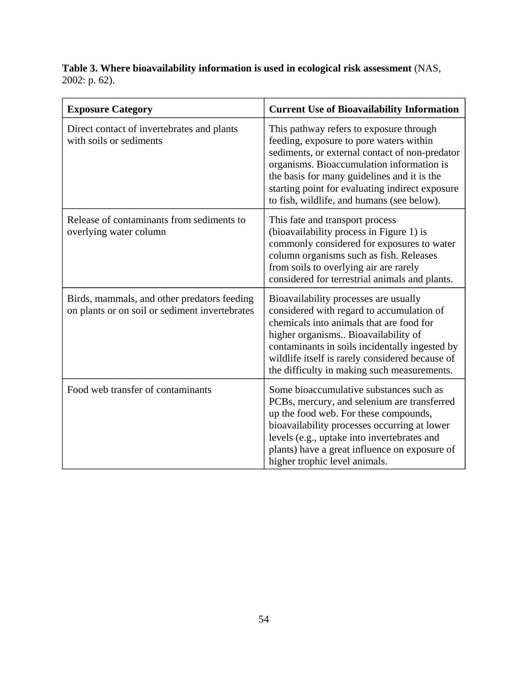**Table 3. Where bioavailability information is used in ecological risk assessment** (NAS, 2002: p. 62).

| <b>Exposure Category</b>                                                                      | <b>Current Use of Bioavailability Information</b>                                                                                                                                                                                                                                                                                 |  |  |  |
|-----------------------------------------------------------------------------------------------|-----------------------------------------------------------------------------------------------------------------------------------------------------------------------------------------------------------------------------------------------------------------------------------------------------------------------------------|--|--|--|
| Direct contact of invertebrates and plants<br>with soils or sediments                         | This pathway refers to exposure through<br>feeding, exposure to pore waters within<br>sediments, or external contact of non-predator<br>organisms. Bioaccumulation information is<br>the basis for many guidelines and it is the<br>starting point for evaluating indirect exposure<br>to fish, wildlife, and humans (see below). |  |  |  |
| Release of contaminants from sediments to<br>overlying water column                           | This fate and transport process<br>(bioavailability process in Figure 1) is<br>commonly considered for exposures to water<br>column organisms such as fish. Releases<br>from soils to overlying air are rarely<br>considered for terrestrial animals and plants.                                                                  |  |  |  |
| Birds, mammals, and other predators feeding<br>on plants or on soil or sediment invertebrates | Bioavailability processes are usually<br>considered with regard to accumulation of<br>chemicals into animals that are food for<br>higher organisms Bioavailability of<br>contaminants in soils incidentally ingested by<br>wildlife itself is rarely considered because of<br>the difficulty in making such measurements.         |  |  |  |
| Food web transfer of contaminants                                                             | Some bioaccumulative substances such as<br>PCBs, mercury, and selenium are transferred<br>up the food web. For these compounds,<br>bioavailability processes occurring at lower<br>levels (e.g., uptake into invertebrates and<br>plants) have a great influence on exposure of<br>higher trophic level animals.                  |  |  |  |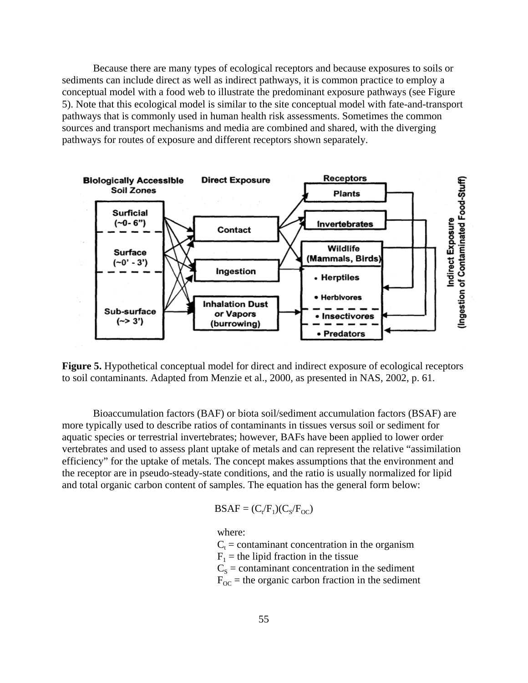Because there are many types of ecological receptors and because exposures to soils or sediments can include direct as well as indirect pathways, it is common practice to employ a conceptual model with a food web to illustrate the predominant exposure pathways (see Figure 5). Note that this ecological model is similar to the site conceptual model with fate-and-transport pathways that is commonly used in human health risk assessments. Sometimes the common sources and transport mechanisms and media are combined and shared, with the diverging pathways for routes of exposure and different receptors shown separately.



**Figure 5.** Hypothetical conceptual model for direct and indirect exposure of ecological receptors to soil contaminants. Adapted from Menzie et al., 2000, as presented in NAS, 2002, p. 61.

Bioaccumulation factors (BAF) or biota soil/sediment accumulation factors (BSAF) are more typically used to describe ratios of contaminants in tissues versus soil or sediment for aquatic species or terrestrial invertebrates; however, BAFs have been applied to lower order vertebrates and used to assess plant uptake of metals and can represent the relative "assimilation efficiency" for the uptake of metals. The concept makes assumptions that the environment and the receptor are in pseudo-steady-state conditions, and the ratio is usually normalized for lipid and total organic carbon content of samples. The equation has the general form below:

$$
BSAF = (C_t/F_1)(C_s/F_{OC})
$$

where:

 $F_{OC}$  = the organic carbon fraction in the sediment  $C_t$  = contaminant concentration in the organism  $F_1$  = the lipid fraction in the tissue  $C<sub>S</sub>$  = contaminant concentration in the sediment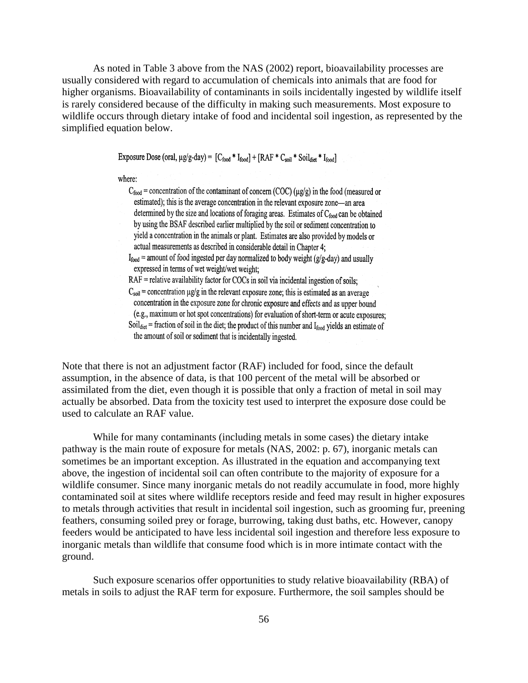As noted in Table 3 above from the NAS (2002) report, bioavailability processes are usually considered with regard to accumulation of chemicals into animals that are food for higher organisms. Bioavailability of contaminants in soils incidentally ingested by wildlife itself is rarely considered because of the difficulty in making such measurements. Most exposure to wildlife occurs through dietary intake of food and incidental soil ingestion, as represented by the simplified equation below.

Exposure Dose (oral,  $\mu g/g$ -day) =  $[C_{food} * I_{food}] + [RAF * C_{soil} * Solid_{dict} * I_{food}]$ 

where:

 $C_{\text{food}}$  = concentration of the contaminant of concern (COC) ( $\mu$ g/g) in the food (measured or estimated); this is the average concentration in the relevant exposure zone—an area determined by the size and locations of foraging areas. Estimates of  $C_{\text{food}}$  can be obtained by using the BSAF described earlier multiplied by the soil or sediment concentration to yield a concentration in the animals or plant. Estimates are also provided by models or actual measurements as described in considerable detail in Chapter 4;

 $I_{food}$  = amount of food ingested per day normalized to body weight (g/g-day) and usually expressed in terms of wet weight/wet weight;

 $RAF$  = relative availability factor for COCs in soil via incidental ingestion of soils;  $C_{\text{soil}}$  = concentration  $\mu$ g/g in the relevant exposure zone; this is estimated as an average concentration in the exposure zone for chronic exposure and effects and as upper bound (e.g., maximum or hot spot concentrations) for evaluation of short-term or acute exposures; Soil<sub>diet</sub> = fraction of soil in the diet; the product of this number and  $I_{\text{food}}$  yields an estimate of the amount of soil or sediment that is incidentally ingested.

Note that there is not an adjustment factor (RAF) included for food, since the default assumption, in the absence of data, is that 100 percent of the metal will be absorbed or assimilated from the diet, even though it is possible that only a fraction of metal in soil may actually be absorbed. Data from the toxicity test used to interpret the exposure dose could be used to calculate an RAF value.

While for many contaminants (including metals in some cases) the dietary intake pathway is the main route of exposure for metals (NAS, 2002: p. 67), inorganic metals can sometimes be an important exception. As illustrated in the equation and accompanying text above, the ingestion of incidental soil can often contribute to the majority of exposure for a wildlife consumer. Since many inorganic metals do not readily accumulate in food, more highly contaminated soil at sites where wildlife receptors reside and feed may result in higher exposures to metals through activities that result in incidental soil ingestion, such as grooming fur, preening feathers, consuming soiled prey or forage, burrowing, taking dust baths, etc. However, canopy feeders would be anticipated to have less incidental soil ingestion and therefore less exposure to inorganic metals than wildlife that consume food which is in more intimate contact with the ground.

Such exposure scenarios offer opportunities to study relative bioavailability (RBA) of metals in soils to adjust the RAF term for exposure. Furthermore, the soil samples should be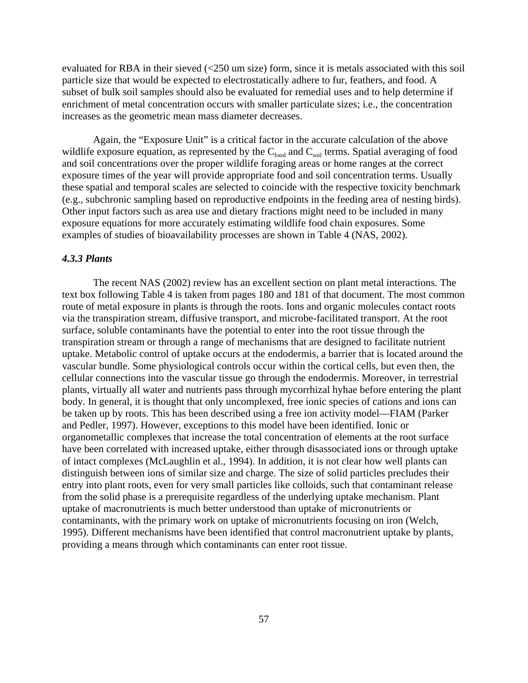evaluated for RBA in their sieved (<250 um size) form, since it is metals associated with this soil particle size that would be expected to electrostatically adhere to fur, feathers, and food. A subset of bulk soil samples should also be evaluated for remedial uses and to help determine if enrichment of metal concentration occurs with smaller particulate sizes; i.e., the concentration increases as the geometric mean mass diameter decreases.

Again, the "Exposure Unit" is a critical factor in the accurate calculation of the above wildlife exposure equation, as represented by the  $C_{\text{food}}$  and  $C_{\text{solid}}$  terms. Spatial averaging of food and soil concentrations over the proper wildlife foraging areas or home ranges at the correct exposure times of the year will provide appropriate food and soil concentration terms. Usually these spatial and temporal scales are selected to coincide with the respective toxicity benchmark (e.g., subchronic sampling based on reproductive endpoints in the feeding area of nesting birds). Other input factors such as area use and dietary fractions might need to be included in many exposure equations for more accurately estimating wildlife food chain exposures. Some examples of studies of bioavailability processes are shown in Table 4 (NAS, 2002).

#### *4.3.3 Plants*

The recent NAS (2002) review has an excellent section on plant metal interactions. The text box following Table 4 is taken from pages 180 and 181 of that document. The most common route of metal exposure in plants is through the roots. Ions and organic molecules contact roots via the transpiration stream, diffusive transport, and microbe-facilitated transport. At the root surface, soluble contaminants have the potential to enter into the root tissue through the transpiration stream or through a range of mechanisms that are designed to facilitate nutrient uptake. Metabolic control of uptake occurs at the endodermis, a barrier that is located around the vascular bundle. Some physiological controls occur within the cortical cells, but even then, the cellular connections into the vascular tissue go through the endodermis. Moreover, in terrestrial plants, virtually all water and nutrients pass through mycorrhizal hyhae before entering the plant body. In general, it is thought that only uncomplexed, free ionic species of cations and ions can be taken up by roots. This has been described using a free ion activity model—FIAM (Parker and Pedler, 1997). However, exceptions to this model have been identified. Ionic or organometallic complexes that increase the total concentration of elements at the root surface have been correlated with increased uptake, either through disassociated ions or through uptake of intact complexes (McLaughlin et al., 1994). In addition, it is not clear how well plants can distinguish between ions of similar size and charge. The size of solid particles precludes their entry into plant roots, even for very small particles like colloids, such that contaminant release from the solid phase is a prerequisite regardless of the underlying uptake mechanism. Plant uptake of macronutrients is much better understood than uptake of micronutrients or contaminants, with the primary work on uptake of micronutrients focusing on iron (Welch, 1995). Different mechanisms have been identified that control macronutrient uptake by plants, providing a means through which contaminants can enter root tissue.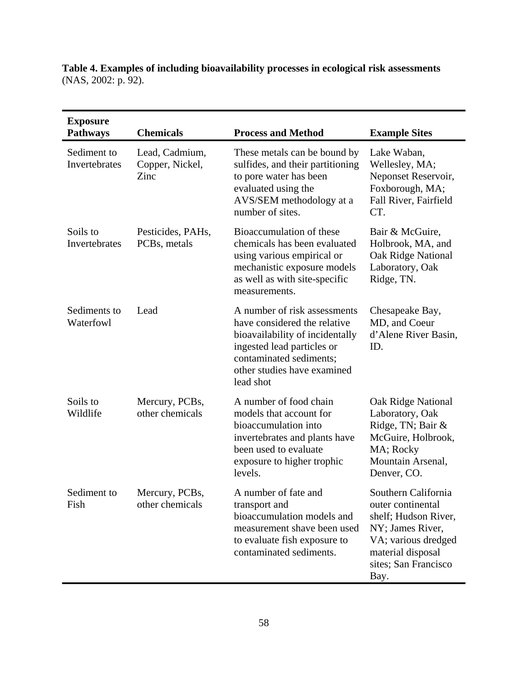## **Table 4. Examples of including bioavailability processes in ecological risk assessments**  (NAS, 2002: p. 92).

| <b>Exposure</b><br><b>Pathways</b> | <b>Chemicals</b>                               | <b>Process and Method</b>                                                                                                                                                                            | <b>Example Sites</b>                                                                                                                                             |
|------------------------------------|------------------------------------------------|------------------------------------------------------------------------------------------------------------------------------------------------------------------------------------------------------|------------------------------------------------------------------------------------------------------------------------------------------------------------------|
| Sediment to<br>Invertebrates       | Lead, Cadmium,<br>Copper, Nickel,<br>Zinc      | These metals can be bound by<br>sulfides, and their partitioning<br>to pore water has been<br>evaluated using the<br>AVS/SEM methodology at a<br>number of sites.                                    | Lake Waban,<br>Wellesley, MA;<br>Neponset Reservoir,<br>Foxborough, MA;<br>Fall River, Fairfield<br>CT.                                                          |
| Soils to<br>Invertebrates          | Pesticides, PAHs,<br>PCB <sub>s</sub> , metals | Bioaccumulation of these<br>chemicals has been evaluated<br>using various empirical or<br>mechanistic exposure models<br>as well as with site-specific<br>measurements.                              | Bair & McGuire,<br>Holbrook, MA, and<br>Oak Ridge National<br>Laboratory, Oak<br>Ridge, TN.                                                                      |
| Sediments to<br>Waterfowl          | Lead                                           | A number of risk assessments<br>have considered the relative<br>bioavailability of incidentally<br>ingested lead particles or<br>contaminated sediments;<br>other studies have examined<br>lead shot | Chesapeake Bay,<br>MD, and Coeur<br>d'Alene River Basin,<br>ID.                                                                                                  |
| Soils to<br>Wildlife               | Mercury, PCBs,<br>other chemicals              | A number of food chain<br>models that account for<br>bioaccumulation into<br>invertebrates and plants have<br>been used to evaluate<br>exposure to higher trophic<br>levels.                         | Oak Ridge National<br>Laboratory, Oak<br>Ridge, TN; Bair &<br>McGuire, Holbrook,<br>MA; Rocky<br>Mountain Arsenal,<br>Denver, CO.                                |
| Sediment to<br>Fish                | Mercury, PCBs,<br>other chemicals              | A number of fate and<br>transport and<br>bioaccumulation models and<br>measurement shave been used<br>to evaluate fish exposure to<br>contaminated sediments.                                        | Southern California<br>outer continental<br>shelf; Hudson River,<br>NY; James River,<br>VA; various dredged<br>material disposal<br>sites; San Francisco<br>Bay. |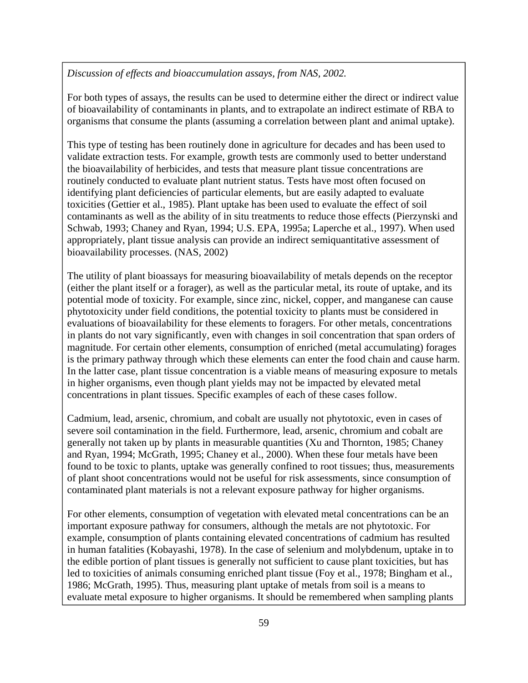*Discussion of effects and bioaccumulation assays, from NAS, 2002.* 

For both types of assays, the results can be used to determine either the direct or indirect value of bioavailability of contaminants in plants, and to extrapolate an indirect estimate of RBA to organisms that consume the plants (assuming a correlation between plant and animal uptake).

This type of testing has been routinely done in agriculture for decades and has been used to validate extraction tests. For example, growth tests are commonly used to better understand the bioavailability of herbicides, and tests that measure plant tissue concentrations are routinely conducted to evaluate plant nutrient status. Tests have most often focused on identifying plant deficiencies of particular elements, but are easily adapted to evaluate toxicities (Gettier et al., 1985). Plant uptake has been used to evaluate the effect of soil contaminants as well as the ability of in situ treatments to reduce those effects (Pierzynski and Schwab, 1993; Chaney and Ryan, 1994; U.S. EPA, 1995a; Laperche et al., 1997). When used appropriately, plant tissue analysis can provide an indirect semiquantitative assessment of bioavailability processes. (NAS, 2002)

The utility of plant bioassays for measuring bioavailability of metals depends on the receptor (either the plant itself or a forager), as well as the particular metal, its route of uptake, and its potential mode of toxicity. For example, since zinc, nickel, copper, and manganese can cause phytotoxicity under field conditions, the potential toxicity to plants must be considered in evaluations of bioavailability for these elements to foragers. For other metals, concentrations in plants do not vary significantly, even with changes in soil concentration that span orders of magnitude. For certain other elements, consumption of enriched (metal accumulating) forages is the primary pathway through which these elements can enter the food chain and cause harm. In the latter case, plant tissue concentration is a viable means of measuring exposure to metals in higher organisms, even though plant yields may not be impacted by elevated metal concentrations in plant tissues. Specific examples of each of these cases follow.

Cadmium, lead, arsenic, chromium, and cobalt are usually not phytotoxic, even in cases of severe soil contamination in the field. Furthermore, lead, arsenic, chromium and cobalt are generally not taken up by plants in measurable quantities (Xu and Thornton, 1985; Chaney and Ryan, 1994; McGrath, 1995; Chaney et al., 2000). When these four metals have been found to be toxic to plants, uptake was generally confined to root tissues; thus, measurements of plant shoot concentrations would not be useful for risk assessments, since consumption of contaminated plant materials is not a relevant exposure pathway for higher organisms.

For other elements, consumption of vegetation with elevated metal concentrations can be an important exposure pathway for consumers, although the metals are not phytotoxic. For example, consumption of plants containing elevated concentrations of cadmium has resulted in human fatalities (Kobayashi, 1978). In the case of selenium and molybdenum, uptake in to the edible portion of plant tissues is generally not sufficient to cause plant toxicities, but has led to toxicities of animals consuming enriched plant tissue (Foy et al., 1978; Bingham et al., 1986; McGrath, 1995). Thus, measuring plant uptake of metals from soil is a means to evaluate metal exposure to higher organisms. It should be remembered when sampling plants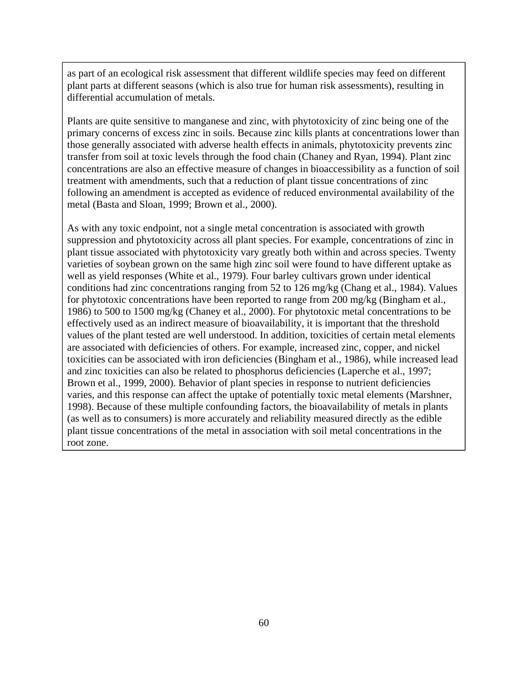as part of an ecological risk assessment that different wildlife species may feed on different plant parts at different seasons (which is also true for human risk assessments), resulting in differential accumulation of metals.

Plants are quite sensitive to manganese and zinc, with phytotoxicity of zinc being one of the primary concerns of excess zinc in soils. Because zinc kills plants at concentrations lower than those generally associated with adverse health effects in animals, phytotoxicity prevents zinc transfer from soil at toxic levels through the food chain (Chaney and Ryan, 1994). Plant zinc concentrations are also an effective measure of changes in bioaccessibility as a function of soil treatment with amendments, such that a reduction of plant tissue concentrations of zinc following an amendment is accepted as evidence of reduced environmental availability of the metal (Basta and Sloan, 1999; Brown et al., 2000).

As with any toxic endpoint, not a single metal concentration is associated with growth suppression and phytotoxicity across all plant species. For example, concentrations of zinc in plant tissue associated with phytotoxicity vary greatly both within and across species. Twenty varieties of soybean grown on the same high zinc soil were found to have different uptake as well as yield responses (White et al., 1979). Four barley cultivars grown under identical conditions had zinc concentrations ranging from 52 to 126 mg/kg (Chang et al., 1984). Values for phytotoxic concentrations have been reported to range from 200 mg/kg (Bingham et al., 1986) to 500 to 1500 mg/kg (Chaney et al., 2000). For phytotoxic metal concentrations to be effectively used as an indirect measure of bioavailability, it is important that the threshold values of the plant tested are well understood. In addition, toxicities of certain metal elements are associated with deficiencies of others. For example, increased zinc, copper, and nickel toxicities can be associated with iron deficiencies (Bingham et al., 1986), while increased lead and zinc toxicities can also be related to phosphorus deficiencies (Laperche et al., 1997; Brown et al., 1999, 2000). Behavior of plant species in response to nutrient deficiencies varies, and this response can affect the uptake of potentially toxic metal elements (Marshner, 1998). Because of these multiple confounding factors, the bioavailability of metals in plants (as well as to consumers) is more accurately and reliability measured directly as the edible plant tissue concentrations of the metal in association with soil metal concentrations in the root zone.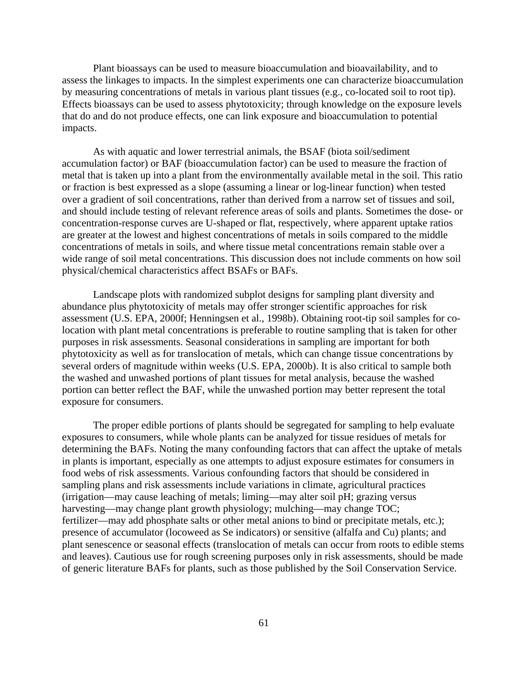Plant bioassays can be used to measure bioaccumulation and bioavailability, and to assess the linkages to impacts. In the simplest experiments one can characterize bioaccumulation by measuring concentrations of metals in various plant tissues (e.g., co-located soil to root tip). Effects bioassays can be used to assess phytotoxicity; through knowledge on the exposure levels that do and do not produce effects, one can link exposure and bioaccumulation to potential impacts.

As with aquatic and lower terrestrial animals, the BSAF (biota soil/sediment accumulation factor) or BAF (bioaccumulation factor) can be used to measure the fraction of metal that is taken up into a plant from the environmentally available metal in the soil. This ratio or fraction is best expressed as a slope (assuming a linear or log-linear function) when tested over a gradient of soil concentrations, rather than derived from a narrow set of tissues and soil, and should include testing of relevant reference areas of soils and plants. Sometimes the dose- or concentration-response curves are U-shaped or flat, respectively, where apparent uptake ratios are greater at the lowest and highest concentrations of metals in soils compared to the middle concentrations of metals in soils, and where tissue metal concentrations remain stable over a wide range of soil metal concentrations. This discussion does not include comments on how soil physical/chemical characteristics affect BSAFs or BAFs.

Landscape plots with randomized subplot designs for sampling plant diversity and abundance plus phytotoxicity of metals may offer stronger scientific approaches for risk assessment (U.S. EPA, 2000f; Henningsen et al., 1998b). Obtaining root-tip soil samples for colocation with plant metal concentrations is preferable to routine sampling that is taken for other purposes in risk assessments. Seasonal considerations in sampling are important for both phytotoxicity as well as for translocation of metals, which can change tissue concentrations by several orders of magnitude within weeks (U.S. EPA, 2000b). It is also critical to sample both the washed and unwashed portions of plant tissues for metal analysis, because the washed portion can better reflect the BAF, while the unwashed portion may better represent the total exposure for consumers.

The proper edible portions of plants should be segregated for sampling to help evaluate exposures to consumers, while whole plants can be analyzed for tissue residues of metals for determining the BAFs. Noting the many confounding factors that can affect the uptake of metals in plants is important, especially as one attempts to adjust exposure estimates for consumers in food webs of risk assessments. Various confounding factors that should be considered in sampling plans and risk assessments include variations in climate, agricultural practices (irrigation—may cause leaching of metals; liming—may alter soil pH; grazing versus harvesting—may change plant growth physiology; mulching—may change TOC; fertilizer—may add phosphate salts or other metal anions to bind or precipitate metals, etc.); presence of accumulator (locoweed as Se indicators) or sensitive (alfalfa and Cu) plants; and plant senescence or seasonal effects (translocation of metals can occur from roots to edible stems and leaves). Cautious use for rough screening purposes only in risk assessments, should be made of generic literature BAFs for plants, such as those published by the Soil Conservation Service.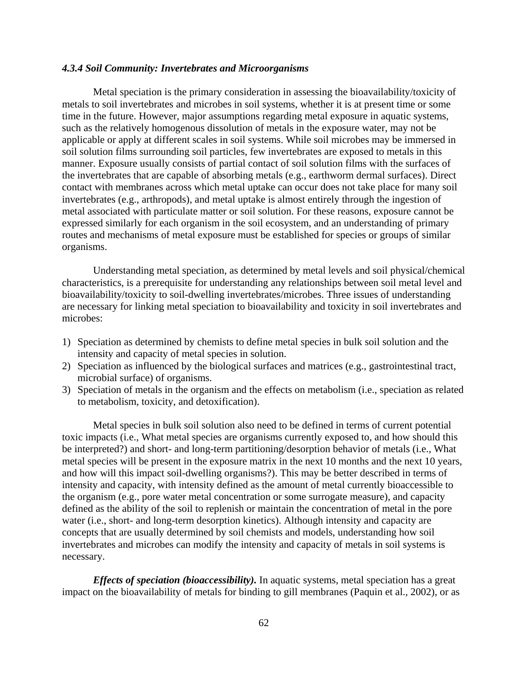## *4.3.4 Soil Community: Invertebrates and Microorganisms*

Metal speciation is the primary consideration in assessing the bioavailability/toxicity of metals to soil invertebrates and microbes in soil systems, whether it is at present time or some time in the future. However, major assumptions regarding metal exposure in aquatic systems, such as the relatively homogenous dissolution of metals in the exposure water, may not be applicable or apply at different scales in soil systems. While soil microbes may be immersed in soil solution films surrounding soil particles, few invertebrates are exposed to metals in this manner. Exposure usually consists of partial contact of soil solution films with the surfaces of the invertebrates that are capable of absorbing metals (e.g., earthworm dermal surfaces). Direct contact with membranes across which metal uptake can occur does not take place for many soil invertebrates (e.g., arthropods), and metal uptake is almost entirely through the ingestion of metal associated with particulate matter or soil solution. For these reasons, exposure cannot be expressed similarly for each organism in the soil ecosystem, and an understanding of primary routes and mechanisms of metal exposure must be established for species or groups of similar organisms.

Understanding metal speciation, as determined by metal levels and soil physical/chemical characteristics, is a prerequisite for understanding any relationships between soil metal level and bioavailability/toxicity to soil-dwelling invertebrates/microbes. Three issues of understanding are necessary for linking metal speciation to bioavailability and toxicity in soil invertebrates and microbes:

- 1) Speciation as determined by chemists to define metal species in bulk soil solution and the intensity and capacity of metal species in solution.
- 2) Speciation as influenced by the biological surfaces and matrices (e.g., gastrointestinal tract, microbial surface) of organisms.
- 3) Speciation of metals in the organism and the effects on metabolism (i.e., speciation as related to metabolism, toxicity, and detoxification).

Metal species in bulk soil solution also need to be defined in terms of current potential toxic impacts (i.e., What metal species are organisms currently exposed to, and how should this be interpreted?) and short- and long-term partitioning/desorption behavior of metals (i.e., What metal species will be present in the exposure matrix in the next 10 months and the next 10 years, and how will this impact soil-dwelling organisms?). This may be better described in terms of intensity and capacity, with intensity defined as the amount of metal currently bioaccessible to the organism (e.g., pore water metal concentration or some surrogate measure), and capacity defined as the ability of the soil to replenish or maintain the concentration of metal in the pore water (i.e., short- and long-term desorption kinetics). Although intensity and capacity are concepts that are usually determined by soil chemists and models, understanding how soil invertebrates and microbes can modify the intensity and capacity of metals in soil systems is necessary.

*Effects of speciation (bioaccessibility).* In aquatic systems, metal speciation has a great impact on the bioavailability of metals for binding to gill membranes (Paquin et al., 2002), or as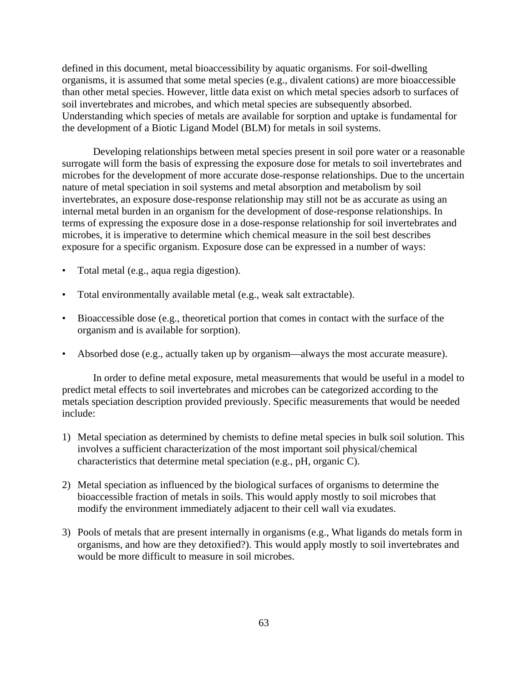defined in this document, metal bioaccessibility by aquatic organisms. For soil-dwelling organisms, it is assumed that some metal species (e.g., divalent cations) are more bioaccessible than other metal species. However, little data exist on which metal species adsorb to surfaces of soil invertebrates and microbes, and which metal species are subsequently absorbed. Understanding which species of metals are available for sorption and uptake is fundamental for the development of a Biotic Ligand Model (BLM) for metals in soil systems.

Developing relationships between metal species present in soil pore water or a reasonable surrogate will form the basis of expressing the exposure dose for metals to soil invertebrates and microbes for the development of more accurate dose-response relationships. Due to the uncertain nature of metal speciation in soil systems and metal absorption and metabolism by soil invertebrates, an exposure dose-response relationship may still not be as accurate as using an internal metal burden in an organism for the development of dose-response relationships. In terms of expressing the exposure dose in a dose-response relationship for soil invertebrates and microbes, it is imperative to determine which chemical measure in the soil best describes exposure for a specific organism. Exposure dose can be expressed in a number of ways:

- Total metal (e.g., aqua regia digestion).
- Total environmentally available metal (e.g., weak salt extractable).
- Bioaccessible dose (e.g., theoretical portion that comes in contact with the surface of the organism and is available for sorption).
- Absorbed dose (e.g., actually taken up by organism—always the most accurate measure).

In order to define metal exposure, metal measurements that would be useful in a model to predict metal effects to soil invertebrates and microbes can be categorized according to the metals speciation description provided previously. Specific measurements that would be needed include:

- 1) Metal speciation as determined by chemists to define metal species in bulk soil solution. This involves a sufficient characterization of the most important soil physical/chemical characteristics that determine metal speciation (e.g., pH, organic C).
- 2) Metal speciation as influenced by the biological surfaces of organisms to determine the bioaccessible fraction of metals in soils. This would apply mostly to soil microbes that modify the environment immediately adjacent to their cell wall via exudates.
- 3) Pools of metals that are present internally in organisms (e.g., What ligands do metals form in organisms, and how are they detoxified?). This would apply mostly to soil invertebrates and would be more difficult to measure in soil microbes.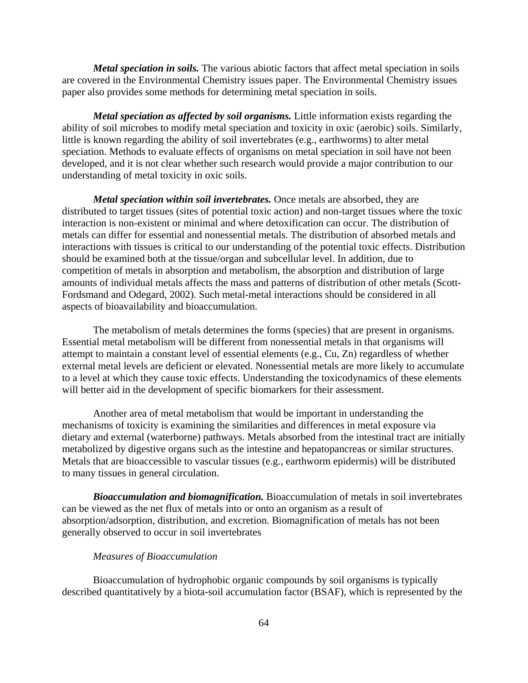*Metal speciation in soils.* The various abiotic factors that affect metal speciation in soils are covered in the Environmental Chemistry issues paper. The Environmental Chemistry issues paper also provides some methods for determining metal speciation in soils.

*Metal speciation as affected by soil organisms.* Little information exists regarding the ability of soil microbes to modify metal speciation and toxicity in oxic (aerobic) soils. Similarly, little is known regarding the ability of soil invertebrates (e.g., earthworms) to alter metal speciation. Methods to evaluate effects of organisms on metal speciation in soil have not been developed, and it is not clear whether such research would provide a major contribution to our understanding of metal toxicity in oxic soils.

*Metal speciation within soil invertebrates.* Once metals are absorbed, they are distributed to target tissues (sites of potential toxic action) and non-target tissues where the toxic interaction is non-existent or minimal and where detoxification can occur. The distribution of metals can differ for essential and nonessential metals. The distribution of absorbed metals and interactions with tissues is critical to our understanding of the potential toxic effects. Distribution should be examined both at the tissue/organ and subcellular level. In addition, due to competition of metals in absorption and metabolism, the absorption and distribution of large amounts of individual metals affects the mass and patterns of distribution of other metals (Scott-Fordsmand and Odegard, 2002). Such metal-metal interactions should be considered in all aspects of bioavailability and bioaccumulation.

The metabolism of metals determines the forms (species) that are present in organisms. Essential metal metabolism will be different from nonessential metals in that organisms will attempt to maintain a constant level of essential elements (e.g., Cu, Zn) regardless of whether external metal levels are deficient or elevated. Nonessential metals are more likely to accumulate to a level at which they cause toxic effects. Understanding the toxicodynamics of these elements will better aid in the development of specific biomarkers for their assessment.

Another area of metal metabolism that would be important in understanding the mechanisms of toxicity is examining the similarities and differences in metal exposure via dietary and external (waterborne) pathways. Metals absorbed from the intestinal tract are initially metabolized by digestive organs such as the intestine and hepatopancreas or similar structures. Metals that are bioaccessible to vascular tissues (e.g., earthworm epidermis) will be distributed to many tissues in general circulation.

*Bioaccumulation and biomagnification.* Bioaccumulation of metals in soil invertebrates can be viewed as the net flux of metals into or onto an organism as a result of absorption/adsorption, distribution, and excretion. Biomagnification of metals has not been generally observed to occur in soil invertebrates

## *Measures of Bioaccumulation*

Bioaccumulation of hydrophobic organic compounds by soil organisms is typically described quantitatively by a biota-soil accumulation factor (BSAF), which is represented by the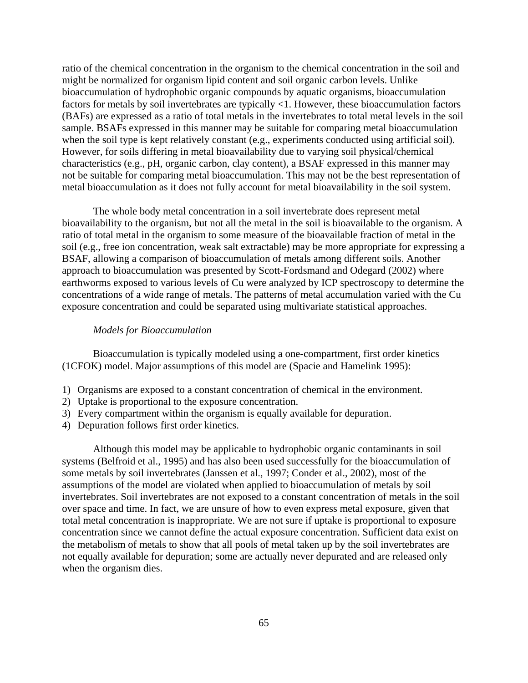ratio of the chemical concentration in the organism to the chemical concentration in the soil and might be normalized for organism lipid content and soil organic carbon levels. Unlike bioaccumulation of hydrophobic organic compounds by aquatic organisms, bioaccumulation factors for metals by soil invertebrates are typically <1. However, these bioaccumulation factors (BAFs) are expressed as a ratio of total metals in the invertebrates to total metal levels in the soil sample. BSAFs expressed in this manner may be suitable for comparing metal bioaccumulation when the soil type is kept relatively constant (e.g., experiments conducted using artificial soil). However, for soils differing in metal bioavailability due to varying soil physical/chemical characteristics (e.g., pH, organic carbon, clay content), a BSAF expressed in this manner may not be suitable for comparing metal bioaccumulation. This may not be the best representation of metal bioaccumulation as it does not fully account for metal bioavailability in the soil system.

The whole body metal concentration in a soil invertebrate does represent metal bioavailability to the organism, but not all the metal in the soil is bioavailable to the organism. A ratio of total metal in the organism to some measure of the bioavailable fraction of metal in the soil (e.g., free ion concentration, weak salt extractable) may be more appropriate for expressing a BSAF, allowing a comparison of bioaccumulation of metals among different soils. Another approach to bioaccumulation was presented by Scott-Fordsmand and Odegard (2002) where earthworms exposed to various levels of Cu were analyzed by ICP spectroscopy to determine the concentrations of a wide range of metals. The patterns of metal accumulation varied with the Cu exposure concentration and could be separated using multivariate statistical approaches.

#### *Models for Bioaccumulation*

Bioaccumulation is typically modeled using a one-compartment, first order kinetics (1CFOK) model. Major assumptions of this model are (Spacie and Hamelink 1995):

- 1) Organisms are exposed to a constant concentration of chemical in the environment.
- 2) Uptake is proportional to the exposure concentration.
- 3) Every compartment within the organism is equally available for depuration.
- 4) Depuration follows first order kinetics.

Although this model may be applicable to hydrophobic organic contaminants in soil systems (Belfroid et al., 1995) and has also been used successfully for the bioaccumulation of some metals by soil invertebrates (Janssen et al., 1997; Conder et al., 2002), most of the assumptions of the model are violated when applied to bioaccumulation of metals by soil invertebrates. Soil invertebrates are not exposed to a constant concentration of metals in the soil over space and time. In fact, we are unsure of how to even express metal exposure, given that total metal concentration is inappropriate. We are not sure if uptake is proportional to exposure concentration since we cannot define the actual exposure concentration. Sufficient data exist on the metabolism of metals to show that all pools of metal taken up by the soil invertebrates are not equally available for depuration; some are actually never depurated and are released only when the organism dies.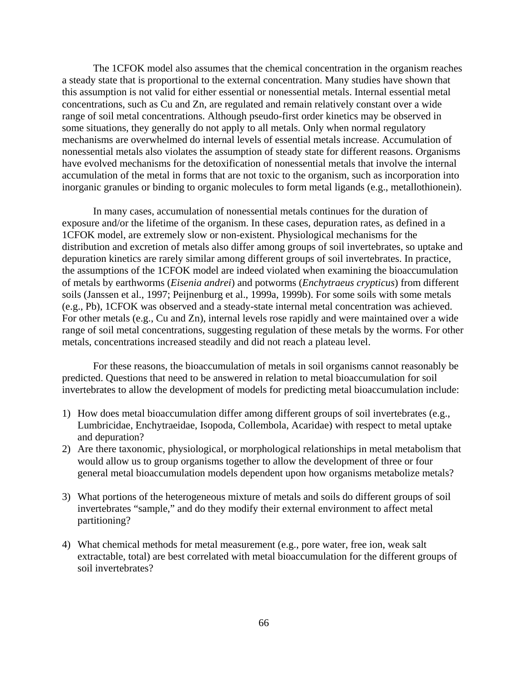The 1CFOK model also assumes that the chemical concentration in the organism reaches a steady state that is proportional to the external concentration. Many studies have shown that this assumption is not valid for either essential or nonessential metals. Internal essential metal concentrations, such as Cu and Zn, are regulated and remain relatively constant over a wide range of soil metal concentrations. Although pseudo-first order kinetics may be observed in some situations, they generally do not apply to all metals. Only when normal regulatory mechanisms are overwhelmed do internal levels of essential metals increase. Accumulation of nonessential metals also violates the assumption of steady state for different reasons. Organisms have evolved mechanisms for the detoxification of nonessential metals that involve the internal accumulation of the metal in forms that are not toxic to the organism, such as incorporation into inorganic granules or binding to organic molecules to form metal ligands (e.g., metallothionein).

In many cases, accumulation of nonessential metals continues for the duration of exposure and/or the lifetime of the organism. In these cases, depuration rates, as defined in a 1CFOK model, are extremely slow or non-existent. Physiological mechanisms for the distribution and excretion of metals also differ among groups of soil invertebrates, so uptake and depuration kinetics are rarely similar among different groups of soil invertebrates. In practice, the assumptions of the 1CFOK model are indeed violated when examining the bioaccumulation of metals by earthworms (*Eisenia andrei*) and potworms (*Enchytraeus crypticus*) from different soils (Janssen et al., 1997; Peijnenburg et al., 1999a, 1999b). For some soils with some metals (e.g., Pb), 1CFOK was observed and a steady-state internal metal concentration was achieved. For other metals (e.g., Cu and Zn), internal levels rose rapidly and were maintained over a wide range of soil metal concentrations, suggesting regulation of these metals by the worms. For other metals, concentrations increased steadily and did not reach a plateau level.

For these reasons, the bioaccumulation of metals in soil organisms cannot reasonably be predicted. Questions that need to be answered in relation to metal bioaccumulation for soil invertebrates to allow the development of models for predicting metal bioaccumulation include:

- 1) How does metal bioaccumulation differ among different groups of soil invertebrates (e.g., Lumbricidae, Enchytraeidae, Isopoda, Collembola, Acaridae) with respect to metal uptake and depuration?
- 2) Are there taxonomic, physiological, or morphological relationships in metal metabolism that would allow us to group organisms together to allow the development of three or four general metal bioaccumulation models dependent upon how organisms metabolize metals?
- 3) What portions of the heterogeneous mixture of metals and soils do different groups of soil invertebrates "sample," and do they modify their external environment to affect metal partitioning?
- 4) What chemical methods for metal measurement (e.g., pore water, free ion, weak salt extractable, total) are best correlated with metal bioaccumulation for the different groups of soil invertebrates?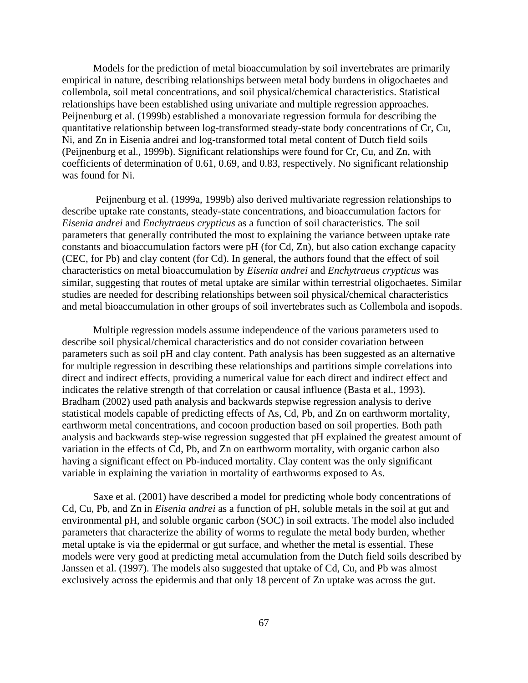Models for the prediction of metal bioaccumulation by soil invertebrates are primarily empirical in nature, describing relationships between metal body burdens in oligochaetes and collembola, soil metal concentrations, and soil physical/chemical characteristics. Statistical relationships have been established using univariate and multiple regression approaches. Peijnenburg et al. (1999b) established a monovariate regression formula for describing the quantitative relationship between log-transformed steady-state body concentrations of Cr, Cu, Ni, and Zn in Eisenia andrei and log-transformed total metal content of Dutch field soils (Peijnenburg et al., 1999b). Significant relationships were found for Cr, Cu, and Zn, with coefficients of determination of 0.61, 0.69, and 0.83, respectively. No significant relationship was found for Ni.

 Peijnenburg et al. (1999a, 1999b) also derived multivariate regression relationships to describe uptake rate constants, steady-state concentrations, and bioaccumulation factors for *Eisenia andrei* and *Enchytraeus crypticus* as a function of soil characteristics. The soil parameters that generally contributed the most to explaining the variance between uptake rate constants and bioaccumulation factors were pH (for Cd, Zn), but also cation exchange capacity (CEC, for Pb) and clay content (for Cd). In general, the authors found that the effect of soil characteristics on metal bioaccumulation by *Eisenia andrei* and *Enchytraeus crypticus* was similar, suggesting that routes of metal uptake are similar within terrestrial oligochaetes. Similar studies are needed for describing relationships between soil physical/chemical characteristics and metal bioaccumulation in other groups of soil invertebrates such as Collembola and isopods.

Multiple regression models assume independence of the various parameters used to describe soil physical/chemical characteristics and do not consider covariation between parameters such as soil pH and clay content. Path analysis has been suggested as an alternative for multiple regression in describing these relationships and partitions simple correlations into direct and indirect effects, providing a numerical value for each direct and indirect effect and indicates the relative strength of that correlation or causal influence (Basta et al., 1993). Bradham (2002) used path analysis and backwards stepwise regression analysis to derive statistical models capable of predicting effects of As, Cd, Pb, and Zn on earthworm mortality, earthworm metal concentrations, and cocoon production based on soil properties. Both path analysis and backwards step-wise regression suggested that pH explained the greatest amount of variation in the effects of Cd, Pb, and Zn on earthworm mortality, with organic carbon also having a significant effect on Pb-induced mortality. Clay content was the only significant variable in explaining the variation in mortality of earthworms exposed to As.

Saxe et al. (2001) have described a model for predicting whole body concentrations of Cd, Cu, Pb, and Zn in *Eisenia andrei* as a function of pH, soluble metals in the soil at gut and environmental pH, and soluble organic carbon (SOC) in soil extracts. The model also included parameters that characterize the ability of worms to regulate the metal body burden, whether metal uptake is via the epidermal or gut surface, and whether the metal is essential. These models were very good at predicting metal accumulation from the Dutch field soils described by Janssen et al. (1997). The models also suggested that uptake of Cd, Cu, and Pb was almost exclusively across the epidermis and that only 18 percent of Zn uptake was across the gut.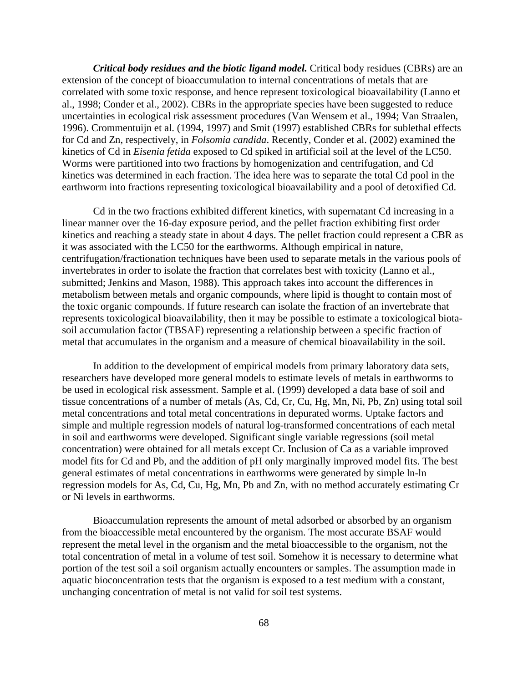*Critical body residues and the biotic ligand model.* Critical body residues (CBRs) are an extension of the concept of bioaccumulation to internal concentrations of metals that are correlated with some toxic response, and hence represent toxicological bioavailability (Lanno et al., 1998; Conder et al., 2002). CBRs in the appropriate species have been suggested to reduce uncertainties in ecological risk assessment procedures (Van Wensem et al., 1994; Van Straalen, 1996). Crommentuijn et al. (1994, 1997) and Smit (1997) established CBRs for sublethal effects for Cd and Zn, respectively, in *Folsomia candida*. Recently, Conder et al. (2002) examined the kinetics of Cd in *Eisenia fetida* exposed to Cd spiked in artificial soil at the level of the LC50. Worms were partitioned into two fractions by homogenization and centrifugation, and Cd kinetics was determined in each fraction. The idea here was to separate the total Cd pool in the earthworm into fractions representing toxicological bioavailability and a pool of detoxified Cd.

Cd in the two fractions exhibited different kinetics, with supernatant Cd increasing in a linear manner over the 16-day exposure period, and the pellet fraction exhibiting first order kinetics and reaching a steady state in about 4 days. The pellet fraction could represent a CBR as it was associated with the LC50 for the earthworms. Although empirical in nature, centrifugation/fractionation techniques have been used to separate metals in the various pools of invertebrates in order to isolate the fraction that correlates best with toxicity (Lanno et al., submitted; Jenkins and Mason, 1988). This approach takes into account the differences in metabolism between metals and organic compounds, where lipid is thought to contain most of the toxic organic compounds. If future research can isolate the fraction of an invertebrate that represents toxicological bioavailability, then it may be possible to estimate a toxicological biotasoil accumulation factor (TBSAF) representing a relationship between a specific fraction of metal that accumulates in the organism and a measure of chemical bioavailability in the soil.

In addition to the development of empirical models from primary laboratory data sets, researchers have developed more general models to estimate levels of metals in earthworms to be used in ecological risk assessment. Sample et al. (1999) developed a data base of soil and tissue concentrations of a number of metals (As, Cd, Cr, Cu, Hg, Mn, Ni, Pb, Zn) using total soil metal concentrations and total metal concentrations in depurated worms. Uptake factors and simple and multiple regression models of natural log-transformed concentrations of each metal in soil and earthworms were developed. Significant single variable regressions (soil metal concentration) were obtained for all metals except Cr. Inclusion of Ca as a variable improved model fits for Cd and Pb, and the addition of pH only marginally improved model fits. The best general estimates of metal concentrations in earthworms were generated by simple ln-ln regression models for As, Cd, Cu, Hg, Mn, Pb and Zn, with no method accurately estimating Cr or Ni levels in earthworms.

Bioaccumulation represents the amount of metal adsorbed or absorbed by an organism from the bioaccessible metal encountered by the organism. The most accurate BSAF would represent the metal level in the organism and the metal bioaccessible to the organism, not the total concentration of metal in a volume of test soil. Somehow it is necessary to determine what portion of the test soil a soil organism actually encounters or samples. The assumption made in aquatic bioconcentration tests that the organism is exposed to a test medium with a constant, unchanging concentration of metal is not valid for soil test systems.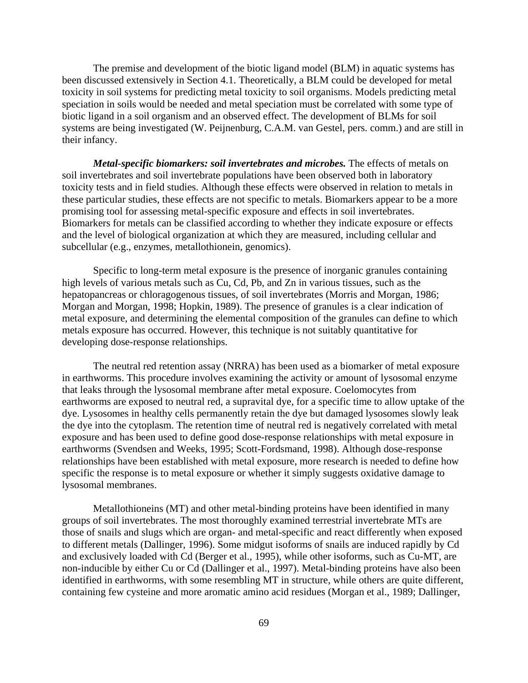The premise and development of the biotic ligand model (BLM) in aquatic systems has been discussed extensively in Section 4.1. Theoretically, a BLM could be developed for metal toxicity in soil systems for predicting metal toxicity to soil organisms. Models predicting metal speciation in soils would be needed and metal speciation must be correlated with some type of biotic ligand in a soil organism and an observed effect. The development of BLMs for soil systems are being investigated (W. Peijnenburg, C.A.M. van Gestel, pers. comm.) and are still in their infancy.

*Metal-specific biomarkers: soil invertebrates and microbes. The effects of metals on* soil invertebrates and soil invertebrate populations have been observed both in laboratory toxicity tests and in field studies. Although these effects were observed in relation to metals in these particular studies, these effects are not specific to metals. Biomarkers appear to be a more promising tool for assessing metal-specific exposure and effects in soil invertebrates. Biomarkers for metals can be classified according to whether they indicate exposure or effects and the level of biological organization at which they are measured, including cellular and subcellular (e.g., enzymes, metallothionein, genomics).

Specific to long-term metal exposure is the presence of inorganic granules containing high levels of various metals such as Cu, Cd, Pb, and Zn in various tissues, such as the hepatopancreas or chloragogenous tissues, of soil invertebrates (Morris and Morgan, 1986; Morgan and Morgan, 1998; Hopkin, 1989). The presence of granules is a clear indication of metal exposure, and determining the elemental composition of the granules can define to which metals exposure has occurred. However, this technique is not suitably quantitative for developing dose-response relationships.

The neutral red retention assay (NRRA) has been used as a biomarker of metal exposure in earthworms. This procedure involves examining the activity or amount of lysosomal enzyme that leaks through the lysosomal membrane after metal exposure. Coelomocytes from earthworms are exposed to neutral red, a supravital dye, for a specific time to allow uptake of the dye. Lysosomes in healthy cells permanently retain the dye but damaged lysosomes slowly leak the dye into the cytoplasm. The retention time of neutral red is negatively correlated with metal exposure and has been used to define good dose-response relationships with metal exposure in earthworms (Svendsen and Weeks, 1995; Scott-Fordsmand, 1998). Although dose-response relationships have been established with metal exposure, more research is needed to define how specific the response is to metal exposure or whether it simply suggests oxidative damage to lysosomal membranes.

Metallothioneins (MT) and other metal-binding proteins have been identified in many groups of soil invertebrates. The most thoroughly examined terrestrial invertebrate MTs are those of snails and slugs which are organ- and metal-specific and react differently when exposed to different metals (Dallinger, 1996). Some midgut isoforms of snails are induced rapidly by Cd and exclusively loaded with Cd (Berger et al., 1995), while other isoforms, such as Cu-MT, are non-inducible by either Cu or Cd (Dallinger et al., 1997). Metal-binding proteins have also been identified in earthworms, with some resembling MT in structure, while others are quite different, containing few cysteine and more aromatic amino acid residues (Morgan et al., 1989; Dallinger,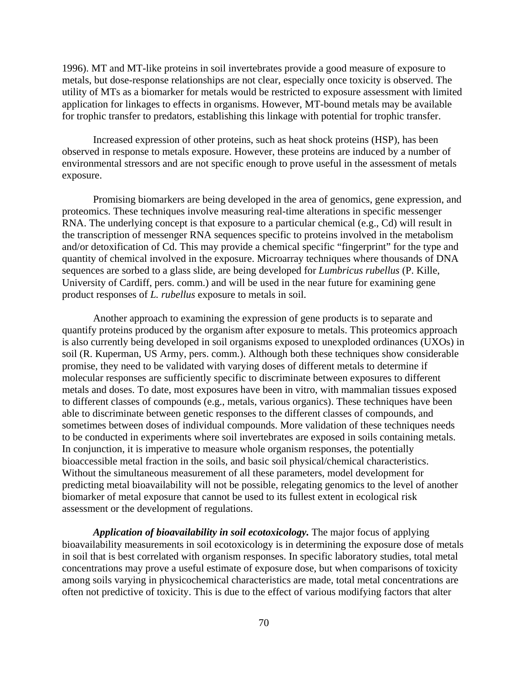1996). MT and MT-like proteins in soil invertebrates provide a good measure of exposure to metals, but dose-response relationships are not clear, especially once toxicity is observed. The utility of MTs as a biomarker for metals would be restricted to exposure assessment with limited application for linkages to effects in organisms. However, MT-bound metals may be available for trophic transfer to predators, establishing this linkage with potential for trophic transfer.

Increased expression of other proteins, such as heat shock proteins (HSP), has been observed in response to metals exposure. However, these proteins are induced by a number of environmental stressors and are not specific enough to prove useful in the assessment of metals exposure.

Promising biomarkers are being developed in the area of genomics, gene expression, and proteomics. These techniques involve measuring real-time alterations in specific messenger RNA. The underlying concept is that exposure to a particular chemical (e.g., Cd) will result in the transcription of messenger RNA sequences specific to proteins involved in the metabolism and/or detoxification of Cd. This may provide a chemical specific "fingerprint" for the type and quantity of chemical involved in the exposure. Microarray techniques where thousands of DNA sequences are sorbed to a glass slide, are being developed for *Lumbricus rubellus* (P. Kille, University of Cardiff, pers. comm.) and will be used in the near future for examining gene product responses of *L. rubellus* exposure to metals in soil.

Another approach to examining the expression of gene products is to separate and quantify proteins produced by the organism after exposure to metals. This proteomics approach is also currently being developed in soil organisms exposed to unexploded ordinances (UXOs) in soil (R. Kuperman, US Army, pers. comm.). Although both these techniques show considerable promise, they need to be validated with varying doses of different metals to determine if molecular responses are sufficiently specific to discriminate between exposures to different metals and doses. To date, most exposures have been in vitro, with mammalian tissues exposed to different classes of compounds (e.g., metals, various organics). These techniques have been able to discriminate between genetic responses to the different classes of compounds, and sometimes between doses of individual compounds. More validation of these techniques needs to be conducted in experiments where soil invertebrates are exposed in soils containing metals. In conjunction, it is imperative to measure whole organism responses, the potentially bioaccessible metal fraction in the soils, and basic soil physical/chemical characteristics. Without the simultaneous measurement of all these parameters, model development for predicting metal bioavailability will not be possible, relegating genomics to the level of another biomarker of metal exposure that cannot be used to its fullest extent in ecological risk assessment or the development of regulations.

*Application of bioavailability in soil ecotoxicology.* The major focus of applying bioavailability measurements in soil ecotoxicology is in determining the exposure dose of metals in soil that is best correlated with organism responses. In specific laboratory studies, total metal concentrations may prove a useful estimate of exposure dose, but when comparisons of toxicity among soils varying in physicochemical characteristics are made, total metal concentrations are often not predictive of toxicity. This is due to the effect of various modifying factors that alter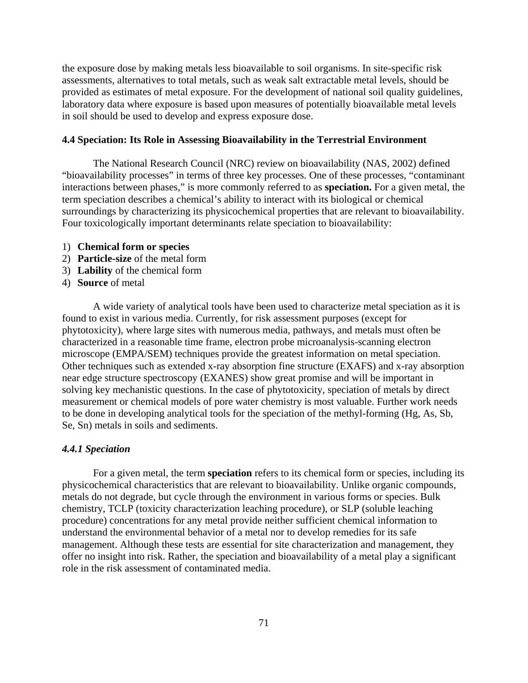the exposure dose by making metals less bioavailable to soil organisms. In site-specific risk assessments, alternatives to total metals, such as weak salt extractable metal levels, should be provided as estimates of metal exposure. For the development of national soil quality guidelines, laboratory data where exposure is based upon measures of potentially bioavailable metal levels in soil should be used to develop and express exposure dose.

### **4.4 Speciation: Its Role in Assessing Bioavailability in the Terrestrial Environment**

The National Research Council (NRC) review on bioavailability (NAS, 2002) defined "bioavailability processes" in terms of three key processes. One of these processes, "contaminant interactions between phases," is more commonly referred to as **speciation.** For a given metal, the term speciation describes a chemical's ability to interact with its biological or chemical surroundings by characterizing its physicochemical properties that are relevant to bioavailability. Four toxicologically important determinants relate speciation to bioavailability:

- 1) **Chemical form or species**
- 2) **Particle-size** of the metal form
- 3) **Lability** of the chemical form
- 4) **Source** of metal

A wide variety of analytical tools have been used to characterize metal speciation as it is found to exist in various media. Currently, for risk assessment purposes (except for phytotoxicity), where large sites with numerous media, pathways, and metals must often be characterized in a reasonable time frame, electron probe microanalysis-scanning electron microscope (EMPA/SEM) techniques provide the greatest information on metal speciation. Other techniques such as extended x-ray absorption fine structure (EXAFS) and x-ray absorption near edge structure spectroscopy (EXANES) show great promise and will be important in solving key mechanistic questions. In the case of phytotoxicity, speciation of metals by direct measurement or chemical models of pore water chemistry is most valuable. Further work needs to be done in developing analytical tools for the speciation of the methyl-forming (Hg, As, Sb, Se, Sn) metals in soils and sediments.

#### *4.4.1 Speciation*

For a given metal, the term **speciation** refers to its chemical form or species, including its physicochemical characteristics that are relevant to bioavailability. Unlike organic compounds, metals do not degrade, but cycle through the environment in various forms or species. Bulk chemistry, TCLP (toxicity characterization leaching procedure), or SLP (soluble leaching procedure) concentrations for any metal provide neither sufficient chemical information to understand the environmental behavior of a metal nor to develop remedies for its safe management. Although these tests are essential for site characterization and management, they offer no insight into risk. Rather, the speciation and bioavailability of a metal play a significant role in the risk assessment of contaminated media.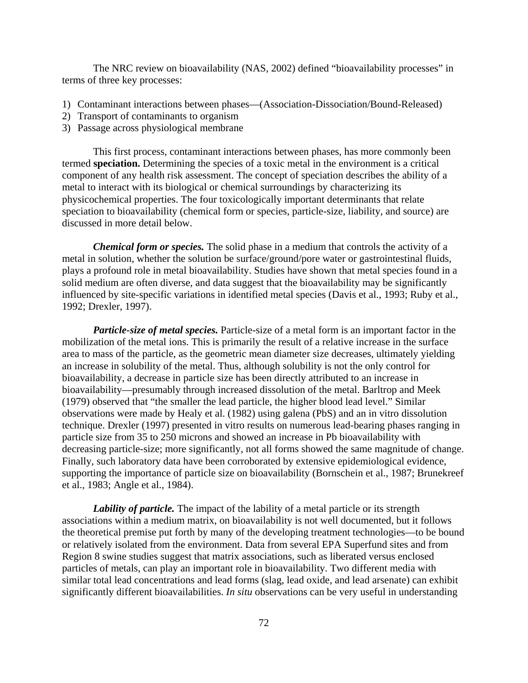The NRC review on bioavailability (NAS, 2002) defined "bioavailability processes" in terms of three key processes:

- 1) Contaminant interactions between phases—(Association-Dissociation/Bound-Released)
- 2) Transport of contaminants to organism
- 3) Passage across physiological membrane

This first process, contaminant interactions between phases, has more commonly been termed **speciation.** Determining the species of a toxic metal in the environment is a critical component of any health risk assessment. The concept of speciation describes the ability of a metal to interact with its biological or chemical surroundings by characterizing its physicochemical properties. The four toxicologically important determinants that relate speciation to bioavailability (chemical form or species, particle-size, liability, and source) are discussed in more detail below.

*Chemical form or species.* The solid phase in a medium that controls the activity of a metal in solution, whether the solution be surface/ground/pore water or gastrointestinal fluids, plays a profound role in metal bioavailability. Studies have shown that metal species found in a solid medium are often diverse, and data suggest that the bioavailability may be significantly influenced by site-specific variations in identified metal species (Davis et al., 1993; Ruby et al., 1992; Drexler, 1997).

*Particle-size of metal species.* Particle-size of a metal form is an important factor in the mobilization of the metal ions. This is primarily the result of a relative increase in the surface area to mass of the particle, as the geometric mean diameter size decreases, ultimately yielding an increase in solubility of the metal. Thus, although solubility is not the only control for bioavailability, a decrease in particle size has been directly attributed to an increase in bioavailability—presumably through increased dissolution of the metal. Barltrop and Meek (1979) observed that "the smaller the lead particle, the higher blood lead level." Similar observations were made by Healy et al. (1982) using galena (PbS) and an in vitro dissolution technique. Drexler (1997) presented in vitro results on numerous lead-bearing phases ranging in particle size from 35 to 250 microns and showed an increase in Pb bioavailability with decreasing particle-size; more significantly, not all forms showed the same magnitude of change. Finally, such laboratory data have been corroborated by extensive epidemiological evidence, supporting the importance of particle size on bioavailability (Bornschein et al., 1987; Brunekreef et al., 1983; Angle et al., 1984).

*Lability of particle*. The impact of the lability of a metal particle or its strength associations within a medium matrix, on bioavailability is not well documented, but it follows the theoretical premise put forth by many of the developing treatment technologies—to be bound or relatively isolated from the environment. Data from several EPA Superfund sites and from Region 8 swine studies suggest that matrix associations, such as liberated versus enclosed particles of metals, can play an important role in bioavailability. Two different media with similar total lead concentrations and lead forms (slag, lead oxide, and lead arsenate) can exhibit significantly different bioavailabilities. *In situ* observations can be very useful in understanding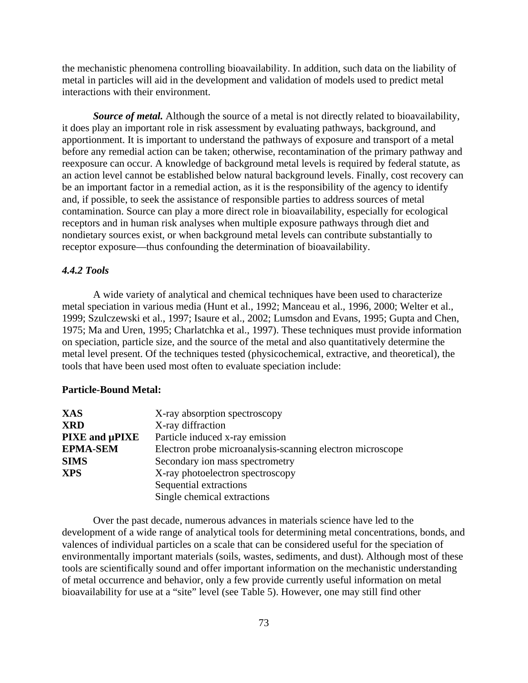the mechanistic phenomena controlling bioavailability. In addition, such data on the liability of metal in particles will aid in the development and validation of models used to predict metal interactions with their environment.

*Source of metal.* Although the source of a metal is not directly related to bioavailability, it does play an important role in risk assessment by evaluating pathways, background, and apportionment. It is important to understand the pathways of exposure and transport of a metal before any remedial action can be taken; otherwise, recontamination of the primary pathway and reexposure can occur. A knowledge of background metal levels is required by federal statute, as an action level cannot be established below natural background levels. Finally, cost recovery can be an important factor in a remedial action, as it is the responsibility of the agency to identify and, if possible, to seek the assistance of responsible parties to address sources of metal contamination. Source can play a more direct role in bioavailability, especially for ecological receptors and in human risk analyses when multiple exposure pathways through diet and nondietary sources exist, or when background metal levels can contribute substantially to receptor exposure—thus confounding the determination of bioavailability.

# *4.4.2 Tools*

A wide variety of analytical and chemical techniques have been used to characterize metal speciation in various media (Hunt et al., 1992; Manceau et al., 1996, 2000; Welter et al., 1999; Szulczewski et al., 1997; Isaure et al., 2002; Lumsdon and Evans, 1995; Gupta and Chen, 1975; Ma and Uren, 1995; Charlatchka et al., 1997). These techniques must provide information on speciation, particle size, and the source of the metal and also quantitatively determine the metal level present. Of the techniques tested (physicochemical, extractive, and theoretical), the tools that have been used most often to evaluate speciation include:

### **Particle-Bound Metal:**

| <b>XAS</b>      | X-ray absorption spectroscopy                             |
|-----------------|-----------------------------------------------------------|
| <b>XRD</b>      | X-ray diffraction                                         |
| PIXE and µPIXE  | Particle induced x-ray emission                           |
| <b>EPMA-SEM</b> | Electron probe microanalysis-scanning electron microscope |
| <b>SIMS</b>     | Secondary ion mass spectrometry                           |
| <b>XPS</b>      | X-ray photoelectron spectroscopy                          |
|                 | Sequential extractions                                    |
|                 | Single chemical extractions                               |

Over the past decade, numerous advances in materials science have led to the development of a wide range of analytical tools for determining metal concentrations, bonds, and valences of individual particles on a scale that can be considered useful for the speciation of environmentally important materials (soils, wastes, sediments, and dust). Although most of these tools are scientifically sound and offer important information on the mechanistic understanding of metal occurrence and behavior, only a few provide currently useful information on metal bioavailability for use at a "site" level (see Table 5). However, one may still find other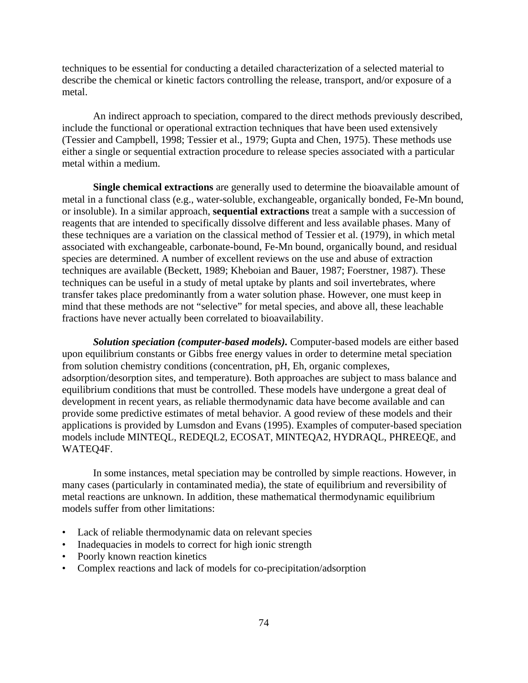techniques to be essential for conducting a detailed characterization of a selected material to describe the chemical or kinetic factors controlling the release, transport, and/or exposure of a metal.

An indirect approach to speciation, compared to the direct methods previously described, include the functional or operational extraction techniques that have been used extensively (Tessier and Campbell, 1998; Tessier et al., 1979; Gupta and Chen, 1975). These methods use either a single or sequential extraction procedure to release species associated with a particular metal within a medium.

**Single chemical extractions** are generally used to determine the bioavailable amount of metal in a functional class (e.g., water-soluble, exchangeable, organically bonded, Fe-Mn bound, or insoluble). In a similar approach, **sequential extractions** treat a sample with a succession of reagents that are intended to specifically dissolve different and less available phases. Many of these techniques are a variation on the classical method of Tessier et al. (1979), in which metal associated with exchangeable, carbonate-bound, Fe-Mn bound, organically bound, and residual species are determined. A number of excellent reviews on the use and abuse of extraction techniques are available (Beckett, 1989; Kheboian and Bauer, 1987; Foerstner, 1987). These techniques can be useful in a study of metal uptake by plants and soil invertebrates, where transfer takes place predominantly from a water solution phase. However, one must keep in mind that these methods are not "selective" for metal species, and above all, these leachable fractions have never actually been correlated to bioavailability.

*Solution speciation (computer-based models).* Computer-based models are either based upon equilibrium constants or Gibbs free energy values in order to determine metal speciation from solution chemistry conditions (concentration, pH, Eh, organic complexes, adsorption/desorption sites, and temperature). Both approaches are subject to mass balance and equilibrium conditions that must be controlled. These models have undergone a great deal of development in recent years, as reliable thermodynamic data have become available and can provide some predictive estimates of metal behavior. A good review of these models and their applications is provided by Lumsdon and Evans (1995). Examples of computer-based speciation models include MINTEQL, REDEQL2, ECOSAT, MINTEQA2, HYDRAQL, PHREEQE, and WATEQ4F.

In some instances, metal speciation may be controlled by simple reactions. However, in many cases (particularly in contaminated media), the state of equilibrium and reversibility of metal reactions are unknown. In addition, these mathematical thermodynamic equilibrium models suffer from other limitations:

- Lack of reliable thermodynamic data on relevant species
- Inadequacies in models to correct for high ionic strength
- Poorly known reaction kinetics
- Complex reactions and lack of models for co-precipitation/adsorption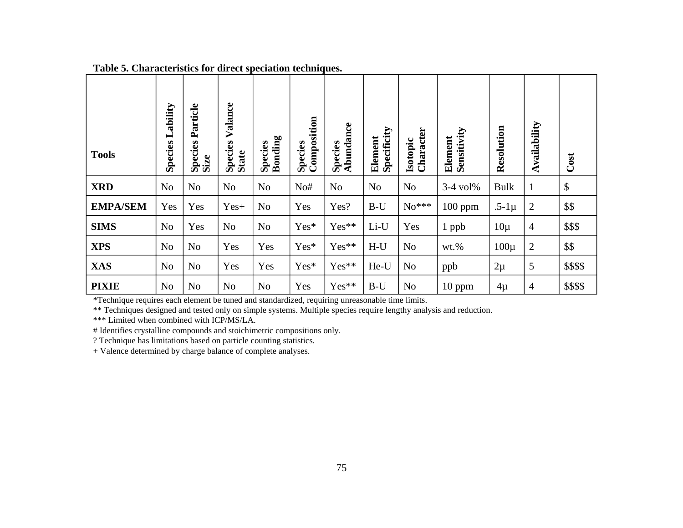| <b>Tools</b>    | Lability<br><b>Species</b> | Particle<br>Species<br>Size | Valance<br>Species<br>State | Species<br>Bonding | Composition<br><b>Species</b> | Abundance<br><b>Species</b> | Specificity<br>Element | Character<br>Isotopic | Sensitivity<br>Element | Resolution  | Availability   | Cost                      |
|-----------------|----------------------------|-----------------------------|-----------------------------|--------------------|-------------------------------|-----------------------------|------------------------|-----------------------|------------------------|-------------|----------------|---------------------------|
| <b>XRD</b>      | N <sub>o</sub>             | N <sub>o</sub>              | N <sub>o</sub>              | N <sub>o</sub>     | No#                           | N <sub>o</sub>              | N <sub>o</sub>         | N <sub>o</sub>        | $3-4$ vol <sup>%</sup> | <b>Bulk</b> | 1              | $\boldsymbol{\mathsf{S}}$ |
| <b>EMPA/SEM</b> | Yes                        | Yes                         | Yes+                        | N <sub>o</sub>     | Yes                           | Yes?                        | $B-U$                  | $No***$               | $100$ ppm              | $.5-1\mu$   | 2              | \$\$                      |
| <b>SIMS</b>     | N <sub>o</sub>             | Yes                         | N <sub>o</sub>              | N <sub>o</sub>     | Yes*                          | Yes**                       | Li-U                   | Yes                   | $1$ ppb                | $10\mu$     | $\overline{4}$ | \$\$\$                    |
| <b>XPS</b>      | N <sub>0</sub>             | N <sub>o</sub>              | Yes                         | Yes                | Yes*                          | Yes**                       | $H-U$                  | No                    | $wt.$ %                | $100\mu$    | $\overline{c}$ | \$\$                      |
| <b>XAS</b>      | N <sub>o</sub>             | N <sub>o</sub>              | Yes                         | Yes                | Yes*                          | Yes**                       | He-U                   | N <sub>o</sub>        | ppb                    | $2\mu$      | 5              | \$\$\$\$                  |
| <b>PIXIE</b>    | No                         | N <sub>o</sub>              | No                          | N <sub>o</sub>     | Yes                           | Yes**                       | $B-U$                  | N <sub>o</sub>        | $10$ ppm               | $4\mu$      | $\overline{4}$ | \$\$\$\$                  |

**Table 5. Characteristics for direct speciation techniques.** 

\*Technique requires each element be tuned and standardized, requiring unreasonable time limits.

\*\* Techniques designed and tested only on simple systems. Multiple species require lengthy analysis and reduction.

\*\*\* Limited when combined with ICP/MS/LA.

# Identifies crystalline compounds and stoichimetric compositions only.

? Technique has limitations based on particle counting statistics.

+ Valence determined by charge balance of complete analyses.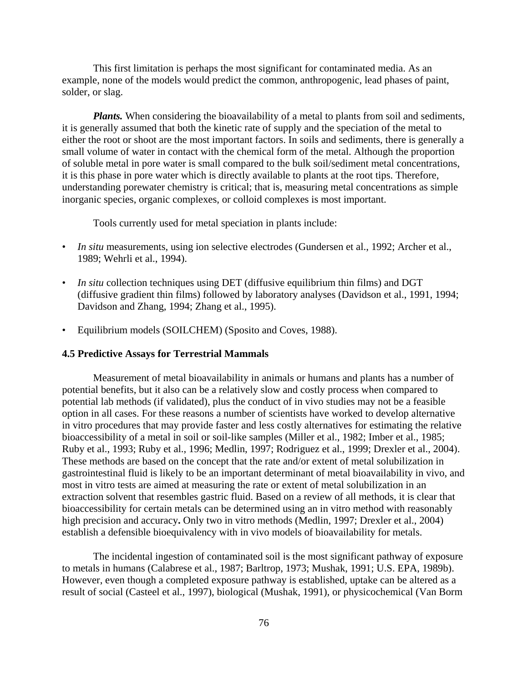This first limitation is perhaps the most significant for contaminated media. As an example, none of the models would predict the common, anthropogenic, lead phases of paint, solder, or slag.

*Plants*. When considering the bioavailability of a metal to plants from soil and sediments, it is generally assumed that both the kinetic rate of supply and the speciation of the metal to either the root or shoot are the most important factors. In soils and sediments, there is generally a small volume of water in contact with the chemical form of the metal. Although the proportion of soluble metal in pore water is small compared to the bulk soil/sediment metal concentrations, it is this phase in pore water which is directly available to plants at the root tips. Therefore, understanding porewater chemistry is critical; that is, measuring metal concentrations as simple inorganic species, organic complexes, or colloid complexes is most important.

Tools currently used for metal speciation in plants include:

- *In situ* measurements, using ion selective electrodes (Gundersen et al., 1992; Archer et al., 1989; Wehrli et al., 1994).
- In situ collection techniques using DET (diffusive equilibrium thin films) and DGT (diffusive gradient thin films) followed by laboratory analyses (Davidson et al., 1991, 1994; Davidson and Zhang, 1994; Zhang et al., 1995).
- Equilibrium models (SOILCHEM) (Sposito and Coves, 1988).

### **4.5 Predictive Assays for Terrestrial Mammals**

Measurement of metal bioavailability in animals or humans and plants has a number of potential benefits, but it also can be a relatively slow and costly process when compared to potential lab methods (if validated), plus the conduct of in vivo studies may not be a feasible option in all cases. For these reasons a number of scientists have worked to develop alternative in vitro procedures that may provide faster and less costly alternatives for estimating the relative bioaccessibility of a metal in soil or soil-like samples (Miller et al., 1982; Imber et al., 1985; Ruby et al., 1993; Ruby et al., 1996; Medlin, 1997; Rodriguez et al., 1999; Drexler et al., 2004). These methods are based on the concept that the rate and/or extent of metal solubilization in gastrointestinal fluid is likely to be an important determinant of metal bioavailability in vivo, and most in vitro tests are aimed at measuring the rate or extent of metal solubilization in an extraction solvent that resembles gastric fluid. Based on a review of all methods, it is clear that bioaccessibility for certain metals can be determined using an in vitro method with reasonably high precision and accuracy**.** Only two in vitro methods (Medlin, 1997; Drexler et al., 2004) establish a defensible bioequivalency with in vivo models of bioavailability for metals.

The incidental ingestion of contaminated soil is the most significant pathway of exposure to metals in humans (Calabrese et al., 1987; Barltrop, 1973; Mushak, 1991; U.S. EPA, 1989b). However, even though a completed exposure pathway is established, uptake can be altered as a result of social (Casteel et al., 1997), biological (Mushak, 1991), or physicochemical (Van Borm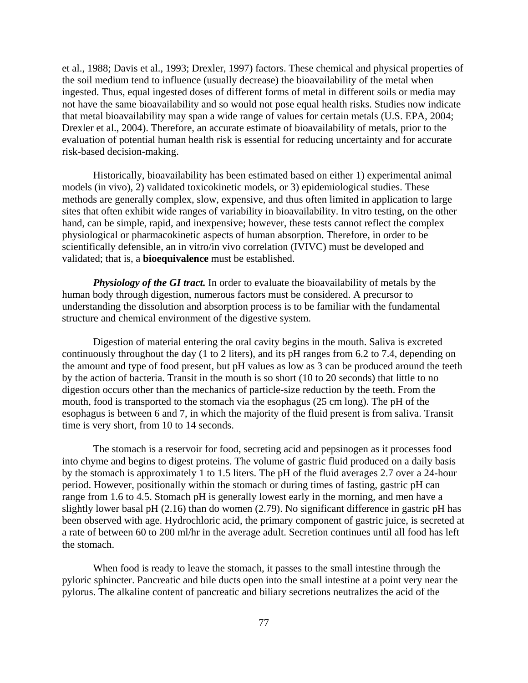et al., 1988; Davis et al., 1993; Drexler, 1997) factors. These chemical and physical properties of the soil medium tend to influence (usually decrease) the bioavailability of the metal when ingested. Thus, equal ingested doses of different forms of metal in different soils or media may not have the same bioavailability and so would not pose equal health risks. Studies now indicate that metal bioavailability may span a wide range of values for certain metals (U.S. EPA, 2004; Drexler et al., 2004). Therefore, an accurate estimate of bioavailability of metals, prior to the evaluation of potential human health risk is essential for reducing uncertainty and for accurate risk-based decision-making.

Historically, bioavailability has been estimated based on either 1) experimental animal models (in vivo), 2) validated toxicokinetic models, or 3) epidemiological studies. These methods are generally complex, slow, expensive, and thus often limited in application to large sites that often exhibit wide ranges of variability in bioavailability. In vitro testing, on the other hand, can be simple, rapid, and inexpensive; however, these tests cannot reflect the complex physiological or pharmacokinetic aspects of human absorption. Therefore, in order to be scientifically defensible, an in vitro/in vivo correlation (IVIVC) must be developed and validated; that is, a **bioequivalence** must be established.

*Physiology of the GI tract.* In order to evaluate the bioavailability of metals by the human body through digestion, numerous factors must be considered. A precursor to understanding the dissolution and absorption process is to be familiar with the fundamental structure and chemical environment of the digestive system.

Digestion of material entering the oral cavity begins in the mouth. Saliva is excreted continuously throughout the day (1 to 2 liters), and its pH ranges from 6.2 to 7.4, depending on the amount and type of food present, but pH values as low as 3 can be produced around the teeth by the action of bacteria. Transit in the mouth is so short (10 to 20 seconds) that little to no digestion occurs other than the mechanics of particle-size reduction by the teeth. From the mouth, food is transported to the stomach via the esophagus (25 cm long). The pH of the esophagus is between 6 and 7, in which the majority of the fluid present is from saliva. Transit time is very short, from 10 to 14 seconds.

The stomach is a reservoir for food, secreting acid and pepsinogen as it processes food into chyme and begins to digest proteins. The volume of gastric fluid produced on a daily basis by the stomach is approximately 1 to 1.5 liters. The pH of the fluid averages 2.7 over a 24-hour period. However, positionally within the stomach or during times of fasting, gastric pH can range from 1.6 to 4.5. Stomach pH is generally lowest early in the morning, and men have a slightly lower basal pH (2.16) than do women (2.79). No significant difference in gastric pH has been observed with age. Hydrochloric acid, the primary component of gastric juice, is secreted at a rate of between 60 to 200 ml/hr in the average adult. Secretion continues until all food has left the stomach.

When food is ready to leave the stomach, it passes to the small intestine through the pyloric sphincter. Pancreatic and bile ducts open into the small intestine at a point very near the pylorus. The alkaline content of pancreatic and biliary secretions neutralizes the acid of the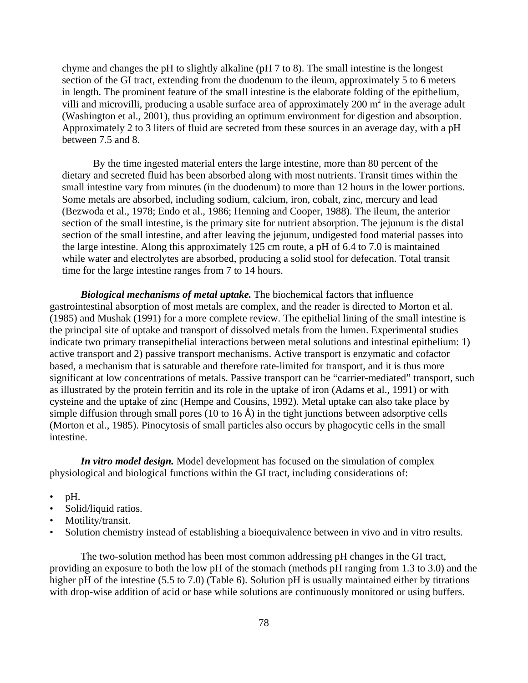chyme and changes the pH to slightly alkaline (pH 7 to 8). The small intestine is the longest section of the GI tract, extending from the duodenum to the ileum, approximately 5 to 6 meters in length. The prominent feature of the small intestine is the elaborate folding of the epithelium, villi and microvilli, producing a usable surface area of approximately  $200 \text{ m}^2$  in the average adult (Washington et al., 2001), thus providing an optimum environment for digestion and absorption. Approximately 2 to 3 liters of fluid are secreted from these sources in an average day, with a pH between 7.5 and 8.

By the time ingested material enters the large intestine, more than 80 percent of the dietary and secreted fluid has been absorbed along with most nutrients. Transit times within the small intestine vary from minutes (in the duodenum) to more than 12 hours in the lower portions. Some metals are absorbed, including sodium, calcium, iron, cobalt, zinc, mercury and lead (Bezwoda et al., 1978; Endo et al., 1986; Henning and Cooper, 1988). The ileum, the anterior section of the small intestine, is the primary site for nutrient absorption. The jejunum is the distal section of the small intestine, and after leaving the jejunum, undigested food material passes into the large intestine. Along this approximately 125 cm route, a pH of 6.4 to 7.0 is maintained while water and electrolytes are absorbed, producing a solid stool for defecation. Total transit time for the large intestine ranges from 7 to 14 hours.

*Biological mechanisms of metal uptake.* The biochemical factors that influence gastrointestinal absorption of most metals are complex, and the reader is directed to Morton et al. (1985) and Mushak (1991) for a more complete review. The epithelial lining of the small intestine is the principal site of uptake and transport of dissolved metals from the lumen. Experimental studies indicate two primary transepithelial interactions between metal solutions and intestinal epithelium: 1) active transport and 2) passive transport mechanisms. Active transport is enzymatic and cofactor based, a mechanism that is saturable and therefore rate-limited for transport, and it is thus more significant at low concentrations of metals. Passive transport can be "carrier-mediated" transport, such as illustrated by the protein ferritin and its role in the uptake of iron (Adams et al., 1991) or with cysteine and the uptake of zinc (Hempe and Cousins, 1992). Metal uptake can also take place by simple diffusion through small pores (10 to 16  $\AA$ ) in the tight junctions between adsorptive cells (Morton et al., 1985). Pinocytosis of small particles also occurs by phagocytic cells in the small intestine.

*In vitro model design.* Model development has focused on the simulation of complex physiological and biological functions within the GI tract, including considerations of:

- $\bullet$  pH.
- Solid/liquid ratios.
- Motility/transit.
- Solution chemistry instead of establishing a bioequivalence between in vivo and in vitro results.

The two-solution method has been most common addressing pH changes in the GI tract, providing an exposure to both the low pH of the stomach (methods pH ranging from 1.3 to 3.0) and the higher pH of the intestine (5.5 to 7.0) (Table 6). Solution pH is usually maintained either by titrations with drop-wise addition of acid or base while solutions are continuously monitored or using buffers.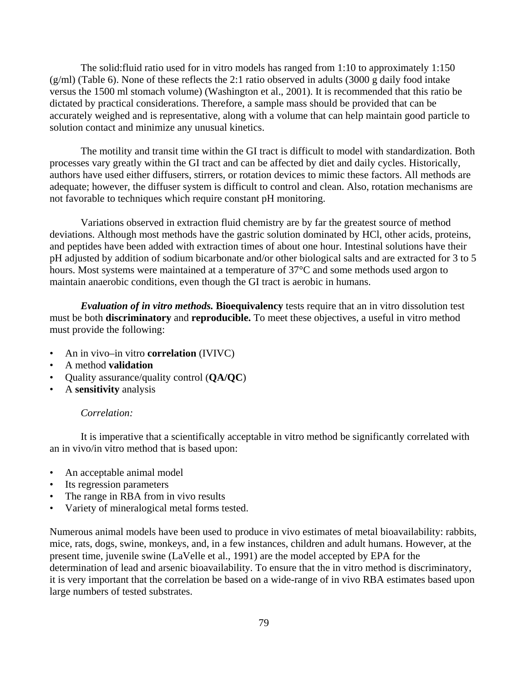The solid:fluid ratio used for in vitro models has ranged from 1:10 to approximately 1:150 (g/ml) (Table 6). None of these reflects the 2:1 ratio observed in adults (3000 g daily food intake versus the 1500 ml stomach volume) (Washington et al., 2001). It is recommended that this ratio be dictated by practical considerations. Therefore, a sample mass should be provided that can be accurately weighed and is representative, along with a volume that can help maintain good particle to solution contact and minimize any unusual kinetics.

The motility and transit time within the GI tract is difficult to model with standardization. Both processes vary greatly within the GI tract and can be affected by diet and daily cycles. Historically, authors have used either diffusers, stirrers, or rotation devices to mimic these factors. All methods are adequate; however, the diffuser system is difficult to control and clean. Also, rotation mechanisms are not favorable to techniques which require constant pH monitoring.

Variations observed in extraction fluid chemistry are by far the greatest source of method deviations. Although most methods have the gastric solution dominated by HCl, other acids, proteins, and peptides have been added with extraction times of about one hour. Intestinal solutions have their pH adjusted by addition of sodium bicarbonate and/or other biological salts and are extracted for 3 to 5 hours. Most systems were maintained at a temperature of 37°C and some methods used argon to maintain anaerobic conditions, even though the GI tract is aerobic in humans.

*Evaluation of in vitro methods.* **Bioequivalency** tests require that an in vitro dissolution test must be both **discriminatory** and **reproducible.** To meet these objectives, a useful in vitro method must provide the following:

- An in vivo–in vitro **correlation** (IVIVC)
- A method **validation**
- Quality assurance/quality control (**QA/QC**)
- A **sensitivity** analysis

# *Correlation:*

It is imperative that a scientifically acceptable in vitro method be significantly correlated with an in vivo/in vitro method that is based upon:

- An acceptable animal model
- Its regression parameters
- The range in RBA from in vivo results
- Variety of mineralogical metal forms tested.

Numerous animal models have been used to produce in vivo estimates of metal bioavailability: rabbits, mice, rats, dogs, swine, monkeys, and, in a few instances, children and adult humans. However, at the present time, juvenile swine (LaVelle et al., 1991) are the model accepted by EPA for the determination of lead and arsenic bioavailability. To ensure that the in vitro method is discriminatory, it is very important that the correlation be based on a wide-range of in vivo RBA estimates based upon large numbers of tested substrates.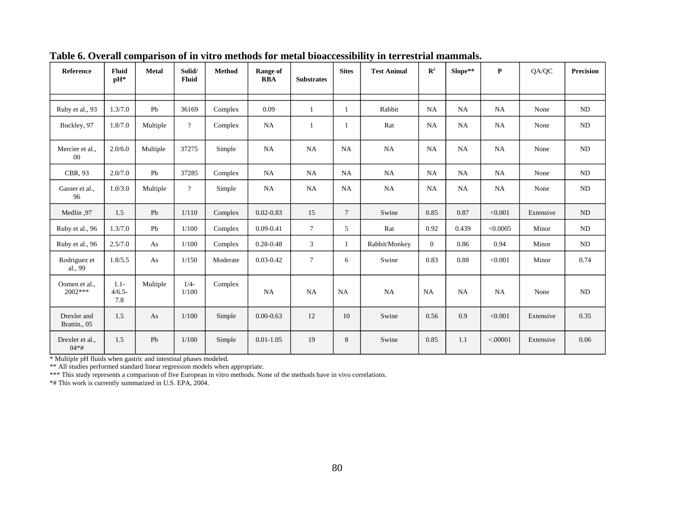| Reference                   | Fluid<br>pH*                | <b>Metal</b> | Solid/<br>Fluid | <b>Method</b> | Range of<br><b>RBA</b> | <b>Substrates</b> | <b>Sites</b>   | <b>Test Animal</b> | $\mathbb{R}^2$ | Slope**   | $\mathbf P$ | QA/QC     | <b>Precision</b> |
|-----------------------------|-----------------------------|--------------|-----------------|---------------|------------------------|-------------------|----------------|--------------------|----------------|-----------|-------------|-----------|------------------|
|                             |                             |              |                 |               |                        |                   |                |                    |                |           |             |           |                  |
| Ruby et al., 93             | 1.3/7.0                     | Pb           | 36169           | Complex       | 0.09                   | $\mathbf{1}$      | $\mathbf{1}$   | Rabbit             | <b>NA</b>      | NA        | NA          | None      | ND               |
| Buckley, 97                 | 1.8/7.0                     | Multiple     | $\overline{?}$  | Complex       | NA                     | 1                 | 1              | Rat                | <b>NA</b>      | NA        | NA          | None      | ND               |
| Mercier et al.,<br>$00\,$   | 2.0/6.0                     | Multiple     | 37275           | Simple        | <b>NA</b>              | <b>NA</b>         | <b>NA</b>      | NA                 | <b>NA</b>      | NA        | <b>NA</b>   | None      | $\rm ND$         |
| CBR, 93                     | 2.0/7.0                     | Pb           | 37285           | Complex       | NA                     | NA                | <b>NA</b>      | <b>NA</b>          | <b>NA</b>      | NA        | <b>NA</b>   | None      | ND               |
| Gasser et al.,<br>96        | 1.0/3.0                     | Multiple     | $\overline{?}$  | Simple        | <b>NA</b>              | <b>NA</b>         | NA             | <b>NA</b>          | <b>NA</b>      | <b>NA</b> | NA          | None      | ND               |
| 97. Medlin                  | 1.5                         | Pb           | 1/110           | Complex       | $0.02 - 0.83$          | 15                | $\overline{7}$ | Swine              | 0.85           | 0.87      | < 0.001     | Extensive | ND               |
| Ruby et al., 96             | 1.3/7.0                     | Pb           | 1/100           | Complex       | $0.09 - 0.41$          | $\tau$            | 5              | Rat                | 0.92           | 0.439     | < 0.0005    | Minor     | ND               |
| Ruby et al., 96             | 2.5/7.0                     | As           | 1/100           | Complex       | $0.28 - 0.48$          | 3                 | $\mathbf{1}$   | Rabbit/Monkey      | $\overline{0}$ | 0.86      | 0.94        | Minor     | ND               |
| Rodriguez et<br>al., 99     | 1.8/5.5                     | As           | 1/150           | Moderate      | $0.03 - 0.42$          | $\tau$            | 6              | Swine              | 0.83           | 0.88      | < 0.001     | Minor     | 0.74             |
| Oomen et al.,<br>$2002***$  | $1.1 -$<br>$4/6.5 -$<br>7.8 | Multiple     | $1/4-$<br>1/100 | Complex       | <b>NA</b>              | <b>NA</b>         | <b>NA</b>      | <b>NA</b>          | <b>NA</b>      | <b>NA</b> | <b>NA</b>   | None      | ND               |
| Drexler and<br>Brattin., 05 | 1.5                         | As           | 1/100           | Simple        | $0.00 - 0.63$          | 12                | 10             | Swine              | 0.56           | 0.9       | < 0.001     | Extensive | 0.35             |
| Drexler et al.,<br>$04*#$   | 1.5                         | Pb           | 1/100           | Simple        | $0.01 - 1.05$          | 19                | 8              | Swine              | 0.85           | 1.1       | < .00001    | Extensive | 0.06             |

**Table 6. Overall comparison of in vitro methods for metal bioaccessibility in terrestrial mammals.** 

 $\begin{array}{c|c} 04* \# & \multicolumn{2}{l}{\text{with}} \\ 04* \# & \multicolumn{2}{l}{\text{Multiply}} \end{array}$  when gastric and intestinal phases modeled.

\*\* All studies performed standard linear regression models when appropriate.

\*\*\* This study represents a comparison of five European in vitro methods. None of the methods have in vivo correlations.

\*# This work is currently summarized in U.S. EPA, 2004.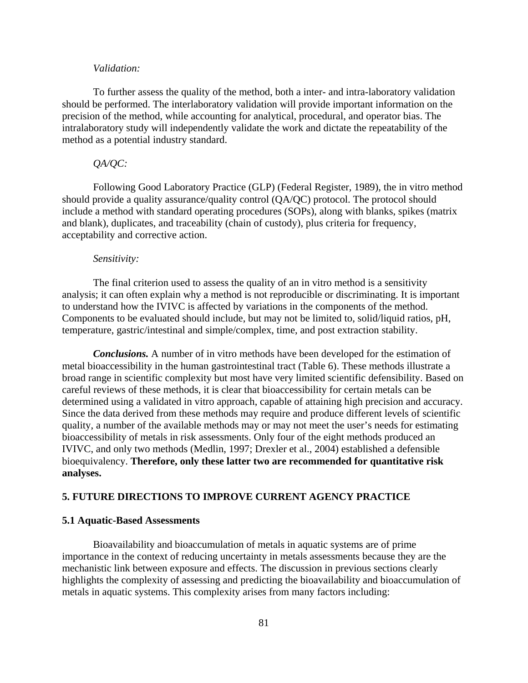### *Validation:*

To further assess the quality of the method, both a inter- and intra-laboratory validation should be performed. The interlaboratory validation will provide important information on the precision of the method, while accounting for analytical, procedural, and operator bias. The intralaboratory study will independently validate the work and dictate the repeatability of the method as a potential industry standard.

### *QA/QC:*

Following Good Laboratory Practice (GLP) (Federal Register, 1989), the in vitro method should provide a quality assurance/quality control (QA/QC) protocol. The protocol should include a method with standard operating procedures (SOPs), along with blanks, spikes (matrix and blank), duplicates, and traceability (chain of custody), plus criteria for frequency, acceptability and corrective action.

#### *Sensitivity:*

The final criterion used to assess the quality of an in vitro method is a sensitivity analysis; it can often explain why a method is not reproducible or discriminating. It is important to understand how the IVIVC is affected by variations in the components of the method. Components to be evaluated should include, but may not be limited to, solid/liquid ratios, pH, temperature, gastric/intestinal and simple/complex, time, and post extraction stability.

*Conclusions.* A number of in vitro methods have been developed for the estimation of metal bioaccessibility in the human gastrointestinal tract (Table 6). These methods illustrate a broad range in scientific complexity but most have very limited scientific defensibility. Based on careful reviews of these methods, it is clear that bioaccessibility for certain metals can be determined using a validated in vitro approach, capable of attaining high precision and accuracy. Since the data derived from these methods may require and produce different levels of scientific quality, a number of the available methods may or may not meet the user's needs for estimating bioaccessibility of metals in risk assessments. Only four of the eight methods produced an IVIVC, and only two methods (Medlin, 1997; Drexler et al., 2004) established a defensible bioequivalency. **Therefore, only these latter two are recommended for quantitative risk analyses.** 

### **5. FUTURE DIRECTIONS TO IMPROVE CURRENT AGENCY PRACTICE**

#### **5.1 Aquatic-Based Assessments**

Bioavailability and bioaccumulation of metals in aquatic systems are of prime importance in the context of reducing uncertainty in metals assessments because they are the mechanistic link between exposure and effects. The discussion in previous sections clearly highlights the complexity of assessing and predicting the bioavailability and bioaccumulation of metals in aquatic systems. This complexity arises from many factors including: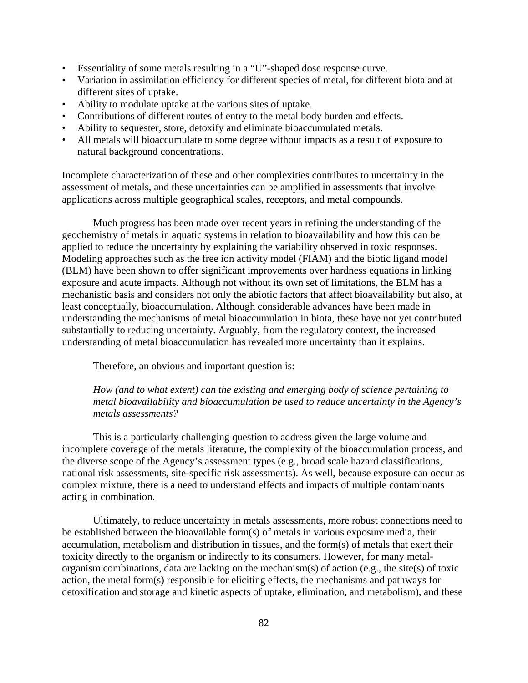- Essentiality of some metals resulting in a "U"-shaped dose response curve.
- Variation in assimilation efficiency for different species of metal, for different biota and at different sites of uptake.
- Ability to modulate uptake at the various sites of uptake.
- Contributions of different routes of entry to the metal body burden and effects.
- Ability to sequester, store, detoxify and eliminate bioaccumulated metals.
- All metals will bioaccumulate to some degree without impacts as a result of exposure to natural background concentrations.

Incomplete characterization of these and other complexities contributes to uncertainty in the assessment of metals, and these uncertainties can be amplified in assessments that involve applications across multiple geographical scales, receptors, and metal compounds.

Much progress has been made over recent years in refining the understanding of the geochemistry of metals in aquatic systems in relation to bioavailability and how this can be applied to reduce the uncertainty by explaining the variability observed in toxic responses. Modeling approaches such as the free ion activity model (FIAM) and the biotic ligand model (BLM) have been shown to offer significant improvements over hardness equations in linking exposure and acute impacts. Although not without its own set of limitations, the BLM has a mechanistic basis and considers not only the abiotic factors that affect bioavailability but also, at least conceptually, bioaccumulation. Although considerable advances have been made in understanding the mechanisms of metal bioaccumulation in biota, these have not yet contributed substantially to reducing uncertainty. Arguably, from the regulatory context, the increased understanding of metal bioaccumulation has revealed more uncertainty than it explains.

Therefore, an obvious and important question is:

*How (and to what extent) can the existing and emerging body of science pertaining to metal bioavailability and bioaccumulation be used to reduce uncertainty in the Agency's metals assessments?* 

This is a particularly challenging question to address given the large volume and incomplete coverage of the metals literature, the complexity of the bioaccumulation process, and the diverse scope of the Agency's assessment types (e.g., broad scale hazard classifications, national risk assessments, site-specific risk assessments). As well, because exposure can occur as complex mixture, there is a need to understand effects and impacts of multiple contaminants acting in combination.

Ultimately, to reduce uncertainty in metals assessments, more robust connections need to be established between the bioavailable form(s) of metals in various exposure media, their accumulation, metabolism and distribution in tissues, and the form(s) of metals that exert their toxicity directly to the organism or indirectly to its consumers. However, for many metalorganism combinations, data are lacking on the mechanism(s) of action (e.g., the site(s) of toxic action, the metal form(s) responsible for eliciting effects, the mechanisms and pathways for detoxification and storage and kinetic aspects of uptake, elimination, and metabolism), and these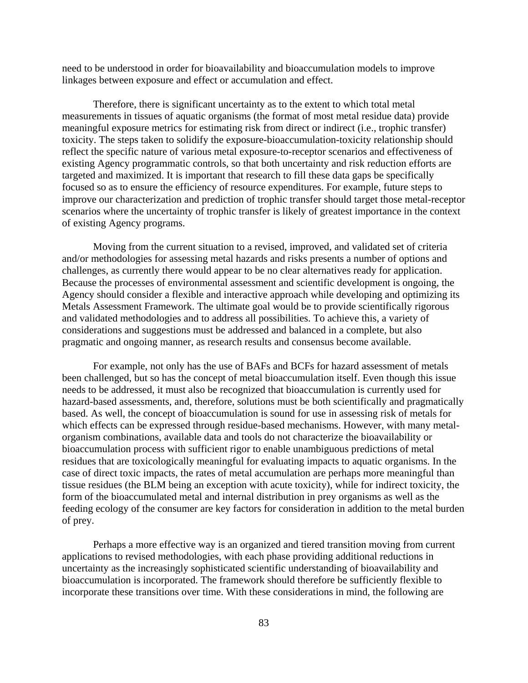need to be understood in order for bioavailability and bioaccumulation models to improve linkages between exposure and effect or accumulation and effect.

Therefore, there is significant uncertainty as to the extent to which total metal measurements in tissues of aquatic organisms (the format of most metal residue data) provide meaningful exposure metrics for estimating risk from direct or indirect (i.e., trophic transfer) toxicity. The steps taken to solidify the exposure-bioaccumulation-toxicity relationship should reflect the specific nature of various metal exposure-to-receptor scenarios and effectiveness of existing Agency programmatic controls, so that both uncertainty and risk reduction efforts are targeted and maximized. It is important that research to fill these data gaps be specifically focused so as to ensure the efficiency of resource expenditures. For example, future steps to improve our characterization and prediction of trophic transfer should target those metal-receptor scenarios where the uncertainty of trophic transfer is likely of greatest importance in the context of existing Agency programs.

Moving from the current situation to a revised, improved, and validated set of criteria and/or methodologies for assessing metal hazards and risks presents a number of options and challenges, as currently there would appear to be no clear alternatives ready for application. Because the processes of environmental assessment and scientific development is ongoing, the Agency should consider a flexible and interactive approach while developing and optimizing its Metals Assessment Framework. The ultimate goal would be to provide scientifically rigorous and validated methodologies and to address all possibilities. To achieve this, a variety of considerations and suggestions must be addressed and balanced in a complete, but also pragmatic and ongoing manner, as research results and consensus become available.

For example, not only has the use of BAFs and BCFs for hazard assessment of metals been challenged, but so has the concept of metal bioaccumulation itself. Even though this issue needs to be addressed, it must also be recognized that bioaccumulation is currently used for hazard-based assessments, and, therefore, solutions must be both scientifically and pragmatically based. As well, the concept of bioaccumulation is sound for use in assessing risk of metals for which effects can be expressed through residue-based mechanisms. However, with many metalorganism combinations, available data and tools do not characterize the bioavailability or bioaccumulation process with sufficient rigor to enable unambiguous predictions of metal residues that are toxicologically meaningful for evaluating impacts to aquatic organisms. In the case of direct toxic impacts, the rates of metal accumulation are perhaps more meaningful than tissue residues (the BLM being an exception with acute toxicity), while for indirect toxicity, the form of the bioaccumulated metal and internal distribution in prey organisms as well as the feeding ecology of the consumer are key factors for consideration in addition to the metal burden of prey.

Perhaps a more effective way is an organized and tiered transition moving from current applications to revised methodologies, with each phase providing additional reductions in uncertainty as the increasingly sophisticated scientific understanding of bioavailability and bioaccumulation is incorporated. The framework should therefore be sufficiently flexible to incorporate these transitions over time. With these considerations in mind, the following are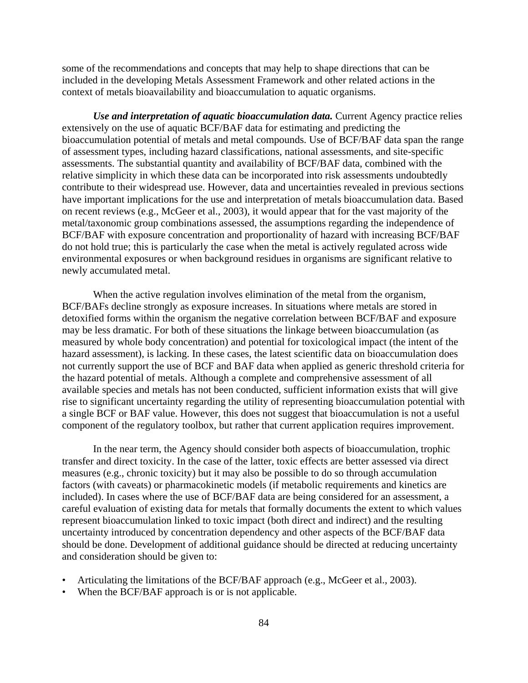some of the recommendations and concepts that may help to shape directions that can be included in the developing Metals Assessment Framework and other related actions in the context of metals bioavailability and bioaccumulation to aquatic organisms.

*Use and interpretation of aquatic bioaccumulation data.* Current Agency practice relies extensively on the use of aquatic BCF/BAF data for estimating and predicting the bioaccumulation potential of metals and metal compounds. Use of BCF/BAF data span the range of assessment types, including hazard classifications, national assessments, and site-specific assessments. The substantial quantity and availability of BCF/BAF data, combined with the relative simplicity in which these data can be incorporated into risk assessments undoubtedly contribute to their widespread use. However, data and uncertainties revealed in previous sections have important implications for the use and interpretation of metals bioaccumulation data. Based on recent reviews (e.g., McGeer et al., 2003), it would appear that for the vast majority of the metal/taxonomic group combinations assessed, the assumptions regarding the independence of BCF/BAF with exposure concentration and proportionality of hazard with increasing BCF/BAF do not hold true; this is particularly the case when the metal is actively regulated across wide environmental exposures or when background residues in organisms are significant relative to newly accumulated metal.

When the active regulation involves elimination of the metal from the organism, BCF/BAFs decline strongly as exposure increases. In situations where metals are stored in detoxified forms within the organism the negative correlation between BCF/BAF and exposure may be less dramatic. For both of these situations the linkage between bioaccumulation (as measured by whole body concentration) and potential for toxicological impact (the intent of the hazard assessment), is lacking. In these cases, the latest scientific data on bioaccumulation does not currently support the use of BCF and BAF data when applied as generic threshold criteria for the hazard potential of metals. Although a complete and comprehensive assessment of all available species and metals has not been conducted, sufficient information exists that will give rise to significant uncertainty regarding the utility of representing bioaccumulation potential with a single BCF or BAF value. However, this does not suggest that bioaccumulation is not a useful component of the regulatory toolbox, but rather that current application requires improvement.

In the near term, the Agency should consider both aspects of bioaccumulation, trophic transfer and direct toxicity. In the case of the latter, toxic effects are better assessed via direct measures (e.g., chronic toxicity) but it may also be possible to do so through accumulation factors (with caveats) or pharmacokinetic models (if metabolic requirements and kinetics are included). In cases where the use of BCF/BAF data are being considered for an assessment, a careful evaluation of existing data for metals that formally documents the extent to which values represent bioaccumulation linked to toxic impact (both direct and indirect) and the resulting uncertainty introduced by concentration dependency and other aspects of the BCF/BAF data should be done. Development of additional guidance should be directed at reducing uncertainty and consideration should be given to:

- Articulating the limitations of the BCF/BAF approach (e.g., McGeer et al., 2003).
- When the BCF/BAF approach is or is not applicable.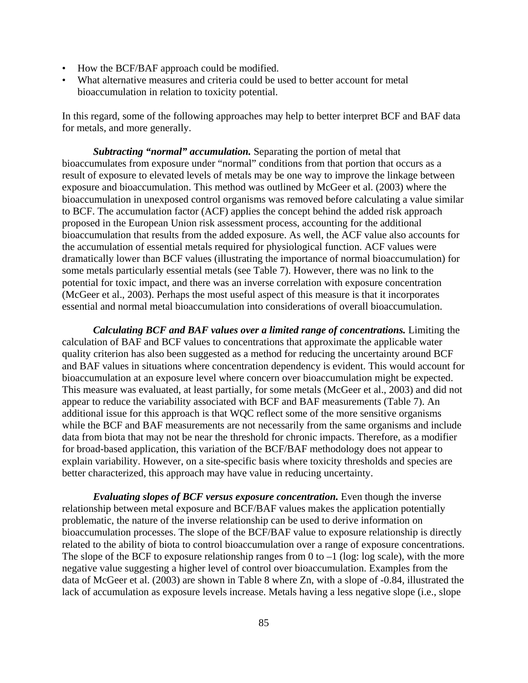- How the BCF/BAF approach could be modified.
- What alternative measures and criteria could be used to better account for metal bioaccumulation in relation to toxicity potential.

In this regard, some of the following approaches may help to better interpret BCF and BAF data for metals, and more generally.

*Subtracting "normal" accumulation.* Separating the portion of metal that bioaccumulates from exposure under "normal" conditions from that portion that occurs as a result of exposure to elevated levels of metals may be one way to improve the linkage between exposure and bioaccumulation. This method was outlined by McGeer et al. (2003) where the bioaccumulation in unexposed control organisms was removed before calculating a value similar to BCF. The accumulation factor (ACF) applies the concept behind the added risk approach proposed in the European Union risk assessment process, accounting for the additional bioaccumulation that results from the added exposure. As well, the ACF value also accounts for the accumulation of essential metals required for physiological function. ACF values were dramatically lower than BCF values (illustrating the importance of normal bioaccumulation) for some metals particularly essential metals (see Table 7). However, there was no link to the potential for toxic impact, and there was an inverse correlation with exposure concentration (McGeer et al., 2003). Perhaps the most useful aspect of this measure is that it incorporates essential and normal metal bioaccumulation into considerations of overall bioaccumulation.

*Calculating BCF and BAF values over a limited range of concentrations.* Limiting the calculation of BAF and BCF values to concentrations that approximate the applicable water quality criterion has also been suggested as a method for reducing the uncertainty around BCF and BAF values in situations where concentration dependency is evident. This would account for bioaccumulation at an exposure level where concern over bioaccumulation might be expected. This measure was evaluated, at least partially, for some metals (McGeer et al., 2003) and did not appear to reduce the variability associated with BCF and BAF measurements (Table 7). An additional issue for this approach is that WQC reflect some of the more sensitive organisms while the BCF and BAF measurements are not necessarily from the same organisms and include data from biota that may not be near the threshold for chronic impacts. Therefore, as a modifier for broad-based application, this variation of the BCF/BAF methodology does not appear to explain variability. However, on a site-specific basis where toxicity thresholds and species are better characterized, this approach may have value in reducing uncertainty.

*Evaluating slopes of BCF versus exposure concentration.* Even though the inverse relationship between metal exposure and BCF/BAF values makes the application potentially problematic, the nature of the inverse relationship can be used to derive information on bioaccumulation processes. The slope of the BCF/BAF value to exposure relationship is directly related to the ability of biota to control bioaccumulation over a range of exposure concentrations. The slope of the BCF to exposure relationship ranges from 0 to  $-1$  (log: log scale), with the more negative value suggesting a higher level of control over bioaccumulation. Examples from the data of McGeer et al. (2003) are shown in Table 8 where Zn, with a slope of -0.84, illustrated the lack of accumulation as exposure levels increase. Metals having a less negative slope (i.e., slope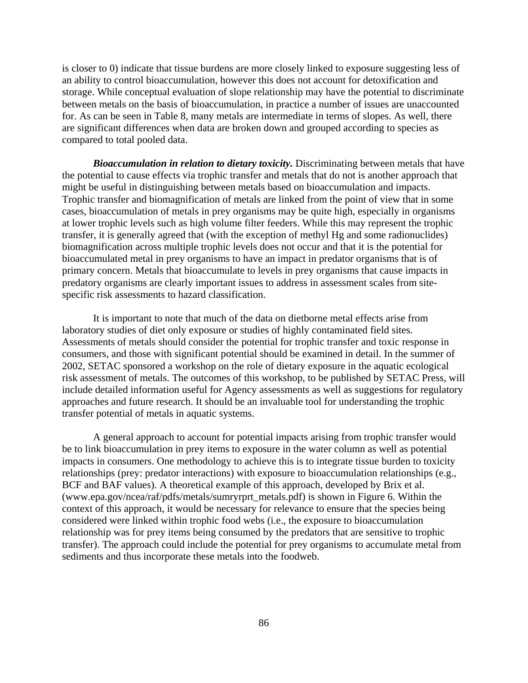is closer to 0) indicate that tissue burdens are more closely linked to exposure suggesting less of an ability to control bioaccumulation, however this does not account for detoxification and storage. While conceptual evaluation of slope relationship may have the potential to discriminate between metals on the basis of bioaccumulation, in practice a number of issues are unaccounted for. As can be seen in Table 8, many metals are intermediate in terms of slopes. As well, there are significant differences when data are broken down and grouped according to species as compared to total pooled data.

*Bioaccumulation in relation to dietary toxicity.* Discriminating between metals that have the potential to cause effects via trophic transfer and metals that do not is another approach that might be useful in distinguishing between metals based on bioaccumulation and impacts. Trophic transfer and biomagnification of metals are linked from the point of view that in some cases, bioaccumulation of metals in prey organisms may be quite high, especially in organisms at lower trophic levels such as high volume filter feeders. While this may represent the trophic transfer, it is generally agreed that (with the exception of methyl Hg and some radionuclides) biomagnification across multiple trophic levels does not occur and that it is the potential for bioaccumulated metal in prey organisms to have an impact in predator organisms that is of primary concern. Metals that bioaccumulate to levels in prey organisms that cause impacts in predatory organisms are clearly important issues to address in assessment scales from sitespecific risk assessments to hazard classification.

It is important to note that much of the data on dietborne metal effects arise from laboratory studies of diet only exposure or studies of highly contaminated field sites. Assessments of metals should consider the potential for trophic transfer and toxic response in consumers, and those with significant potential should be examined in detail. In the summer of 2002, SETAC sponsored a workshop on the role of dietary exposure in the aquatic ecological risk assessment of metals. The outcomes of this workshop, to be published by SETAC Press, will include detailed information useful for Agency assessments as well as suggestions for regulatory approaches and future research. It should be an invaluable tool for understanding the trophic transfer potential of metals in aquatic systems.

A general approach to account for potential impacts arising from trophic transfer would be to link bioaccumulation in prey items to exposure in the water column as well as potential impacts in consumers. One methodology to achieve this is to integrate tissue burden to toxicity relationships (prey: predator interactions) with exposure to bioaccumulation relationships (e.g., BCF and BAF values). A theoretical example of this approach, developed by Brix et al. (www.epa.gov/ncea/raf/pdfs/metals/sumryrprt\_metals.pdf) is shown in Figure 6. Within the context of this approach, it would be necessary for relevance to ensure that the species being considered were linked within trophic food webs (i.e., the exposure to bioaccumulation relationship was for prey items being consumed by the predators that are sensitive to trophic transfer). The approach could include the potential for prey organisms to accumulate metal from sediments and thus incorporate these metals into the foodweb.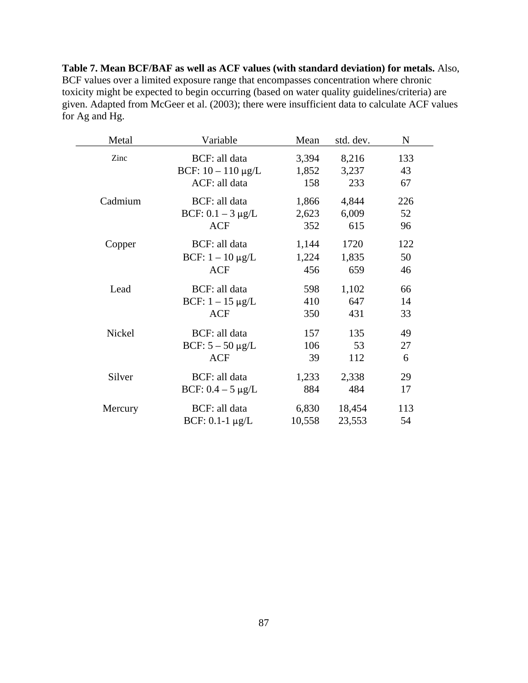**Table 7. Mean BCF/BAF as well as ACF values (with standard deviation) for metals.** Also, BCF values over a limited exposure range that encompasses concentration where chronic toxicity might be expected to begin occurring (based on water quality guidelines/criteria) are given. Adapted from McGeer et al. (2003); there were insufficient data to calculate ACF values for Ag and Hg.

| Metal   | Variable                | Mean   | std. dev. | $\mathbf N$ |
|---------|-------------------------|--------|-----------|-------------|
| Zinc    | BCF: all data           | 3,394  | 8,216     | 133         |
|         | BCF: $10 - 110 \mu g/L$ | 1,852  | 3,237     | 43          |
|         | ACF: all data           | 158    | 233       | 67          |
| Cadmium | BCF: all data           | 1,866  | 4,844     | 226         |
|         | BCF: $0.1 - 3 \mu g/L$  | 2,623  | 6,009     | 52          |
|         | <b>ACF</b>              | 352    | 615       | 96          |
| Copper  | BCF: all data           | 1,144  | 1720      | 122         |
|         | BCF: $1 - 10 \mu g/L$   | 1,224  | 1,835     | 50          |
|         | <b>ACF</b>              | 456    | 659       | 46          |
| Lead    | BCF: all data           | 598    | 1,102     | 66          |
|         | BCF: $1 - 15 \mu g/L$   | 410    | 647       | 14          |
|         | <b>ACF</b>              | 350    | 431       | 33          |
| Nickel  | BCF: all data           | 157    | 135       | 49          |
|         | BCF: $5 - 50 \mu g/L$   | 106    | 53        | 27          |
|         | <b>ACF</b>              | 39     | 112       | 6           |
| Silver  | BCF: all data           | 1,233  | 2,338     | 29          |
|         | BCF: $0.4 - 5 \mu g/L$  | 884    | 484       | 17          |
| Mercury | BCF: all data           | 6,830  | 18,454    | 113         |
|         | BCF: $0.1-1 \mu g/L$    | 10,558 | 23,553    | 54          |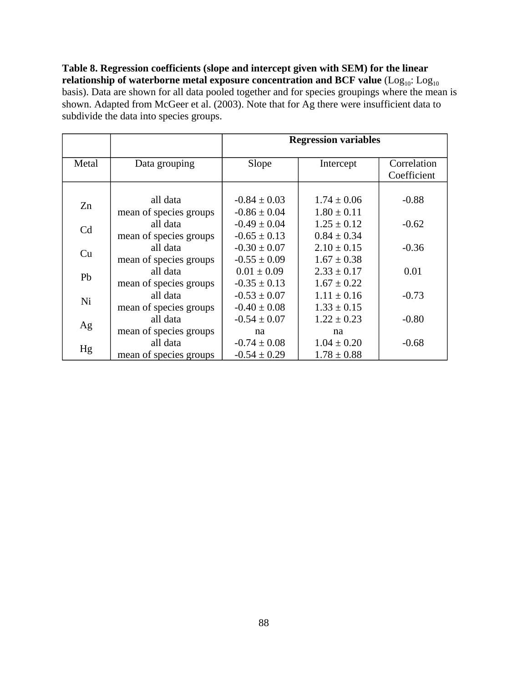**Table 8. Regression coefficients (slope and intercept given with SEM) for the linear**   $\bf{r}$ elationship of waterborne metal exposure concentration and  $\bf{BCF}$  value  $(\rm{Log}_{10};\rm{Log}_{10})$ basis). Data are shown for all data pooled together and for species groupings where the mean is shown. Adapted from McGeer et al. (2003). Note that for Ag there were insufficient data to subdivide the data into species groups.

|                |                        | <b>Regression variables</b> |                 |             |  |  |  |  |
|----------------|------------------------|-----------------------------|-----------------|-------------|--|--|--|--|
| Metal          | Data grouping          | Slope                       | Intercept       | Correlation |  |  |  |  |
|                |                        |                             |                 | Coefficient |  |  |  |  |
|                |                        |                             |                 |             |  |  |  |  |
| Zn             | all data               | $-0.84 \pm 0.03$            | $1.74 \pm 0.06$ | $-0.88$     |  |  |  |  |
|                | mean of species groups | $-0.86 \pm 0.04$            | $1.80 \pm 0.11$ |             |  |  |  |  |
| C <sub>d</sub> | all data               | $-0.49 \pm 0.04$            | $1.25 \pm 0.12$ | $-0.62$     |  |  |  |  |
|                | mean of species groups | $-0.65 \pm 0.13$            | $0.84 \pm 0.34$ |             |  |  |  |  |
| Cu             | all data               | $-0.30 \pm 0.07$            | $2.10 \pm 0.15$ | $-0.36$     |  |  |  |  |
|                | mean of species groups | $-0.55 \pm 0.09$            | $1.67 \pm 0.38$ |             |  |  |  |  |
| Pb             | all data               | $0.01 \pm 0.09$             | $2.33 \pm 0.17$ | 0.01        |  |  |  |  |
|                | mean of species groups | $-0.35 \pm 0.13$            | $1.67 \pm 0.22$ |             |  |  |  |  |
| Ni             | all data               | $-0.53 \pm 0.07$            | $1.11 \pm 0.16$ | $-0.73$     |  |  |  |  |
|                | mean of species groups | $-0.40 \pm 0.08$            | $1.33 \pm 0.15$ |             |  |  |  |  |
| Ag             | all data               | $-0.54 \pm 0.07$            | $1.22 \pm 0.23$ | $-0.80$     |  |  |  |  |
|                | mean of species groups | na                          | na              |             |  |  |  |  |
| Hg             | all data               | $-0.74 \pm 0.08$            | $1.04 \pm 0.20$ | $-0.68$     |  |  |  |  |
|                | mean of species groups | $-0.54 \pm 0.29$            | $1.78 \pm 0.88$ |             |  |  |  |  |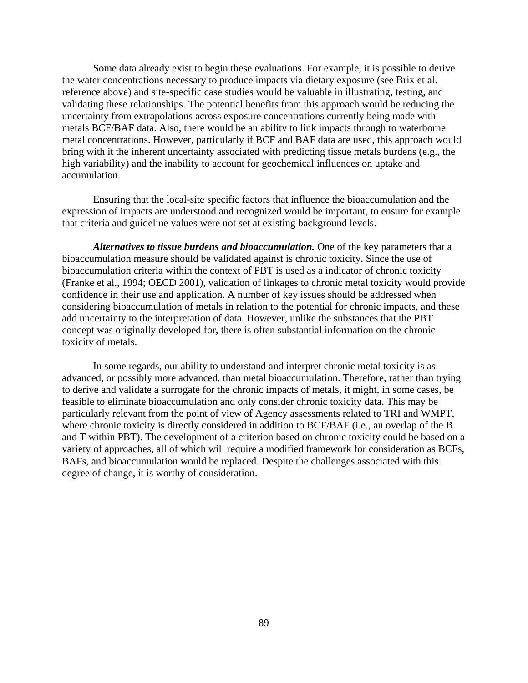Some data already exist to begin these evaluations. For example, it is possible to derive the water concentrations necessary to produce impacts via dietary exposure (see Brix et al. reference above) and site-specific case studies would be valuable in illustrating, testing, and validating these relationships. The potential benefits from this approach would be reducing the uncertainty from extrapolations across exposure concentrations currently being made with metals BCF/BAF data. Also, there would be an ability to link impacts through to waterborne metal concentrations. However, particularly if BCF and BAF data are used, this approach would bring with it the inherent uncertainty associated with predicting tissue metals burdens (e.g., the high variability) and the inability to account for geochemical influences on uptake and accumulation.

Ensuring that the local-site specific factors that influence the bioaccumulation and the expression of impacts are understood and recognized would be important, to ensure for example that criteria and guideline values were not set at existing background levels.

*Alternatives to tissue burdens and bioaccumulation.* One of the key parameters that a bioaccumulation measure should be validated against is chronic toxicity. Since the use of bioaccumulation criteria within the context of PBT is used as a indicator of chronic toxicity (Franke et al., 1994; OECD 2001), validation of linkages to chronic metal toxicity would provide confidence in their use and application. A number of key issues should be addressed when considering bioaccumulation of metals in relation to the potential for chronic impacts, and these add uncertainty to the interpretation of data. However, unlike the substances that the PBT concept was originally developed for, there is often substantial information on the chronic toxicity of metals.

In some regards, our ability to understand and interpret chronic metal toxicity is as advanced, or possibly more advanced, than metal bioaccumulation. Therefore, rather than trying to derive and validate a surrogate for the chronic impacts of metals, it might, in some cases, be feasible to eliminate bioaccumulation and only consider chronic toxicity data. This may be particularly relevant from the point of view of Agency assessments related to TRI and WMPT, where chronic toxicity is directly considered in addition to BCF/BAF (i.e., an overlap of the B and T within PBT). The development of a criterion based on chronic toxicity could be based on a variety of approaches, all of which will require a modified framework for consideration as BCFs, BAFs, and bioaccumulation would be replaced. Despite the challenges associated with this degree of change, it is worthy of consideration.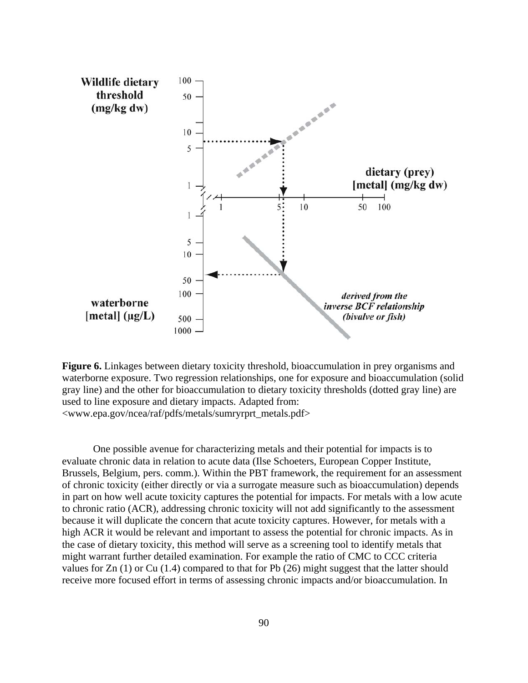

**Figure 6.** Linkages between dietary toxicity threshold, bioaccumulation in prey organisms and waterborne exposure. Two regression relationships, one for exposure and bioaccumulation (solid gray line) and the other for bioaccumulation to dietary toxicity thresholds (dotted gray line) are used to line exposure and dietary impacts. Adapted from: <www.epa.gov/ncea/raf/pdfs/metals/sumryrprt\_metals.pdf>

One possible avenue for characterizing metals and their potential for impacts is to evaluate chronic data in relation to acute data (Ilse Schoeters, European Copper Institute, Brussels, Belgium, pers. comm.). Within the PBT framework, the requirement for an assessment of chronic toxicity (either directly or via a surrogate measure such as bioaccumulation) depends in part on how well acute toxicity captures the potential for impacts. For metals with a low acute to chronic ratio (ACR), addressing chronic toxicity will not add significantly to the assessment because it will duplicate the concern that acute toxicity captures. However, for metals with a high ACR it would be relevant and important to assess the potential for chronic impacts. As in the case of dietary toxicity, this method will serve as a screening tool to identify metals that might warrant further detailed examination. For example the ratio of CMC to CCC criteria values for Zn (1) or Cu (1.4) compared to that for Pb (26) might suggest that the latter should receive more focused effort in terms of assessing chronic impacts and/or bioaccumulation. In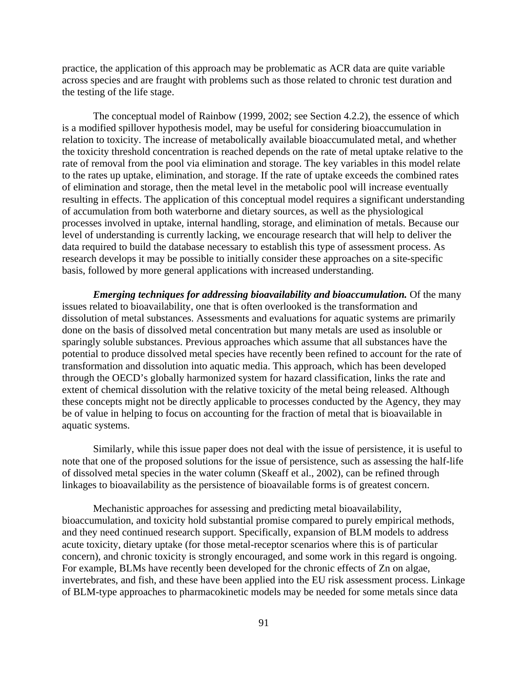practice, the application of this approach may be problematic as ACR data are quite variable across species and are fraught with problems such as those related to chronic test duration and the testing of the life stage.

The conceptual model of Rainbow (1999, 2002; see Section 4.2.2), the essence of which is a modified spillover hypothesis model, may be useful for considering bioaccumulation in relation to toxicity. The increase of metabolically available bioaccumulated metal, and whether the toxicity threshold concentration is reached depends on the rate of metal uptake relative to the rate of removal from the pool via elimination and storage. The key variables in this model relate to the rates up uptake, elimination, and storage. If the rate of uptake exceeds the combined rates of elimination and storage, then the metal level in the metabolic pool will increase eventually resulting in effects. The application of this conceptual model requires a significant understanding of accumulation from both waterborne and dietary sources, as well as the physiological processes involved in uptake, internal handling, storage, and elimination of metals. Because our level of understanding is currently lacking, we encourage research that will help to deliver the data required to build the database necessary to establish this type of assessment process. As research develops it may be possible to initially consider these approaches on a site-specific basis, followed by more general applications with increased understanding.

*Emerging techniques for addressing bioavailability and bioaccumulation.* Of the many issues related to bioavailability, one that is often overlooked is the transformation and dissolution of metal substances. Assessments and evaluations for aquatic systems are primarily done on the basis of dissolved metal concentration but many metals are used as insoluble or sparingly soluble substances. Previous approaches which assume that all substances have the potential to produce dissolved metal species have recently been refined to account for the rate of transformation and dissolution into aquatic media. This approach, which has been developed through the OECD's globally harmonized system for hazard classification, links the rate and extent of chemical dissolution with the relative toxicity of the metal being released. Although these concepts might not be directly applicable to processes conducted by the Agency, they may be of value in helping to focus on accounting for the fraction of metal that is bioavailable in aquatic systems.

Similarly, while this issue paper does not deal with the issue of persistence, it is useful to note that one of the proposed solutions for the issue of persistence, such as assessing the half-life of dissolved metal species in the water column (Skeaff et al., 2002), can be refined through linkages to bioavailability as the persistence of bioavailable forms is of greatest concern.

Mechanistic approaches for assessing and predicting metal bioavailability, bioaccumulation, and toxicity hold substantial promise compared to purely empirical methods, and they need continued research support. Specifically, expansion of BLM models to address acute toxicity, dietary uptake (for those metal-receptor scenarios where this is of particular concern), and chronic toxicity is strongly encouraged, and some work in this regard is ongoing. For example, BLMs have recently been developed for the chronic effects of Zn on algae, invertebrates, and fish, and these have been applied into the EU risk assessment process. Linkage of BLM-type approaches to pharmacokinetic models may be needed for some metals since data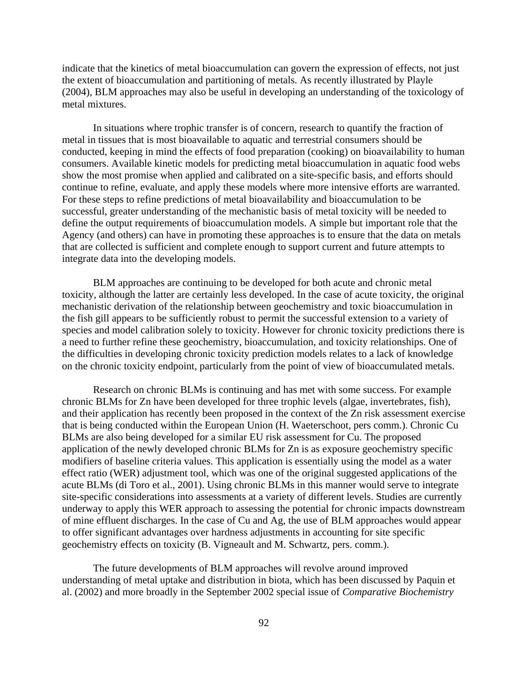indicate that the kinetics of metal bioaccumulation can govern the expression of effects, not just the extent of bioaccumulation and partitioning of metals. As recently illustrated by Playle (2004), BLM approaches may also be useful in developing an understanding of the toxicology of metal mixtures.

In situations where trophic transfer is of concern, research to quantify the fraction of metal in tissues that is most bioavailable to aquatic and terrestrial consumers should be conducted, keeping in mind the effects of food preparation (cooking) on bioavailability to human consumers. Available kinetic models for predicting metal bioaccumulation in aquatic food webs show the most promise when applied and calibrated on a site-specific basis, and efforts should continue to refine, evaluate, and apply these models where more intensive efforts are warranted. For these steps to refine predictions of metal bioavailability and bioaccumulation to be successful, greater understanding of the mechanistic basis of metal toxicity will be needed to define the output requirements of bioaccumulation models. A simple but important role that the Agency (and others) can have in promoting these approaches is to ensure that the data on metals that are collected is sufficient and complete enough to support current and future attempts to integrate data into the developing models.

BLM approaches are continuing to be developed for both acute and chronic metal toxicity, although the latter are certainly less developed. In the case of acute toxicity, the original mechanistic derivation of the relationship between geochemistry and toxic bioaccumulation in the fish gill appears to be sufficiently robust to permit the successful extension to a variety of species and model calibration solely to toxicity. However for chronic toxicity predictions there is a need to further refine these geochemistry, bioaccumulation, and toxicity relationships. One of the difficulties in developing chronic toxicity prediction models relates to a lack of knowledge on the chronic toxicity endpoint, particularly from the point of view of bioaccumulated metals.

Research on chronic BLMs is continuing and has met with some success. For example chronic BLMs for Zn have been developed for three trophic levels (algae, invertebrates, fish), and their application has recently been proposed in the context of the Zn risk assessment exercise that is being conducted within the European Union (H. Waeterschoot, pers comm.). Chronic Cu BLMs are also being developed for a similar EU risk assessment for Cu. The proposed application of the newly developed chronic BLMs for Zn is as exposure geochemistry specific modifiers of baseline criteria values. This application is essentially using the model as a water effect ratio (WER) adjustment tool, which was one of the original suggested applications of the acute BLMs (di Toro et al., 2001). Using chronic BLMs in this manner would serve to integrate site-specific considerations into assessments at a variety of different levels. Studies are currently underway to apply this WER approach to assessing the potential for chronic impacts downstream of mine effluent discharges. In the case of Cu and Ag, the use of BLM approaches would appear to offer significant advantages over hardness adjustments in accounting for site specific geochemistry effects on toxicity (B. Vigneault and M. Schwartz, pers. comm.).

The future developments of BLM approaches will revolve around improved understanding of metal uptake and distribution in biota, which has been discussed by Paquin et al. (2002) and more broadly in the September 2002 special issue of *Comparative Biochemistry*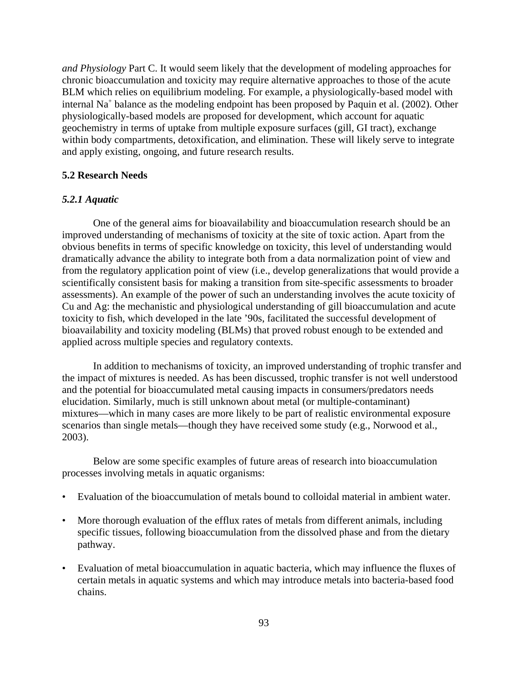*and Physiology* Part C. It would seem likely that the development of modeling approaches for chronic bioaccumulation and toxicity may require alternative approaches to those of the acute BLM which relies on equilibrium modeling. For example, a physiologically-based model with internal Na<sup>+</sup> balance as the modeling endpoint has been proposed by Paquin et al. (2002). Other physiologically-based models are proposed for development, which account for aquatic geochemistry in terms of uptake from multiple exposure surfaces (gill, GI tract), exchange within body compartments, detoxification, and elimination. These will likely serve to integrate and apply existing, ongoing, and future research results.

### **5.2 Research Needs**

### *5.2.1 Aquatic*

One of the general aims for bioavailability and bioaccumulation research should be an improved understanding of mechanisms of toxicity at the site of toxic action. Apart from the obvious benefits in terms of specific knowledge on toxicity, this level of understanding would dramatically advance the ability to integrate both from a data normalization point of view and from the regulatory application point of view (i.e., develop generalizations that would provide a scientifically consistent basis for making a transition from site-specific assessments to broader assessments). An example of the power of such an understanding involves the acute toxicity of Cu and Ag: the mechanistic and physiological understanding of gill bioaccumulation and acute toxicity to fish, which developed in the late '90s, facilitated the successful development of bioavailability and toxicity modeling (BLMs) that proved robust enough to be extended and applied across multiple species and regulatory contexts.

In addition to mechanisms of toxicity, an improved understanding of trophic transfer and the impact of mixtures is needed. As has been discussed, trophic transfer is not well understood and the potential for bioaccumulated metal causing impacts in consumers/predators needs elucidation. Similarly, much is still unknown about metal (or multiple-contaminant) mixtures—which in many cases are more likely to be part of realistic environmental exposure scenarios than single metals—though they have received some study (e.g., Norwood et al., 2003).

Below are some specific examples of future areas of research into bioaccumulation processes involving metals in aquatic organisms:

- Evaluation of the bioaccumulation of metals bound to colloidal material in ambient water.
- More thorough evaluation of the efflux rates of metals from different animals, including specific tissues, following bioaccumulation from the dissolved phase and from the dietary pathway.
- Evaluation of metal bioaccumulation in aquatic bacteria, which may influence the fluxes of certain metals in aquatic systems and which may introduce metals into bacteria-based food chains.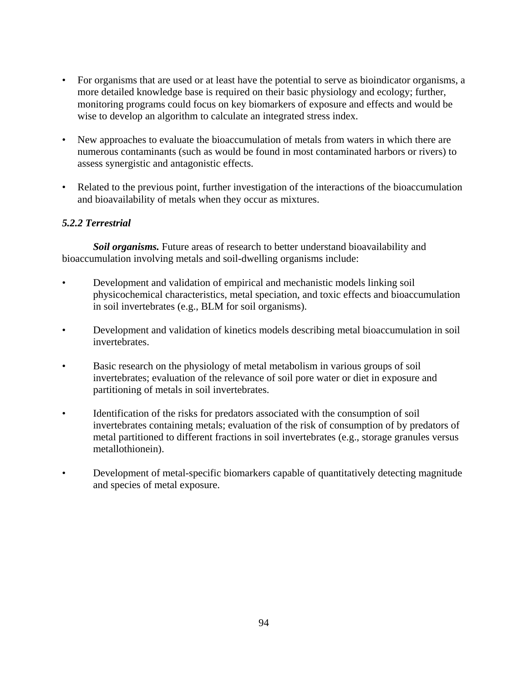- For organisms that are used or at least have the potential to serve as bioindicator organisms, a more detailed knowledge base is required on their basic physiology and ecology; further, monitoring programs could focus on key biomarkers of exposure and effects and would be wise to develop an algorithm to calculate an integrated stress index.
- New approaches to evaluate the bioaccumulation of metals from waters in which there are numerous contaminants (such as would be found in most contaminated harbors or rivers) to assess synergistic and antagonistic effects.
- Related to the previous point, further investigation of the interactions of the bioaccumulation and bioavailability of metals when they occur as mixtures.

# *5.2.2 Terrestrial*

*Soil organisms.* Future areas of research to better understand bioavailability and bioaccumulation involving metals and soil-dwelling organisms include:

- Development and validation of empirical and mechanistic models linking soil physicochemical characteristics, metal speciation, and toxic effects and bioaccumulation in soil invertebrates (e.g., BLM for soil organisms).
- Development and validation of kinetics models describing metal bioaccumulation in soil invertebrates.
- Basic research on the physiology of metal metabolism in various groups of soil invertebrates; evaluation of the relevance of soil pore water or diet in exposure and partitioning of metals in soil invertebrates.
- Identification of the risks for predators associated with the consumption of soil invertebrates containing metals; evaluation of the risk of consumption of by predators of metal partitioned to different fractions in soil invertebrates (e.g., storage granules versus metallothionein).
- Development of metal-specific biomarkers capable of quantitatively detecting magnitude and species of metal exposure.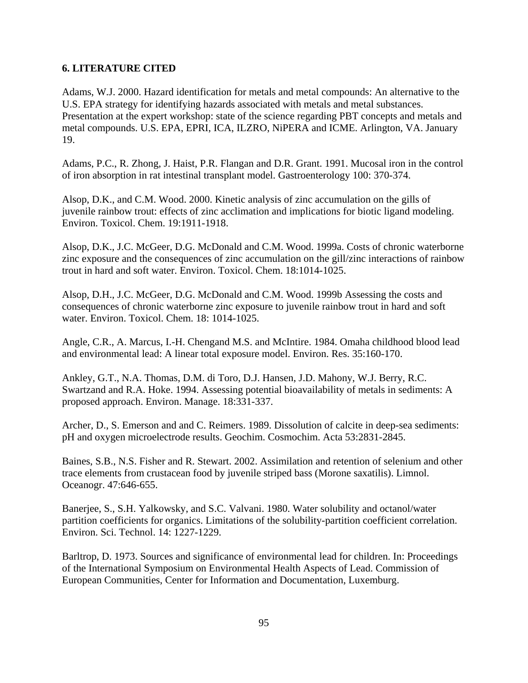# **6. LITERATURE CITED**

Adams, W.J. 2000. Hazard identification for metals and metal compounds: An alternative to the U.S. EPA strategy for identifying hazards associated with metals and metal substances. Presentation at the expert workshop: state of the science regarding PBT concepts and metals and metal compounds. U.S. EPA, EPRI, ICA, ILZRO, NiPERA and ICME. Arlington, VA. January 19.

Adams, P.C., R. Zhong, J. Haist, P.R. Flangan and D.R. Grant. 1991. Mucosal iron in the control of iron absorption in rat intestinal transplant model. Gastroenterology 100: 370-374.

Alsop, D.K., and C.M. Wood. 2000. Kinetic analysis of zinc accumulation on the gills of juvenile rainbow trout: effects of zinc acclimation and implications for biotic ligand modeling. Environ. Toxicol. Chem. 19:1911-1918.

Alsop, D.K., J.C. McGeer, D.G. McDonald and C.M. Wood. 1999a. Costs of chronic waterborne zinc exposure and the consequences of zinc accumulation on the gill/zinc interactions of rainbow trout in hard and soft water. Environ. Toxicol. Chem. 18:1014-1025.

Alsop, D.H., J.C. McGeer, D.G. McDonald and C.M. Wood. 1999b Assessing the costs and consequences of chronic waterborne zinc exposure to juvenile rainbow trout in hard and soft water. Environ. Toxicol. Chem. 18: 1014-1025.

Angle, C.R., A. Marcus, I.-H. Chengand M.S. and McIntire. 1984. Omaha childhood blood lead and environmental lead: A linear total exposure model. Environ. Res. 35:160-170.

Ankley, G.T., N.A. Thomas, D.M. di Toro, D.J. Hansen, J.D. Mahony, W.J. Berry, R.C. Swartzand and R.A. Hoke. 1994. Assessing potential bioavailability of metals in sediments: A proposed approach. Environ. Manage. 18:331-337.

Archer, D., S. Emerson and and C. Reimers. 1989. Dissolution of calcite in deep-sea sediments: pH and oxygen microelectrode results. Geochim. Cosmochim. Acta 53:2831-2845.

Baines, S.B., N.S. Fisher and R. Stewart. 2002. Assimilation and retention of selenium and other trace elements from crustacean food by juvenile striped bass (Morone saxatilis). Limnol. Oceanogr. 47:646-655.

Banerjee, S., S.H. Yalkowsky, and S.C. Valvani. 1980. Water solubility and octanol/water partition coefficients for organics. Limitations of the solubility-partition coefficient correlation. Environ. Sci. Technol. 14: 1227-1229.

Barltrop, D. 1973. Sources and significance of environmental lead for children. In: Proceedings of the International Symposium on Environmental Health Aspects of Lead. Commission of European Communities, Center for Information and Documentation, Luxemburg.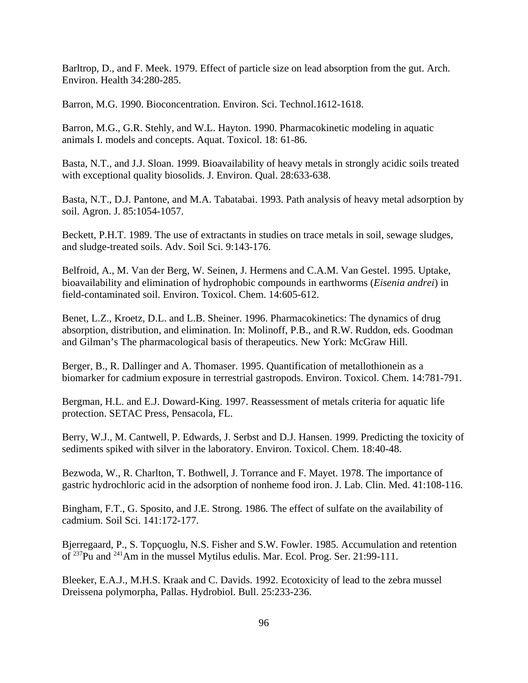Barltrop, D., and F. Meek. 1979. Effect of particle size on lead absorption from the gut. Arch. Environ. Health 34:280-285.

Barron, M.G. 1990. Bioconcentration. Environ. Sci. Technol.1612-1618.

Barron, M.G., G.R. Stehly, and W.L. Hayton. 1990. Pharmacokinetic modeling in aquatic animals I. models and concepts. Aquat. Toxicol. 18: 61-86.

Basta, N.T., and J.J. Sloan. 1999. Bioavailability of heavy metals in strongly acidic soils treated with exceptional quality biosolids. J. Environ. Qual. 28:633-638.

Basta, N.T., D.J. Pantone, and M.A. Tabatabai. 1993. Path analysis of heavy metal adsorption by soil. Agron. J. 85:1054-1057.

Beckett, P.H.T. 1989. The use of extractants in studies on trace metals in soil, sewage sludges, and sludge-treated soils. Adv. Soil Sci. 9:143-176.

Belfroid, A., M. Van der Berg, W. Seinen, J. Hermens and C.A.M. Van Gestel. 1995. Uptake, bioavailability and elimination of hydrophobic compounds in earthworms (*Eisenia andrei*) in field-contaminated soil. Environ. Toxicol. Chem. 14:605-612.

Benet, L.Z., Kroetz, D.L. and L.B. Sheiner. 1996. Pharmacokinetics: The dynamics of drug absorption, distribution, and elimination. In: Molinoff, P.B., and R.W. Ruddon, eds. Goodman and Gilman's The pharmacological basis of therapeutics. New York: McGraw Hill.

Berger, B., R. Dallinger and A. Thomaser. 1995. Quantification of metallothionein as a biomarker for cadmium exposure in terrestrial gastropods. Environ. Toxicol. Chem. 14:781-791.

Bergman, H.L. and E.J. Doward-King. 1997. Reassessment of metals criteria for aquatic life protection. SETAC Press, Pensacola, FL.

Berry, W.J., M. Cantwell, P. Edwards, J. Serbst and D.J. Hansen. 1999. Predicting the toxicity of sediments spiked with silver in the laboratory. Environ. Toxicol. Chem. 18:40-48.

Bezwoda, W., R. Charlton, T. Bothwell, J. Torrance and F. Mayet. 1978. The importance of gastric hydrochloric acid in the adsorption of nonheme food iron. J. Lab. Clin. Med. 41:108-116.

Bingham, F.T., G. Sposito, and J.E. Strong. 1986. The effect of sulfate on the availability of cadmium. Soil Sci. 141:172-177.

Bjerregaard, P., S. Topçuoglu, N.S. Fisher and S.W. Fowler. 1985. Accumulation and retention of 237Pu and 241Am in the mussel Mytilus edulis. Mar. Ecol. Prog. Ser. 21:99-111.

Bleeker, E.A.J., M.H.S. Kraak and C. Davids. 1992. Ecotoxicity of lead to the zebra mussel Dreissena polymorpha, Pallas. Hydrobiol. Bull. 25:233-236.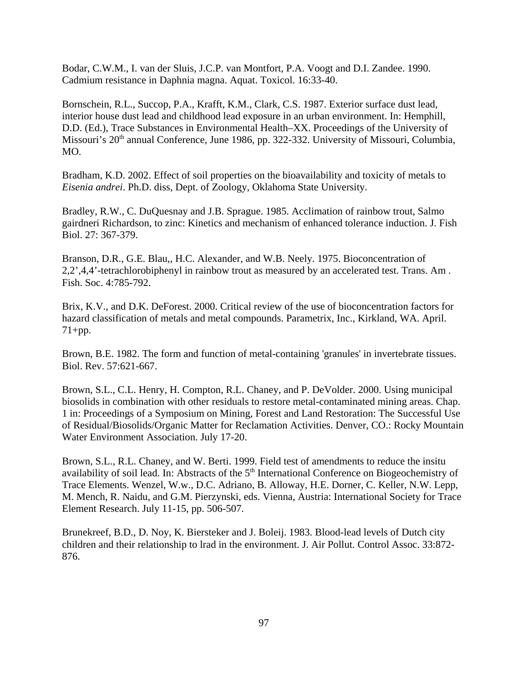Bodar, C.W.M., I. van der Sluis, J.C.P. van Montfort, P.A. Voogt and D.I. Zandee. 1990. Cadmium resistance in Daphnia magna. Aquat. Toxicol. 16:33-40.

Bornschein, R.L., Succop, P.A., Krafft, K.M., Clark, C.S. 1987. Exterior surface dust lead, interior house dust lead and childhood lead exposure in an urban environment. In: Hemphill, D.D. (Ed.), Trace Substances in Environmental Health–XX. Proceedings of the University of Missouri's 20<sup>th</sup> annual Conference, June 1986, pp. 322-332. University of Missouri, Columbia, MO.

Bradham, K.D. 2002. Effect of soil properties on the bioavailability and toxicity of metals to *Eisenia andrei*. Ph.D. diss, Dept. of Zoology, Oklahoma State University.

Bradley, R.W., C. DuQuesnay and J.B. Sprague. 1985. Acclimation of rainbow trout, Salmo gairdneri Richardson, to zinc: Kinetics and mechanism of enhanced tolerance induction. J. Fish Biol. 27: 367-379.

Branson, D.R., G.E. Blau,, H.C. Alexander, and W.B. Neely. 1975. Bioconcentration of 2,2',4,4'-tetrachlorobiphenyl in rainbow trout as measured by an accelerated test. Trans. Am . Fish. Soc. 4:785-792.

Brix, K.V., and D.K. DeForest. 2000. Critical review of the use of bioconcentration factors for hazard classification of metals and metal compounds. Parametrix, Inc., Kirkland, WA. April.  $71+pp.$ 

Brown, B.E. 1982. The form and function of metal-containing 'granules' in invertebrate tissues. Biol. Rev. 57:621-667.

Brown, S.L., C.L. Henry, H. Compton, R.L. Chaney, and P. DeVolder. 2000. Using municipal biosolids in combination with other residuals to restore metal-contaminated mining areas. Chap. 1 in: Proceedings of a Symposium on Mining, Forest and Land Restoration: The Successful Use of Residual/Biosolids/Organic Matter for Reclamation Activities. Denver, CO.: Rocky Mountain Water Environment Association. July 17-20.

Brown, S.L., R.L. Chaney, and W. Berti. 1999. Field test of amendments to reduce the insitu availability of soil lead. In: Abstracts of the 5<sup>th</sup> International Conference on Biogeochemistry of Trace Elements. Wenzel, W.w., D.C. Adriano, B. Alloway, H.E. Dorner, C. Keller, N.W. Lepp, M. Mench, R. Naidu, and G.M. Pierzynski, eds. Vienna, Austria: International Society for Trace Element Research. July 11-15, pp. 506-507.

Brunekreef, B.D., D. Noy, K. Biersteker and J. Boleij. 1983. Blood-lead levels of Dutch city children and their relationship to lrad in the environment. J. Air Pollut. Control Assoc. 33:872- 876.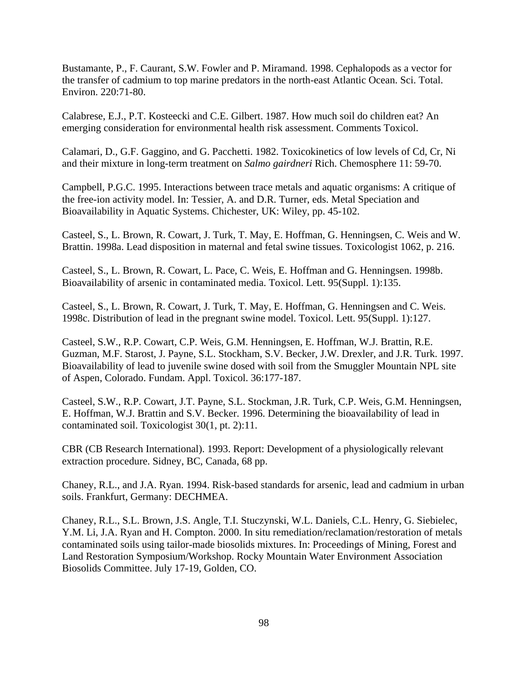Bustamante, P., F. Caurant, S.W. Fowler and P. Miramand. 1998. Cephalopods as a vector for the transfer of cadmium to top marine predators in the north-east Atlantic Ocean. Sci. Total. Environ. 220:71-80.

Calabrese, E.J., P.T. Kosteecki and C.E. Gilbert. 1987. How much soil do children eat? An emerging consideration for environmental health risk assessment. Comments Toxicol.

Calamari, D., G.F. Gaggino, and G. Pacchetti. 1982. Toxicokinetics of low levels of Cd, Cr, Ni and their mixture in long-term treatment on *Salmo gairdneri* Rich. Chemosphere 11: 59-70.

Campbell, P.G.C. 1995. Interactions between trace metals and aquatic organisms: A critique of the free-ion activity model. In: Tessier, A. and D.R. Turner, eds. Metal Speciation and Bioavailability in Aquatic Systems. Chichester, UK: Wiley, pp. 45-102.

Casteel, S., L. Brown, R. Cowart, J. Turk, T. May, E. Hoffman, G. Henningsen, C. Weis and W. Brattin. 1998a. Lead disposition in maternal and fetal swine tissues. Toxicologist 1062, p. 216.

Casteel, S., L. Brown, R. Cowart, L. Pace, C. Weis, E. Hoffman and G. Henningsen. 1998b. Bioavailability of arsenic in contaminated media. Toxicol. Lett. 95(Suppl. 1):135.

Casteel, S., L. Brown, R. Cowart, J. Turk, T. May, E. Hoffman, G. Henningsen and C. Weis. 1998c. Distribution of lead in the pregnant swine model. Toxicol. Lett. 95(Suppl. 1):127.

Casteel, S.W., R.P. Cowart, C.P. Weis, G.M. Henningsen, E. Hoffman, W.J. Brattin, R.E. Guzman, M.F. Starost, J. Payne, S.L. Stockham, S.V. Becker, J.W. Drexler, and J.R. Turk. 1997. Bioavailability of lead to juvenile swine dosed with soil from the Smuggler Mountain NPL site of Aspen, Colorado. Fundam. Appl. Toxicol. 36:177-187.

Casteel, S.W., R.P. Cowart, J.T. Payne, S.L. Stockman, J.R. Turk, C.P. Weis, G.M. Henningsen, E. Hoffman, W.J. Brattin and S.V. Becker. 1996. Determining the bioavailability of lead in contaminated soil. Toxicologist 30(1, pt. 2):11.

CBR (CB Research International). 1993. Report: Development of a physiologically relevant extraction procedure. Sidney, BC, Canada, 68 pp.

Chaney, R.L., and J.A. Ryan. 1994. Risk-based standards for arsenic, lead and cadmium in urban soils. Frankfurt, Germany: DECHMEA.

Chaney, R.L., S.L. Brown, J.S. Angle, T.I. Stuczynski, W.L. Daniels, C.L. Henry, G. Siebielec, Y.M. Li, J.A. Ryan and H. Compton. 2000. In situ remediation/reclamation/restoration of metals contaminated soils using tailor-made biosolids mixtures. In: Proceedings of Mining, Forest and Land Restoration Symposium/Workshop. Rocky Mountain Water Environment Association Biosolids Committee. July 17-19, Golden, CO.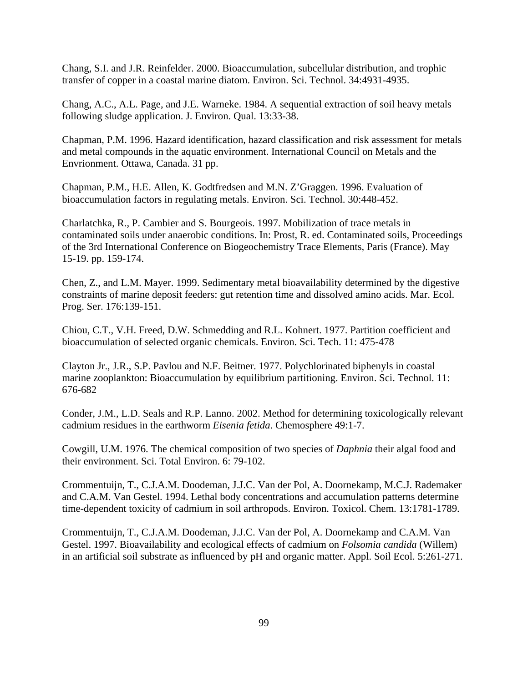Chang, S.I. and J.R. Reinfelder. 2000. Bioaccumulation, subcellular distribution, and trophic transfer of copper in a coastal marine diatom. Environ. Sci. Technol. 34:4931-4935.

Chang, A.C., A.L. Page, and J.E. Warneke. 1984. A sequential extraction of soil heavy metals following sludge application. J. Environ. Qual. 13:33-38.

Chapman, P.M. 1996. Hazard identification, hazard classification and risk assessment for metals and metal compounds in the aquatic environment. International Council on Metals and the Envrionment. Ottawa, Canada. 31 pp.

Chapman, P.M., H.E. Allen, K. Godtfredsen and M.N. Z'Graggen. 1996. Evaluation of bioaccumulation factors in regulating metals. Environ. Sci. Technol. 30:448-452.

Charlatchka, R., P. Cambier and S. Bourgeois. 1997. Mobilization of trace metals in contaminated soils under anaerobic conditions. In: Prost, R. ed. Contaminated soils, Proceedings of the 3rd International Conference on Biogeochemistry Trace Elements, Paris (France). May 15-19. pp. 159-174.

Chen, Z., and L.M. Mayer. 1999. Sedimentary metal bioavailability determined by the digestive constraints of marine deposit feeders: gut retention time and dissolved amino acids. Mar. Ecol. Prog. Ser. 176:139-151.

Chiou, C.T., V.H. Freed, D.W. Schmedding and R.L. Kohnert. 1977. Partition coefficient and bioaccumulation of selected organic chemicals. Environ. Sci. Tech. 11: 475-478

Clayton Jr., J.R., S.P. Pavlou and N.F. Beitner. 1977. Polychlorinated biphenyls in coastal marine zooplankton: Bioaccumulation by equilibrium partitioning. Environ. Sci. Technol. 11: 676-682

Conder, J.M., L.D. Seals and R.P. Lanno. 2002. Method for determining toxicologically relevant cadmium residues in the earthworm *Eisenia fetida*. Chemosphere 49:1-7.

Cowgill, U.M. 1976. The chemical composition of two species of *Daphnia* their algal food and their environment. Sci. Total Environ. 6: 79-102.

Crommentuijn, T., C.J.A.M. Doodeman, J.J.C. Van der Pol, A. Doornekamp, M.C.J. Rademaker and C.A.M. Van Gestel. 1994. Lethal body concentrations and accumulation patterns determine time-dependent toxicity of cadmium in soil arthropods. Environ. Toxicol. Chem. 13:1781-1789.

Crommentuijn, T., C.J.A.M. Doodeman, J.J.C. Van der Pol, A. Doornekamp and C.A.M. Van Gestel. 1997. Bioavailability and ecological effects of cadmium on *Folsomia candida* (Willem) in an artificial soil substrate as influenced by pH and organic matter. Appl. Soil Ecol. 5:261-271.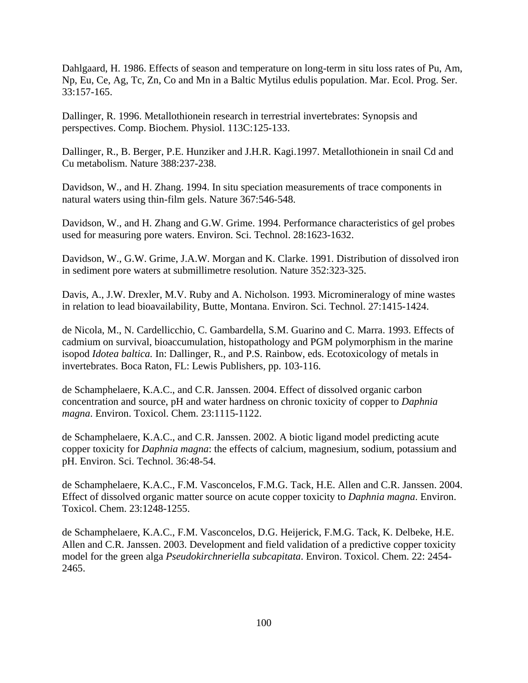Dahlgaard, H. 1986. Effects of season and temperature on long-term in situ loss rates of Pu, Am, Np, Eu, Ce, Ag, Tc, Zn, Co and Mn in a Baltic Mytilus edulis population. Mar. Ecol. Prog. Ser. 33:157-165.

Dallinger, R. 1996. Metallothionein research in terrestrial invertebrates: Synopsis and perspectives. Comp. Biochem. Physiol. 113C:125-133.

Dallinger, R., B. Berger, P.E. Hunziker and J.H.R. Kagi.1997. Metallothionein in snail Cd and Cu metabolism. Nature 388:237-238.

Davidson, W., and H. Zhang. 1994. In situ speciation measurements of trace components in natural waters using thin-film gels. Nature 367:546-548.

Davidson, W., and H. Zhang and G.W. Grime. 1994. Performance characteristics of gel probes used for measuring pore waters. Environ. Sci. Technol. 28:1623-1632.

Davidson, W., G.W. Grime, J.A.W. Morgan and K. Clarke. 1991. Distribution of dissolved iron in sediment pore waters at submillimetre resolution. Nature 352:323-325.

Davis, A., J.W. Drexler, M.V. Ruby and A. Nicholson. 1993. Micromineralogy of mine wastes in relation to lead bioavailability, Butte, Montana. Environ. Sci. Technol. 27:1415-1424.

de Nicola, M., N. Cardellicchio, C. Gambardella, S.M. Guarino and C. Marra. 1993. Effects of cadmium on survival, bioaccumulation, histopathology and PGM polymorphism in the marine isopod *Idotea baltica.* In: Dallinger, R., and P.S. Rainbow, eds. Ecotoxicology of metals in invertebrates. Boca Raton, FL: Lewis Publishers, pp. 103-116.

de Schamphelaere, K.A.C., and C.R. Janssen. 2004. Effect of dissolved organic carbon concentration and source, pH and water hardness on chronic toxicity of copper to *Daphnia magna*. Environ. Toxicol. Chem. 23:1115-1122.

de Schamphelaere, K.A.C., and C.R. Janssen. 2002. A biotic ligand model predicting acute copper toxicity for *Daphnia magna*: the effects of calcium, magnesium, sodium, potassium and pH. Environ. Sci. Technol. 36:48-54.

de Schamphelaere, K.A.C., F.M. Vasconcelos, F.M.G. Tack, H.E. Allen and C.R. Janssen. 2004. Effect of dissolved organic matter source on acute copper toxicity to *Daphnia magna*. Environ. Toxicol. Chem. 23:1248-1255.

de Schamphelaere, K.A.C., F.M. Vasconcelos, D.G. Heijerick, F.M.G. Tack, K. Delbeke, H.E. Allen and C.R. Janssen. 2003. Development and field validation of a predictive copper toxicity model for the green alga *Pseudokirchneriella subcapitata*. Environ. Toxicol. Chem. 22: 2454 2465.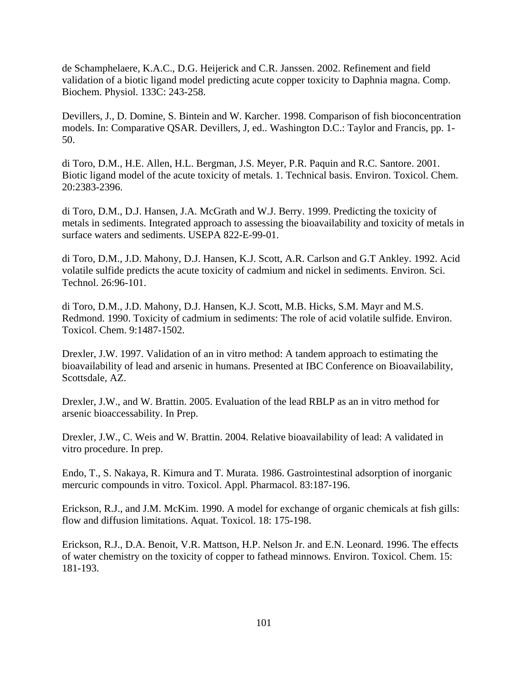de Schamphelaere, K.A.C., D.G. Heijerick and C.R. Janssen. 2002. Refinement and field validation of a biotic ligand model predicting acute copper toxicity to Daphnia magna. Comp. Biochem. Physiol. 133C: 243-258.

Devillers, J., D. Domine, S. Bintein and W. Karcher. 1998. Comparison of fish bioconcentration models. In: Comparative QSAR. Devillers, J, ed.. Washington D.C.: Taylor and Francis, pp. 1 50.

di Toro, D.M., H.E. Allen, H.L. Bergman, J.S. Meyer, P.R. Paquin and R.C. Santore. 2001. Biotic ligand model of the acute toxicity of metals. 1. Technical basis. Environ. Toxicol. Chem. 20:2383-2396.

di Toro, D.M., D.J. Hansen, J.A. McGrath and W.J. Berry. 1999. Predicting the toxicity of metals in sediments. Integrated approach to assessing the bioavailability and toxicity of metals in surface waters and sediments. USEPA 822-E-99-01.

di Toro, D.M., J.D. Mahony, D.J. Hansen, K.J. Scott, A.R. Carlson and G.T Ankley. 1992. Acid volatile sulfide predicts the acute toxicity of cadmium and nickel in sediments. Environ. Sci. Technol. 26:96-101.

di Toro, D.M., J.D. Mahony, D.J. Hansen, K.J. Scott, M.B. Hicks, S.M. Mayr and M.S. Redmond. 1990. Toxicity of cadmium in sediments: The role of acid volatile sulfide. Environ. Toxicol. Chem. 9:1487-1502.

Drexler, J.W. 1997. Validation of an in vitro method: A tandem approach to estimating the bioavailability of lead and arsenic in humans. Presented at IBC Conference on Bioavailability, Scottsdale, AZ.

Drexler, J.W., and W. Brattin. 2005. Evaluation of the lead RBLP as an in vitro method for arsenic bioaccessability. In Prep.

Drexler, J.W., C. Weis and W. Brattin. 2004. Relative bioavailability of lead: A validated in vitro procedure. In prep.

Endo, T., S. Nakaya, R. Kimura and T. Murata. 1986. Gastrointestinal adsorption of inorganic mercuric compounds in vitro. Toxicol. Appl. Pharmacol. 83:187-196.

Erickson, R.J., and J.M. McKim. 1990. A model for exchange of organic chemicals at fish gills: flow and diffusion limitations. Aquat. Toxicol. 18: 175-198.

Erickson, R.J., D.A. Benoit, V.R. Mattson, H.P. Nelson Jr. and E.N. Leonard. 1996. The effects of water chemistry on the toxicity of copper to fathead minnows. Environ. Toxicol. Chem. 15: 181-193.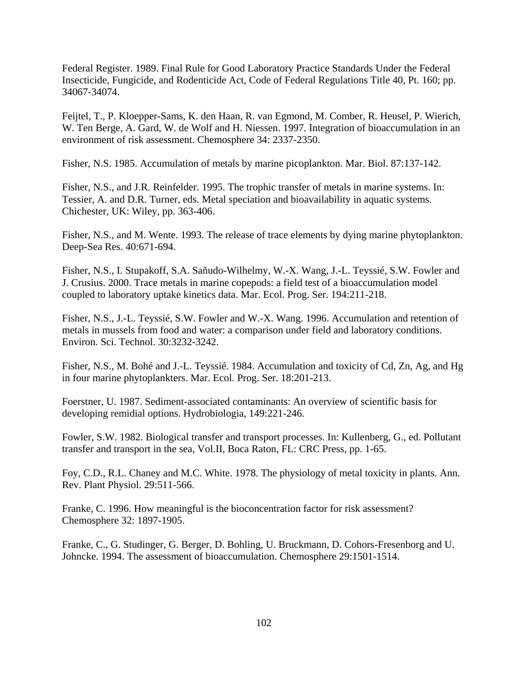Federal Register. 1989. Final Rule for Good Laboratory Practice Standards Under the Federal Insecticide, Fungicide, and Rodenticide Act, Code of Federal Regulations Title 40, Pt. 160; pp. 34067-34074.

Feijtel, T., P. Kloepper-Sams, K. den Haan, R. van Egmond, M. Comber, R. Heusel, P. Wierich, W. Ten Berge, A. Gard, W. de Wolf and H. Niessen. 1997. Integration of bioaccumulation in an environment of risk assessment. Chemosphere 34: 2337-2350.

Fisher, N.S. 1985. Accumulation of metals by marine picoplankton. Mar. Biol. 87:137-142.

Fisher, N.S., and J.R. Reinfelder. 1995. The trophic transfer of metals in marine systems. In: Tessier, A. and D.R. Turner, eds. Metal speciation and bioavailability in aquatic systems. Chichester, UK: Wiley, pp. 363-406.

Fisher, N.S., and M. Wente. 1993. The release of trace elements by dying marine phytoplankton. Deep-Sea Res. 40:671-694.

Fisher, N.S., I. Stupakoff, S.A. Sañudo-Wilhelmy, W.-X. Wang, J.-L. Teyssié, S.W. Fowler and J. Crusius. 2000. Trace metals in marine copepods: a field test of a bioaccumulation model coupled to laboratory uptake kinetics data. Mar. Ecol. Prog. Ser. 194:211-218.

Fisher, N.S., J.-L. Teyssié, S.W. Fowler and W.-X. Wang. 1996. Accumulation and retention of metals in mussels from food and water: a comparison under field and laboratory conditions. Environ. Sci. Technol. 30:3232-3242.

Fisher, N.S., M. Bohé and J.-L. Teyssié. 1984. Accumulation and toxicity of Cd, Zn, Ag, and Hg in four marine phytoplankters. Mar. Ecol. Prog. Ser. 18:201-213.

Foerstner, U. 1987. Sediment-associated contaminants: An overview of scientific basis for developing remidial options. Hydrobiologia, 149:221-246.

Fowler, S.W. 1982. Biological transfer and transport processes. In: Kullenberg, G., ed. Pollutant transfer and transport in the sea, Vol.II, Boca Raton, FL: CRC Press, pp. 1-65.

Foy, C.D., R.L. Chaney and M.C. White. 1978. The physiology of metal toxicity in plants. Ann. Rev. Plant Physiol. 29:511-566.

Franke, C. 1996. How meaningful is the bioconcentration factor for risk assessment? Chemosphere 32: 1897-1905.

Franke, C., G. Studinger, G. Berger, D. Bohling, U. Bruckmann, D. Cohors-Fresenborg and U. Johncke. 1994. The assessment of bioaccumulation. Chemosphere 29:1501-1514.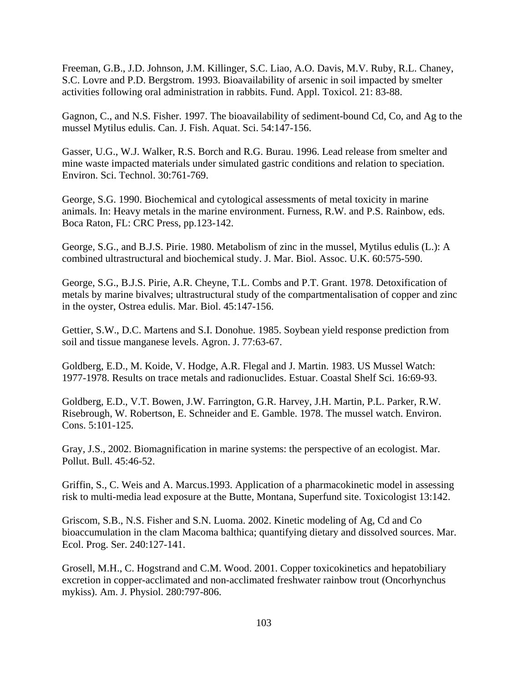Freeman, G.B., J.D. Johnson, J.M. Killinger, S.C. Liao, A.O. Davis, M.V. Ruby, R.L. Chaney, S.C. Lovre and P.D. Bergstrom. 1993. Bioavailability of arsenic in soil impacted by smelter activities following oral administration in rabbits. Fund. Appl. Toxicol. 21: 83-88.

Gagnon, C., and N.S. Fisher. 1997. The bioavailability of sediment-bound Cd, Co, and Ag to the mussel Mytilus edulis. Can. J. Fish. Aquat. Sci. 54:147-156.

Gasser, U.G., W.J. Walker, R.S. Borch and R.G. Burau. 1996. Lead release from smelter and mine waste impacted materials under simulated gastric conditions and relation to speciation. Environ. Sci. Technol. 30:761-769.

George, S.G. 1990. Biochemical and cytological assessments of metal toxicity in marine animals. In: Heavy metals in the marine environment. Furness, R.W. and P.S. Rainbow, eds. Boca Raton, FL: CRC Press, pp.123-142.

George, S.G., and B.J.S. Pirie. 1980. Metabolism of zinc in the mussel, Mytilus edulis (L.): A combined ultrastructural and biochemical study. J. Mar. Biol. Assoc. U.K. 60:575-590.

George, S.G., B.J.S. Pirie, A.R. Cheyne, T.L. Combs and P.T. Grant. 1978. Detoxification of metals by marine bivalves; ultrastructural study of the compartmentalisation of copper and zinc in the oyster, Ostrea edulis. Mar. Biol. 45:147-156.

Gettier, S.W., D.C. Martens and S.I. Donohue. 1985. Soybean yield response prediction from soil and tissue manganese levels. Agron. J. 77:63-67.

Goldberg, E.D., M. Koide, V. Hodge, A.R. Flegal and J. Martin. 1983. US Mussel Watch: 1977-1978. Results on trace metals and radionuclides. Estuar. Coastal Shelf Sci. 16:69-93.

Goldberg, E.D., V.T. Bowen, J.W. Farrington, G.R. Harvey, J.H. Martin, P.L. Parker, R.W. Risebrough, W. Robertson, E. Schneider and E. Gamble. 1978. The mussel watch. Environ. Cons. 5:101-125.

Gray, J.S., 2002. Biomagnification in marine systems: the perspective of an ecologist. Mar. Pollut. Bull. 45:46-52.

Griffin, S., C. Weis and A. Marcus.1993. Application of a pharmacokinetic model in assessing risk to multi-media lead exposure at the Butte, Montana, Superfund site. Toxicologist 13:142.

Griscom, S.B., N.S. Fisher and S.N. Luoma. 2002. Kinetic modeling of Ag, Cd and Co bioaccumulation in the clam Macoma balthica; quantifying dietary and dissolved sources. Mar. Ecol. Prog. Ser. 240:127-141.

Grosell, M.H., C. Hogstrand and C.M. Wood. 2001. Copper toxicokinetics and hepatobiliary excretion in copper-acclimated and non-acclimated freshwater rainbow trout (Oncorhynchus mykiss). Am. J. Physiol. 280:797-806.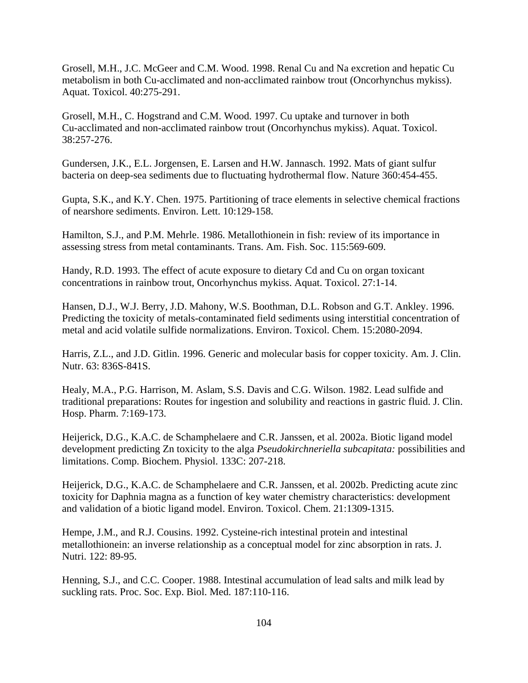Grosell, M.H., J.C. McGeer and C.M. Wood. 1998. Renal Cu and Na excretion and hepatic Cu metabolism in both Cu-acclimated and non-acclimated rainbow trout (Oncorhynchus mykiss). Aquat. Toxicol. 40:275-291.

Grosell, M.H., C. Hogstrand and C.M. Wood. 1997. Cu uptake and turnover in both Cu-acclimated and non-acclimated rainbow trout (Oncorhynchus mykiss). Aquat. Toxicol. 38:257-276.

Gundersen, J.K., E.L. Jorgensen, E. Larsen and H.W. Jannasch. 1992. Mats of giant sulfur bacteria on deep-sea sediments due to fluctuating hydrothermal flow. Nature 360:454-455.

Gupta, S.K., and K.Y. Chen. 1975. Partitioning of trace elements in selective chemical fractions of nearshore sediments. Environ. Lett. 10:129-158.

Hamilton, S.J., and P.M. Mehrle. 1986. Metallothionein in fish: review of its importance in assessing stress from metal contaminants. Trans. Am. Fish. Soc. 115:569-609.

Handy, R.D. 1993. The effect of acute exposure to dietary Cd and Cu on organ toxicant concentrations in rainbow trout, Oncorhynchus mykiss. Aquat. Toxicol. 27:1-14.

Hansen, D.J., W.J. Berry, J.D. Mahony, W.S. Boothman, D.L. Robson and G.T. Ankley. 1996. Predicting the toxicity of metals-contaminated field sediments using interstitial concentration of metal and acid volatile sulfide normalizations. Environ. Toxicol. Chem. 15:2080-2094.

Harris, Z.L., and J.D. Gitlin. 1996. Generic and molecular basis for copper toxicity. Am. J. Clin. Nutr. 63: 836S-841S.

Healy, M.A., P.G. Harrison, M. Aslam, S.S. Davis and C.G. Wilson. 1982. Lead sulfide and traditional preparations: Routes for ingestion and solubility and reactions in gastric fluid. J. Clin. Hosp. Pharm. 7:169-173.

Heijerick, D.G., K.A.C. de Schamphelaere and C.R. Janssen, et al. 2002a. Biotic ligand model development predicting Zn toxicity to the alga *Pseudokirchneriella subcapitata:* possibilities and limitations. Comp. Biochem. Physiol. 133C: 207-218.

Heijerick, D.G., K.A.C. de Schamphelaere and C.R. Janssen, et al. 2002b. Predicting acute zinc toxicity for Daphnia magna as a function of key water chemistry characteristics: development and validation of a biotic ligand model. Environ. Toxicol. Chem. 21:1309-1315.

Hempe, J.M., and R.J. Cousins. 1992. Cysteine-rich intestinal protein and intestinal metallothionein: an inverse relationship as a conceptual model for zinc absorption in rats. J. Nutri. 122: 89-95.

Henning, S.J., and C.C. Cooper. 1988. Intestinal accumulation of lead salts and milk lead by suckling rats. Proc. Soc. Exp. Biol. Med. 187:110-116.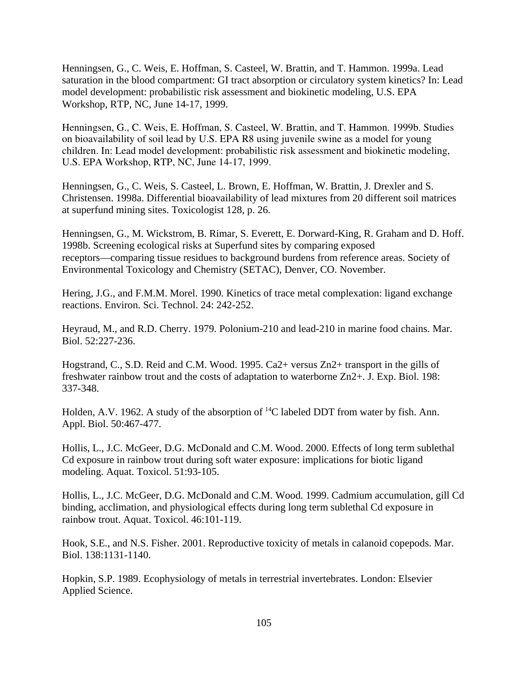Henningsen, G., C. Weis, E. Hoffman, S. Casteel, W. Brattin, and T. Hammon. 1999a. Lead saturation in the blood compartment: GI tract absorption or circulatory system kinetics? In: Lead model development: probabilistic risk assessment and biokinetic modeling, U.S. EPA Workshop, RTP, NC, June 14-17, 1999.

Henningsen, G., C. Weis, E. Hoffman, S. Casteel, W. Brattin, and T. Hammon. 1999b. Studies on bioavailability of soil lead by U.S. EPA R8 using juvenile swine as a model for young children. In: Lead model development: probabilistic risk assessment and biokinetic modeling, U.S. EPA Workshop, RTP, NC, June 14-17, 1999.

Henningsen, G., C. Weis, S. Casteel, L. Brown, E. Hoffman, W. Brattin, J. Drexler and S. Christensen. 1998a. Differential bioavailability of lead mixtures from 20 different soil matrices at superfund mining sites. Toxicologist 128, p. 26.

Henningsen, G., M. Wickstrom, B. Rimar, S. Everett, E. Dorward-King, R. Graham and D. Hoff. 1998b. Screening ecological risks at Superfund sites by comparing exposed receptors—comparing tissue residues to background burdens from reference areas. Society of Environmental Toxicology and Chemistry (SETAC), Denver, CO. November.

Hering, J.G., and F.M.M. Morel. 1990. Kinetics of trace metal complexation: ligand exchange reactions. Environ. Sci. Technol. 24: 242-252.

Heyraud, M., and R.D. Cherry. 1979. Polonium-210 and lead-210 in marine food chains. Mar. Biol. 52:227-236.

Hogstrand, C., S.D. Reid and C.M. Wood. 1995. Ca2+ versus Zn2+ transport in the gills of freshwater rainbow trout and the costs of adaptation to waterborne Zn2+. J. Exp. Biol. 198: 337-348.

Holden, A.V. 1962. A study of the absorption of  $^{14}C$  labeled DDT from water by fish. Ann. Appl. Biol. 50:467-477.

Hollis, L., J.C. McGeer, D.G. McDonald and C.M. Wood. 2000. Effects of long term sublethal Cd exposure in rainbow trout during soft water exposure: implications for biotic ligand modeling. Aquat. Toxicol. 51:93-105.

Hollis, L., J.C. McGeer, D.G. McDonald and C.M. Wood. 1999. Cadmium accumulation, gill Cd binding, acclimation, and physiological effects during long term sublethal Cd exposure in rainbow trout. Aquat. Toxicol. 46:101-119.

Hook, S.E., and N.S. Fisher. 2001. Reproductive toxicity of metals in calanoid copepods. Mar. Biol. 138:1131-1140.

Hopkin, S.P. 1989. Ecophysiology of metals in terrestrial invertebrates. London: Elsevier Applied Science.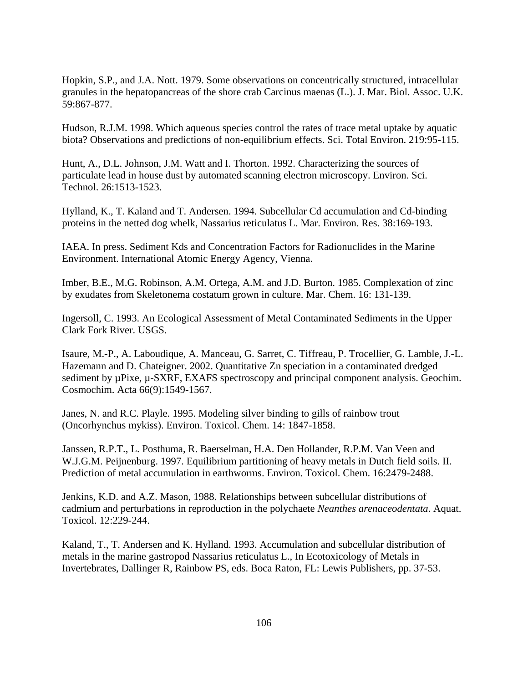Hopkin, S.P., and J.A. Nott. 1979. Some observations on concentrically structured, intracellular granules in the hepatopancreas of the shore crab Carcinus maenas (L.). J. Mar. Biol. Assoc. U.K. 59:867-877.

Hudson, R.J.M. 1998. Which aqueous species control the rates of trace metal uptake by aquatic biota? Observations and predictions of non-equilibrium effects. Sci. Total Environ. 219:95-115.

Hunt, A., D.L. Johnson, J.M. Watt and I. Thorton. 1992. Characterizing the sources of particulate lead in house dust by automated scanning electron microscopy. Environ. Sci. Technol. 26:1513-1523.

Hylland, K., T. Kaland and T. Andersen. 1994. Subcellular Cd accumulation and Cd-binding proteins in the netted dog whelk, Nassarius reticulatus L. Mar. Environ. Res. 38:169-193.

IAEA. In press. Sediment Kds and Concentration Factors for Radionuclides in the Marine Environment. International Atomic Energy Agency, Vienna.

Imber, B.E., M.G. Robinson, A.M. Ortega, A.M. and J.D. Burton. 1985. Complexation of zinc by exudates from Skeletonema costatum grown in culture. Mar. Chem. 16: 131-139.

Ingersoll, C. 1993. An Ecological Assessment of Metal Contaminated Sediments in the Upper Clark Fork River. USGS.

Isaure, M.-P., A. Laboudique, A. Manceau, G. Sarret, C. Tiffreau, P. Trocellier, G. Lamble, J.-L. Hazemann and D. Chateigner. 2002. Quantitative Zn speciation in a contaminated dredged sediment by  $\mu$ Pixe,  $\mu$ -SXRF, EXAFS spectroscopy and principal component analysis. Geochim. Cosmochim. Acta 66(9):1549-1567.

Janes, N. and R.C. Playle. 1995. Modeling silver binding to gills of rainbow trout (Oncorhynchus mykiss). Environ. Toxicol. Chem. 14: 1847-1858.

Janssen, R.P.T., L. Posthuma, R. Baerselman, H.A. Den Hollander, R.P.M. Van Veen and W.J.G.M. Peijnenburg. 1997. Equilibrium partitioning of heavy metals in Dutch field soils. II. Prediction of metal accumulation in earthworms. Environ. Toxicol. Chem. 16:2479-2488.

Jenkins, K.D. and A.Z. Mason, 1988. Relationships between subcellular distributions of cadmium and perturbations in reproduction in the polychaete *Neanthes arenaceodentata*. Aquat. Toxicol. 12:229-244.

Kaland, T., T. Andersen and K. Hylland. 1993. Accumulation and subcellular distribution of metals in the marine gastropod Nassarius reticulatus L., In Ecotoxicology of Metals in Invertebrates, Dallinger R, Rainbow PS, eds. Boca Raton, FL: Lewis Publishers, pp. 37-53.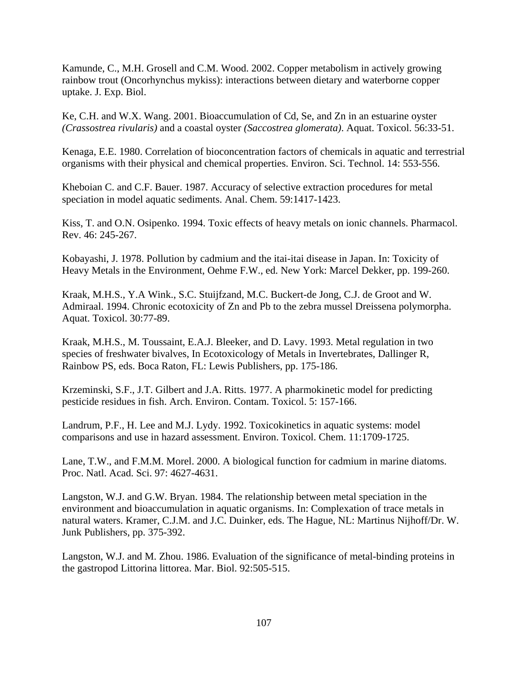Kamunde, C., M.H. Grosell and C.M. Wood. 2002. Copper metabolism in actively growing rainbow trout (Oncorhynchus mykiss): interactions between dietary and waterborne copper uptake. J. Exp. Biol.

Ke, C.H. and W.X. Wang. 2001. Bioaccumulation of Cd, Se, and Zn in an estuarine oyster *(Crassostrea rivularis)* and a coastal oyster *(Saccostrea glomerata)*. Aquat. Toxicol. 56:33-51.

Kenaga, E.E. 1980. Correlation of bioconcentration factors of chemicals in aquatic and terrestrial organisms with their physical and chemical properties. Environ. Sci. Technol. 14: 553-556.

Kheboian C. and C.F. Bauer. 1987. Accuracy of selective extraction procedures for metal speciation in model aquatic sediments. Anal. Chem. 59:1417-1423.

Kiss, T. and O.N. Osipenko. 1994. Toxic effects of heavy metals on ionic channels. Pharmacol. Rev. 46: 245-267.

Kobayashi, J. 1978. Pollution by cadmium and the itai-itai disease in Japan. In: Toxicity of Heavy Metals in the Environment, Oehme F.W., ed. New York: Marcel Dekker, pp. 199-260.

Kraak, M.H.S., Y.A Wink., S.C. Stuijfzand, M.C. Buckert-de Jong, C.J. de Groot and W. Admiraal. 1994. Chronic ecotoxicity of Zn and Pb to the zebra mussel Dreissena polymorpha. Aquat. Toxicol. 30:77-89.

Kraak, M.H.S., M. Toussaint, E.A.J. Bleeker, and D. Lavy. 1993. Metal regulation in two species of freshwater bivalves, In Ecotoxicology of Metals in Invertebrates, Dallinger R, Rainbow PS, eds. Boca Raton, FL: Lewis Publishers, pp. 175-186.

Krzeminski, S.F., J.T. Gilbert and J.A. Ritts. 1977. A pharmokinetic model for predicting pesticide residues in fish. Arch. Environ. Contam. Toxicol. 5: 157-166.

Landrum, P.F., H. Lee and M.J. Lydy. 1992. Toxicokinetics in aquatic systems: model comparisons and use in hazard assessment. Environ. Toxicol. Chem. 11:1709-1725.

Lane, T.W., and F.M.M. Morel. 2000. A biological function for cadmium in marine diatoms. Proc. Natl. Acad. Sci. 97: 4627-4631.

Langston, W.J. and G.W. Bryan. 1984. The relationship between metal speciation in the environment and bioaccumulation in aquatic organisms. In: Complexation of trace metals in natural waters. Kramer, C.J.M. and J.C. Duinker, eds. The Hague, NL: Martinus Nijhoff/Dr. W. Junk Publishers, pp. 375-392.

Langston, W.J. and M. Zhou. 1986. Evaluation of the significance of metal-binding proteins in the gastropod Littorina littorea. Mar. Biol. 92:505-515.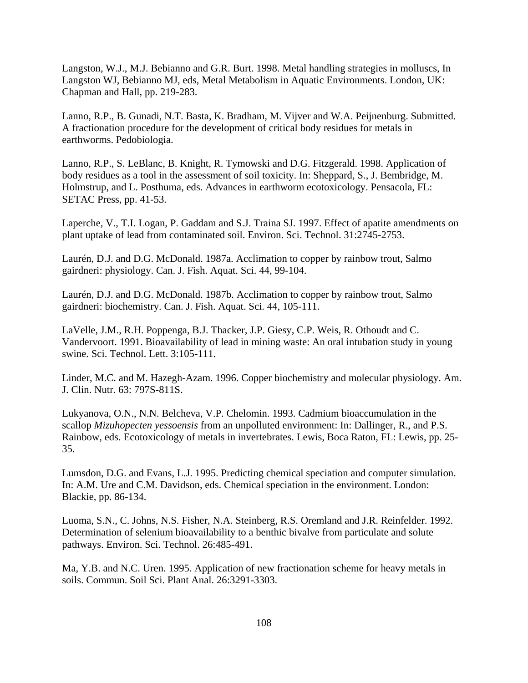Langston, W.J., M.J. Bebianno and G.R. Burt. 1998. Metal handling strategies in molluscs, In Langston WJ, Bebianno MJ, eds, Metal Metabolism in Aquatic Environments. London, UK: Chapman and Hall, pp. 219-283.

Lanno, R.P., B. Gunadi, N.T. Basta, K. Bradham, M. Vijver and W.A. Peijnenburg. Submitted. A fractionation procedure for the development of critical body residues for metals in earthworms. Pedobiologia.

Lanno, R.P., S. LeBlanc, B. Knight, R. Tymowski and D.G. Fitzgerald. 1998. Application of body residues as a tool in the assessment of soil toxicity. In: Sheppard, S., J. Bembridge, M. Holmstrup, and L. Posthuma, eds. Advances in earthworm ecotoxicology. Pensacola, FL: SETAC Press, pp. 41-53.

Laperche, V., T.I. Logan, P. Gaddam and S.J. Traina SJ. 1997. Effect of apatite amendments on plant uptake of lead from contaminated soil. Environ. Sci. Technol. 31:2745-2753.

Laurén, D.J. and D.G. McDonald. 1987a. Acclimation to copper by rainbow trout, Salmo gairdneri: physiology. Can. J. Fish. Aquat. Sci. 44, 99-104.

Laurén, D.J. and D.G. McDonald. 1987b. Acclimation to copper by rainbow trout, Salmo gairdneri: biochemistry. Can. J. Fish. Aquat. Sci. 44, 105-111.

LaVelle, J.M., R.H. Poppenga, B.J. Thacker, J.P. Giesy, C.P. Weis, R. Othoudt and C. Vandervoort. 1991. Bioavailability of lead in mining waste: An oral intubation study in young swine. Sci. Technol. Lett. 3:105-111.

Linder, M.C. and M. Hazegh-Azam. 1996. Copper biochemistry and molecular physiology. Am. J. Clin. Nutr. 63: 797S-811S.

Lukyanova, O.N., N.N. Belcheva, V.P. Chelomin. 1993. Cadmium bioaccumulation in the scallop *Mizuhopecten yessoensis* from an unpolluted environment: In: Dallinger, R., and P.S. Rainbow, eds. Ecotoxicology of metals in invertebrates. Lewis, Boca Raton, FL: Lewis, pp. 25 35.

Lumsdon, D.G. and Evans, L.J. 1995. Predicting chemical speciation and computer simulation. In: A.M. Ure and C.M. Davidson, eds. Chemical speciation in the environment. London: Blackie, pp. 86-134.

Luoma, S.N., C. Johns, N.S. Fisher, N.A. Steinberg, R.S. Oremland and J.R. Reinfelder. 1992. Determination of selenium bioavailability to a benthic bivalve from particulate and solute pathways. Environ. Sci. Technol. 26:485-491.

Ma, Y.B. and N.C. Uren. 1995. Application of new fractionation scheme for heavy metals in soils. Commun. Soil Sci. Plant Anal. 26:3291-3303.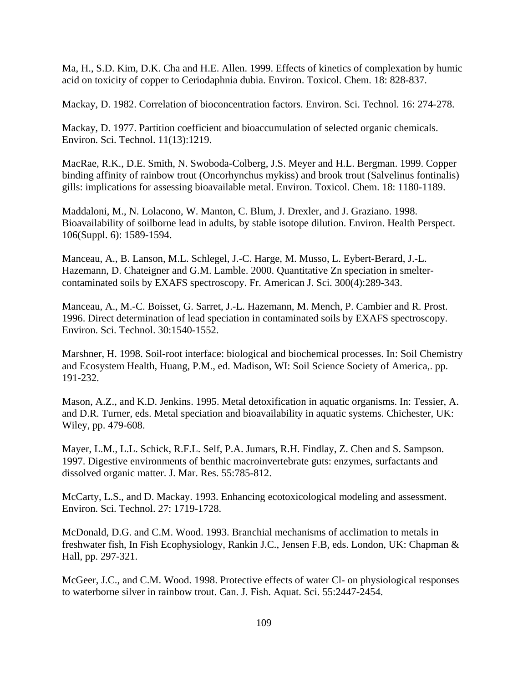Ma, H., S.D. Kim, D.K. Cha and H.E. Allen. 1999. Effects of kinetics of complexation by humic acid on toxicity of copper to Ceriodaphnia dubia. Environ. Toxicol. Chem. 18: 828-837.

Mackay, D. 1982. Correlation of bioconcentration factors. Environ. Sci. Technol. 16: 274-278.

Mackay, D. 1977. Partition coefficient and bioaccumulation of selected organic chemicals. Environ. Sci. Technol. 11(13):1219.

MacRae, R.K., D.E. Smith, N. Swoboda-Colberg, J.S. Meyer and H.L. Bergman. 1999. Copper binding affinity of rainbow trout (Oncorhynchus mykiss) and brook trout (Salvelinus fontinalis) gills: implications for assessing bioavailable metal. Environ. Toxicol. Chem. 18: 1180-1189.

Maddaloni, M., N. Lolacono, W. Manton, C. Blum, J. Drexler, and J. Graziano. 1998. Bioavailability of soilborne lead in adults, by stable isotope dilution. Environ. Health Perspect. 106(Suppl. 6): 1589-1594.

Manceau, A., B. Lanson, M.L. Schlegel, J.-C. Harge, M. Musso, L. Eybert-Berard, J.-L. Hazemann, D. Chateigner and G.M. Lamble. 2000. Quantitative Zn speciation in smeltercontaminated soils by EXAFS spectroscopy. Fr. American J. Sci. 300(4):289-343.

Manceau, A., M.-C. Boisset, G. Sarret, J.-L. Hazemann, M. Mench, P. Cambier and R. Prost. 1996. Direct determination of lead speciation in contaminated soils by EXAFS spectroscopy. Environ. Sci. Technol. 30:1540-1552.

Marshner, H. 1998. Soil-root interface: biological and biochemical processes. In: Soil Chemistry and Ecosystem Health, Huang, P.M., ed. Madison, WI: Soil Science Society of America,. pp. 191-232.

Mason, A.Z., and K.D. Jenkins. 1995. Metal detoxification in aquatic organisms. In: Tessier, A. and D.R. Turner, eds. Metal speciation and bioavailability in aquatic systems. Chichester, UK: Wiley, pp. 479-608.

Mayer, L.M., L.L. Schick, R.F.L. Self, P.A. Jumars, R.H. Findlay, Z. Chen and S. Sampson. 1997. Digestive environments of benthic macroinvertebrate guts: enzymes, surfactants and dissolved organic matter. J. Mar. Res. 55:785-812.

McCarty, L.S., and D. Mackay. 1993. Enhancing ecotoxicological modeling and assessment. Environ. Sci. Technol. 27: 1719-1728.

McDonald, D.G. and C.M. Wood. 1993. Branchial mechanisms of acclimation to metals in freshwater fish, In Fish Ecophysiology, Rankin J.C., Jensen F.B, eds. London, UK: Chapman & Hall, pp. 297-321.

McGeer, J.C., and C.M. Wood. 1998. Protective effects of water Cl- on physiological responses to waterborne silver in rainbow trout. Can. J. Fish. Aquat. Sci. 55:2447-2454.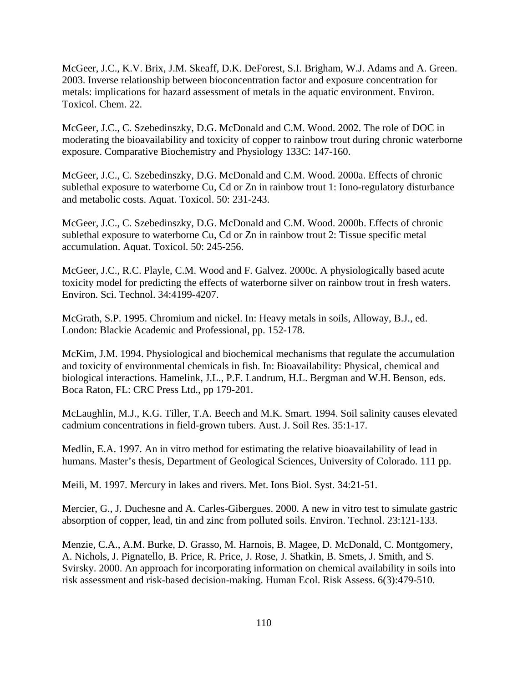McGeer, J.C., K.V. Brix, J.M. Skeaff, D.K. DeForest, S.I. Brigham, W.J. Adams and A. Green. 2003. Inverse relationship between bioconcentration factor and exposure concentration for metals: implications for hazard assessment of metals in the aquatic environment. Environ. Toxicol. Chem. 22.

McGeer, J.C., C. Szebedinszky, D.G. McDonald and C.M. Wood. 2002. The role of DOC in moderating the bioavailability and toxicity of copper to rainbow trout during chronic waterborne exposure. Comparative Biochemistry and Physiology 133C: 147-160.

McGeer, J.C., C. Szebedinszky, D.G. McDonald and C.M. Wood. 2000a. Effects of chronic sublethal exposure to waterborne Cu, Cd or Zn in rainbow trout 1: Iono-regulatory disturbance and metabolic costs. Aquat. Toxicol. 50: 231-243.

McGeer, J.C., C. Szebedinszky, D.G. McDonald and C.M. Wood. 2000b. Effects of chronic sublethal exposure to waterborne Cu, Cd or Zn in rainbow trout 2: Tissue specific metal accumulation. Aquat. Toxicol. 50: 245-256.

McGeer, J.C., R.C. Playle, C.M. Wood and F. Galvez. 2000c. A physiologically based acute toxicity model for predicting the effects of waterborne silver on rainbow trout in fresh waters. Environ. Sci. Technol. 34:4199-4207.

McGrath, S.P. 1995. Chromium and nickel. In: Heavy metals in soils, Alloway, B.J., ed. London: Blackie Academic and Professional, pp. 152-178.

McKim, J.M. 1994. Physiological and biochemical mechanisms that regulate the accumulation and toxicity of environmental chemicals in fish. In: Bioavailability: Physical, chemical and biological interactions. Hamelink, J.L., P.F. Landrum, H.L. Bergman and W.H. Benson, eds. Boca Raton, FL: CRC Press Ltd., pp 179-201.

McLaughlin, M.J., K.G. Tiller, T.A. Beech and M.K. Smart. 1994. Soil salinity causes elevated cadmium concentrations in field-grown tubers. Aust. J. Soil Res. 35:1-17.

Medlin, E.A. 1997. An in vitro method for estimating the relative bioavailability of lead in humans. Master's thesis, Department of Geological Sciences, University of Colorado. 111 pp.

Meili, M. 1997. Mercury in lakes and rivers. Met. Ions Biol. Syst. 34:21-51.

Mercier, G., J. Duchesne and A. Carles-Gibergues. 2000. A new in vitro test to simulate gastric absorption of copper, lead, tin and zinc from polluted soils. Environ. Technol. 23:121-133.

Menzie, C.A., A.M. Burke, D. Grasso, M. Harnois, B. Magee, D. McDonald, C. Montgomery, A. Nichols, J. Pignatello, B. Price, R. Price, J. Rose, J. Shatkin, B. Smets, J. Smith, and S. Svirsky. 2000. An approach for incorporating information on chemical availability in soils into risk assessment and risk-based decision-making. Human Ecol. Risk Assess. 6(3):479-510.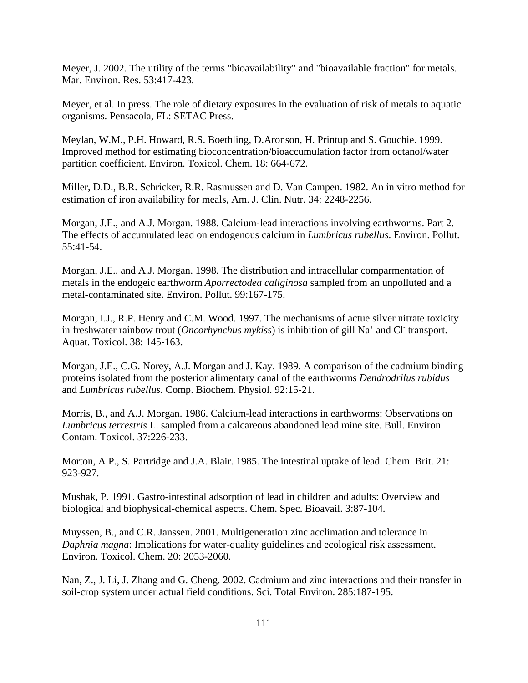Meyer, J. 2002. The utility of the terms "bioavailability" and "bioavailable fraction" for metals. Mar. Environ. Res. 53:417-423.

Meyer, et al. In press. The role of dietary exposures in the evaluation of risk of metals to aquatic organisms. Pensacola, FL: SETAC Press.

Meylan, W.M., P.H. Howard, R.S. Boethling, D.Aronson, H. Printup and S. Gouchie. 1999. Improved method for estimating bioconcentration/bioaccumulation factor from octanol/water partition coefficient. Environ. Toxicol. Chem. 18: 664-672.

Miller, D.D., B.R. Schricker, R.R. Rasmussen and D. Van Campen. 1982. An in vitro method for estimation of iron availability for meals, Am. J. Clin. Nutr. 34: 2248-2256.

Morgan, J.E., and A.J. Morgan. 1988. Calcium-lead interactions involving earthworms. Part 2. The effects of accumulated lead on endogenous calcium in *Lumbricus rubellus*. Environ. Pollut. 55:41-54.

Morgan, J.E., and A.J. Morgan. 1998. The distribution and intracellular comparmentation of metals in the endogeic earthworm *Aporrectodea caliginosa* sampled from an unpolluted and a metal-contaminated site. Environ. Pollut. 99:167-175.

Morgan, I.J., R.P. Henry and C.M. Wood. 1997. The mechanisms of actue silver nitrate toxicity in freshwater rainbow trout (*Oncorhynchus mykiss*) is inhibition of gill Na<sup>+</sup> and Cl<sup>-</sup> transport. Aquat. Toxicol. 38: 145-163.

Morgan, J.E., C.G. Norey, A.J. Morgan and J. Kay. 1989. A comparison of the cadmium binding proteins isolated from the posterior alimentary canal of the earthworms *Dendrodrilus rubidus*  and *Lumbricus rubellus*. Comp. Biochem. Physiol. 92:15-21.

Morris, B., and A.J. Morgan. 1986. Calcium-lead interactions in earthworms: Observations on *Lumbricus terrestris* L. sampled from a calcareous abandoned lead mine site. Bull. Environ. Contam. Toxicol. 37:226-233.

Morton, A.P., S. Partridge and J.A. Blair. 1985. The intestinal uptake of lead. Chem. Brit. 21: 923-927.

Mushak, P. 1991. Gastro-intestinal adsorption of lead in children and adults: Overview and biological and biophysical-chemical aspects. Chem. Spec. Bioavail. 3:87-104.

Muyssen, B., and C.R. Janssen. 2001. Multigeneration zinc acclimation and tolerance in *Daphnia magna*: Implications for water-quality guidelines and ecological risk assessment. Environ. Toxicol. Chem. 20: 2053-2060.

Nan, Z., J. Li, J. Zhang and G. Cheng. 2002. Cadmium and zinc interactions and their transfer in soil-crop system under actual field conditions. Sci. Total Environ. 285:187-195.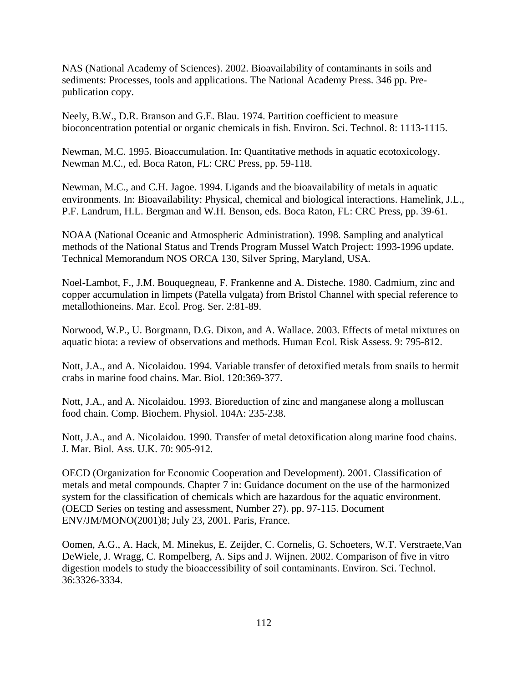NAS (National Academy of Sciences). 2002. Bioavailability of contaminants in soils and sediments: Processes, tools and applications. The National Academy Press. 346 pp. Prepublication copy.

Neely, B.W., D.R. Branson and G.E. Blau. 1974. Partition coefficient to measure bioconcentration potential or organic chemicals in fish. Environ. Sci. Technol. 8: 1113-1115.

Newman, M.C. 1995. Bioaccumulation. In: Quantitative methods in aquatic ecotoxicology. Newman M.C., ed. Boca Raton, FL: CRC Press, pp. 59-118.

Newman, M.C., and C.H. Jagoe. 1994. Ligands and the bioavailability of metals in aquatic environments. In: Bioavailability: Physical, chemical and biological interactions. Hamelink, J.L., P.F. Landrum, H.L. Bergman and W.H. Benson, eds. Boca Raton, FL: CRC Press, pp. 39-61.

NOAA (National Oceanic and Atmospheric Administration). 1998. Sampling and analytical methods of the National Status and Trends Program Mussel Watch Project: 1993-1996 update. Technical Memorandum NOS ORCA 130, Silver Spring, Maryland, USA.

Noel-Lambot, F., J.M. Bouquegneau, F. Frankenne and A. Disteche. 1980. Cadmium, zinc and copper accumulation in limpets (Patella vulgata) from Bristol Channel with special reference to metallothioneins. Mar. Ecol. Prog. Ser. 2:81-89.

Norwood, W.P., U. Borgmann, D.G. Dixon, and A. Wallace. 2003. Effects of metal mixtures on aquatic biota: a review of observations and methods. Human Ecol. Risk Assess. 9: 795-812.

Nott, J.A., and A. Nicolaidou. 1994. Variable transfer of detoxified metals from snails to hermit crabs in marine food chains. Mar. Biol. 120:369-377.

Nott, J.A., and A. Nicolaidou. 1993. Bioreduction of zinc and manganese along a molluscan food chain. Comp. Biochem. Physiol. 104A: 235-238.

Nott, J.A., and A. Nicolaidou. 1990. Transfer of metal detoxification along marine food chains. J. Mar. Biol. Ass. U.K. 70: 905-912.

OECD (Organization for Economic Cooperation and Development). 2001. Classification of metals and metal compounds. Chapter 7 in: Guidance document on the use of the harmonized system for the classification of chemicals which are hazardous for the aquatic environment. (OECD Series on testing and assessment, Number 27). pp. 97-115. Document ENV/JM/MONO(2001)8; July 23, 2001. Paris, France.

Oomen, A.G., A. Hack, M. Minekus, E. Zeijder, C. Cornelis, G. Schoeters, W.T. Verstraete,Van DeWiele, J. Wragg, C. Rompelberg, A. Sips and J. Wijnen. 2002. Comparison of five in vitro digestion models to study the bioaccessibility of soil contaminants. Environ. Sci. Technol. 36:3326-3334.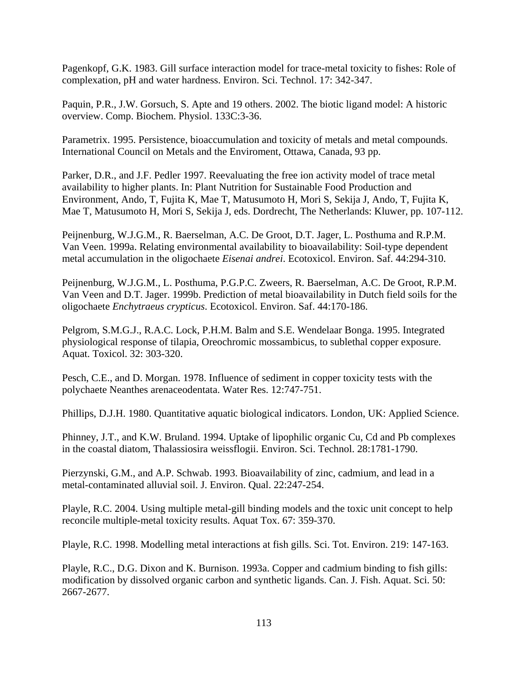Pagenkopf, G.K. 1983. Gill surface interaction model for trace-metal toxicity to fishes: Role of complexation, pH and water hardness. Environ. Sci. Technol. 17: 342-347.

Paquin, P.R., J.W. Gorsuch, S. Apte and 19 others. 2002. The biotic ligand model: A historic overview. Comp. Biochem. Physiol. 133C:3-36.

Parametrix. 1995. Persistence, bioaccumulation and toxicity of metals and metal compounds. International Council on Metals and the Enviroment, Ottawa, Canada, 93 pp.

Parker, D.R., and J.F. Pedler 1997. Reevaluating the free ion activity model of trace metal availability to higher plants. In: Plant Nutrition for Sustainable Food Production and Environment, Ando, T, Fujita K, Mae T, Matusumoto H, Mori S, Sekija J, Ando, T, Fujita K, Mae T, Matusumoto H, Mori S, Sekija J, eds. Dordrecht, The Netherlands: Kluwer, pp. 107-112.

Peijnenburg, W.J.G.M., R. Baerselman, A.C. De Groot, D.T. Jager, L. Posthuma and R.P.M. Van Veen. 1999a. Relating environmental availability to bioavailability: Soil-type dependent metal accumulation in the oligochaete *Eisenai andrei*. Ecotoxicol. Environ. Saf. 44:294-310.

Peijnenburg, W.J.G.M., L. Posthuma, P.G.P.C. Zweers, R. Baerselman, A.C. De Groot, R.P.M. Van Veen and D.T. Jager. 1999b. Prediction of metal bioavailability in Dutch field soils for the oligochaete *Enchytraeus crypticus*. Ecotoxicol. Environ. Saf. 44:170-186.

Pelgrom, S.M.G.J., R.A.C. Lock, P.H.M. Balm and S.E. Wendelaar Bonga. 1995. Integrated physiological response of tilapia, Oreochromic mossambicus, to sublethal copper exposure. Aquat. Toxicol. 32: 303-320.

Pesch, C.E., and D. Morgan. 1978. Influence of sediment in copper toxicity tests with the polychaete Neanthes arenaceodentata. Water Res. 12:747-751.

Phillips, D.J.H. 1980. Quantitative aquatic biological indicators. London, UK: Applied Science.

Phinney, J.T., and K.W. Bruland. 1994. Uptake of lipophilic organic Cu, Cd and Pb complexes in the coastal diatom, Thalassiosira weissflogii. Environ. Sci. Technol. 28:1781-1790.

Pierzynski, G.M., and A.P. Schwab. 1993. Bioavailability of zinc, cadmium, and lead in a metal-contaminated alluvial soil. J. Environ. Qual. 22:247-254.

Playle, R.C. 2004. Using multiple metal-gill binding models and the toxic unit concept to help reconcile multiple-metal toxicity results. Aquat Tox. 67: 359-370.

Playle, R.C. 1998. Modelling metal interactions at fish gills. Sci. Tot. Environ. 219: 147-163.

Playle, R.C., D.G. Dixon and K. Burnison. 1993a. Copper and cadmium binding to fish gills: modification by dissolved organic carbon and synthetic ligands. Can. J. Fish. Aquat. Sci. 50: 2667-2677.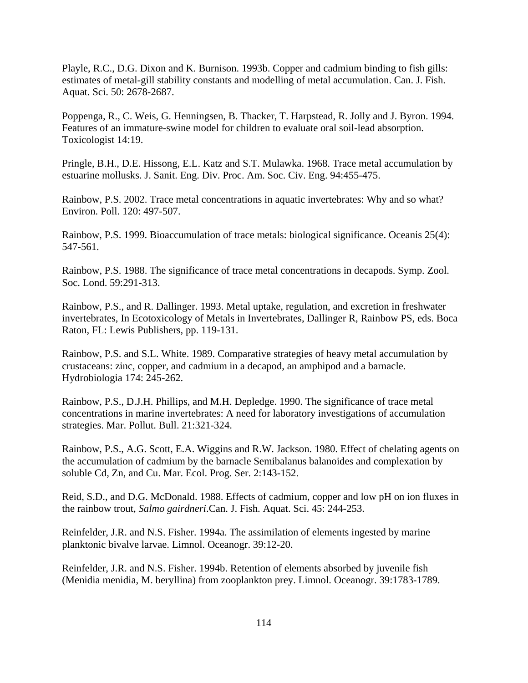Playle, R.C., D.G. Dixon and K. Burnison. 1993b. Copper and cadmium binding to fish gills: estimates of metal-gill stability constants and modelling of metal accumulation. Can. J. Fish. Aquat. Sci. 50: 2678-2687.

Poppenga, R., C. Weis, G. Henningsen, B. Thacker, T. Harpstead, R. Jolly and J. Byron. 1994. Features of an immature-swine model for children to evaluate oral soil-lead absorption. Toxicologist 14:19.

Pringle, B.H., D.E. Hissong, E.L. Katz and S.T. Mulawka. 1968. Trace metal accumulation by estuarine mollusks. J. Sanit. Eng. Div. Proc. Am. Soc. Civ. Eng. 94:455-475.

Rainbow, P.S. 2002. Trace metal concentrations in aquatic invertebrates: Why and so what? Environ. Poll. 120: 497-507.

Rainbow, P.S. 1999. Bioaccumulation of trace metals: biological significance. Oceanis 25(4): 547-561.

Rainbow, P.S. 1988. The significance of trace metal concentrations in decapods. Symp. Zool. Soc. Lond. 59:291-313.

Rainbow, P.S., and R. Dallinger. 1993. Metal uptake, regulation, and excretion in freshwater invertebrates, In Ecotoxicology of Metals in Invertebrates, Dallinger R, Rainbow PS, eds. Boca Raton, FL: Lewis Publishers, pp. 119-131.

Rainbow, P.S. and S.L. White. 1989. Comparative strategies of heavy metal accumulation by crustaceans: zinc, copper, and cadmium in a decapod, an amphipod and a barnacle. Hydrobiologia 174: 245-262.

Rainbow, P.S., D.J.H. Phillips, and M.H. Depledge. 1990. The significance of trace metal concentrations in marine invertebrates: A need for laboratory investigations of accumulation strategies. Mar. Pollut. Bull. 21:321-324.

Rainbow, P.S., A.G. Scott, E.A. Wiggins and R.W. Jackson. 1980. Effect of chelating agents on the accumulation of cadmium by the barnacle Semibalanus balanoides and complexation by soluble Cd, Zn, and Cu. Mar. Ecol. Prog. Ser. 2:143-152.

Reid, S.D., and D.G. McDonald. 1988. Effects of cadmium, copper and low pH on ion fluxes in the rainbow trout, *Salmo gairdneri*.Can. J. Fish. Aquat. Sci. 45: 244-253.

Reinfelder, J.R. and N.S. Fisher. 1994a. The assimilation of elements ingested by marine planktonic bivalve larvae. Limnol. Oceanogr. 39:12-20.

Reinfelder, J.R. and N.S. Fisher. 1994b. Retention of elements absorbed by juvenile fish (Menidia menidia, M. beryllina) from zooplankton prey. Limnol. Oceanogr. 39:1783-1789.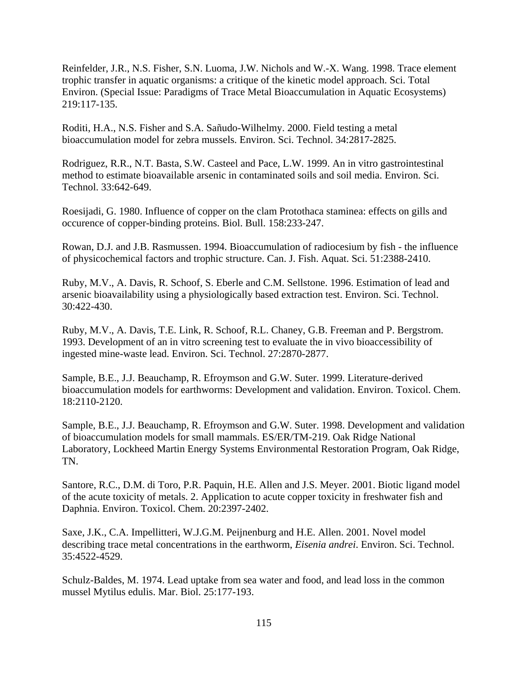Reinfelder, J.R., N.S. Fisher, S.N. Luoma, J.W. Nichols and W.-X. Wang. 1998. Trace element trophic transfer in aquatic organisms: a critique of the kinetic model approach. Sci. Total Environ. (Special Issue: Paradigms of Trace Metal Bioaccumulation in Aquatic Ecosystems) 219:117-135.

Roditi, H.A., N.S. Fisher and S.A. Sañudo-Wilhelmy. 2000. Field testing a metal bioaccumulation model for zebra mussels. Environ. Sci. Technol. 34:2817-2825.

Rodriguez, R.R., N.T. Basta, S.W. Casteel and Pace, L.W. 1999. An in vitro gastrointestinal method to estimate bioavailable arsenic in contaminated soils and soil media. Environ. Sci. Technol. 33:642-649.

Roesijadi, G. 1980. Influence of copper on the clam Protothaca staminea: effects on gills and occurence of copper-binding proteins. Biol. Bull. 158:233-247.

Rowan, D.J. and J.B. Rasmussen. 1994. Bioaccumulation of radiocesium by fish - the influence of physicochemical factors and trophic structure. Can. J. Fish. Aquat. Sci. 51:2388-2410.

Ruby, M.V., A. Davis, R. Schoof, S. Eberle and C.M. Sellstone. 1996. Estimation of lead and arsenic bioavailability using a physiologically based extraction test. Environ. Sci. Technol. 30:422-430.

Ruby, M.V., A. Davis, T.E. Link, R. Schoof, R.L. Chaney, G.B. Freeman and P. Bergstrom. 1993. Development of an in vitro screening test to evaluate the in vivo bioaccessibility of ingested mine-waste lead. Environ. Sci. Technol. 27:2870-2877.

Sample, B.E., J.J. Beauchamp, R. Efroymson and G.W. Suter. 1999. Literature-derived bioaccumulation models for earthworms: Development and validation. Environ. Toxicol. Chem. 18:2110-2120.

Sample, B.E., J.J. Beauchamp, R. Efroymson and G.W. Suter. 1998. Development and validation of bioaccumulation models for small mammals. ES/ER/TM-219. Oak Ridge National Laboratory, Lockheed Martin Energy Systems Environmental Restoration Program, Oak Ridge, TN.

Santore, R.C., D.M. di Toro, P.R. Paquin, H.E. Allen and J.S. Meyer. 2001. Biotic ligand model of the acute toxicity of metals. 2. Application to acute copper toxicity in freshwater fish and Daphnia. Environ. Toxicol. Chem. 20:2397-2402.

Saxe, J.K., C.A. Impellitteri, W.J.G.M. Peijnenburg and H.E. Allen. 2001. Novel model describing trace metal concentrations in the earthworm, *Eisenia andrei*. Environ. Sci. Technol. 35:4522-4529.

Schulz-Baldes, M. 1974. Lead uptake from sea water and food, and lead loss in the common mussel Mytilus edulis. Mar. Biol. 25:177-193.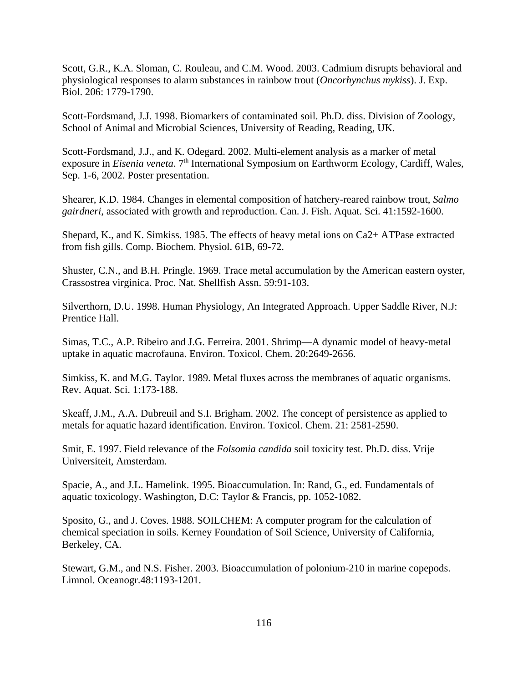Scott, G.R., K.A. Sloman, C. Rouleau, and C.M. Wood. 2003. Cadmium disrupts behavioral and physiological responses to alarm substances in rainbow trout (*Oncorhynchus mykiss*). J. Exp. Biol. 206: 1779-1790.

Scott-Fordsmand, J.J. 1998. Biomarkers of contaminated soil. Ph.D. diss. Division of Zoology, School of Animal and Microbial Sciences, University of Reading, Reading, UK.

Scott-Fordsmand, J.J., and K. Odegard. 2002. Multi-element analysis as a marker of metal exposure in *Eisenia veneta*. 7<sup>th</sup> International Symposium on Earthworm Ecology, Cardiff, Wales, Sep. 1-6, 2002. Poster presentation.

Shearer, K.D. 1984. Changes in elemental composition of hatchery-reared rainbow trout, *Salmo gairdneri*, associated with growth and reproduction. Can. J. Fish. Aquat. Sci. 41:1592-1600.

Shepard, K., and K. Simkiss. 1985. The effects of heavy metal ions on Ca2+ ATPase extracted from fish gills. Comp. Biochem. Physiol. 61B, 69-72.

Shuster, C.N., and B.H. Pringle. 1969. Trace metal accumulation by the American eastern oyster, Crassostrea virginica. Proc. Nat. Shellfish Assn. 59:91-103.

Silverthorn, D.U. 1998. Human Physiology, An Integrated Approach. Upper Saddle River, N.J: Prentice Hall.

Simas, T.C., A.P. Ribeiro and J.G. Ferreira. 2001. Shrimp—A dynamic model of heavy-metal uptake in aquatic macrofauna. Environ. Toxicol. Chem. 20:2649-2656.

Simkiss, K. and M.G. Taylor. 1989. Metal fluxes across the membranes of aquatic organisms. Rev. Aquat. Sci. 1:173-188.

Skeaff, J.M., A.A. Dubreuil and S.I. Brigham. 2002. The concept of persistence as applied to metals for aquatic hazard identification. Environ. Toxicol. Chem. 21: 2581-2590.

Smit, E. 1997. Field relevance of the *Folsomia candida* soil toxicity test. Ph.D. diss. Vrije Universiteit, Amsterdam.

Spacie, A., and J.L. Hamelink. 1995. Bioaccumulation. In: Rand, G., ed. Fundamentals of aquatic toxicology. Washington, D.C: Taylor & Francis, pp. 1052-1082.

Sposito, G., and J. Coves. 1988. SOILCHEM: A computer program for the calculation of chemical speciation in soils. Kerney Foundation of Soil Science, University of California, Berkeley, CA.

Stewart, G.M., and N.S. Fisher. 2003. Bioaccumulation of polonium-210 in marine copepods. Limnol. Oceanogr.48:1193-1201.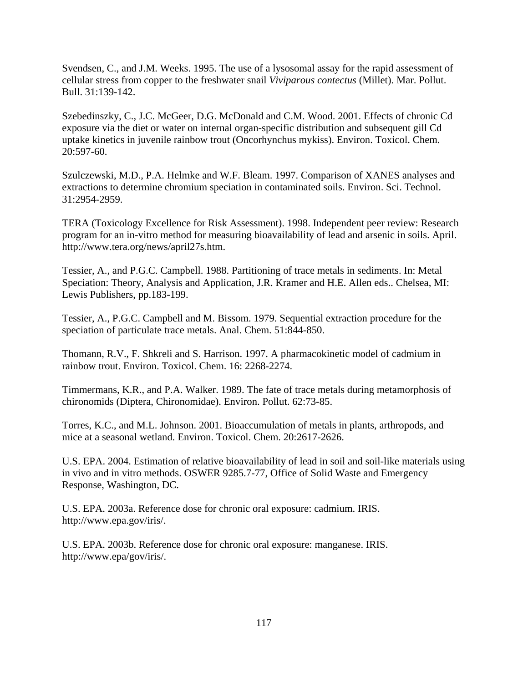Svendsen, C., and J.M. Weeks. 1995. The use of a lysosomal assay for the rapid assessment of cellular stress from copper to the freshwater snail *Viviparous contectus* (Millet). Mar. Pollut. Bull. 31:139-142.

Szebedinszky, C., J.C. McGeer, D.G. McDonald and C.M. Wood. 2001. Effects of chronic Cd exposure via the diet or water on internal organ-specific distribution and subsequent gill Cd uptake kinetics in juvenile rainbow trout (Oncorhynchus mykiss). Environ. Toxicol. Chem. 20:597-60.

Szulczewski, M.D., P.A. Helmke and W.F. Bleam. 1997. Comparison of XANES analyses and extractions to determine chromium speciation in contaminated soils. Environ. Sci. Technol. 31:2954-2959.

TERA (Toxicology Excellence for Risk Assessment). 1998. Independent peer review: Research program for an in-vitro method for measuring bioavailability of lead and arsenic in soils. April. http://www.tera.org/news/april27s.htm.

Tessier, A., and P.G.C. Campbell. 1988. Partitioning of trace metals in sediments. In: Metal Speciation: Theory, Analysis and Application, J.R. Kramer and H.E. Allen eds.. Chelsea, MI: Lewis Publishers, pp.183-199.

Tessier, A., P.G.C. Campbell and M. Bissom. 1979. Sequential extraction procedure for the speciation of particulate trace metals. Anal. Chem. 51:844-850.

Thomann, R.V., F. Shkreli and S. Harrison. 1997. A pharmacokinetic model of cadmium in rainbow trout. Environ. Toxicol. Chem. 16: 2268-2274.

Timmermans, K.R., and P.A. Walker. 1989. The fate of trace metals during metamorphosis of chironomids (Diptera, Chironomidae). Environ. Pollut. 62:73-85.

Torres, K.C., and M.L. Johnson. 2001. Bioaccumulation of metals in plants, arthropods, and mice at a seasonal wetland. Environ. Toxicol. Chem. 20:2617-2626.

U.S. EPA. 2004. Estimation of relative bioavailability of lead in soil and soil-like materials using in vivo and in vitro methods. OSWER 9285.7-77, Office of Solid Waste and Emergency Response, Washington, DC.

U.S. EPA. 2003a. Reference dose for chronic oral exposure: cadmium. IRIS. http://www.epa.gov/iris/.

U.S. EPA. 2003b. Reference dose for chronic oral exposure: manganese. IRIS. http://www.epa/gov/iris/.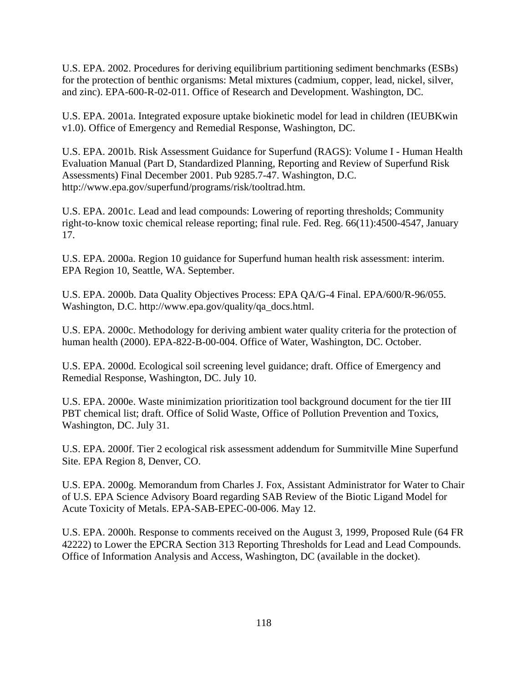U.S. EPA. 2002. Procedures for deriving equilibrium partitioning sediment benchmarks (ESBs) for the protection of benthic organisms: Metal mixtures (cadmium, copper, lead, nickel, silver, and zinc). EPA-600-R-02-011. Office of Research and Development. Washington, DC.

U.S. EPA. 2001a. Integrated exposure uptake biokinetic model for lead in children (IEUBKwin v1.0). Office of Emergency and Remedial Response, Washington, DC.

U.S. EPA. 2001b. Risk Assessment Guidance for Superfund (RAGS): Volume I - Human Health Evaluation Manual (Part D, Standardized Planning, Reporting and Review of Superfund Risk Assessments) Final December 2001. Pub 9285.7-47. Washington, D.C. http://www.epa.gov/superfund/programs/risk/tooltrad.htm.

U.S. EPA. 2001c. Lead and lead compounds: Lowering of reporting thresholds; Community right-to-know toxic chemical release reporting; final rule. Fed. Reg. 66(11):4500-4547, January 17.

U.S. EPA. 2000a. Region 10 guidance for Superfund human health risk assessment: interim. EPA Region 10, Seattle, WA. September.

U.S. EPA. 2000b. Data Quality Objectives Process: EPA QA/G-4 Final. EPA/600/R-96/055. Washington, D.C. http://www.epa.gov/quality/qa\_docs.html.

U.S. EPA. 2000c. Methodology for deriving ambient water quality criteria for the protection of human health (2000). EPA-822-B-00-004. Office of Water, Washington, DC. October.

U.S. EPA. 2000d. Ecological soil screening level guidance; draft. Office of Emergency and Remedial Response, Washington, DC. July 10.

U.S. EPA. 2000e. Waste minimization prioritization tool background document for the tier III PBT chemical list; draft. Office of Solid Waste, Office of Pollution Prevention and Toxics, Washington, DC. July 31.

U.S. EPA. 2000f. Tier 2 ecological risk assessment addendum for Summitville Mine Superfund Site. EPA Region 8, Denver, CO.

U.S. EPA. 2000g. Memorandum from Charles J. Fox, Assistant Administrator for Water to Chair of U.S. EPA Science Advisory Board regarding SAB Review of the Biotic Ligand Model for Acute Toxicity of Metals. EPA-SAB-EPEC-00-006. May 12.

U.S. EPA. 2000h. Response to comments received on the August 3, 1999, Proposed Rule (64 FR 42222) to Lower the EPCRA Section 313 Reporting Thresholds for Lead and Lead Compounds. Office of Information Analysis and Access, Washington, DC (available in the docket).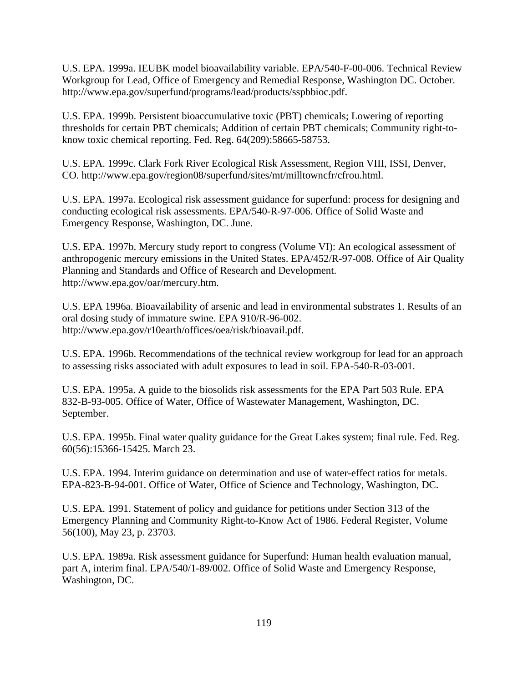U.S. EPA. 1999a. IEUBK model bioavailability variable. EPA/540-F-00-006. Technical Review Workgroup for Lead, Office of Emergency and Remedial Response, Washington DC. October. http://www.epa.gov/superfund/programs/lead/products/sspbbioc.pdf.

U.S. EPA. 1999b. Persistent bioaccumulative toxic (PBT) chemicals; Lowering of reporting thresholds for certain PBT chemicals; Addition of certain PBT chemicals; Community right-toknow toxic chemical reporting. Fed. Reg. 64(209):58665-58753.

U.S. EPA. 1999c. Clark Fork River Ecological Risk Assessment, Region VIII, ISSI, Denver, CO. http://www.epa.gov/region08/superfund/sites/mt/milltowncfr/cfrou.html.

U.S. EPA. 1997a. Ecological risk assessment guidance for superfund: process for designing and conducting ecological risk assessments. EPA/540-R-97-006. Office of Solid Waste and Emergency Response, Washington, DC. June.

U.S. EPA. 1997b. Mercury study report to congress (Volume VI): An ecological assessment of anthropogenic mercury emissions in the United States. EPA/452/R-97-008. Office of Air Quality Planning and Standards and Office of Research and Development. http://www.epa.gov/oar/mercury.htm.

U.S. EPA 1996a. Bioavailability of arsenic and lead in environmental substrates 1. Results of an oral dosing study of immature swine. EPA 910/R-96-002. http://www.epa.gov/r10earth/offices/oea/risk/bioavail.pdf.

U.S. EPA. 1996b. Recommendations of the technical review workgroup for lead for an approach to assessing risks associated with adult exposures to lead in soil. EPA-540-R-03-001.

U.S. EPA. 1995a. A guide to the biosolids risk assessments for the EPA Part 503 Rule. EPA 832-B-93-005. Office of Water, Office of Wastewater Management, Washington, DC. September.

U.S. EPA. 1995b. Final water quality guidance for the Great Lakes system; final rule. Fed. Reg. 60(56):15366-15425. March 23.

U.S. EPA. 1994. Interim guidance on determination and use of water-effect ratios for metals. EPA-823-B-94-001. Office of Water, Office of Science and Technology, Washington, DC.

U.S. EPA. 1991. Statement of policy and guidance for petitions under Section 313 of the Emergency Planning and Community Right-to-Know Act of 1986. Federal Register, Volume 56(100), May 23, p. 23703.

U.S. EPA. 1989a. Risk assessment guidance for Superfund: Human health evaluation manual, part A, interim final. EPA/540/1-89/002. Office of Solid Waste and Emergency Response, Washington, DC.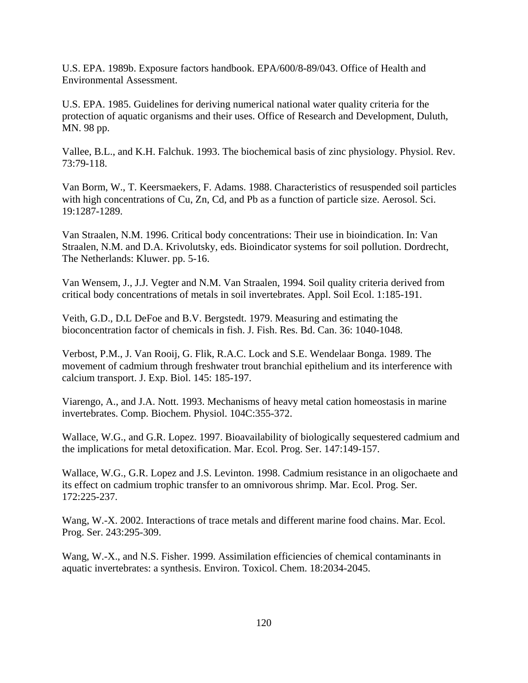U.S. EPA. 1989b. Exposure factors handbook. EPA/600/8-89/043. Office of Health and Environmental Assessment.

U.S. EPA. 1985. Guidelines for deriving numerical national water quality criteria for the protection of aquatic organisms and their uses. Office of Research and Development, Duluth, MN. 98 pp.

Vallee, B.L., and K.H. Falchuk. 1993. The biochemical basis of zinc physiology. Physiol. Rev. 73:79-118.

Van Borm, W., T. Keersmaekers, F. Adams. 1988. Characteristics of resuspended soil particles with high concentrations of Cu, Zn, Cd, and Pb as a function of particle size. Aerosol. Sci. 19:1287-1289.

Van Straalen, N.M. 1996. Critical body concentrations: Their use in bioindication. In: Van Straalen, N.M. and D.A. Krivolutsky, eds. Bioindicator systems for soil pollution. Dordrecht, The Netherlands: Kluwer. pp. 5-16.

Van Wensem, J., J.J. Vegter and N.M. Van Straalen, 1994. Soil quality criteria derived from critical body concentrations of metals in soil invertebrates. Appl. Soil Ecol. 1:185-191.

Veith, G.D., D.L DeFoe and B.V. Bergstedt. 1979. Measuring and estimating the bioconcentration factor of chemicals in fish. J. Fish. Res. Bd. Can. 36: 1040-1048.

Verbost, P.M., J. Van Rooij, G. Flik, R.A.C. Lock and S.E. Wendelaar Bonga. 1989. The movement of cadmium through freshwater trout branchial epithelium and its interference with calcium transport. J. Exp. Biol. 145: 185-197.

Viarengo, A., and J.A. Nott. 1993. Mechanisms of heavy metal cation homeostasis in marine invertebrates. Comp. Biochem. Physiol. 104C:355-372.

Wallace, W.G., and G.R. Lopez. 1997. Bioavailability of biologically sequestered cadmium and the implications for metal detoxification. Mar. Ecol. Prog. Ser. 147:149-157.

Wallace, W.G., G.R. Lopez and J.S. Levinton. 1998. Cadmium resistance in an oligochaete and its effect on cadmium trophic transfer to an omnivorous shrimp. Mar. Ecol. Prog. Ser. 172:225-237.

Wang, W.-X. 2002. Interactions of trace metals and different marine food chains. Mar. Ecol. Prog. Ser. 243:295-309.

Wang, W.-X., and N.S. Fisher. 1999. Assimilation efficiencies of chemical contaminants in aquatic invertebrates: a synthesis. Environ. Toxicol. Chem. 18:2034-2045.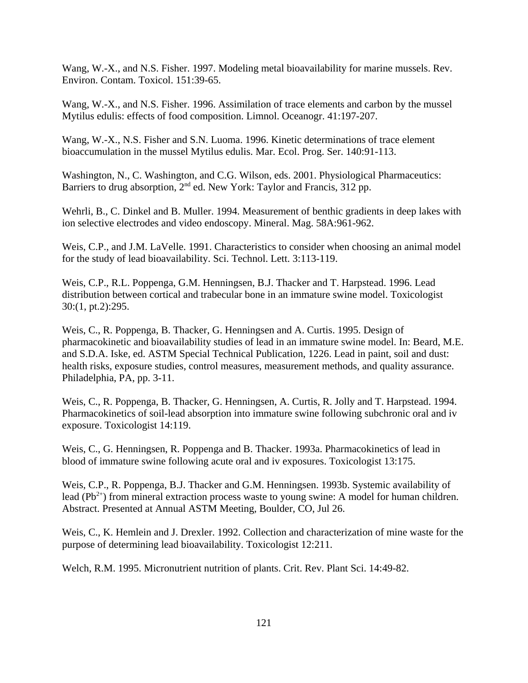Wang, W.-X., and N.S. Fisher. 1997. Modeling metal bioavailability for marine mussels. Rev. Environ. Contam. Toxicol. 151:39-65.

Wang, W.-X., and N.S. Fisher. 1996. Assimilation of trace elements and carbon by the mussel Mytilus edulis: effects of food composition. Limnol. Oceanogr. 41:197-207.

Wang, W.-X., N.S. Fisher and S.N. Luoma. 1996. Kinetic determinations of trace element bioaccumulation in the mussel Mytilus edulis. Mar. Ecol. Prog. Ser. 140:91-113.

Washington, N., C. Washington, and C.G. Wilson, eds. 2001. Physiological Pharmaceutics: Barriers to drug absorption,  $2<sup>nd</sup>$  ed. New York: Taylor and Francis, 312 pp.

Wehrli, B., C. Dinkel and B. Muller. 1994. Measurement of benthic gradients in deep lakes with ion selective electrodes and video endoscopy. Mineral. Mag. 58A:961-962.

Weis, C.P., and J.M. LaVelle. 1991. Characteristics to consider when choosing an animal model for the study of lead bioavailability. Sci. Technol. Lett. 3:113-119.

Weis, C.P., R.L. Poppenga, G.M. Henningsen, B.J. Thacker and T. Harpstead. 1996. Lead distribution between cortical and trabecular bone in an immature swine model. Toxicologist 30:(1, pt.2):295.

Weis, C., R. Poppenga, B. Thacker, G. Henningsen and A. Curtis. 1995. Design of pharmacokinetic and bioavailability studies of lead in an immature swine model. In: Beard, M.E. and S.D.A. Iske, ed. ASTM Special Technical Publication, 1226. Lead in paint, soil and dust: health risks, exposure studies, control measures, measurement methods, and quality assurance. Philadelphia, PA, pp. 3-11.

Weis, C., R. Poppenga, B. Thacker, G. Henningsen, A. Curtis, R. Jolly and T. Harpstead. 1994. Pharmacokinetics of soil-lead absorption into immature swine following subchronic oral and iv exposure. Toxicologist 14:119.

Weis, C., G. Henningsen, R. Poppenga and B. Thacker. 1993a. Pharmacokinetics of lead in blood of immature swine following acute oral and iv exposures. Toxicologist 13:175.

Weis, C.P., R. Poppenga, B.J. Thacker and G.M. Henningsen. 1993b. Systemic availability of lead ( $Pb^{2+}$ ) from mineral extraction process waste to young swine: A model for human children. Abstract. Presented at Annual ASTM Meeting, Boulder, CO, Jul 26.

Weis, C., K. Hemlein and J. Drexler. 1992. Collection and characterization of mine waste for the purpose of determining lead bioavailability. Toxicologist 12:211.

Welch, R.M. 1995. Micronutrient nutrition of plants. Crit. Rev. Plant Sci. 14:49-82.